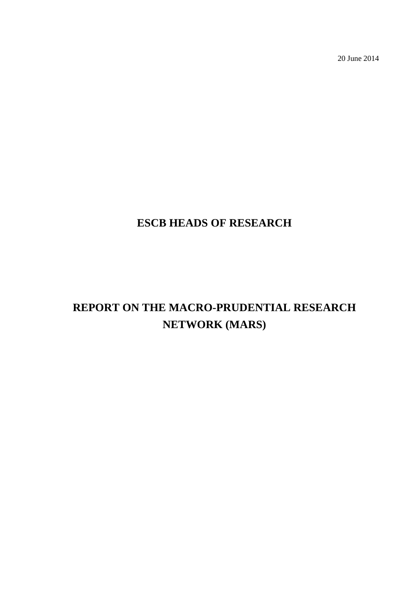20 June 2014

# **ESCB HEADS OF RESEARCH**

# **REPORT ON THE MACRO-PRUDENTIAL RESEARCH NETWORK (MARS)**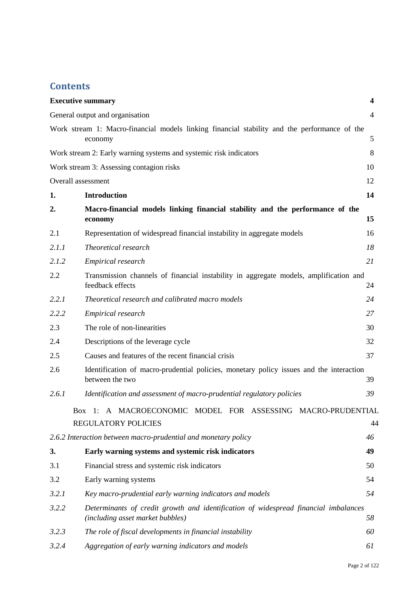# **Contents**

|       | <b>Executive summary</b>                                                                                                | 4              |
|-------|-------------------------------------------------------------------------------------------------------------------------|----------------|
|       | General output and organisation                                                                                         | $\overline{4}$ |
|       | Work stream 1: Macro-financial models linking financial stability and the performance of the<br>economy                 | 5              |
|       | Work stream 2: Early warning systems and systemic risk indicators                                                       | 8              |
|       | Work stream 3: Assessing contagion risks                                                                                | 10             |
|       | Overall assessment                                                                                                      | 12             |
| 1.    | <b>Introduction</b>                                                                                                     | 14             |
| 2.    | Macro-financial models linking financial stability and the performance of the<br>economy                                | 15             |
| 2.1   | Representation of widespread financial instability in aggregate models                                                  | 16             |
| 2.1.1 | Theoretical research                                                                                                    | 18             |
| 2.1.2 | Empirical research                                                                                                      | 21             |
| 2.2   | Transmission channels of financial instability in aggregate models, amplification and<br>feedback effects               | 24             |
| 2.2.1 | Theoretical research and calibrated macro models                                                                        | 24             |
| 2.2.2 | Empirical research                                                                                                      | 27             |
| 2.3   | The role of non-linearities                                                                                             | 30             |
| 2.4   | Descriptions of the leverage cycle                                                                                      | 32             |
| 2.5   | Causes and features of the recent financial crisis                                                                      | 37             |
| 2.6   | Identification of macro-prudential policies, monetary policy issues and the interaction<br>between the two              | 39             |
| 2.6.1 | Identification and assessment of macro-prudential regulatory policies                                                   | 39             |
|       | Box 1: A MACROECONOMIC MODEL FOR ASSESSING MACRO-PRUDENTIAL                                                             |                |
|       | <b>REGULATORY POLICIES</b>                                                                                              | 44             |
|       | 2.6.2 Interaction between macro-prudential and monetary policy                                                          | 46             |
| 3.    | Early warning systems and systemic risk indicators                                                                      | 49             |
| 3.1   | Financial stress and systemic risk indicators                                                                           | 50             |
| 3.2   | Early warning systems                                                                                                   | 54             |
| 3.2.1 | Key macro-prudential early warning indicators and models                                                                | 54             |
| 3.2.2 | Determinants of credit growth and identification of widespread financial imbalances<br>(including asset market bubbles) | 58             |
| 3.2.3 | The role of fiscal developments in financial instability                                                                | 60             |
| 3.2.4 | Aggregation of early warning indicators and models                                                                      | 61             |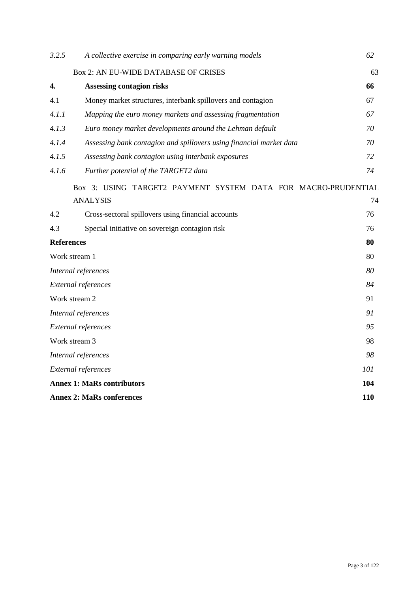| 3.2.5                             | A collective exercise in comparing early warning models             | 62  |
|-----------------------------------|---------------------------------------------------------------------|-----|
|                                   | Box 2: AN EU-WIDE DATABASE OF CRISES                                | 63  |
| 4.                                | <b>Assessing contagion risks</b>                                    | 66  |
| 4.1                               | Money market structures, interbank spillovers and contagion         | 67  |
| 4.1.1                             | Mapping the euro money markets and assessing fragmentation          | 67  |
| 4.1.3                             | Euro money market developments around the Lehman default            | 70  |
| 4.1.4                             | Assessing bank contagion and spillovers using financial market data | 70  |
| 4.1.5                             | Assessing bank contagion using interbank exposures                  | 72  |
| 4.1.6                             | Further potential of the TARGET2 data                               | 74  |
|                                   | Box 3: USING TARGET2 PAYMENT SYSTEM DATA FOR MACRO-PRUDENTIAL       |     |
|                                   | <b>ANALYSIS</b>                                                     | 74  |
| 4.2                               | Cross-sectoral spillovers using financial accounts                  | 76  |
| 4.3                               | Special initiative on sovereign contagion risk                      | 76  |
| <b>References</b>                 |                                                                     | 80  |
|                                   | Work stream 1                                                       | 80  |
| Internal references               |                                                                     | 80  |
| External references               |                                                                     | 84  |
| Work stream 2                     |                                                                     | 91  |
| Internal references               |                                                                     | 91  |
| External references               |                                                                     | 95  |
| Work stream 3                     |                                                                     | 98  |
|                                   | Internal references                                                 | 98  |
|                                   | External references                                                 | 101 |
| <b>Annex 1: MaRs contributors</b> |                                                                     | 104 |
| <b>Annex 2: MaRs conferences</b>  |                                                                     | 110 |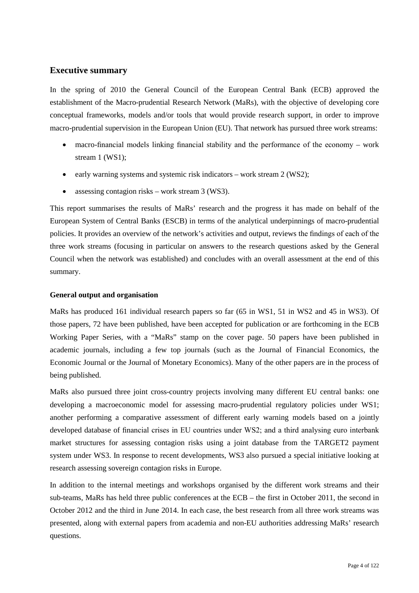### <span id="page-3-0"></span>**Executive summary**

In the spring of 2010 the General Council of the European Central Bank (ECB) approved the establishment of the Macro-prudential Research Network (MaRs), with the objective of developing core conceptual frameworks, models and/or tools that would provide research support, in order to improve macro-prudential supervision in the European Union (EU). That network has pursued three work streams:

- macro-financial models linking financial stability and the performance of the economy work stream 1 (WS1);
- early warning systems and systemic risk indicators work stream 2 (WS2);
- assessing contagion risks work stream 3 (WS3).

This report summarises the results of MaRs' research and the progress it has made on behalf of the European System of Central Banks (ESCB) in terms of the analytical underpinnings of macro-prudential policies. It provides an overview of the network's activities and output, reviews the findings of each of the three work streams (focusing in particular on answers to the research questions asked by the General Council when the network was established) and concludes with an overall assessment at the end of this summary.

### <span id="page-3-1"></span>**General output and organisation**

MaRs has produced 161 individual research papers so far (65 in WS1, 51 in WS2 and 45 in WS3). Of those papers, 72 have been published, have been accepted for publication or are forthcoming in the ECB Working Paper Series, with a "MaRs" stamp on the cover page. 50 papers have been published in academic journals, including a few top journals (such as the Journal of Financial Economics, the Economic Journal or the Journal of Monetary Economics). Many of the other papers are in the process of being published.

MaRs also pursued three joint cross-country projects involving many different EU central banks: one developing a macroeconomic model for assessing macro-prudential regulatory policies under WS1; another performing a comparative assessment of different early warning models based on a jointly developed database of financial crises in EU countries under WS2; and a third analysing euro interbank market structures for assessing contagion risks using a joint database from the TARGET2 payment system under WS3. In response to recent developments, WS3 also pursued a special initiative looking at research assessing sovereign contagion risks in Europe.

In addition to the internal meetings and workshops organised by the different work streams and their sub-teams, MaRs has held three public conferences at the ECB – the first in October 2011, the second in October 2012 and the third in June 2014. In each case, the best research from all three work streams was presented, along with external papers from academia and non-EU authorities addressing MaRs' research questions.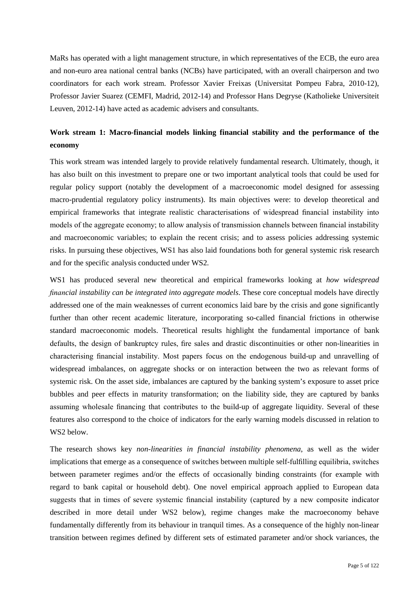MaRs has operated with a light management structure, in which representatives of the ECB, the euro area and non-euro area national central banks (NCBs) have participated, with an overall chairperson and two coordinators for each work stream. Professor Xavier Freixas (Universitat Pompeu Fabra, 2010-12), Professor Javier Suarez (CEMFI, Madrid, 2012-14) and Professor Hans Degryse (Katholieke Universiteit Leuven, 2012-14) have acted as academic advisers and consultants.

## <span id="page-4-0"></span>**Work stream 1: Macro-financial models linking financial stability and the performance of the economy**

This work stream was intended largely to provide relatively fundamental research. Ultimately, though, it has also built on this investment to prepare one or two important analytical tools that could be used for regular policy support (notably the development of a macroeconomic model designed for assessing macro-prudential regulatory policy instruments). Its main objectives were: to develop theoretical and empirical frameworks that integrate realistic characterisations of widespread financial instability into models of the aggregate economy; to allow analysis of transmission channels between financial instability and macroeconomic variables; to explain the recent crisis; and to assess policies addressing systemic risks. In pursuing these objectives, WS1 has also laid foundations both for general systemic risk research and for the specific analysis conducted under WS2.

WS1 has produced several new theoretical and empirical frameworks looking at *how widespread financial instability can be integrated into aggregate models*. These core conceptual models have directly addressed one of the main weaknesses of current economics laid bare by the crisis and gone significantly further than other recent academic literature, incorporating so-called financial frictions in otherwise standard macroeconomic models. Theoretical results highlight the fundamental importance of bank defaults, the design of bankruptcy rules, fire sales and drastic discontinuities or other non-linearities in characterising financial instability. Most papers focus on the endogenous build-up and unravelling of widespread imbalances, on aggregate shocks or on interaction between the two as relevant forms of systemic risk. On the asset side, imbalances are captured by the banking system's exposure to asset price bubbles and peer effects in maturity transformation; on the liability side, they are captured by banks assuming wholesale financing that contributes to the build-up of aggregate liquidity. Several of these features also correspond to the choice of indicators for the early warning models discussed in relation to WS2 below.

The research shows key *non-linearities in financial instability phenomena*, as well as the wider implications that emerge as a consequence of switches between multiple self-fulfilling equilibria, switches between parameter regimes and/or the effects of occasionally binding constraints (for example with regard to bank capital or household debt). One novel empirical approach applied to European data suggests that in times of severe systemic financial instability (captured by a new composite indicator described in more detail under WS2 below), regime changes make the macroeconomy behave fundamentally differently from its behaviour in tranquil times. As a consequence of the highly non-linear transition between regimes defined by different sets of estimated parameter and/or shock variances, the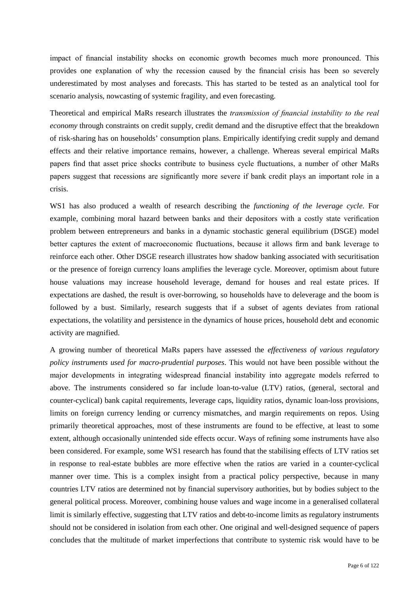impact of financial instability shocks on economic growth becomes much more pronounced. This provides one explanation of why the recession caused by the financial crisis has been so severely underestimated by most analyses and forecasts. This has started to be tested as an analytical tool for scenario analysis, nowcasting of systemic fragility, and even forecasting.

Theoretical and empirical MaRs research illustrates the *transmission of financial instability to the real economy* through constraints on credit supply, credit demand and the disruptive effect that the breakdown of risk-sharing has on households' consumption plans. Empirically identifying credit supply and demand effects and their relative importance remains, however, a challenge. Whereas several empirical MaRs papers find that asset price shocks contribute to business cycle fluctuations, a number of other MaRs papers suggest that recessions are significantly more severe if bank credit plays an important role in a crisis.

WS1 has also produced a wealth of research describing the *functioning of the leverage cycle*. For example, combining moral hazard between banks and their depositors with a costly state verification problem between entrepreneurs and banks in a dynamic stochastic general equilibrium (DSGE) model better captures the extent of macroeconomic fluctuations, because it allows firm and bank leverage to reinforce each other. Other DSGE research illustrates how shadow banking associated with securitisation or the presence of foreign currency loans amplifies the leverage cycle. Moreover, optimism about future house valuations may increase household leverage, demand for houses and real estate prices. If expectations are dashed, the result is over-borrowing, so households have to deleverage and the boom is followed by a bust. Similarly, research suggests that if a subset of agents deviates from rational expectations, the volatility and persistence in the dynamics of house prices, household debt and economic activity are magnified.

A growing number of theoretical MaRs papers have assessed the *effectiveness of various regulatory policy instruments used for macro-prudential purposes*. This would not have been possible without the major developments in integrating widespread financial instability into aggregate models referred to above. The instruments considered so far include loan-to-value (LTV) ratios, (general, sectoral and counter-cyclical) bank capital requirements, leverage caps, liquidity ratios, dynamic loan-loss provisions, limits on foreign currency lending or currency mismatches, and margin requirements on repos. Using primarily theoretical approaches, most of these instruments are found to be effective, at least to some extent, although occasionally unintended side effects occur. Ways of refining some instruments have also been considered. For example, some WS1 research has found that the stabilising effects of LTV ratios set in response to real-estate bubbles are more effective when the ratios are varied in a counter-cyclical manner over time. This is a complex insight from a practical policy perspective, because in many countries LTV ratios are determined not by financial supervisory authorities, but by bodies subject to the general political process. Moreover, combining house values and wage income in a generalised collateral limit is similarly effective, suggesting that LTV ratios and debt-to-income limits as regulatory instruments should not be considered in isolation from each other. One original and well-designed sequence of papers concludes that the multitude of market imperfections that contribute to systemic risk would have to be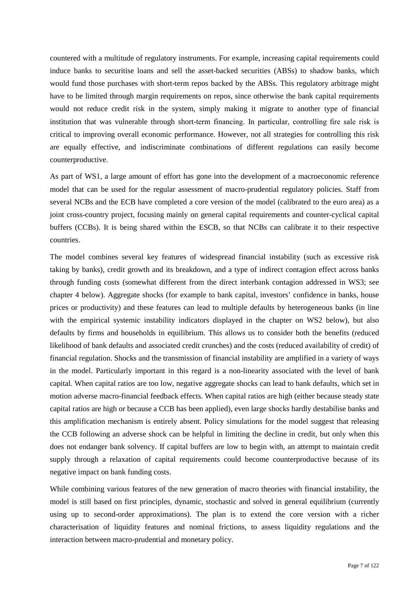countered with a multitude of regulatory instruments. For example, increasing capital requirements could induce banks to securitise loans and sell the asset-backed securities (ABSs) to shadow banks, which would fund those purchases with short-term repos backed by the ABSs. This regulatory arbitrage might have to be limited through margin requirements on repos, since otherwise the bank capital requirements would not reduce credit risk in the system, simply making it migrate to another type of financial institution that was vulnerable through short-term financing. In particular, controlling fire sale risk is critical to improving overall economic performance. However, not all strategies for controlling this risk are equally effective, and indiscriminate combinations of different regulations can easily become counterproductive.

As part of WS1, a large amount of effort has gone into the development of a macroeconomic reference model that can be used for the regular assessment of macro-prudential regulatory policies. Staff from several NCBs and the ECB have completed a core version of the model (calibrated to the euro area) as a joint cross-country project, focusing mainly on general capital requirements and counter-cyclical capital buffers (CCBs). It is being shared within the ESCB, so that NCBs can calibrate it to their respective countries.

The model combines several key features of widespread financial instability (such as excessive risk taking by banks), credit growth and its breakdown, and a type of indirect contagion effect across banks through funding costs (somewhat different from the direct interbank contagion addressed in WS3; see chapter 4 below). Aggregate shocks (for example to bank capital, investors' confidence in banks, house prices or productivity) and these features can lead to multiple defaults by heterogeneous banks (in line with the empirical systemic instability indicators displayed in the chapter on WS2 below), but also defaults by firms and households in equilibrium. This allows us to consider both the benefits (reduced likelihood of bank defaults and associated credit crunches) and the costs (reduced availability of credit) of financial regulation. Shocks and the transmission of financial instability are amplified in a variety of ways in the model. Particularly important in this regard is a non-linearity associated with the level of bank capital. When capital ratios are too low, negative aggregate shocks can lead to bank defaults, which set in motion adverse macro-financial feedback effects. When capital ratios are high (either because steady state capital ratios are high or because a CCB has been applied), even large shocks hardly destabilise banks and this amplification mechanism is entirely absent. Policy simulations for the model suggest that releasing the CCB following an adverse shock can be helpful in limiting the decline in credit, but only when this does not endanger bank solvency. If capital buffers are low to begin with, an attempt to maintain credit supply through a relaxation of capital requirements could become counterproductive because of its negative impact on bank funding costs.

While combining various features of the new generation of macro theories with financial instability, the model is still based on first principles, dynamic, stochastic and solved in general equilibrium (currently using up to second-order approximations). The plan is to extend the core version with a richer characterisation of liquidity features and nominal frictions, to assess liquidity regulations and the interaction between macro-prudential and monetary policy.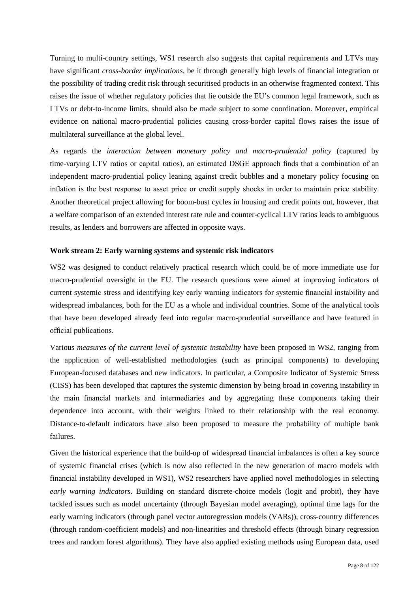Turning to multi-country settings, WS1 research also suggests that capital requirements and LTVs may have significant *cross-border implications*, be it through generally high levels of financial integration or the possibility of trading credit risk through securitised products in an otherwise fragmented context. This raises the issue of whether regulatory policies that lie outside the EU's common legal framework, such as LTVs or debt-to-income limits, should also be made subject to some coordination. Moreover, empirical evidence on national macro-prudential policies causing cross-border capital flows raises the issue of multilateral surveillance at the global level.

As regards the *interaction between monetary policy and macro-prudential policy* (captured by time-varying LTV ratios or capital ratios), an estimated DSGE approach finds that a combination of an independent macro-prudential policy leaning against credit bubbles and a monetary policy focusing on inflation is the best response to asset price or credit supply shocks in order to maintain price stability. Another theoretical project allowing for boom-bust cycles in housing and credit points out, however, that a welfare comparison of an extended interest rate rule and counter-cyclical LTV ratios leads to ambiguous results, as lenders and borrowers are affected in opposite ways.

### <span id="page-7-0"></span>**Work stream 2: Early warning systems and systemic risk indicators**

WS2 was designed to conduct relatively practical research which could be of more immediate use for macro-prudential oversight in the EU. The research questions were aimed at improving indicators of current systemic stress and identifying key early warning indicators for systemic financial instability and widespread imbalances, both for the EU as a whole and individual countries. Some of the analytical tools that have been developed already feed into regular macro-prudential surveillance and have featured in official publications.

Various *measures of the current level of systemic instability* have been proposed in WS2, ranging from the application of well-established methodologies (such as principal components) to developing European-focused databases and new indicators. In particular, a Composite Indicator of Systemic Stress (CISS) has been developed that captures the systemic dimension by being broad in covering instability in the main financial markets and intermediaries and by aggregating these components taking their dependence into account, with their weights linked to their relationship with the real economy. Distance-to-default indicators have also been proposed to measure the probability of multiple bank failures.

Given the historical experience that the build-up of widespread financial imbalances is often a key source of systemic financial crises (which is now also reflected in the new generation of macro models with financial instability developed in WS1), WS2 researchers have applied novel methodologies in selecting *early warning indicators*. Building on standard discrete-choice models (logit and probit), they have tackled issues such as model uncertainty (through Bayesian model averaging), optimal time lags for the early warning indicators (through panel vector autoregression models (VARs)), cross-country differences (through random-coefficient models) and non-linearities and threshold effects (through binary regression trees and random forest algorithms). They have also applied existing methods using European data, used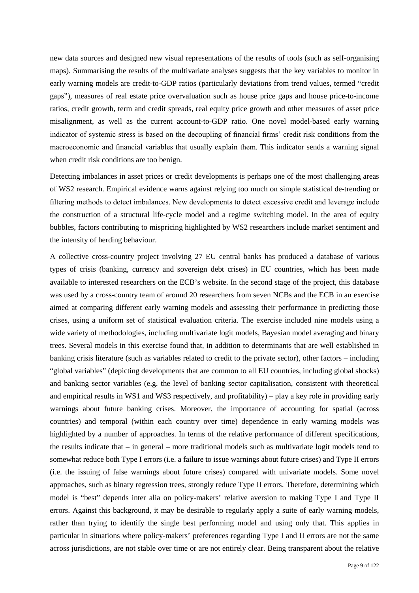new data sources and designed new visual representations of the results of tools (such as self-organising maps). Summarising the results of the multivariate analyses suggests that the key variables to monitor in early warning models are credit-to-GDP ratios (particularly deviations from trend values, termed "credit gaps"), measures of real estate price overvaluation such as house price gaps and house price-to-income ratios, credit growth, term and credit spreads, real equity price growth and other measures of asset price misalignment, as well as the current account-to-GDP ratio. One novel model-based early warning indicator of systemic stress is based on the decoupling of financial firms' credit risk conditions from the macroeconomic and financial variables that usually explain them. This indicator sends a warning signal when credit risk conditions are too benign.

Detecting imbalances in asset prices or credit developments is perhaps one of the most challenging areas of WS2 research. Empirical evidence warns against relying too much on simple statistical de-trending or filtering methods to detect imbalances. New developments to detect excessive credit and leverage include the construction of a structural life-cycle model and a regime switching model. In the area of equity bubbles, factors contributing to mispricing highlighted by WS2 researchers include market sentiment and the intensity of herding behaviour.

A collective cross-country project involving 27 EU central banks has produced a database of various types of crisis (banking, currency and sovereign debt crises) in EU countries, which has been made available to interested researchers on the ECB's website. In the second stage of the project, this database was used by a cross-country team of around 20 researchers from seven NCBs and the ECB in an exercise aimed at comparing different early warning models and assessing their performance in predicting those crises, using a uniform set of statistical evaluation criteria. The exercise included nine models using a wide variety of methodologies, including multivariate logit models, Bayesian model averaging and binary trees. Several models in this exercise found that, in addition to determinants that are well established in banking crisis literature (such as variables related to credit to the private sector), other factors – including "global variables" (depicting developments that are common to all EU countries, including global shocks) and banking sector variables (e.g. the level of banking sector capitalisation, consistent with theoretical and empirical results in WS1 and WS3 respectively, and profitability) – play a key role in providing early warnings about future banking crises. Moreover, the importance of accounting for spatial (across countries) and temporal (within each country over time) dependence in early warning models was highlighted by a number of approaches. In terms of the relative performance of different specifications, the results indicate that – in general – more traditional models such as multivariate logit models tend to somewhat reduce both Type I errors (i.e. a failure to issue warnings about future crises) and Type II errors (i.e. the issuing of false warnings about future crises) compared with univariate models. Some novel approaches, such as binary regression trees, strongly reduce Type II errors. Therefore, determining which model is "best" depends inter alia on policy-makers' relative aversion to making Type I and Type II errors. Against this background, it may be desirable to regularly apply a suite of early warning models, rather than trying to identify the single best performing model and using only that. This applies in particular in situations where policy-makers' preferences regarding Type I and II errors are not the same across jurisdictions, are not stable over time or are not entirely clear. Being transparent about the relative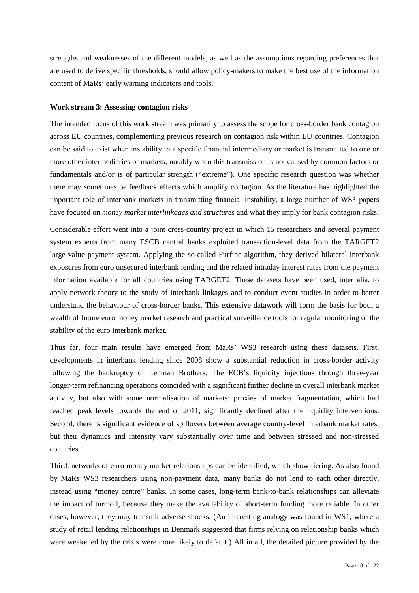strengths and weaknesses of the different models, as well as the assumptions regarding preferences that are used to derive specific thresholds, should allow policy-makers to make the best use of the information content of MaRs' early warning indicators and tools.

### <span id="page-9-0"></span>**Work stream 3: Assessing contagion risks**

The intended focus of this work stream was primarily to assess the scope for cross-border bank contagion across EU countries, complementing previous research on contagion risk within EU countries. Contagion can be said to exist when instability in a specific financial intermediary or market is transmitted to one or more other intermediaries or markets, notably when this transmission is not caused by common factors or fundamentals and/or is of particular strength ("extreme"). One specific research question was whether there may sometimes be feedback effects which amplify contagion. As the literature has highlighted the important role of interbank markets in transmitting financial instability, a large number of WS3 papers have focused on *money market interlinkages and structures* and what they imply for bank contagion risks.

Considerable effort went into a joint cross-country project in which 15 researchers and several payment system experts from many ESCB central banks exploited transaction-level data from the TARGET2 large-value payment system. Applying the so-called Furfine algorithm, they derived bilateral interbank exposures from euro unsecured interbank lending and the related intraday interest rates from the payment information available for all countries using TARGET2. These datasets have been used, inter alia, to apply network theory to the study of interbank linkages and to conduct event studies in order to better understand the behaviour of cross-border banks. This extensive datawork will form the basis for both a wealth of future euro money market research and practical surveillance tools for regular monitoring of the stability of the euro interbank market.

Thus far, four main results have emerged from MaRs' WS3 research using these datasets. First, developments in interbank lending since 2008 show a substantial reduction in cross-border activity following the bankruptcy of Lehman Brothers. The ECB's liquidity injections through three-year longer-term refinancing operations coincided with a significant further decline in overall interbank market activity, but also with some normalisation of markets: proxies of market fragmentation, which had reached peak levels towards the end of 2011, significantly declined after the liquidity interventions. Second, there is significant evidence of spillovers between average country-level interbank market rates, but their dynamics and intensity vary substantially over time and between stressed and non-stressed countries.

Third, networks of euro money market relationships can be identified, which show tiering. As also found by MaRs WS3 researchers using non-payment data, many banks do not lend to each other directly, instead using "money centre" banks. In some cases, long-term bank-to-bank relationships can alleviate the impact of turmoil, because they make the availability of short-term funding more reliable. In other cases, however, they may transmit adverse shocks. (An interesting analogy was found in WS1, where a study of retail lending relationships in Denmark suggested that firms relying on relationship banks which were weakened by the crisis were more likely to default.) All in all, the detailed picture provided by the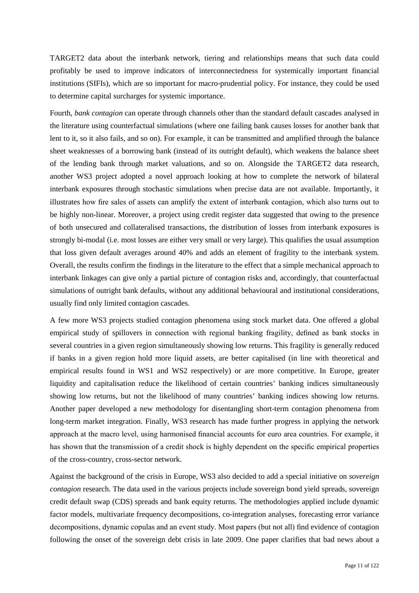TARGET2 data about the interbank network, tiering and relationships means that such data could profitably be used to improve indicators of interconnectedness for systemically important financial institutions (SIFIs), which are so important for macro-prudential policy. For instance, they could be used to determine capital surcharges for systemic importance.

Fourth, *bank contagion* can operate through channels other than the standard default cascades analysed in the literature using counterfactual simulations (where one failing bank causes losses for another bank that lent to it, so it also fails, and so on). For example, it can be transmitted and amplified through the balance sheet weaknesses of a borrowing bank (instead of its outright default), which weakens the balance sheet of the lending bank through market valuations, and so on. Alongside the TARGET2 data research, another WS3 project adopted a novel approach looking at how to complete the network of bilateral interbank exposures through stochastic simulations when precise data are not available. Importantly, it illustrates how fire sales of assets can amplify the extent of interbank contagion, which also turns out to be highly non-linear. Moreover, a project using credit register data suggested that owing to the presence of both unsecured and collateralised transactions, the distribution of losses from interbank exposures is strongly bi-modal (i.e. most losses are either very small or very large). This qualifies the usual assumption that loss given default averages around 40% and adds an element of fragility to the interbank system. Overall, the results confirm the findings in the literature to the effect that a simple mechanical approach to interbank linkages can give only a partial picture of contagion risks and, accordingly, that counterfactual simulations of outright bank defaults, without any additional behavioural and institutional considerations, usually find only limited contagion cascades.

A few more WS3 projects studied contagion phenomena using stock market data. One offered a global empirical study of spillovers in connection with regional banking fragility, defined as bank stocks in several countries in a given region simultaneously showing low returns. This fragility is generally reduced if banks in a given region hold more liquid assets, are better capitalised (in line with theoretical and empirical results found in WS1 and WS2 respectively) or are more competitive. In Europe, greater liquidity and capitalisation reduce the likelihood of certain countries' banking indices simultaneously showing low returns, but not the likelihood of many countries' banking indices showing low returns. Another paper developed a new methodology for disentangling short-term contagion phenomena from long-term market integration. Finally, WS3 research has made further progress in applying the network approach at the macro level, using harmonised financial accounts for euro area countries. For example, it has shown that the transmission of a credit shock is highly dependent on the specific empirical properties of the cross-country, cross-sector network.

Against the background of the crisis in Europe, WS3 also decided to add a special initiative on *sovereign contagion* research. The data used in the various projects include sovereign bond yield spreads, sovereign credit default swap (CDS) spreads and bank equity returns. The methodologies applied include dynamic factor models, multivariate frequency decompositions, co-integration analyses, forecasting error variance decompositions, dynamic copulas and an event study. Most papers (but not all) find evidence of contagion following the onset of the sovereign debt crisis in late 2009. One paper clarifies that bad news about a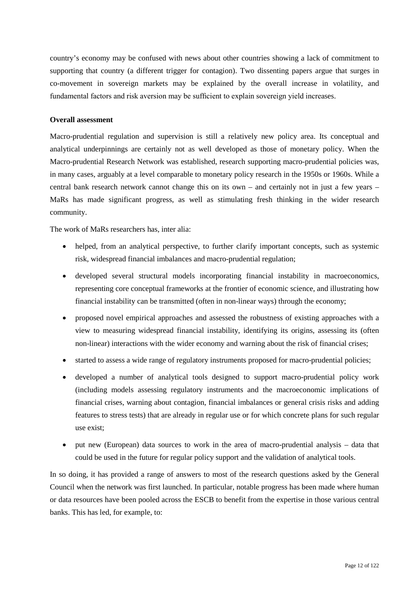country's economy may be confused with news about other countries showing a lack of commitment to supporting that country (a different trigger for contagion). Two dissenting papers argue that surges in co-movement in sovereign markets may be explained by the overall increase in volatility, and fundamental factors and risk aversion may be sufficient to explain sovereign yield increases.

### <span id="page-11-0"></span>**Overall assessment**

Macro-prudential regulation and supervision is still a relatively new policy area. Its conceptual and analytical underpinnings are certainly not as well developed as those of monetary policy. When the Macro-prudential Research Network was established, research supporting macro-prudential policies was, in many cases, arguably at a level comparable to monetary policy research in the 1950s or 1960s. While a central bank research network cannot change this on its own – and certainly not in just a few years – MaRs has made significant progress, as well as stimulating fresh thinking in the wider research community.

The work of MaRs researchers has, inter alia:

- helped, from an analytical perspective, to further clarify important concepts, such as systemic risk, widespread financial imbalances and macro-prudential regulation;
- developed several structural models incorporating financial instability in macroeconomics, representing core conceptual frameworks at the frontier of economic science, and illustrating how financial instability can be transmitted (often in non-linear ways) through the economy;
- proposed novel empirical approaches and assessed the robustness of existing approaches with a view to measuring widespread financial instability, identifying its origins, assessing its (often non-linear) interactions with the wider economy and warning about the risk of financial crises;
- started to assess a wide range of regulatory instruments proposed for macro-prudential policies;
- developed a number of analytical tools designed to support macro-prudential policy work (including models assessing regulatory instruments and the macroeconomic implications of financial crises, warning about contagion, financial imbalances or general crisis risks and adding features to stress tests) that are already in regular use or for which concrete plans for such regular use exist;
- put new (European) data sources to work in the area of macro-prudential analysis data that could be used in the future for regular policy support and the validation of analytical tools.

In so doing, it has provided a range of answers to most of the research questions asked by the General Council when the network was first launched. In particular, notable progress has been made where human or data resources have been pooled across the ESCB to benefit from the expertise in those various central banks. This has led, for example, to: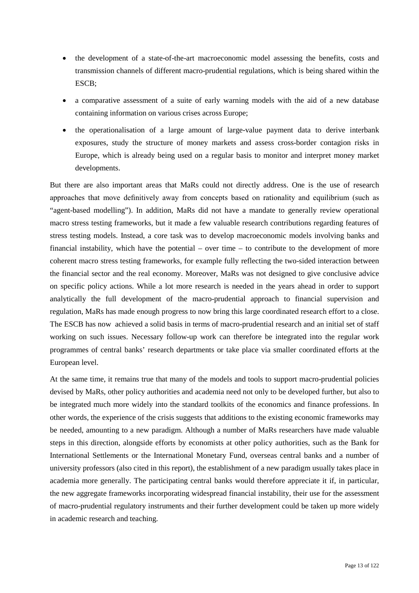- the development of a state-of-the-art macroeconomic model assessing the benefits, costs and transmission channels of different macro-prudential regulations, which is being shared within the ESCB;
- a comparative assessment of a suite of early warning models with the aid of a new database containing information on various crises across Europe;
- the operationalisation of a large amount of large-value payment data to derive interbank exposures, study the structure of money markets and assess cross-border contagion risks in Europe, which is already being used on a regular basis to monitor and interpret money market developments.

But there are also important areas that MaRs could not directly address. One is the use of research approaches that move definitively away from concepts based on rationality and equilibrium (such as "agent-based modelling"). In addition, MaRs did not have a mandate to generally review operational macro stress testing frameworks, but it made a few valuable research contributions regarding features of stress testing models. Instead, a core task was to develop macroeconomic models involving banks and financial instability, which have the potential – over time – to contribute to the development of more coherent macro stress testing frameworks, for example fully reflecting the two-sided interaction between the financial sector and the real economy. Moreover, MaRs was not designed to give conclusive advice on specific policy actions. While a lot more research is needed in the years ahead in order to support analytically the full development of the macro-prudential approach to financial supervision and regulation, MaRs has made enough progress to now bring this large coordinated research effort to a close. The ESCB has now achieved a solid basis in terms of macro-prudential research and an initial set of staff working on such issues. Necessary follow-up work can therefore be integrated into the regular work programmes of central banks' research departments or take place via smaller coordinated efforts at the European level.

At the same time, it remains true that many of the models and tools to support macro-prudential policies devised by MaRs, other policy authorities and academia need not only to be developed further, but also to be integrated much more widely into the standard toolkits of the economics and finance professions. In other words, the experience of the crisis suggests that additions to the existing economic frameworks may be needed, amounting to a new paradigm. Although a number of MaRs researchers have made valuable steps in this direction, alongside efforts by economists at other policy authorities, such as the Bank for International Settlements or the International Monetary Fund, overseas central banks and a number of university professors (also cited in this report), the establishment of a new paradigm usually takes place in academia more generally. The participating central banks would therefore appreciate it if, in particular, the new aggregate frameworks incorporating widespread financial instability, their use for the assessment of macro-prudential regulatory instruments and their further development could be taken up more widely in academic research and teaching.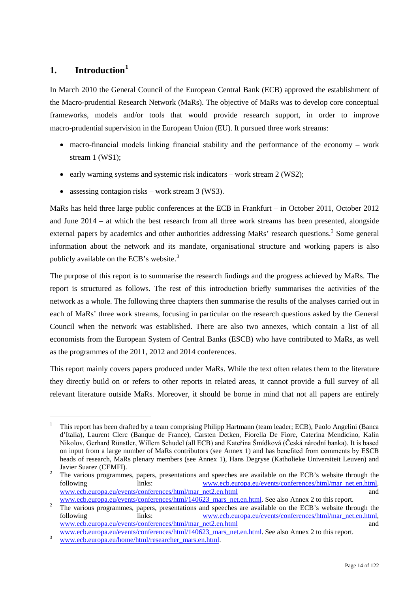### <span id="page-13-0"></span>**1. Introduction[1](#page-13-1)**

In March 2010 the General Council of the European Central Bank (ECB) approved the establishment of the Macro-prudential Research Network (MaRs). The objective of MaRs was to develop core conceptual frameworks, models and/or tools that would provide research support, in order to improve macro-prudential supervision in the European Union (EU). It pursued three work streams:

- macro-financial models linking financial stability and the performance of the economy work stream 1 (WS1);
- early warning systems and systemic risk indicators work stream 2 (WS2);
- assessing contagion risks work stream 3 (WS3).

MaRs has held three large public conferences at the ECB in Frankfurt – in October 2011, October 2012 and June 2014 – at which the best research from all three work streams has been presented, alongside external papers by academics and other authorities addressing MaRs' research questions.<sup>[2](#page-13-2)</sup> Some general information about the network and its mandate, organisational structure and working papers is also publicly available on the ECB's website.<sup>[3](#page-13-3)</sup>

The purpose of this report is to summarise the research findings and the progress achieved by MaRs. The report is structured as follows. The rest of this introduction briefly summarises the activities of the network as a whole. The following three chapters then summarise the results of the analyses carried out in each of MaRs' three work streams, focusing in particular on the research questions asked by the General Council when the network was established. There are also two annexes, which contain a list of all economists from the European System of Central Banks (ESCB) who have contributed to MaRs, as well as the programmes of the 2011, 2012 and 2014 conferences.

This report mainly covers papers produced under MaRs. While the text often relates them to the literature they directly build on or refers to other reports in related areas, it cannot provide a full survey of all relevant literature outside MaRs. Moreover, it should be borne in mind that not all papers are entirely

 <sup>1</sup> This report has been drafted by a team comprising Philipp Hartmann (team leader; ECB), Paolo Angelini (Banca d'Italia), Laurent Clerc (Banque de France), Carsten Detken, Fiorella De Fiore, Caterina Mendicino, Kalin Nikolov, Gerhard Rünstler, Willem Schudel (all ECB) and Kateřina Šmídková (Česká národní banka). It is based on input from a large number of MaRs contributors (see Annex 1) and has benefited from comments by ESCB heads of research, MaRs plenary members (see Annex 1), Hans Degryse (Katholieke Universiteit Leuven) and

<span id="page-13-1"></span><sup>&</sup>lt;sup>2</sup> The various programmes, papers, presentations and speeches are available on the ECB's website through the following links: [www.ecb.europa.eu/events/conferences/html/mar\\_net.en.html,](http://www.ecb.europa.eu/events/conferences/html/mar_net.en.html) [www.ecb.europa.eu/events/conferences/html/mar\\_net2.en.html](http://www.ecb.europa.eu/events/conferences/html/mar_net2.en.html)<br>www.ecb.europa.eu/events/conferences/html/140623 mars net.en.html. See also Annex 2 to this report.

<span id="page-13-2"></span><sup>&</sup>lt;sup>2</sup> The various programmes, papers, presentations and speeches are available on the ECB's website through the following links: www.ecb.europa.eu/events/conferences/html/mar net.en.html, links: [www.ecb.europa.eu/events/conferences/html/mar\\_net.en.html,](http://www.ecb.europa.eu/events/conferences/html/mar_net.en.html) [www.ecb.europa.eu/events/conferences/html/mar\\_net2.en.html](http://www.ecb.europa.eu/events/conferences/html/mar_net2.en.html) and and

[www.ecb.europa.eu/events/conferences/html/140623\\_mars\\_net.en.html.](http://www.ecb.europa.eu/events/conferences/html/140623_mars_net.en.html) See also Annex 2 to this report. [www.ecb.europa.eu/home/html/researcher\\_mars.en.html.](http://www.ecb.europa.eu/home/html/researcher_mars.en.html)

<span id="page-13-3"></span>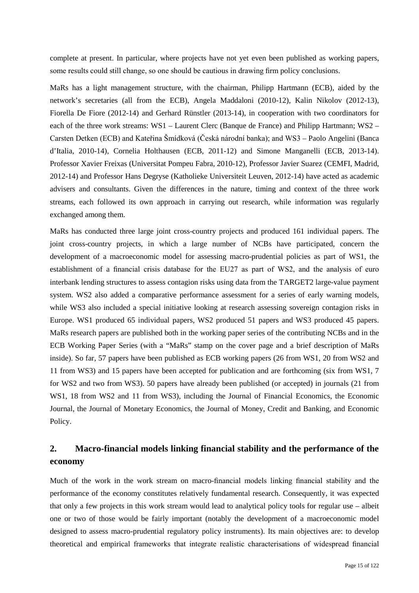complete at present. In particular, where projects have not yet even been published as working papers, some results could still change, so one should be cautious in drawing firm policy conclusions.

MaRs has a light management structure, with the chairman, Philipp Hartmann (ECB), aided by the network's secretaries (all from the ECB), Angela Maddaloni (2010-12), Kalin Nikolov (2012-13), Fiorella De Fiore (2012-14) and Gerhard Rünstler (2013-14), in cooperation with two coordinators for each of the three work streams: WS1 – Laurent Clerc (Banque de France) and Philipp Hartmann; WS2 – Carsten Detken (ECB) and Kateřina Šmídková (Česká národní banka); and WS3 – Paolo Angelini (Banca d'Italia, 2010-14), Cornelia Holthausen (ECB, 2011-12) and Simone Manganelli (ECB, 2013-14). Professor Xavier Freixas (Universitat Pompeu Fabra, 2010-12), Professor Javier Suarez (CEMFI, Madrid, 2012-14) and Professor Hans Degryse (Katholieke Universiteit Leuven, 2012-14) have acted as academic advisers and consultants. Given the differences in the nature, timing and context of the three work streams, each followed its own approach in carrying out research, while information was regularly exchanged among them.

MaRs has conducted three large joint cross-country projects and produced 161 individual papers. The joint cross-country projects, in which a large number of NCBs have participated, concern the development of a macroeconomic model for assessing macro-prudential policies as part of WS1, the establishment of a financial crisis database for the EU27 as part of WS2, and the analysis of euro interbank lending structures to assess contagion risks using data from the TARGET2 large-value payment system. WS2 also added a comparative performance assessment for a series of early warning models, while WS3 also included a special initiative looking at research assessing sovereign contagion risks in Europe. WS1 produced 65 individual papers, WS2 produced 51 papers and WS3 produced 45 papers. MaRs research papers are published both in the working paper series of the contributing NCBs and in the ECB Working Paper Series (with a "MaRs" stamp on the cover page and a brief description of MaRs inside). So far, 57 papers have been published as ECB working papers (26 from WS1, 20 from WS2 and 11 from WS3) and 15 papers have been accepted for publication and are forthcoming (six from WS1, 7 for WS2 and two from WS3). 50 papers have already been published (or accepted) in journals (21 from WS1, 18 from WS2 and 11 from WS3), including the Journal of Financial Economics, the Economic Journal, the Journal of Monetary Economics, the Journal of Money, Credit and Banking, and Economic Policy.

## <span id="page-14-0"></span>**2. Macro-financial models linking financial stability and the performance of the economy**

Much of the work in the work stream on macro-financial models linking financial stability and the performance of the economy constitutes relatively fundamental research. Consequently, it was expected that only a few projects in this work stream would lead to analytical policy tools for regular use – albeit one or two of those would be fairly important (notably the development of a macroeconomic model designed to assess macro-prudential regulatory policy instruments). Its main objectives are: to develop theoretical and empirical frameworks that integrate realistic characterisations of widespread financial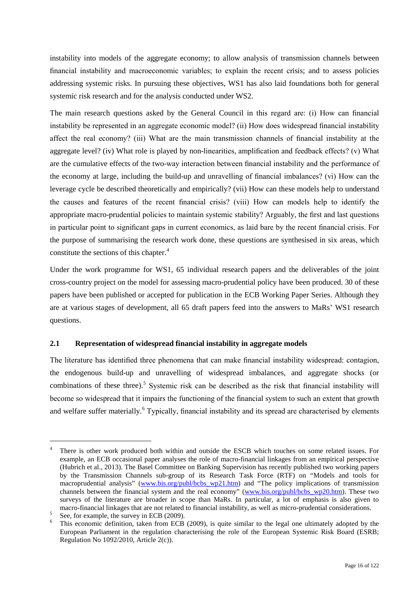instability into models of the aggregate economy; to allow analysis of transmission channels between financial instability and macroeconomic variables; to explain the recent crisis; and to assess policies addressing systemic risks. In pursuing these objectives, WS1 has also laid foundations both for general systemic risk research and for the analysis conducted under WS2.

The main research questions asked by the General Council in this regard are: (i) How can financial instability be represented in an aggregate economic model? (ii) How does widespread financial instability affect the real economy? (iii) What are the main transmission channels of financial instability at the aggregate level? (iv) What role is played by non-linearities, amplification and feedback effects? (v) What are the cumulative effects of the two-way interaction between financial instability and the performance of the economy at large, including the build-up and unravelling of financial imbalances? (vi) How can the leverage cycle be described theoretically and empirically? (vii) How can these models help to understand the causes and features of the recent financial crisis? (viii) How can models help to identify the appropriate macro-prudential policies to maintain systemic stability? Arguably, the first and last questions in particular point to significant gaps in current economics, as laid bare by the recent financial crisis. For the purpose of summarising the research work done, these questions are synthesised in six areas, which constitute the sections of this chapter.<sup>[4](#page-15-1)</sup>

Under the work programme for WS1, 65 individual research papers and the deliverables of the joint cross-country project on the model for assessing macro-prudential policy have been produced. 30 of these papers have been published or accepted for publication in the ECB Working Paper Series. Although they are at various stages of development, all 65 draft papers feed into the answers to MaRs' WS1 research questions.

### <span id="page-15-0"></span>**2.1 Representation of widespread financial instability in aggregate models**

The literature has identified three phenomena that can make financial instability widespread: contagion, the endogenous build-up and unravelling of widespread imbalances, and aggregate shocks (or combinations of these three).[5](#page-15-2) Systemic risk can be described as the risk that financial instability will become so widespread that it impairs the functioning of the financial system to such an extent that growth and welfare suffer materially.<sup>[6](#page-15-3)</sup> Typically, financial instability and its spread are characterised by elements

<span id="page-15-1"></span>There is other work produced both within and outside the ESCB which touches on some related issues. For example, an ECB occasional paper analyses the role of macro-financial linkages from an empirical perspective (Hubrich et al., 2013). The Basel Committee on Banking Supervision has recently published two working papers by the Transmission Channels sub-group of its Research Task Force (RTF) on "Models and tools for macroprudential analysis" (www.bis.org/publ/bcbs wp21.htm) and "The policy implications of transmission channels between the financial system and the real economy" [\(www.bis.org/publ/bcbs\\_wp20.htm\)](http://www.bis.org/publ/bcbs_wp20.htm). These two surveys of the literature are broader in scope than MaRs. In particular, a lot of emphasis is also given to

<span id="page-15-3"></span><span id="page-15-2"></span>

macro-financial linkages that are not related to financial instability, as well as micro-prudential considerations.<br>See, for example, the survey in ECB (2009).<br>This economic definition, taken from ECB (2009), is quite simi European Parliament in the regulation characterising the role of the European Systemic Risk Board (ESRB; Regulation No 1092/2010, Article 2(c)).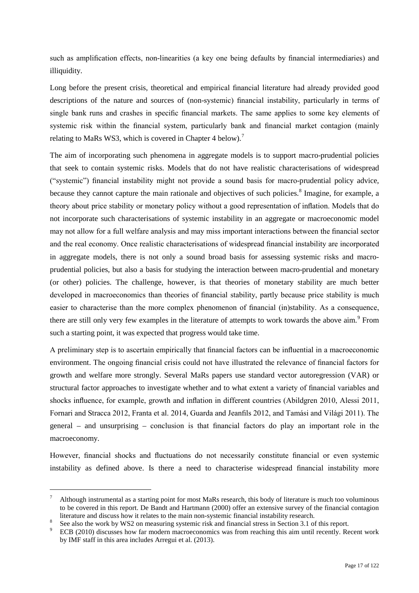such as amplification effects, non-linearities (a key one being defaults by financial intermediaries) and illiquidity.

Long before the present crisis, theoretical and empirical financial literature had already provided good descriptions of the nature and sources of (non-systemic) financial instability, particularly in terms of single bank runs and crashes in specific financial markets. The same applies to some key elements of systemic risk within the financial system, particularly bank and financial market contagion (mainly relating to MaRs WS3, which is covered in Chapter 4 below).<sup>[7](#page-16-0)</sup>

The aim of incorporating such phenomena in aggregate models is to support macro-prudential policies that seek to contain systemic risks. Models that do not have realistic characterisations of widespread ("systemic") financial instability might not provide a sound basis for macro-prudential policy advice, because they cannot capture the main rationale and objectives of such policies.<sup>[8](#page-16-1)</sup> Imagine, for example, a theory about price stability or monetary policy without a good representation of inflation. Models that do not incorporate such characterisations of systemic instability in an aggregate or macroeconomic model may not allow for a full welfare analysis and may miss important interactions between the financial sector and the real economy. Once realistic characterisations of widespread financial instability are incorporated in aggregate models, there is not only a sound broad basis for assessing systemic risks and macroprudential policies, but also a basis for studying the interaction between macro-prudential and monetary (or other) policies. The challenge, however, is that theories of monetary stability are much better developed in macroeconomics than theories of financial stability, partly because price stability is much easier to characterise than the more complex phenomenon of financial (in)stability. As a consequence, there are still only very few examples in the literature of attempts to work towards the above aim.<sup>[9](#page-16-2)</sup> From such a starting point, it was expected that progress would take time.

A preliminary step is to ascertain empirically that financial factors can be influential in a macroeconomic environment. The ongoing financial crisis could not have illustrated the relevance of financial factors for growth and welfare more strongly. Several MaRs papers use standard vector autoregression (VAR) or structural factor approaches to investigate whether and to what extent a variety of financial variables and shocks influence, for example, growth and inflation in different countries (Abildgren 2010, Alessi 2011, Fornari and Stracca 2012, Franta et al. 2014, Guarda and Jeanfils 2012, and Tamási and Világi 2011). The general – and unsurprising – conclusion is that financial factors do play an important role in the macroeconomy.

However, financial shocks and fluctuations do not necessarily constitute financial or even systemic instability as defined above. Is there a need to characterise widespread financial instability more

<span id="page-16-0"></span> <sup>7</sup> Although instrumental as a starting point for most MaRs research, this body of literature is much too voluminous to be covered in this report. De Bandt and Hartmann (2000) offer an extensive survey of the financial contagion literature and discuss how it relates to the main non-systemic financial instability research.

<span id="page-16-2"></span><span id="page-16-1"></span><sup>&</sup>lt;sup>8</sup> See also the work by WS2 on measuring systemic risk and financial stress in Section 3.1 of this report.<br><sup>9</sup> ECB (2010) discusses how far modern macroeconomics was from reaching this aim until recently. Recent work by IMF staff in this area includes Arregui et al. (2013).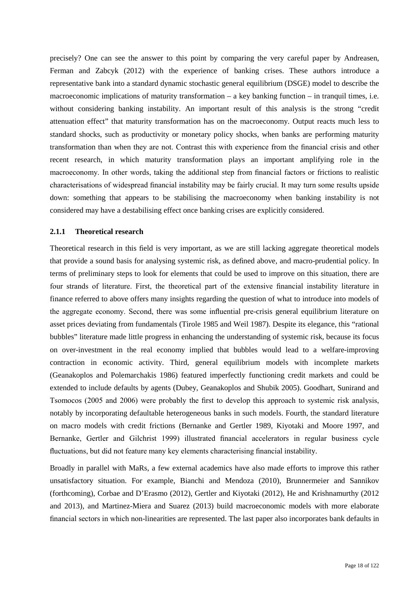precisely? One can see the answer to this point by comparing the very careful paper by Andreasen, Ferman and Zabcyk (2012) with the experience of banking crises. These authors introduce a representative bank into a standard dynamic stochastic general equilibrium (DSGE) model to describe the macroeconomic implications of maturity transformation – a key banking function – in tranquil times, i.e. without considering banking instability. An important result of this analysis is the strong "credit attenuation effect" that maturity transformation has on the macroeconomy. Output reacts much less to standard shocks, such as productivity or monetary policy shocks, when banks are performing maturity transformation than when they are not. Contrast this with experience from the financial crisis and other recent research, in which maturity transformation plays an important amplifying role in the macroeconomy. In other words, taking the additional step from financial factors or frictions to realistic characterisations of widespread financial instability may be fairly crucial. It may turn some results upside down: something that appears to be stabilising the macroeconomy when banking instability is not considered may have a destabilising effect once banking crises are explicitly considered.

#### <span id="page-17-0"></span>**2.1.1 Theoretical research**

Theoretical research in this field is very important, as we are still lacking aggregate theoretical models that provide a sound basis for analysing systemic risk, as defined above, and macro-prudential policy. In terms of preliminary steps to look for elements that could be used to improve on this situation, there are four strands of literature. First, the theoretical part of the extensive financial instability literature in finance referred to above offers many insights regarding the question of what to introduce into models of the aggregate economy. Second, there was some influential pre-crisis general equilibrium literature on asset prices deviating from fundamentals (Tirole 1985 and Weil 1987). Despite its elegance, this "rational bubbles" literature made little progress in enhancing the understanding of systemic risk, because its focus on over-investment in the real economy implied that bubbles would lead to a welfare-improving contraction in economic activity. Third, general equilibrium models with incomplete markets (Geanakoplos and Polemarchakis 1986) featured imperfectly functioning credit markets and could be extended to include defaults by agents (Dubey, Geanakoplos and Shubik 2005). Goodhart, Sunirand and Tsomocos (2005 and 2006) were probably the first to develop this approach to systemic risk analysis, notably by incorporating defaultable heterogeneous banks in such models. Fourth, the standard literature on macro models with credit frictions (Bernanke and Gertler 1989, Kiyotaki and Moore 1997, and Bernanke, Gertler and Gilchrist 1999) illustrated financial accelerators in regular business cycle fluctuations, but did not feature many key elements characterising financial instability.

<span id="page-17-1"></span>Broadly in parallel with MaRs, a few external academics have also made efforts to improve this rather unsatisfactory situation. For example, Bianchi and Mendoza (2010), Brunnermeier and Sannikov (forthcoming), Corbae and D'Erasmo (2012), Gertler and Kiyotaki (2012), He and Krishnamurthy (2012 and 2013), and Martinez-Miera and Suarez (2013) build macroeconomic models with more elaborate financial sectors in which non-linearities are represented. The last paper also incorporates bank defaults in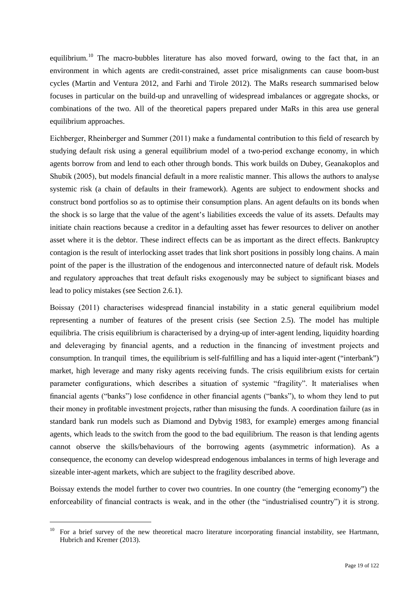equilibrium.<sup>[10](#page-17-1)</sup> The macro-bubbles literature has also moved forward, owing to the fact that, in an environment in which agents are credit-constrained, asset price misalignments can cause boom-bust cycles (Martin and Ventura 2012, and Farhi and Tirole 2012). The MaRs research summarised below focuses in particular on the build-up and unravelling of widespread imbalances or aggregate shocks, or combinations of the two. All of the theoretical papers prepared under MaRs in this area use general equilibrium approaches.

Eichberger, Rheinberger and Summer (2011) make a fundamental contribution to this field of research by studying default risk using a general equilibrium model of a two-period exchange economy, in which agents borrow from and lend to each other through bonds. This work builds on Dubey, Geanakoplos and Shubik (2005), but models financial default in a more realistic manner. This allows the authors to analyse systemic risk (a chain of defaults in their framework). Agents are subject to endowment shocks and construct bond portfolios so as to optimise their consumption plans. An agent defaults on its bonds when the shock is so large that the value of the agent's liabilities exceeds the value of its assets. Defaults may initiate chain reactions because a creditor in a defaulting asset has fewer resources to deliver on another asset where it is the debtor. These indirect effects can be as important as the direct effects. Bankruptcy contagion is the result of interlocking asset trades that link short positions in possibly long chains. A main point of the paper is the illustration of the endogenous and interconnected nature of default risk. Models and regulatory approaches that treat default risks exogenously may be subject to significant biases and lead to policy mistakes (see Section 2.6.1).

Boissay (2011) characterises widespread financial instability in a static general equilibrium model representing a number of features of the present crisis (see Section 2.5). The model has multiple equilibria. The crisis equilibrium is characterised by a drying-up of inter-agent lending, liquidity hoarding and deleveraging by financial agents, and a reduction in the financing of investment projects and consumption. In tranquil times, the equilibrium is self-fulfilling and has a liquid inter-agent ("interbank") market, high leverage and many risky agents receiving funds. The crisis equilibrium exists for certain parameter configurations, which describes a situation of systemic "fragility". It materialises when financial agents ("banks") lose confidence in other financial agents ("banks"), to whom they lend to put their money in profitable investment projects, rather than misusing the funds. A coordination failure (as in standard bank run models such as Diamond and Dybvig 1983, for example) emerges among financial agents, which leads to the switch from the good to the bad equilibrium. The reason is that lending agents cannot observe the skills/behaviours of the borrowing agents (asymmetric information). As a consequence, the economy can develop widespread endogenous imbalances in terms of high leverage and sizeable inter-agent markets, which are subject to the fragility described above.

Boissay extends the model further to cover two countries. In one country (the "emerging economy") the enforceability of financial contracts is weak, and in the other (the "industrialised country") it is strong.

<sup>&</sup>lt;sup>10</sup> For a brief survey of the new theoretical macro literature incorporating financial instability, see Hartmann, Hubrich and Kremer (2013).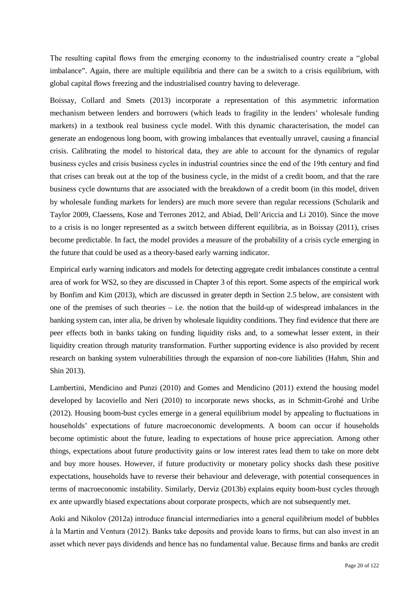The resulting capital flows from the emerging economy to the industrialised country create a "global imbalance". Again, there are multiple equilibria and there can be a switch to a crisis equilibrium, with global capital flows freezing and the industrialised country having to deleverage.

Boissay, Collard and Smets (2013) incorporate a representation of this asymmetric information mechanism between lenders and borrowers (which leads to fragility in the lenders' wholesale funding markets) in a textbook real business cycle model. With this dynamic characterisation, the model can generate an endogenous long boom, with growing imbalances that eventually unravel, causing a financial crisis. Calibrating the model to historical data, they are able to account for the dynamics of regular business cycles and crisis business cycles in industrial countries since the end of the 19th century and find that crises can break out at the top of the business cycle, in the midst of a credit boom, and that the rare business cycle downturns that are associated with the breakdown of a credit boom (in this model, driven by wholesale funding markets for lenders) are much more severe than regular recessions (Schularik and Taylor 2009, Claessens, Kose and Terrones 2012, and Abiad, Dell'Ariccia and Li 2010). Since the move to a crisis is no longer represented as a switch between different equilibria, as in Boissay (2011), crises become predictable. In fact, the model provides a measure of the probability of a crisis cycle emerging in the future that could be used as a theory-based early warning indicator.

Empirical early warning indicators and models for detecting aggregate credit imbalances constitute a central area of work for WS2, so they are discussed in Chapter 3 of this report. Some aspects of the empirical work by Bonfim and Kim (2013), which are discussed in greater depth in Section 2.5 below, are consistent with one of the premises of such theories  $-$  i.e. the notion that the build-up of widespread imbalances in the banking system can, inter alia, be driven by wholesale liquidity conditions. They find evidence that there are peer effects both in banks taking on funding liquidity risks and, to a somewhat lesser extent, in their liquidity creation through maturity transformation. Further supporting evidence is also provided by recent research on banking system vulnerabilities through the expansion of non-core liabilities (Hahm, Shin and Shin 2013).

Lambertini, Mendicino and Punzi (2010) and Gomes and Mendicino (2011) extend the housing model developed by Iacoviello and Neri (2010) to incorporate news shocks, as in Schmitt-Grohé and Uribe (2012). Housing boom-bust cycles emerge in a general equilibrium model by appealing to fluctuations in households' expectations of future macroeconomic developments. A boom can occur if households become optimistic about the future, leading to expectations of house price appreciation. Among other things, expectations about future productivity gains or low interest rates lead them to take on more debt and buy more houses. However, if future productivity or monetary policy shocks dash these positive expectations, households have to reverse their behaviour and deleverage, with potential consequences in terms of macroeconomic instability. Similarly, Derviz (2013b) explains equity boom-bust cycles through ex ante upwardly biased expectations about corporate prospects, which are not subsequently met.

Aoki and Nikolov (2012a) introduce financial intermediaries into a general equilibrium model of bubbles à la Martin and Ventura (2012). Banks take deposits and provide loans to firms, but can also invest in an asset which never pays dividends and hence has no fundamental value. Because firms and banks are credit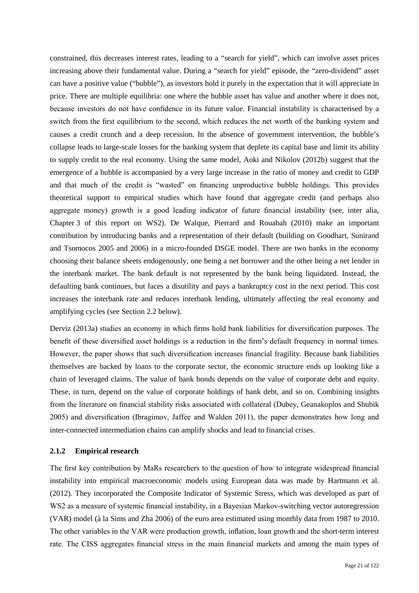constrained, this decreases interest rates, leading to a "search for yield", which can involve asset prices increasing above their fundamental value. During a "search for yield" episode, the "zero-dividend" asset can have a positive value ("bubble"), as investors hold it purely in the expectation that it will appreciate in price. There are multiple equilibria: one where the bubble asset has value and another where it does not, because investors do not have confidence in its future value. Financial instability is characterised by a switch from the first equilibrium to the second, which reduces the net worth of the banking system and causes a credit crunch and a deep recession. In the absence of government intervention, the bubble's collapse leads to large-scale losses for the banking system that deplete its capital base and limit its ability to supply credit to the real economy. Using the same model, Aoki and Nikolov (2012b) suggest that the emergence of a bubble is accompanied by a very large increase in the ratio of money and credit to GDP and that much of the credit is "wasted" on financing unproductive bubble holdings. This provides theoretical support to empirical studies which have found that aggregate credit (and perhaps also aggregate money) growth is a good leading indicator of future financial instability (see, inter alia, Chapter 3 of this report on WS2). De Walque, Pierrard and Rouabah (2010) make an important contribution by introducing banks and a representation of their default (building on Goodhart, Sunirand and Tsomocos 2005 and 2006) in a micro-founded DSGE model. There are two banks in the economy choosing their balance sheets endogenously, one being a net borrower and the other being a net lender in the interbank market. The bank default is not represented by the bank being liquidated. Instead, the defaulting bank continues, but faces a disutility and pays a bankruptcy cost in the next period. This cost increases the interbank rate and reduces interbank lending, ultimately affecting the real economy and amplifying cycles (see Section 2.2 below).

Derviz (2013a) studies an economy in which firms hold bank liabilities for diversification purposes. The benefit of these diversified asset holdings is a reduction in the firm's default frequency in normal times. However, the paper shows that such diversification increases financial fragility. Because bank liabilities themselves are backed by loans to the corporate sector, the economic structure ends up looking like a chain of leveraged claims. The value of bank bonds depends on the value of corporate debt and equity. These, in turn, depend on the value of corporate holdings of bank debt, and so on. Combining insights from the literature on financial stability risks associated with collateral (Dubey, Geanakoplos and Shubik 2005) and diversification (Ibragimov, Jaffee and Walden 2011), the paper demonstrates how long and inter-connected intermediation chains can amplify shocks and lead to financial crises.

### <span id="page-20-0"></span>**2.1.2 Empirical research**

The first key contribution by MaRs researchers to the question of how to integrate widespread financial instability into empirical macroeconomic models using European data was made by Hartmann et al. (2012). They incorporated the Composite Indicator of Systemic Stress, which was developed as part of WS2 as a measure of systemic financial instability, in a Bayesian Markov-switching vector autoregression (VAR) model (à la Sims and Zha 2006) of the euro area estimated using monthly data from 1987 to 2010. The other variables in the VAR were production growth, inflation, loan growth and the short-term interest rate. The CISS aggregates financial stress in the main financial markets and among the main types of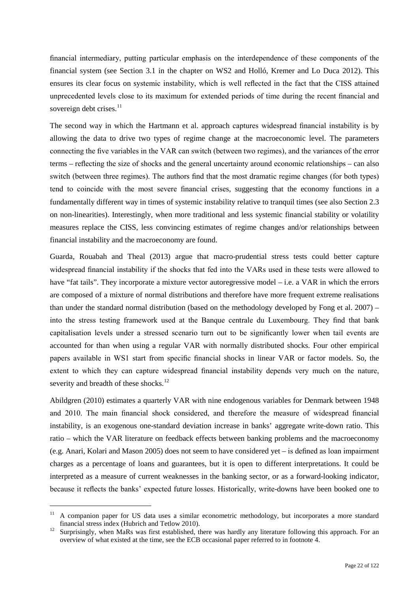financial intermediary, putting particular emphasis on the interdependence of these components of the financial system (see Section 3.1 in the chapter on WS2 and Holló, Kremer and Lo Duca 2012). This ensures its clear focus on systemic instability, which is well reflected in the fact that the CISS attained unprecedented levels close to its maximum for extended periods of time during the recent financial and sovereign debt crises. $^{11}$  $^{11}$  $^{11}$ 

The second way in which the Hartmann et al. approach captures widespread financial instability is by allowing the data to drive two types of regime change at the macroeconomic level. The parameters connecting the five variables in the VAR can switch (between two regimes), and the variances of the error terms – reflecting the size of shocks and the general uncertainty around economic relationships – can also switch (between three regimes). The authors find that the most dramatic regime changes (for both types) tend to coincide with the most severe financial crises, suggesting that the economy functions in a fundamentally different way in times of systemic instability relative to tranquil times (see also Section 2.3 on non-linearities). Interestingly, when more traditional and less systemic financial stability or volatility measures replace the CISS, less convincing estimates of regime changes and/or relationships between financial instability and the macroeconomy are found.

Guarda, Rouabah and Theal (2013) argue that macro-prudential stress tests could better capture widespread financial instability if the shocks that fed into the VARs used in these tests were allowed to have "fat tails". They incorporate a mixture vector autoregressive model – i.e. a VAR in which the errors are composed of a mixture of normal distributions and therefore have more frequent extreme realisations than under the standard normal distribution (based on the methodology developed by Fong et al. 2007) – into the stress testing framework used at the Banque centrale du Luxembourg. They find that bank capitalisation levels under a stressed scenario turn out to be significantly lower when tail events are accounted for than when using a regular VAR with normally distributed shocks. Four other empirical papers available in WS1 start from specific financial shocks in linear VAR or factor models. So, the extent to which they can capture widespread financial instability depends very much on the nature, severity and breadth of these shocks.<sup>[12](#page-21-1)</sup>

Abildgren (2010) estimates a quarterly VAR with nine endogenous variables for Denmark between 1948 and 2010. The main financial shock considered, and therefore the measure of widespread financial instability, is an exogenous one-standard deviation increase in banks' aggregate write-down ratio. This ratio – which the VAR literature on feedback effects between banking problems and the macroeconomy (e.g. Anari, Kolari and Mason 2005) does not seem to have considered yet – is defined as loan impairment charges as a percentage of loans and guarantees, but it is open to different interpretations. It could be interpreted as a measure of current weaknesses in the banking sector, or as a forward-looking indicator, because it reflects the banks' expected future losses. Historically, write-downs have been booked one to

<span id="page-21-0"></span><sup>&</sup>lt;sup>11</sup> A companion paper for US data uses a similar econometric methodology, but incorporates a more standard financial stress index (Hubrich and Tetlow 2010).<br><sup>12</sup> Surprisingly, when MaRs was first established, there was hardly any literature following this approach. For an

<span id="page-21-1"></span>overview of what existed at the time, see the ECB occasional paper referred to in footnote 4.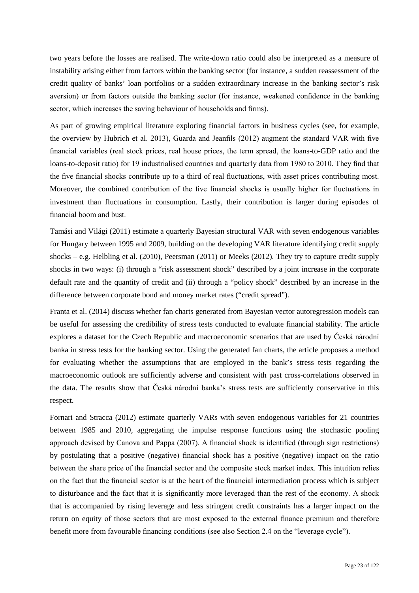two years before the losses are realised. The write-down ratio could also be interpreted as a measure of instability arising either from factors within the banking sector (for instance, a sudden reassessment of the credit quality of banks' loan portfolios or a sudden extraordinary increase in the banking sector's risk aversion) or from factors outside the banking sector (for instance, weakened confidence in the banking sector, which increases the saving behaviour of households and firms).

As part of growing empirical literature exploring financial factors in business cycles (see, for example, the overview by Hubrich et al. 2013), Guarda and Jeanfils (2012) augment the standard VAR with five financial variables (real stock prices, real house prices, the term spread, the loans-to-GDP ratio and the loans-to-deposit ratio) for 19 industrialised countries and quarterly data from 1980 to 2010. They find that the five financial shocks contribute up to a third of real fluctuations, with asset prices contributing most. Moreover, the combined contribution of the five financial shocks is usually higher for fluctuations in investment than fluctuations in consumption. Lastly, their contribution is larger during episodes of financial boom and bust.

Tamási and Világi (2011) estimate a quarterly Bayesian structural VAR with seven endogenous variables for Hungary between 1995 and 2009, building on the developing VAR literature identifying credit supply shocks – e.g. Helbling et al. (2010), Peersman (2011) or Meeks (2012). They try to capture credit supply shocks in two ways: (i) through a "risk assessment shock" described by a joint increase in the corporate default rate and the quantity of credit and (ii) through a "policy shock" described by an increase in the difference between corporate bond and money market rates ("credit spread").

Franta et al. (2014) discuss whether fan charts generated from Bayesian vector autoregression models can be useful for assessing the credibility of stress tests conducted to evaluate financial stability. The article explores a dataset for the Czech Republic and macroeconomic scenarios that are used by Česká národní banka in stress tests for the banking sector. Using the generated fan charts, the article proposes a method for evaluating whether the assumptions that are employed in the bank's stress tests regarding the macroeconomic outlook are sufficiently adverse and consistent with past cross-correlations observed in the data. The results show that Česká národní banka's stress tests are sufficiently conservative in this respect.

Fornari and Stracca (2012) estimate quarterly VARs with seven endogenous variables for 21 countries between 1985 and 2010, aggregating the impulse response functions using the stochastic pooling approach devised by Canova and Pappa (2007). A financial shock is identified (through sign restrictions) by postulating that a positive (negative) financial shock has a positive (negative) impact on the ratio between the share price of the financial sector and the composite stock market index. This intuition relies on the fact that the financial sector is at the heart of the financial intermediation process which is subject to disturbance and the fact that it is significantly more leveraged than the rest of the economy. A shock that is accompanied by rising leverage and less stringent credit constraints has a larger impact on the return on equity of those sectors that are most exposed to the external finance premium and therefore benefit more from favourable financing conditions (see also Section 2.4 on the "leverage cycle").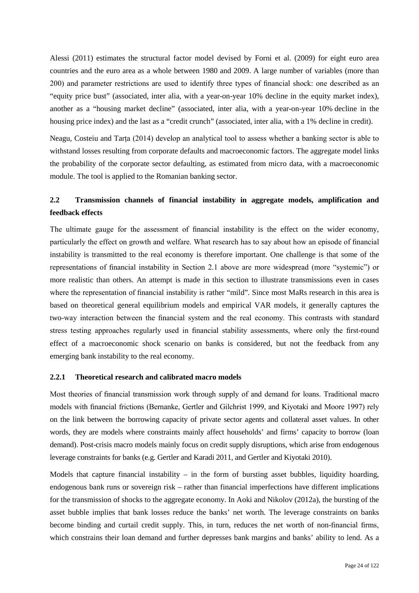Alessi (2011) estimates the structural factor model devised by Forni et al. (2009) for eight euro area countries and the euro area as a whole between 1980 and 2009. A large number of variables (more than 200) and parameter restrictions are used to identify three types of financial shock: one described as an "equity price bust" (associated, inter alia, with a year-on-year 10% decline in the equity market index), another as a "housing market decline" (associated, inter alia, with a year-on-year 10% decline in the housing price index) and the last as a "credit crunch" (associated, inter alia, with a 1% decline in credit).

Neagu, Costeiu and Tarța (2014) develop an analytical tool to assess whether a banking sector is able to withstand losses resulting from corporate defaults and macroeconomic factors. The aggregate model links the probability of the corporate sector defaulting, as estimated from micro data, with a macroeconomic module. The tool is applied to the Romanian banking sector.

### <span id="page-23-0"></span>**2.2 Transmission channels of financial instability in aggregate models, amplification and feedback effects**

The ultimate gauge for the assessment of financial instability is the effect on the wider economy, particularly the effect on growth and welfare. What research has to say about how an episode of financial instability is transmitted to the real economy is therefore important. One challenge is that some of the representations of financial instability in Section 2.1 above are more widespread (more "systemic") or more realistic than others. An attempt is made in this section to illustrate transmissions even in cases where the representation of financial instability is rather "mild". Since most MaRs research in this area is based on theoretical general equilibrium models and empirical VAR models, it generally captures the two-way interaction between the financial system and the real economy. This contrasts with standard stress testing approaches regularly used in financial stability assessments, where only the first-round effect of a macroeconomic shock scenario on banks is considered, but not the feedback from any emerging bank instability to the real economy.

### <span id="page-23-1"></span>**2.2.1 Theoretical research and calibrated macro models**

Most theories of financial transmission work through supply of and demand for loans. Traditional macro models with financial frictions (Bernanke, Gertler and Gilchrist 1999, and Kiyotaki and Moore 1997) rely on the link between the borrowing capacity of private sector agents and collateral asset values. In other words, they are models where constraints mainly affect households' and firms' capacity to borrow (loan demand). Post-crisis macro models mainly focus on credit supply disruptions, which arise from endogenous leverage constraints for banks (e.g. Gertler and Karadi 2011, and Gertler and Kiyotaki 2010).

Models that capture financial instability – in the form of bursting asset bubbles, liquidity hoarding, endogenous bank runs or sovereign risk – rather than financial imperfections have different implications for the transmission of shocks to the aggregate economy. In Aoki and Nikolov (2012a), the bursting of the asset bubble implies that bank losses reduce the banks' net worth. The leverage constraints on banks become binding and curtail credit supply. This, in turn, reduces the net worth of non-financial firms, which constrains their loan demand and further depresses bank margins and banks' ability to lend. As a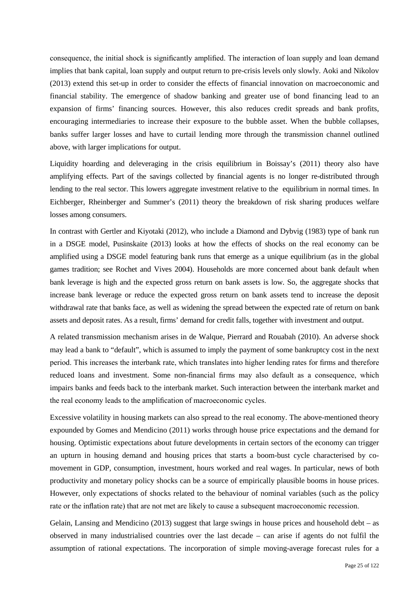consequence, the initial shock is significantly amplified. The interaction of loan supply and loan demand implies that bank capital, loan supply and output return to pre-crisis levels only slowly. Aoki and Nikolov (2013) extend this set-up in order to consider the effects of financial innovation on macroeconomic and financial stability. The emergence of shadow banking and greater use of bond financing lead to an expansion of firms' financing sources. However, this also reduces credit spreads and bank profits, encouraging intermediaries to increase their exposure to the bubble asset. When the bubble collapses, banks suffer larger losses and have to curtail lending more through the transmission channel outlined above, with larger implications for output.

Liquidity hoarding and deleveraging in the crisis equilibrium in Boissay's (2011) theory also have amplifying effects. Part of the savings collected by financial agents is no longer re-distributed through lending to the real sector. This lowers aggregate investment relative to the equilibrium in normal times. In Eichberger, Rheinberger and Summer's (2011) theory the breakdown of risk sharing produces welfare losses among consumers.

In contrast with Gertler and Kiyotaki (2012), who include a Diamond and Dybvig (1983) type of bank run in a DSGE model, Pusinskaite (2013) looks at how the effects of shocks on the real economy can be amplified using a DSGE model featuring bank runs that emerge as a unique equilibrium (as in the global games tradition; see Rochet and Vives 2004). Households are more concerned about bank default when bank leverage is high and the expected gross return on bank assets is low. So, the aggregate shocks that increase bank leverage or reduce the expected gross return on bank assets tend to increase the deposit withdrawal rate that banks face, as well as widening the spread between the expected rate of return on bank assets and deposit rates. As a result, firms' demand for credit falls, together with investment and output.

A related transmission mechanism arises in de Walque, Pierrard and Rouabah (2010). An adverse shock may lead a bank to "default", which is assumed to imply the payment of some bankruptcy cost in the next period. This increases the interbank rate, which translates into higher lending rates for firms and therefore reduced loans and investment. Some non-financial firms may also default as a consequence, which impairs banks and feeds back to the interbank market. Such interaction between the interbank market and the real economy leads to the amplification of macroeconomic cycles.

Excessive volatility in housing markets can also spread to the real economy. The above-mentioned theory expounded by Gomes and Mendicino (2011) works through house price expectations and the demand for housing. Optimistic expectations about future developments in certain sectors of the economy can trigger an upturn in housing demand and housing prices that starts a boom-bust cycle characterised by comovement in GDP, consumption, investment, hours worked and real wages. In particular, news of both productivity and monetary policy shocks can be a source of empirically plausible booms in house prices. However, only expectations of shocks related to the behaviour of nominal variables (such as the policy rate or the inflation rate) that are not met are likely to cause a subsequent macroeconomic recession.

Gelain, Lansing and Mendicino (2013) suggest that large swings in house prices and household debt – as observed in many industrialised countries over the last decade – can arise if agents do not fulfil the assumption of rational expectations. The incorporation of simple moving-average forecast rules for a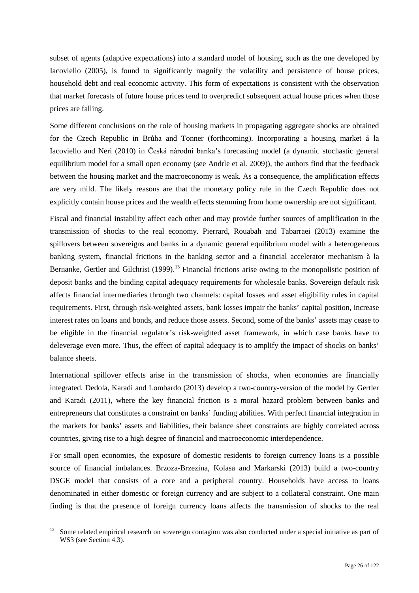subset of agents (adaptive expectations) into a standard model of housing, such as the one developed by Iacoviello (2005), is found to significantly magnify the volatility and persistence of house prices, household debt and real economic activity. This form of expectations is consistent with the observation that market forecasts of future house prices tend to overpredict subsequent actual house prices when those prices are falling.

Some different conclusions on the role of housing markets in propagating aggregate shocks are obtained for the Czech Republic in Brůha and Tonner (forthcoming). Incorporating a housing market á la Iacoviello and Neri (2010) in Česká národní banka's forecasting model (a dynamic stochastic general equilibrium model for a small open economy (see Andrle et al. 2009)), the authors find that the feedback between the housing market and the macroeconomy is weak. As a consequence, the amplification effects are very mild. The likely reasons are that the monetary policy rule in the Czech Republic does not explicitly contain house prices and the wealth effects stemming from home ownership are not significant.

Fiscal and financial instability affect each other and may provide further sources of amplification in the transmission of shocks to the real economy. Pierrard, Rouabah and Tabarraei (2013) examine the spillovers between sovereigns and banks in a dynamic general equilibrium model with a heterogeneous banking system, financial frictions in the banking sector and a financial accelerator mechanism à la Bernanke, Gertler and Gilchrist (1999).<sup>[13](#page-25-0)</sup> Financial frictions arise owing to the monopolistic position of deposit banks and the binding capital adequacy requirements for wholesale banks. Sovereign default risk affects financial intermediaries through two channels: capital losses and asset eligibility rules in capital requirements. First, through risk-weighted assets, bank losses impair the banks' capital position, increase interest rates on loans and bonds, and reduce those assets. Second, some of the banks' assets may cease to be eligible in the financial regulator's risk-weighted asset framework, in which case banks have to deleverage even more. Thus, the effect of capital adequacy is to amplify the impact of shocks on banks' balance sheets.

International spillover effects arise in the transmission of shocks, when economies are financially integrated. Dedola, Karadi and Lombardo (2013) develop a two-country-version of the model by Gertler and Karadi (2011), where the key financial friction is a moral hazard problem between banks and entrepreneurs that constitutes a constraint on banks' funding abilities. With perfect financial integration in the markets for banks' assets and liabilities, their balance sheet constraints are highly correlated across countries, giving rise to a high degree of financial and macroeconomic interdependence.

For small open economies, the exposure of domestic residents to foreign currency loans is a possible source of financial imbalances. Brzoza-Brzezina, Kolasa and Markarski (2013) build a two-country DSGE model that consists of a core and a peripheral country. Households have access to loans denominated in either domestic or foreign currency and are subject to a collateral constraint. One main finding is that the presence of foreign currency loans affects the transmission of shocks to the real

<span id="page-25-0"></span>Some related empirical research on sovereign contagion was also conducted under a special initiative as part of WS3 (see Section 4.3).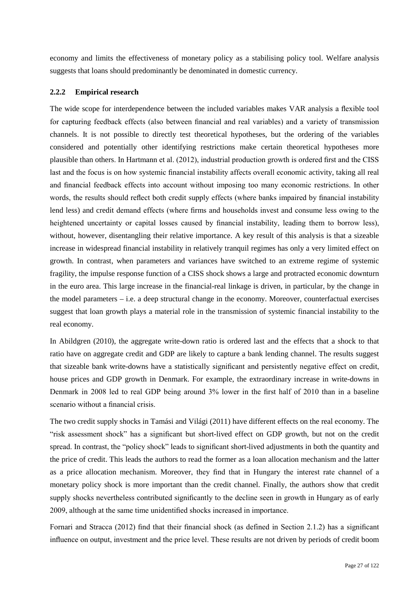economy and limits the effectiveness of monetary policy as a stabilising policy tool. Welfare analysis suggests that loans should predominantly be denominated in domestic currency.

### <span id="page-26-0"></span>**2.2.2 Empirical research**

The wide scope for interdependence between the included variables makes VAR analysis a flexible tool for capturing feedback effects (also between financial and real variables) and a variety of transmission channels. It is not possible to directly test theoretical hypotheses, but the ordering of the variables considered and potentially other identifying restrictions make certain theoretical hypotheses more plausible than others. In Hartmann et al. (2012), industrial production growth is ordered first and the CISS last and the focus is on how systemic financial instability affects overall economic activity, taking all real and financial feedback effects into account without imposing too many economic restrictions. In other words, the results should reflect both credit supply effects (where banks impaired by financial instability lend less) and credit demand effects (where firms and households invest and consume less owing to the heightened uncertainty or capital losses caused by financial instability, leading them to borrow less), without, however, disentangling their relative importance. A key result of this analysis is that a sizeable increase in widespread financial instability in relatively tranquil regimes has only a very limited effect on growth. In contrast, when parameters and variances have switched to an extreme regime of systemic fragility, the impulse response function of a CISS shock shows a large and protracted economic downturn in the euro area. This large increase in the financial-real linkage is driven, in particular, by the change in the model parameters – i.e. a deep structural change in the economy. Moreover, counterfactual exercises suggest that loan growth plays a material role in the transmission of systemic financial instability to the real economy.

In Abildgren (2010), the aggregate write-down ratio is ordered last and the effects that a shock to that ratio have on aggregate credit and GDP are likely to capture a bank lending channel. The results suggest that sizeable bank write-downs have a statistically significant and persistently negative effect on credit, house prices and GDP growth in Denmark. For example, the extraordinary increase in write-downs in Denmark in 2008 led to real GDP being around 3% lower in the first half of 2010 than in a baseline scenario without a financial crisis.

The two credit supply shocks in Tamási and Világi (2011) have different effects on the real economy. The "risk assessment shock" has a significant but short-lived effect on GDP growth, but not on the credit spread. In contrast, the "policy shock" leads to significant short-lived adjustments in both the quantity and the price of credit. This leads the authors to read the former as a loan allocation mechanism and the latter as a price allocation mechanism. Moreover, they find that in Hungary the interest rate channel of a monetary policy shock is more important than the credit channel. Finally, the authors show that credit supply shocks nevertheless contributed significantly to the decline seen in growth in Hungary as of early 2009, although at the same time unidentified shocks increased in importance.

Fornari and Stracca (2012) find that their financial shock (as defined in Section 2.1.2) has a significant influence on output, investment and the price level. These results are not driven by periods of credit boom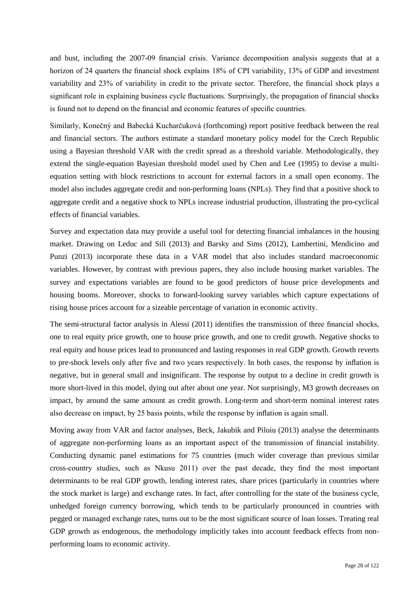and bust, including the 2007-09 financial crisis. Variance decomposition analysis suggests that at a horizon of 24 quarters the financial shock explains 18% of CPI variability, 13% of GDP and investment variability and 23% of variability in credit to the private sector. Therefore, the financial shock plays a significant role in explaining business cycle fluctuations. Surprisingly, the propagation of financial shocks is found not to depend on the financial and economic features of specific countries.

Similarly, Konečný and Babecká Kucharčuková (forthcoming) report positive feedback between the real and financial sectors. The authors estimate a standard monetary policy model for the Czech Republic using a Bayesian threshold VAR with the credit spread as a threshold variable. Methodologically, they extend the single-equation Bayesian threshold model used by Chen and Lee (1995) to devise a multiequation setting with block restrictions to account for external factors in a small open economy. The model also includes aggregate credit and non-performing loans (NPLs). They find that a positive shock to aggregate credit and a negative shock to NPLs increase industrial production, illustrating the pro-cyclical effects of financial variables.

Survey and expectation data may provide a useful tool for detecting financial imbalances in the housing market. Drawing on Leduc and Sill (2013) and Barsky and Sims (2012), Lambertini, Mendicino and Punzi (2013) incorporate these data in a VAR model that also includes standard macroeconomic variables. However, by contrast with previous papers, they also include housing market variables. The survey and expectations variables are found to be good predictors of house price developments and housing booms. Moreover, shocks to forward-looking survey variables which capture expectations of rising house prices account for a sizeable percentage of variation in economic activity.

The semi-structural factor analysis in Alessi (2011) identifies the transmission of three financial shocks, one to real equity price growth, one to house price growth, and one to credit growth. Negative shocks to real equity and house prices lead to pronounced and lasting responses in real GDP growth. Growth reverts to pre-shock levels only after five and two years respectively. In both cases, the response by inflation is negative, but in general small and insignificant. The response by output to a decline in credit growth is more short-lived in this model, dying out after about one year. Not surprisingly, M3 growth decreases on impact, by around the same amount as credit growth. Long-term and short-term nominal interest rates also decrease on impact, by 25 basis points, while the response by inflation is again small.

Moving away from VAR and factor analyses, Beck, Jakubik and Piloiu (2013) analyse the determinants of aggregate non-performing loans as an important aspect of the transmission of financial instability. Conducting dynamic panel estimations for 75 countries (much wider coverage than previous similar cross-country studies, such as Nkusu 2011) over the past decade, they find the most important determinants to be real GDP growth, lending interest rates, share prices (particularly in countries where the stock market is large) and exchange rates. In fact, after controlling for the state of the business cycle, unhedged foreign currency borrowing, which tends to be particularly pronounced in countries with pegged or managed exchange rates, turns out to be the most significant source of loan losses. Treating real GDP growth as endogenous, the methodology implicitly takes into account feedback effects from nonperforming loans to economic activity.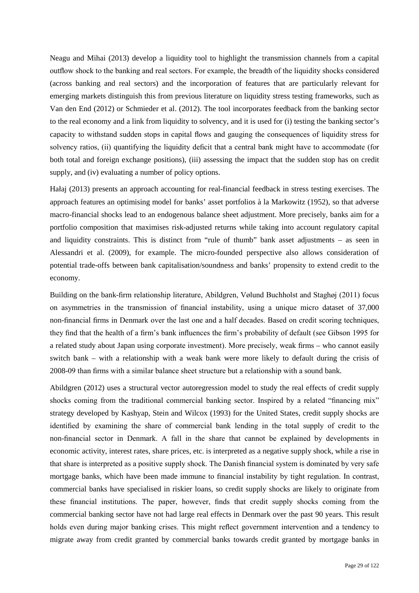Neagu and Mihai (2013) develop a liquidity tool to highlight the transmission channels from a capital outflow shock to the banking and real sectors. For example, the breadth of the liquidity shocks considered (across banking and real sectors) and the incorporation of features that are particularly relevant for emerging markets distinguish this from previous literature on liquidity stress testing frameworks, such as Van den End (2012) or Schmieder et al. (2012). The tool incorporates feedback from the banking sector to the real economy and a link from liquidity to solvency, and it is used for (i) testing the banking sector's capacity to withstand sudden stops in capital flows and gauging the consequences of liquidity stress for solvency ratios, (ii) quantifying the liquidity deficit that a central bank might have to accommodate (for both total and foreign exchange positions), (iii) assessing the impact that the sudden stop has on credit supply, and (iv) evaluating a number of policy options.

Hałaj (2013) presents an approach accounting for real-financial feedback in stress testing exercises. The approach features an optimising model for banks' asset portfolios à la Markowitz (1952), so that adverse macro-financial shocks lead to an endogenous balance sheet adjustment. More precisely, banks aim for a portfolio composition that maximises risk-adjusted returns while taking into account regulatory capital and liquidity constraints. This is distinct from "rule of thumb" bank asset adjustments – as seen in Alessandri et al. (2009), for example. The micro-founded perspective also allows consideration of potential trade-offs between bank capitalisation/soundness and banks' propensity to extend credit to the economy.

Building on the bank-firm relationship literature, Abildgren, Vølund Buchholst and Staghøj (2011) focus on asymmetries in the transmission of financial instability, using a unique micro dataset of 37,000 non-financial firms in Denmark over the last one and a half decades. Based on credit scoring techniques, they find that the health of a firm's bank influences the firm's probability of default (see Gibson 1995 for a related study about Japan using corporate investment). More precisely, weak firms – who cannot easily switch bank – with a relationship with a weak bank were more likely to default during the crisis of 2008-09 than firms with a similar balance sheet structure but a relationship with a sound bank.

Abildgren (2012) uses a structural vector autoregression model to study the real effects of credit supply shocks coming from the traditional commercial banking sector. Inspired by a related "financing mix" strategy developed by Kashyap, Stein and Wilcox (1993) for the United States, credit supply shocks are identified by examining the share of commercial bank lending in the total supply of credit to the non-financial sector in Denmark. A fall in the share that cannot be explained by developments in economic activity, interest rates, share prices, etc. is interpreted as a negative supply shock, while a rise in that share is interpreted as a positive supply shock. The Danish financial system is dominated by very safe mortgage banks, which have been made immune to financial instability by tight regulation. In contrast, commercial banks have specialised in riskier loans, so credit supply shocks are likely to originate from these financial institutions. The paper, however, finds that credit supply shocks coming from the commercial banking sector have not had large real effects in Denmark over the past 90 years. This result holds even during major banking crises. This might reflect government intervention and a tendency to migrate away from credit granted by commercial banks towards credit granted by mortgage banks in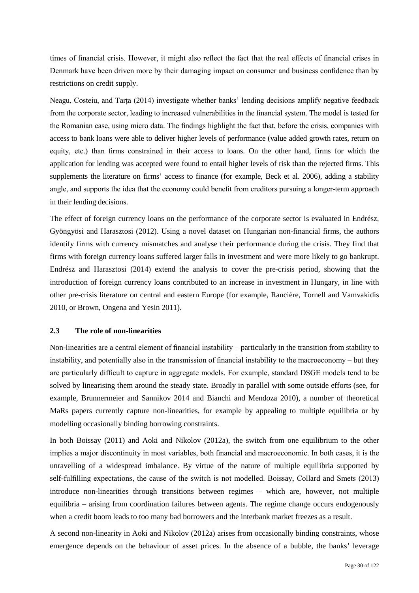times of financial crisis. However, it might also reflect the fact that the real effects of financial crises in Denmark have been driven more by their damaging impact on consumer and business confidence than by restrictions on credit supply.

Neagu, Costeiu, and Tarța (2014) investigate whether banks' lending decisions amplify negative feedback from the corporate sector, leading to increased vulnerabilities in the financial system. The model is tested for the Romanian case, using micro data. The findings highlight the fact that, before the crisis, companies with access to bank loans were able to deliver higher levels of performance (value added growth rates, return on equity, etc.) than firms constrained in their access to loans. On the other hand, firms for which the application for lending was accepted were found to entail higher levels of risk than the rejected firms. This supplements the literature on firms' access to finance (for example, Beck et al. 2006), adding a stability angle, and supports the idea that the economy could benefit from creditors pursuing a longer-term approach in their lending decisions.

The effect of foreign currency loans on the performance of the corporate sector is evaluated in Endrész, Gyöngyösi and Harasztosi (2012). Using a novel dataset on Hungarian non-financial firms, the authors identify firms with currency mismatches and analyse their performance during the crisis. They find that firms with foreign currency loans suffered larger falls in investment and were more likely to go bankrupt. Endrész and Harasztosi (2014) extend the analysis to cover the pre-crisis period, showing that the introduction of foreign currency loans contributed to an increase in investment in Hungary, in line with other pre-crisis literature on central and eastern Europe (for example, Rancière, Tornell and Vamvakidis 2010, or Brown, Ongena and Yesin 2011).

### <span id="page-29-0"></span>**2.3 The role of non-linearities**

Non-linearities are a central element of financial instability – particularly in the transition from stability to instability, and potentially also in the transmission of financial instability to the macroeconomy – but they are particularly difficult to capture in aggregate models. For example, standard DSGE models tend to be solved by linearising them around the steady state. Broadly in parallel with some outside efforts (see, for example, Brunnermeier and Sannikov 2014 and Bianchi and Mendoza 2010), a number of theoretical MaRs papers currently capture non-linearities, for example by appealing to multiple equilibria or by modelling occasionally binding borrowing constraints.

In both Boissay (2011) and Aoki and Nikolov (2012a), the switch from one equilibrium to the other implies a major discontinuity in most variables, both financial and macroeconomic. In both cases, it is the unravelling of a widespread imbalance. By virtue of the nature of multiple equilibria supported by self-fulfilling expectations, the cause of the switch is not modelled. Boissay, Collard and Smets (2013) introduce non-linearities through transitions between regimes – which are, however, not multiple equilibria – arising from coordination failures between agents. The regime change occurs endogenously when a credit boom leads to too many bad borrowers and the interbank market freezes as a result.

A second non-linearity in Aoki and Nikolov (2012a) arises from occasionally binding constraints, whose emergence depends on the behaviour of asset prices. In the absence of a bubble, the banks' leverage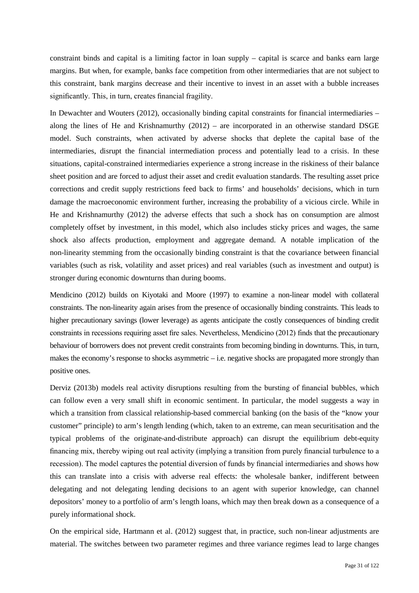constraint binds and capital is a limiting factor in loan supply – capital is scarce and banks earn large margins. But when, for example, banks face competition from other intermediaries that are not subject to this constraint, bank margins decrease and their incentive to invest in an asset with a bubble increases significantly. This, in turn, creates financial fragility.

In Dewachter and Wouters (2012), occasionally binding capital constraints for financial intermediaries – along the lines of He and Krishnamurthy (2012) – are incorporated in an otherwise standard DSGE model. Such constraints, when activated by adverse shocks that deplete the capital base of the intermediaries, disrupt the financial intermediation process and potentially lead to a crisis. In these situations, capital-constrained intermediaries experience a strong increase in the riskiness of their balance sheet position and are forced to adjust their asset and credit evaluation standards. The resulting asset price corrections and credit supply restrictions feed back to firms' and households' decisions, which in turn damage the macroeconomic environment further, increasing the probability of a vicious circle. While in He and Krishnamurthy (2012) the adverse effects that such a shock has on consumption are almost completely offset by investment, in this model, which also includes sticky prices and wages, the same shock also affects production, employment and aggregate demand. A notable implication of the non-linearity stemming from the occasionally binding constraint is that the covariance between financial variables (such as risk, volatility and asset prices) and real variables (such as investment and output) is stronger during economic downturns than during booms.

Mendicino (2012) builds on Kiyotaki and Moore (1997) to examine a non-linear model with collateral constraints. The non-linearity again arises from the presence of occasionally binding constraints. This leads to higher precautionary savings (lower leverage) as agents anticipate the costly consequences of binding credit constraints in recessions requiring asset fire sales. Nevertheless, Mendicino (2012) finds that the precautionary behaviour of borrowers does not prevent credit constraints from becoming binding in downturns. This, in turn, makes the economy's response to shocks asymmetric – i.e. negative shocks are propagated more strongly than positive ones.

Derviz (2013b) models real activity disruptions resulting from the bursting of financial bubbles, which can follow even a very small shift in economic sentiment. In particular, the model suggests a way in which a transition from classical relationship-based commercial banking (on the basis of the "know your customer" principle) to arm's length lending (which, taken to an extreme, can mean securitisation and the typical problems of the originate-and-distribute approach) can disrupt the equilibrium debt-equity financing mix, thereby wiping out real activity (implying a transition from purely financial turbulence to a recession). The model captures the potential diversion of funds by financial intermediaries and shows how this can translate into a crisis with adverse real effects: the wholesale banker, indifferent between delegating and not delegating lending decisions to an agent with superior knowledge, can channel depositors' money to a portfolio of arm's length loans, which may then break down as a consequence of a purely informational shock.

On the empirical side, Hartmann et al. (2012) suggest that, in practice, such non-linear adjustments are material. The switches between two parameter regimes and three variance regimes lead to large changes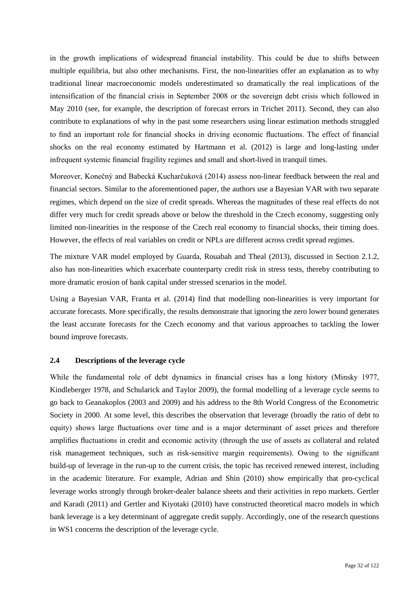in the growth implications of widespread financial instability. This could be due to shifts between multiple equilibria, but also other mechanisms. First, the non-linearities offer an explanation as to why traditional linear macroeconomic models underestimated so dramatically the real implications of the intensification of the financial crisis in September 2008 or the sovereign debt crisis which followed in May 2010 (see, for example, the description of forecast errors in Trichet 2011). Second, they can also contribute to explanations of why in the past some researchers using linear estimation methods struggled to find an important role for financial shocks in driving economic fluctuations. The effect of financial shocks on the real economy estimated by Hartmann et al. (2012) is large and long-lasting under infrequent systemic financial fragility regimes and small and short-lived in tranquil times.

Moreover, Konečný and Babecká Kucharčuková (2014) assess non-linear feedback between the real and financial sectors. Similar to the aforementioned paper, the authors use a Bayesian VAR with two separate regimes, which depend on the size of credit spreads. Whereas the magnitudes of these real effects do not differ very much for credit spreads above or below the threshold in the Czech economy, suggesting only limited non-linearities in the response of the Czech real economy to financial shocks, their timing does. However, the effects of real variables on credit or NPLs are different across credit spread regimes.

The mixture VAR model employed by Guarda, Rouabah and Theal (2013), discussed in Section 2.1.2, also has non-linearities which exacerbate counterparty credit risk in stress tests, thereby contributing to more dramatic erosion of bank capital under stressed scenarios in the model.

Using a Bayesian VAR, Franta et al. (2014) find that modelling non-linearities is very important for accurate forecasts. More specifically, the results demonstrate that ignoring the zero lower bound generates the least accurate forecasts for the Czech economy and that various approaches to tackling the lower bound improve forecasts.

### <span id="page-31-0"></span>**2.4 Descriptions of the leverage cycle**

While the fundamental role of debt dynamics in financial crises has a long history (Minsky 1977, Kindleberger 1978, and Schularick and Taylor 2009), the formal modelling of a leverage cycle seems to go back to Geanakoplos (2003 and 2009) and his address to the 8th World Congress of the Econometric Society in 2000. At some level, this describes the observation that leverage (broadly the ratio of debt to equity) shows large fluctuations over time and is a major determinant of asset prices and therefore amplifies fluctuations in credit and economic activity (through the use of assets as collateral and related risk management techniques, such as risk-sensitive margin requirements). Owing to the significant build-up of leverage in the run-up to the current crisis, the topic has received renewed interest, including in the academic literature. For example, Adrian and Shin (2010) show empirically that pro-cyclical leverage works strongly through broker-dealer balance sheets and their activities in repo markets. Gertler and Karadi (2011) and Gertler and Kiyotaki (2010) have constructed theoretical macro models in which bank leverage is a key determinant of aggregate credit supply. Accordingly, one of the research questions in WS1 concerns the description of the leverage cycle.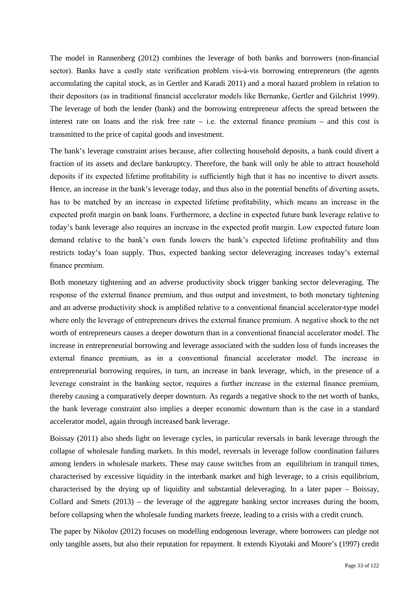The model in Rannenberg (2012) combines the leverage of both banks and borrowers (non-financial sector). Banks have a costly state verification problem vis-à-vis borrowing entrepreneurs (the agents accumulating the capital stock, as in Gertler and Karadi 2011) and a moral hazard problem in relation to their depositors (as in traditional financial accelerator models like Bernanke, Gertler and Gilchrist 1999). The leverage of both the lender (bank) and the borrowing entrepreneur affects the spread between the interest rate on loans and the risk free rate  $-$  i.e. the external finance premium  $-$  and this cost is transmitted to the price of capital goods and investment.

The bank's leverage constraint arises because, after collecting household deposits, a bank could divert a fraction of its assets and declare bankruptcy. Therefore, the bank will only be able to attract household deposits if its expected lifetime profitability is sufficiently high that it has no incentive to divert assets. Hence, an increase in the bank's leverage today, and thus also in the potential benefits of diverting assets, has to be matched by an increase in expected lifetime profitability, which means an increase in the expected profit margin on bank loans. Furthermore, a decline in expected future bank leverage relative to today's bank leverage also requires an increase in the expected profit margin. Low expected future loan demand relative to the bank's own funds lowers the bank's expected lifetime profitability and thus restricts today's loan supply. Thus, expected banking sector deleveraging increases today's external finance premium.

Both monetary tightening and an adverse productivity shock trigger banking sector deleveraging. The response of the external finance premium, and thus output and investment, to both monetary tightening and an adverse productivity shock is amplified relative to a conventional financial accelerator-type model where only the leverage of entrepreneurs drives the external finance premium. A negative shock to the net worth of entrepreneurs causes a deeper downturn than in a conventional financial accelerator model. The increase in entrepreneurial borrowing and leverage associated with the sudden loss of funds increases the external finance premium, as in a conventional financial accelerator model. The increase in entrepreneurial borrowing requires, in turn, an increase in bank leverage, which, in the presence of a leverage constraint in the banking sector, requires a further increase in the external finance premium, thereby causing a comparatively deeper downturn. As regards a negative shock to the net worth of banks, the bank leverage constraint also implies a deeper economic downturn than is the case in a standard accelerator model, again through increased bank leverage.

Boissay (2011) also sheds light on leverage cycles, in particular reversals in bank leverage through the collapse of wholesale funding markets. In this model, reversals in leverage follow coordination failures among lenders in wholesale markets. These may cause switches from an equilibrium in tranquil times, characterised by excessive liquidity in the interbank market and high leverage, to a crisis equilibrium, characterised by the drying up of liquidity and substantial deleveraging. In a later paper – Boissay, Collard and Smets (2013) – the leverage of the aggregate banking sector increases during the boom, before collapsing when the wholesale funding markets freeze, leading to a crisis with a credit crunch.

The paper by Nikolov (2012) focuses on modelling endogenous leverage, where borrowers can pledge not only tangible assets, but also their reputation for repayment. It extends Kiyotaki and Moore's (1997) credit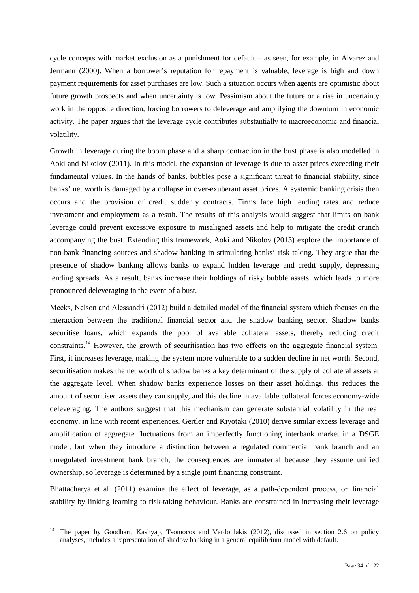cycle concepts with market exclusion as a punishment for default – as seen, for example, in Alvarez and Jermann (2000). When a borrower's reputation for repayment is valuable, leverage is high and down payment requirements for asset purchases are low. Such a situation occurs when agents are optimistic about future growth prospects and when uncertainty is low. Pessimism about the future or a rise in uncertainty work in the opposite direction, forcing borrowers to deleverage and amplifying the downturn in economic activity. The paper argues that the leverage cycle contributes substantially to macroeconomic and financial volatility.

Growth in leverage during the boom phase and a sharp contraction in the bust phase is also modelled in Aoki and Nikolov (2011). In this model, the expansion of leverage is due to asset prices exceeding their fundamental values. In the hands of banks, bubbles pose a significant threat to financial stability, since banks' net worth is damaged by a collapse in over-exuberant asset prices. A systemic banking crisis then occurs and the provision of credit suddenly contracts. Firms face high lending rates and reduce investment and employment as a result. The results of this analysis would suggest that limits on bank leverage could prevent excessive exposure to misaligned assets and help to mitigate the credit crunch accompanying the bust. Extending this framework, Aoki and Nikolov (2013) explore the importance of non-bank financing sources and shadow banking in stimulating banks' risk taking. They argue that the presence of shadow banking allows banks to expand hidden leverage and credit supply, depressing lending spreads. As a result, banks increase their holdings of risky bubble assets, which leads to more pronounced deleveraging in the event of a bust.

Meeks, Nelson and Alessandri (2012) build a detailed model of the financial system which focuses on the interaction between the traditional financial sector and the shadow banking sector. Shadow banks securitise loans, which expands the pool of available collateral assets, thereby reducing credit constraints.[14](#page-33-0) However, the growth of securitisation has two effects on the aggregate financial system. First, it increases leverage, making the system more vulnerable to a sudden decline in net worth. Second, securitisation makes the net worth of shadow banks a key determinant of the supply of collateral assets at the aggregate level. When shadow banks experience losses on their asset holdings, this reduces the amount of securitised assets they can supply, and this decline in available collateral forces economy-wide deleveraging. The authors suggest that this mechanism can generate substantial volatility in the real economy, in line with recent experiences. Gertler and Kiyotaki (2010) derive similar excess leverage and amplification of aggregate fluctuations from an imperfectly functioning interbank market in a DSGE model, but when they introduce a distinction between a regulated commercial bank branch and an unregulated investment bank branch, the consequences are immaterial because they assume unified ownership, so leverage is determined by a single joint financing constraint.

Bhattacharya et al. (2011) examine the effect of leverage, as a path-dependent process, on financial stability by linking learning to risk-taking behaviour. Banks are constrained in increasing their leverage

<span id="page-33-0"></span> <sup>14</sup> The paper by Goodhart, Kashyap, Tsomocos and Vardoulakis (2012), discussed in section 2.6 on policy analyses, includes a representation of shadow banking in a general equilibrium model with default.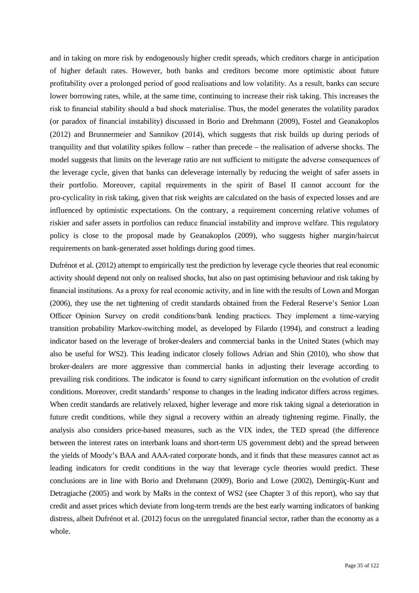and in taking on more risk by endogenously higher credit spreads, which creditors charge in anticipation of higher default rates. However, both banks and creditors become more optimistic about future profitability over a prolonged period of good realisations and low volatility. As a result, banks can secure lower borrowing rates, while, at the same time, continuing to increase their risk taking. This increases the risk to financial stability should a bad shock materialise. Thus, the model generates the volatility paradox (or paradox of financial instability) discussed in Borio and Drehmann (2009), Fostel and Geanakoplos (2012) and Brunnermeier and Sannikov (2014), which suggests that risk builds up during periods of tranquility and that volatility spikes follow – rather than precede – the realisation of adverse shocks. The model suggests that limits on the leverage ratio are not sufficient to mitigate the adverse consequences of the leverage cycle, given that banks can deleverage internally by reducing the weight of safer assets in their portfolio. Moreover, capital requirements in the spirit of Basel II cannot account for the pro-cyclicality in risk taking, given that risk weights are calculated on the basis of expected losses and are influenced by optimistic expectations. On the contrary, a requirement concerning relative volumes of riskier and safer assets in portfolios can reduce financial instability and improve welfare. This regulatory policy is close to the proposal made by Geanakoplos (2009), who suggests higher margin/haircut requirements on bank-generated asset holdings during good times.

Dufrénot et al. (2012) attempt to empirically test the prediction by leverage cycle theories that real economic activity should depend not only on realised shocks, but also on past optimising behaviour and risk taking by financial institutions. As a proxy for real economic activity, and in line with the results of Lown and Morgan (2006), they use the net tightening of credit standards obtained from the Federal Reserve's Senior Loan Officer Opinion Survey on credit conditions/bank lending practices. They implement a time-varying transition probability Markov-switching model, as developed by Filardo (1994), and construct a leading indicator based on the leverage of broker-dealers and commercial banks in the United States (which may also be useful for WS2). This leading indicator closely follows Adrian and Shin (2010), who show that broker-dealers are more aggressive than commercial banks in adjusting their leverage according to prevailing risk conditions. The indicator is found to carry significant information on the evolution of credit conditions. Moreover, credit standards' response to changes in the leading indicator differs across regimes. When credit standards are relatively relaxed, higher leverage and more risk taking signal a deterioration in future credit conditions, while they signal a recovery within an already tightening regime. Finally, the analysis also considers price-based measures, such as the VIX index, the TED spread (the difference between the interest rates on interbank loans and short-term US government debt) and the spread between the yields of Moody's BAA and AAA-rated corporate bonds, and it finds that these measures cannot act as leading indicators for credit conditions in the way that leverage cycle theories would predict. These conclusions are in line with Borio and Drehmann (2009), Borio and Lowe (2002), Demirgüç-Kunt and Detragiache (2005) and work by MaRs in the context of WS2 (see Chapter 3 of this report), who say that credit and asset prices which deviate from long-term trends are the best early warning indicators of banking distress, albeit Dufrénot et al. (2012) focus on the unregulated financial sector, rather than the economy as a whole.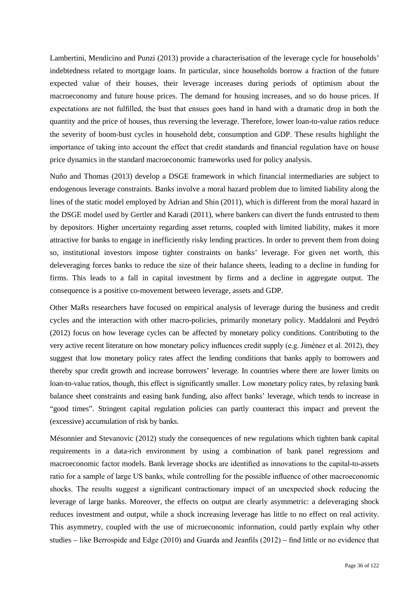Lambertini, Mendicino and Punzi (2013) provide a characterisation of the leverage cycle for households' indebtedness related to mortgage loans. In particular, since households borrow a fraction of the future expected value of their houses, their leverage increases during periods of optimism about the macroeconomy and future house prices. The demand for housing increases, and so do house prices. If expectations are not fulfilled, the bust that ensues goes hand in hand with a dramatic drop in both the quantity and the price of houses, thus reversing the leverage. Therefore, lower loan-to-value ratios reduce the severity of boom-bust cycles in household debt, consumption and GDP. These results highlight the importance of taking into account the effect that credit standards and financial regulation have on house price dynamics in the standard macroeconomic frameworks used for policy analysis.

Nuño and Thomas (2013) develop a DSGE framework in which financial intermediaries are subject to endogenous leverage constraints. Banks involve a moral hazard problem due to limited liability along the lines of the static model employed by Adrian and Shin (2011), which is different from the moral hazard in the DSGE model used by Gertler and Karadi (2011), where bankers can divert the funds entrusted to them by depositors. Higher uncertainty regarding asset returns, coupled with limited liability, makes it more attractive for banks to engage in inefficiently risky lending practices. In order to prevent them from doing so, institutional investors impose tighter constraints on banks' leverage. For given net worth, this deleveraging forces banks to reduce the size of their balance sheets, leading to a decline in funding for firms. This leads to a fall in capital investment by firms and a decline in aggregate output. The consequence is a positive co-movement between leverage, assets and GDP.

Other MaRs researchers have focused on empirical analysis of leverage during the business and credit cycles and the interaction with other macro-policies, primarily monetary policy. Maddaloni and Peydró (2012) focus on how leverage cycles can be affected by monetary policy conditions. Contributing to the very active recent literature on how monetary policy influences credit supply (e.g. Jiménez et al. 2012), they suggest that low monetary policy rates affect the lending conditions that banks apply to borrowers and thereby spur credit growth and increase borrowers' leverage. In countries where there are lower limits on loan-to-value ratios, though, this effect is significantly smaller. Low monetary policy rates, by relaxing bank balance sheet constraints and easing bank funding, also affect banks' leverage, which tends to increase in "good times". Stringent capital regulation policies can partly counteract this impact and prevent the (excessive) accumulation of risk by banks.

Mésonnier and Stevanovic (2012) study the consequences of new regulations which tighten bank capital requirements in a data-rich environment by using a combination of bank panel regressions and macroeconomic factor models. Bank leverage shocks are identified as innovations to the capital-to-assets ratio for a sample of large US banks, while controlling for the possible influence of other macroeconomic shocks. The results suggest a significant contractionary impact of an unexpected shock reducing the leverage of large banks. Moreover, the effects on output are clearly asymmetric: a deleveraging shock reduces investment and output, while a shock increasing leverage has little to no effect on real activity. This asymmetry, coupled with the use of microeconomic information, could partly explain why other studies – like Berrospide and Edge (2010) and Guarda and Jeanfils (2012) – find little or no evidence that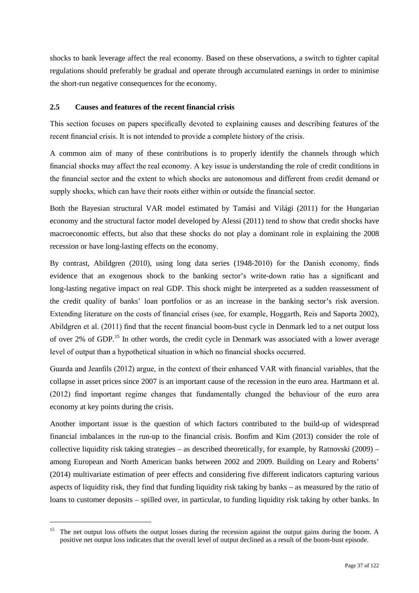shocks to bank leverage affect the real economy. Based on these observations, a switch to tighter capital regulations should preferably be gradual and operate through accumulated earnings in order to minimise the short-run negative consequences for the economy.

### **2.5 Causes and features of the recent financial crisis**

This section focuses on papers specifically devoted to explaining causes and describing features of the recent financial crisis. It is not intended to provide a complete history of the crisis.

A common aim of many of these contributions is to properly identify the channels through which financial shocks may affect the real economy. A key issue is understanding the role of credit conditions in the financial sector and the extent to which shocks are autonomous and different from credit demand or supply shocks, which can have their roots either within or outside the financial sector.

Both the Bayesian structural VAR model estimated by Tamási and Világi (2011) for the Hungarian economy and the structural factor model developed by Alessi (2011) tend to show that credit shocks have macroeconomic effects, but also that these shocks do not play a dominant role in explaining the 2008 recession or have long-lasting effects on the economy.

By contrast, Abildgren (2010), using long data series (1948-2010) for the Danish economy, finds evidence that an exogenous shock to the banking sector's write-down ratio has a significant and long-lasting negative impact on real GDP. This shock might be interpreted as a sudden reassessment of the credit quality of banks' loan portfolios or as an increase in the banking sector's risk aversion. Extending literature on the costs of financial crises (see, for example, Hoggarth, Reis and Saporta 2002), Abildgren et al. (2011) find that the recent financial boom-bust cycle in Denmark led to a net output loss of over 2% of GDP.[15](#page-36-0) In other words, the credit cycle in Denmark was associated with a lower average level of output than a hypothetical situation in which no financial shocks occurred.

Guarda and Jeanfils (2012) argue, in the context of their enhanced VAR with financial variables, that the collapse in asset prices since 2007 is an important cause of the recession in the euro area. Hartmann et al. (2012) find important regime changes that fundamentally changed the behaviour of the euro area economy at key points during the crisis.

Another important issue is the question of which factors contributed to the build-up of widespread financial imbalances in the run-up to the financial crisis. Bonfim and Kim (2013) consider the role of collective liquidity risk taking strategies – as described theoretically, for example, by Ratnovski (2009) – among European and North American banks between 2002 and 2009. Building on Leary and Roberts' (2014) multivariate estimation of peer effects and considering five different indicators capturing various aspects of liquidity risk, they find that funding liquidity risk taking by banks – as measured by the ratio of loans to customer deposits – spilled over, in particular, to funding liquidity risk taking by other banks. In

<span id="page-36-0"></span><sup>&</sup>lt;sup>15</sup> The net output loss offsets the output losses during the recession against the output gains during the boom. A positive net output loss indicates that the overall level of output declined as a result of the boom-bust episode.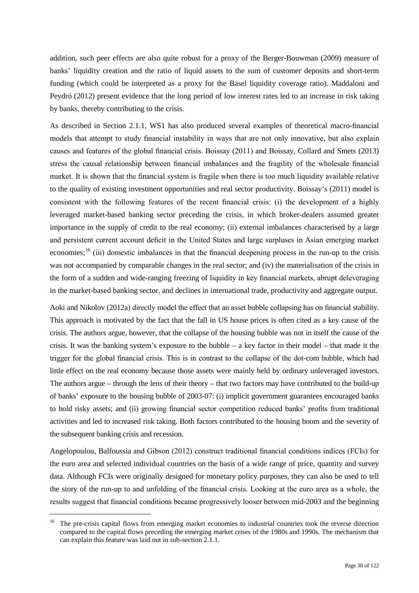addition, such peer effects are also quite robust for a proxy of the Berger-Bouwman (2009) measure of banks' liquidity creation and the ratio of liquid assets to the sum of customer deposits and short-term funding (which could be interpreted as a proxy for the Basel liquidity coverage ratio). Maddaloni and Peydró (2012) present evidence that the long period of low interest rates led to an increase in risk taking by banks, thereby contributing to the crisis.

As described in Section 2.1.1, WS1 has also produced several examples of theoretical macro-financial models that attempt to study financial instability in ways that are not only innovative, but also explain causes and features of the global financial crisis. Boissay (2011) and Boissay, Collard and Smets (2013) stress the causal relationship between financial imbalances and the fragility of the wholesale financial market. It is shown that the financial system is fragile when there is too much liquidity available relative to the quality of existing investment opportunities and real sector productivity. Boissay's (2011) model is consistent with the following features of the recent financial crisis: (i) the development of a highly leveraged market-based banking sector preceding the crisis, in which broker-dealers assumed greater importance in the supply of credit to the real economy; (ii) external imbalances characterised by a large and persistent current account deficit in the United States and large surpluses in Asian emerging market economies;<sup>[16](#page-37-0)</sup> (iii) domestic imbalances in that the financial deepening process in the run-up to the crisis was not accompanied by comparable changes in the real sector; and (iv) the materialisation of the crisis in the form of a sudden and wide-ranging freezing of liquidity in key financial markets, abrupt deleveraging in the market-based banking sector, and declines in international trade, productivity and aggregate output.

Aoki and Nikolov (2012a) directly model the effect that an asset bubble collapsing has on financial stability. This approach is motivated by the fact that the fall in US house prices is often cited as a key cause of the crisis. The authors argue, however, that the collapse of the housing bubble was not in itself the cause of the crisis. It was the banking system's exposure to the bubble – a key factor in their model – that made it the trigger for the global financial crisis. This is in contrast to the collapse of the dot-com bubble, which had little effect on the real economy because those assets were mainly held by ordinary unleveraged investors. The authors argue – through the lens of their theory – that two factors may have contributed to the build-up of banks' exposure to the housing bubble of 2003-07: (i) implicit government guarantees encouraged banks to hold risky assets; and (ii) growing financial sector competition reduced banks' profits from traditional activities and led to increased risk taking. Both factors contributed to the housing boom and the severity of the subsequent banking crisis and recession.

Angelopoulou, Balfoussia and Gibson (2012) construct traditional financial conditions indices (FCIs) for the euro area and selected individual countries on the basis of a wide range of price, quantity and survey data. Although FCIs were originally designed for monetary policy purposes, they can also be used to tell the story of the run-up to and unfolding of the financial crisis. Looking at the euro area as a whole, the results suggest that financial conditions became progressively looser between mid-2003 and the beginning

<span id="page-37-0"></span><sup>&</sup>lt;sup>16</sup> The pre-crisis capital flows from emerging market economies to industrial countries took the reverse direction compared to the capital flows preceding the emerging market crises of the 1980s and 1990s. The mechanism that can explain this feature was laid out in sub-section 2.1.1.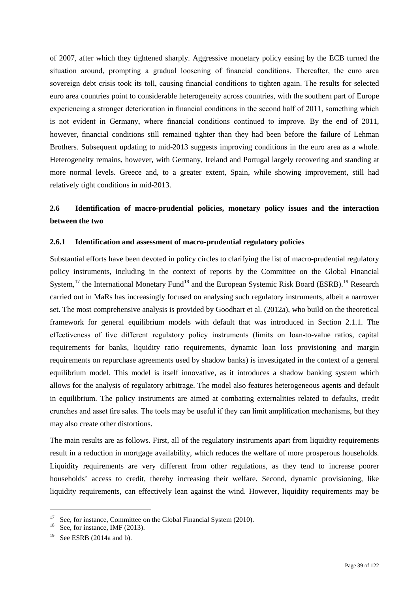of 2007, after which they tightened sharply. Aggressive monetary policy easing by the ECB turned the situation around, prompting a gradual loosening of financial conditions. Thereafter, the euro area sovereign debt crisis took its toll, causing financial conditions to tighten again. The results for selected euro area countries point to considerable heterogeneity across countries, with the southern part of Europe experiencing a stronger deterioration in financial conditions in the second half of 2011, something which is not evident in Germany, where financial conditions continued to improve. By the end of 2011, however, financial conditions still remained tighter than they had been before the failure of Lehman Brothers. Subsequent updating to mid-2013 suggests improving conditions in the euro area as a whole. Heterogeneity remains, however, with Germany, Ireland and Portugal largely recovering and standing at more normal levels. Greece and, to a greater extent, Spain, while showing improvement, still had relatively tight conditions in mid-2013.

# **2.6 Identification of macro-prudential policies, monetary policy issues and the interaction between the two**

### **2.6.1 Identification and assessment of macro-prudential regulatory policies**

Substantial efforts have been devoted in policy circles to clarifying the list of macro-prudential regulatory policy instruments, including in the context of reports by the Committee on the Global Financial System,<sup>[17](#page-38-0)</sup> the International Monetary Fund<sup>[18](#page-38-1)</sup> and the European Systemic Risk Board (ESRB).<sup>[19](#page-38-2)</sup> Research carried out in MaRs has increasingly focused on analysing such regulatory instruments, albeit a narrower set. The most comprehensive analysis is provided by Goodhart et al. (2012a), who build on the theoretical framework for general equilibrium models with default that was introduced in Section 2.1.1. The effectiveness of five different regulatory policy instruments (limits on loan-to-value ratios, capital requirements for banks, liquidity ratio requirements, dynamic loan loss provisioning and margin requirements on repurchase agreements used by shadow banks) is investigated in the context of a general equilibrium model. This model is itself innovative, as it introduces a shadow banking system which allows for the analysis of regulatory arbitrage. The model also features heterogeneous agents and default in equilibrium. The policy instruments are aimed at combating externalities related to defaults, credit crunches and asset fire sales. The tools may be useful if they can limit amplification mechanisms, but they may also create other distortions.

The main results are as follows. First, all of the regulatory instruments apart from liquidity requirements result in a reduction in mortgage availability, which reduces the welfare of more prosperous households. Liquidity requirements are very different from other regulations, as they tend to increase poorer households' access to credit, thereby increasing their welfare. Second, dynamic provisioning, like liquidity requirements, can effectively lean against the wind. However, liquidity requirements may be

<span id="page-38-1"></span><span id="page-38-0"></span><sup>&</sup>lt;sup>17</sup> See, for instance, Committee on the Global Financial System (2010).<br><sup>18</sup> See, for instance, IMF (2013).

<span id="page-38-2"></span> $19$  See ESRB (2014a and b).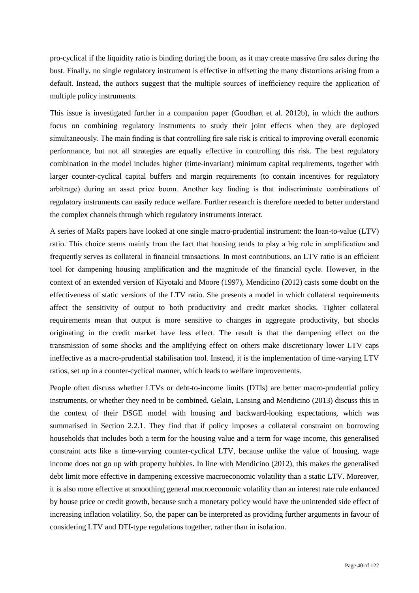pro-cyclical if the liquidity ratio is binding during the boom, as it may create massive fire sales during the bust. Finally, no single regulatory instrument is effective in offsetting the many distortions arising from a default. Instead, the authors suggest that the multiple sources of inefficiency require the application of multiple policy instruments.

This issue is investigated further in a companion paper (Goodhart et al. 2012b), in which the authors focus on combining regulatory instruments to study their joint effects when they are deployed simultaneously. The main finding is that controlling fire sale risk is critical to improving overall economic performance, but not all strategies are equally effective in controlling this risk. The best regulatory combination in the model includes higher (time-invariant) minimum capital requirements, together with larger counter-cyclical capital buffers and margin requirements (to contain incentives for regulatory arbitrage) during an asset price boom. Another key finding is that indiscriminate combinations of regulatory instruments can easily reduce welfare. Further research is therefore needed to better understand the complex channels through which regulatory instruments interact.

A series of MaRs papers have looked at one single macro-prudential instrument: the loan-to-value (LTV) ratio. This choice stems mainly from the fact that housing tends to play a big role in amplification and frequently serves as collateral in financial transactions. In most contributions, an LTV ratio is an efficient tool for dampening housing amplification and the magnitude of the financial cycle. However, in the context of an extended version of Kiyotaki and Moore (1997), Mendicino (2012) casts some doubt on the effectiveness of static versions of the LTV ratio. She presents a model in which collateral requirements affect the sensitivity of output to both productivity and credit market shocks. Tighter collateral requirements mean that output is more sensitive to changes in aggregate productivity, but shocks originating in the credit market have less effect. The result is that the dampening effect on the transmission of some shocks and the amplifying effect on others make discretionary lower LTV caps ineffective as a macro-prudential stabilisation tool. Instead, it is the implementation of time-varying LTV ratios, set up in a counter-cyclical manner, which leads to welfare improvements.

People often discuss whether LTVs or debt-to-income limits (DTIs) are better macro-prudential policy instruments, or whether they need to be combined. Gelain, Lansing and Mendicino (2013) discuss this in the context of their DSGE model with housing and backward-looking expectations, which was summarised in Section 2.2.1. They find that if policy imposes a collateral constraint on borrowing households that includes both a term for the housing value and a term for wage income, this generalised constraint acts like a time-varying counter-cyclical LTV, because unlike the value of housing, wage income does not go up with property bubbles. In line with Mendicino (2012), this makes the generalised debt limit more effective in dampening excessive macroeconomic volatility than a static LTV. Moreover, it is also more effective at smoothing general macroeconomic volatility than an interest rate rule enhanced by house price or credit growth, because such a monetary policy would have the unintended side effect of increasing inflation volatility. So, the paper can be interpreted as providing further arguments in favour of considering LTV and DTI-type regulations together, rather than in isolation.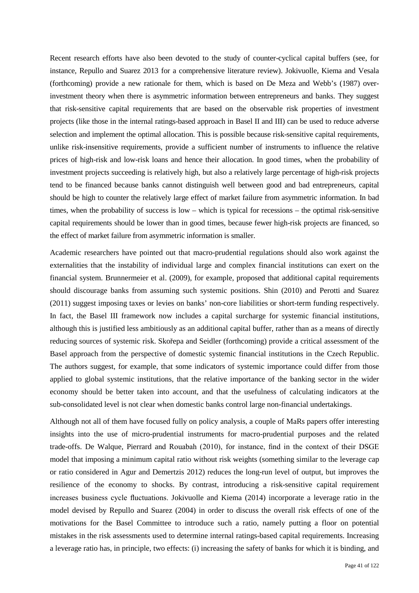Recent research efforts have also been devoted to the study of counter-cyclical capital buffers (see, for instance, Repullo and Suarez 2013 for a comprehensive literature review). Jokivuolle, Kiema and Vesala (forthcoming) provide a new rationale for them, which is based on De Meza and Webb's (1987) overinvestment theory when there is asymmetric information between entrepreneurs and banks. They suggest that risk-sensitive capital requirements that are based on the observable risk properties of investment projects (like those in the internal ratings-based approach in Basel II and III) can be used to reduce adverse selection and implement the optimal allocation. This is possible because risk-sensitive capital requirements, unlike risk-insensitive requirements, provide a sufficient number of instruments to influence the relative prices of high-risk and low-risk loans and hence their allocation. In good times, when the probability of investment projects succeeding is relatively high, but also a relatively large percentage of high-risk projects tend to be financed because banks cannot distinguish well between good and bad entrepreneurs, capital should be high to counter the relatively large effect of market failure from asymmetric information. In bad times, when the probability of success is low – which is typical for recessions – the optimal risk-sensitive capital requirements should be lower than in good times, because fewer high-risk projects are financed, so the effect of market failure from asymmetric information is smaller.

Academic researchers have pointed out that macro-prudential regulations should also work against the externalities that the instability of individual large and complex financial institutions can exert on the financial system. Brunnermeier et al. (2009), for example, proposed that additional capital requirements should discourage banks from assuming such systemic positions. Shin (2010) and Perotti and Suarez (2011) suggest imposing taxes or levies on banks' non-core liabilities or short-term funding respectively. In fact, the Basel III framework now includes a capital surcharge for systemic financial institutions, although this is justified less ambitiously as an additional capital buffer, rather than as a means of directly reducing sources of systemic risk. Skořepa and Seidler (forthcoming) provide a critical assessment of the Basel approach from the perspective of domestic systemic financial institutions in the Czech Republic. The authors suggest, for example, that some indicators of systemic importance could differ from those applied to global systemic institutions, that the relative importance of the banking sector in the wider economy should be better taken into account, and that the usefulness of calculating indicators at the sub-consolidated level is not clear when domestic banks control large non-financial undertakings.

Although not all of them have focused fully on policy analysis, a couple of MaRs papers offer interesting insights into the use of micro-prudential instruments for macro-prudential purposes and the related trade-offs. De Walque, Pierrard and Rouabah (2010), for instance, find in the context of their DSGE model that imposing a minimum capital ratio without risk weights (something similar to the leverage cap or ratio considered in Agur and Demertzis 2012) reduces the long-run level of output, but improves the resilience of the economy to shocks. By contrast, introducing a risk-sensitive capital requirement increases business cycle fluctuations. Jokivuolle and Kiema (2014) incorporate a leverage ratio in the model devised by Repullo and Suarez (2004) in order to discuss the overall risk effects of one of the motivations for the Basel Committee to introduce such a ratio, namely putting a floor on potential mistakes in the risk assessments used to determine internal ratings-based capital requirements. Increasing a leverage ratio has, in principle, two effects: (i) increasing the safety of banks for which it is binding, and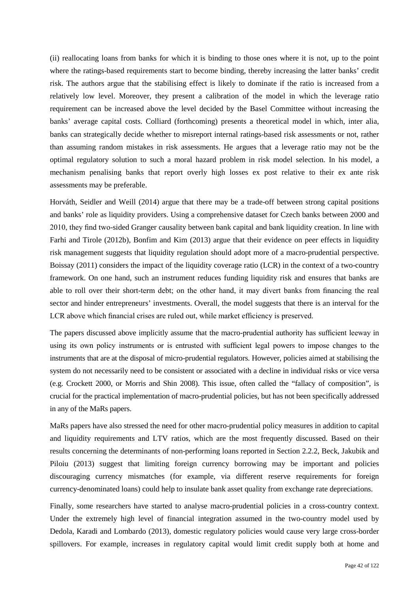(ii) reallocating loans from banks for which it is binding to those ones where it is not, up to the point where the ratings-based requirements start to become binding, thereby increasing the latter banks' credit risk. The authors argue that the stabilising effect is likely to dominate if the ratio is increased from a relatively low level. Moreover, they present a calibration of the model in which the leverage ratio requirement can be increased above the level decided by the Basel Committee without increasing the banks' average capital costs. Colliard (forthcoming) presents a theoretical model in which, inter alia, banks can strategically decide whether to misreport internal ratings-based risk assessments or not, rather than assuming random mistakes in risk assessments. He argues that a leverage ratio may not be the optimal regulatory solution to such a moral hazard problem in risk model selection. In his model, a mechanism penalising banks that report overly high losses ex post relative to their ex ante risk assessments may be preferable.

Horváth, Seidler and Weill (2014) argue that there may be a trade-off between strong capital positions and banks' role as liquidity providers. Using a comprehensive dataset for Czech banks between 2000 and 2010, they find two-sided Granger causality between bank capital and bank liquidity creation. In line with Farhi and Tirole (2012b), Bonfim and Kim (2013) argue that their evidence on peer effects in liquidity risk management suggests that liquidity regulation should adopt more of a macro-prudential perspective. Boissay (2011) considers the impact of the liquidity coverage ratio (LCR) in the context of a two-country framework. On one hand, such an instrument reduces funding liquidity risk and ensures that banks are able to roll over their short-term debt; on the other hand, it may divert banks from financing the real sector and hinder entrepreneurs' investments. Overall, the model suggests that there is an interval for the LCR above which financial crises are ruled out, while market efficiency is preserved.

The papers discussed above implicitly assume that the macro-prudential authority has sufficient leeway in using its own policy instruments or is entrusted with sufficient legal powers to impose changes to the instruments that are at the disposal of micro-prudential regulators. However, policies aimed at stabilising the system do not necessarily need to be consistent or associated with a decline in individual risks or vice versa (e.g. Crockett 2000, or Morris and Shin 2008). This issue, often called the "fallacy of composition", is crucial for the practical implementation of macro-prudential policies, but has not been specifically addressed in any of the MaRs papers.

MaRs papers have also stressed the need for other macro-prudential policy measures in addition to capital and liquidity requirements and LTV ratios, which are the most frequently discussed. Based on their results concerning the determinants of non-performing loans reported in Section 2.2.2, Beck, Jakubik and Piloiu (2013) suggest that limiting foreign currency borrowing may be important and policies discouraging currency mismatches (for example, via different reserve requirements for foreign currency-denominated loans) could help to insulate bank asset quality from exchange rate depreciations.

Finally, some researchers have started to analyse macro-prudential policies in a cross-country context. Under the extremely high level of financial integration assumed in the two-country model used by Dedola, Karadi and Lombardo (2013), domestic regulatory policies would cause very large cross-border spillovers. For example, increases in regulatory capital would limit credit supply both at home and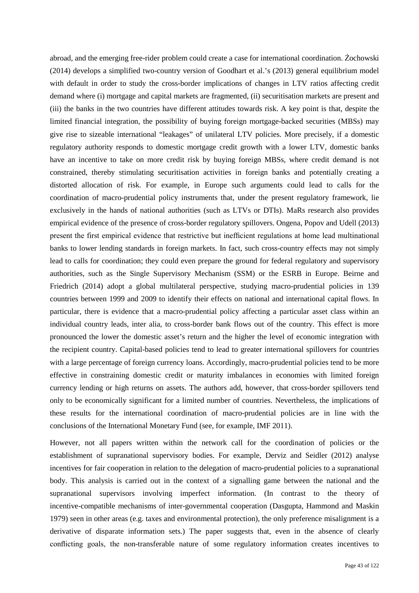abroad, and the emerging free-rider problem could create a case for international coordination. Żochowski (2014) develops a simplified two-country version of Goodhart et al.'s (2013) general equilibrium model with default in order to study the cross-border implications of changes in LTV ratios affecting credit demand where (i) mortgage and capital markets are fragmented, (ii) securitisation markets are present and (iii) the banks in the two countries have different attitudes towards risk. A key point is that, despite the limited financial integration, the possibility of buying foreign mortgage-backed securities (MBSs) may give rise to sizeable international "leakages" of unilateral LTV policies. More precisely, if a domestic regulatory authority responds to domestic mortgage credit growth with a lower LTV, domestic banks have an incentive to take on more credit risk by buying foreign MBSs, where credit demand is not constrained, thereby stimulating securitisation activities in foreign banks and potentially creating a distorted allocation of risk. For example, in Europe such arguments could lead to calls for the coordination of macro-prudential policy instruments that, under the present regulatory framework, lie exclusively in the hands of national authorities (such as LTVs or DTIs). MaRs research also provides empirical evidence of the presence of cross-border regulatory spillovers. Ongena, Popov and Udell (2013) present the first empirical evidence that restrictive but inefficient regulations at home lead multinational banks to lower lending standards in foreign markets. In fact, such cross-country effects may not simply lead to calls for coordination; they could even prepare the ground for federal regulatory and supervisory authorities, such as the Single Supervisory Mechanism (SSM) or the ESRB in Europe. Beirne and Friedrich (2014) adopt a global multilateral perspective, studying macro-prudential policies in 139 countries between 1999 and 2009 to identify their effects on national and international capital flows. In particular, there is evidence that a macro-prudential policy affecting a particular asset class within an individual country leads, inter alia, to cross-border bank flows out of the country. This effect is more pronounced the lower the domestic asset's return and the higher the level of economic integration with the recipient country. Capital-based policies tend to lead to greater international spillovers for countries with a large percentage of foreign currency loans. Accordingly, macro-prudential policies tend to be more effective in constraining domestic credit or maturity imbalances in economies with limited foreign currency lending or high returns on assets. The authors add, however, that cross-border spillovers tend only to be economically significant for a limited number of countries. Nevertheless, the implications of these results for the international coordination of macro-prudential policies are in line with the conclusions of the International Monetary Fund (see, for example, IMF 2011).

However, not all papers written within the network call for the coordination of policies or the establishment of supranational supervisory bodies. For example, Derviz and Seidler (2012) analyse incentives for fair cooperation in relation to the delegation of macro-prudential policies to a supranational body. This analysis is carried out in the context of a signalling game between the national and the supranational supervisors involving imperfect information. (In contrast to the theory of incentive-compatible mechanisms of inter-governmental cooperation (Dasgupta, Hammond and Maskin 1979) seen in other areas (e.g. taxes and environmental protection), the only preference misalignment is a derivative of disparate information sets.) The paper suggests that, even in the absence of clearly conflicting goals, the non-transferable nature of some regulatory information creates incentives to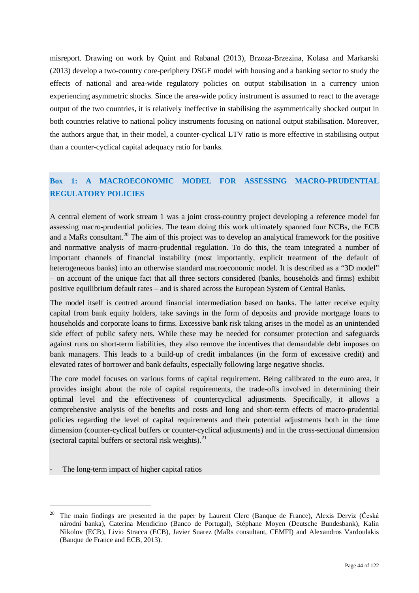misreport. Drawing on work by Quint and Rabanal (2013), Brzoza-Brzezina, Kolasa and Markarski (2013) develop a two-country core-periphery DSGE model with housing and a banking sector to study the effects of national and area-wide regulatory policies on output stabilisation in a currency union experiencing asymmetric shocks. Since the area-wide policy instrument is assumed to react to the average output of the two countries, it is relatively ineffective in stabilising the asymmetrically shocked output in both countries relative to national policy instruments focusing on national output stabilisation. Moreover, the authors argue that, in their model, a counter-cyclical LTV ratio is more effective in stabilising output than a counter-cyclical capital adequacy ratio for banks.

# **Box 1: A MACROECONOMIC MODEL FOR ASSESSING MACRO-PRUDENTIAL REGULATORY POLICIES**

A central element of work stream 1 was a joint cross-country project developing a reference model for assessing macro-prudential policies. The team doing this work ultimately spanned four NCBs, the ECB and a MaRs consultant.<sup>[20](#page-43-0)</sup> The aim of this project was to develop an analytical framework for the positive and normative analysis of macro-prudential regulation. To do this, the team integrated a number of important channels of financial instability (most importantly, explicit treatment of the default of heterogeneous banks) into an otherwise standard macroeconomic model. It is described as a "3D model" – on account of the unique fact that all three sectors considered (banks, households and firms) exhibit positive equilibrium default rates – and is shared across the European System of Central Banks.

The model itself is centred around financial intermediation based on banks. The latter receive equity capital from bank equity holders, take savings in the form of deposits and provide mortgage loans to households and corporate loans to firms. Excessive bank risk taking arises in the model as an unintended side effect of public safety nets. While these may be needed for consumer protection and safeguards against runs on short-term liabilities, they also remove the incentives that demandable debt imposes on bank managers. This leads to a build-up of credit imbalances (in the form of excessive credit) and elevated rates of borrower and bank defaults, especially following large negative shocks.

The core model focuses on various forms of capital requirement. Being calibrated to the euro area, it provides insight about the role of capital requirements, the trade-offs involved in determining their optimal level and the effectiveness of countercyclical adjustments. Specifically, it allows a comprehensive analysis of the benefits and costs and long and short-term effects of macro-prudential policies regarding the level of capital requirements and their potential adjustments both in the time dimension (counter-cyclical buffers or counter-cyclical adjustments) and in the cross-sectional dimension (sectoral capital buffers or sectoral risk weights). $^{21}$  $^{21}$  $^{21}$ 

The long-term impact of higher capital ratios

<span id="page-43-1"></span><span id="page-43-0"></span><sup>&</sup>lt;sup>20</sup> The main findings are presented in the paper by Laurent Clerc (Banque de France), Alexis Derviz (Česká národní banka), Caterina Mendicino (Banco de Portugal), Stéphane Moyen (Deutsche Bundesbank), Kalin Nikolov (ECB), Livio Stracca (ECB), Javier Suarez (MaRs consultant, CEMFI) and Alexandros Vardoulakis (Banque de France and ECB, 2013).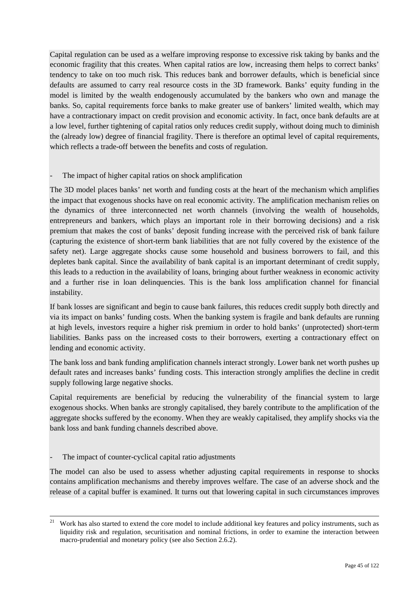Capital regulation can be used as a welfare improving response to excessive risk taking by banks and the economic fragility that this creates. When capital ratios are low, increasing them helps to correct banks' tendency to take on too much risk. This reduces bank and borrower defaults, which is beneficial since defaults are assumed to carry real resource costs in the 3D framework. Banks' equity funding in the model is limited by the wealth endogenously accumulated by the bankers who own and manage the banks. So, capital requirements force banks to make greater use of bankers' limited wealth, which may have a contractionary impact on credit provision and economic activity. In fact, once bank defaults are at a low level, further tightening of capital ratios only reduces credit supply, without doing much to diminish the (already low) degree of financial fragility. There is therefore an optimal level of capital requirements, which reflects a trade-off between the benefits and costs of regulation.

## The impact of higher capital ratios on shock amplification

The 3D model places banks' net worth and funding costs at the heart of the mechanism which amplifies the impact that exogenous shocks have on real economic activity. The amplification mechanism relies on the dynamics of three interconnected net worth channels (involving the wealth of households, entrepreneurs and bankers, which plays an important role in their borrowing decisions) and a risk premium that makes the cost of banks' deposit funding increase with the perceived risk of bank failure (capturing the existence of short-term bank liabilities that are not fully covered by the existence of the safety net). Large aggregate shocks cause some household and business borrowers to fail, and this depletes bank capital. Since the availability of bank capital is an important determinant of credit supply, this leads to a reduction in the availability of loans, bringing about further weakness in economic activity and a further rise in loan delinquencies. This is the bank loss amplification channel for financial instability.

If bank losses are significant and begin to cause bank failures, this reduces credit supply both directly and via its impact on banks' funding costs. When the banking system is fragile and bank defaults are running at high levels, investors require a higher risk premium in order to hold banks' (unprotected) short-term liabilities. Banks pass on the increased costs to their borrowers, exerting a contractionary effect on lending and economic activity.

The bank loss and bank funding amplification channels interact strongly. Lower bank net worth pushes up default rates and increases banks' funding costs. This interaction strongly amplifies the decline in credit supply following large negative shocks.

Capital requirements are beneficial by reducing the vulnerability of the financial system to large exogenous shocks. When banks are strongly capitalised, they barely contribute to the amplification of the aggregate shocks suffered by the economy. When they are weakly capitalised, they amplify shocks via the bank loss and bank funding channels described above.

### The impact of counter-cyclical capital ratio adjustments

The model can also be used to assess whether adjusting capital requirements in response to shocks contains amplification mechanisms and thereby improves welfare. The case of an adverse shock and the release of a capital buffer is examined. It turns out that lowering capital in such circumstances improves

<sup>&</sup>lt;sup>21</sup> Work has also started to extend the core model to include additional key features and policy instruments, such as liquidity risk and regulation, securitisation and nominal frictions, in order to examine the interaction between macro-prudential and monetary policy (see also Section 2.6.2).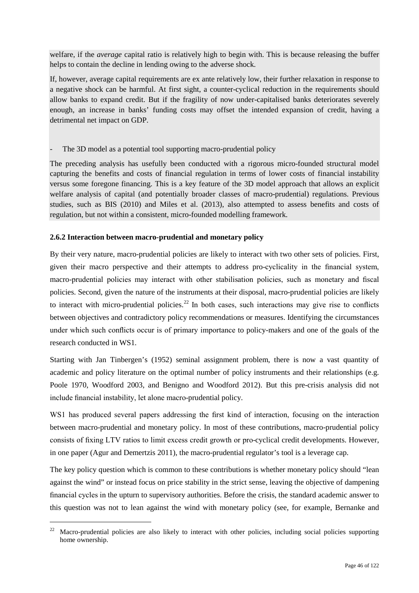welfare, if the *average* capital ratio is relatively high to begin with. This is because releasing the buffer helps to contain the decline in lending owing to the adverse shock.

If, however, average capital requirements are ex ante relatively low, their further relaxation in response to a negative shock can be harmful. At first sight, a counter-cyclical reduction in the requirements should allow banks to expand credit. But if the fragility of now under-capitalised banks deteriorates severely enough, an increase in banks' funding costs may offset the intended expansion of credit, having a detrimental net impact on GDP.

## The 3D model as a potential tool supporting macro-prudential policy

The preceding analysis has usefully been conducted with a rigorous micro-founded structural model capturing the benefits and costs of financial regulation in terms of lower costs of financial instability versus some foregone financing. This is a key feature of the 3D model approach that allows an explicit welfare analysis of capital (and potentially broader classes of macro-prudential) regulations. Previous studies, such as BIS (2010) and Miles et al. (2013), also attempted to assess benefits and costs of regulation, but not within a consistent, micro-founded modelling framework.

## **2.6.2 Interaction between macro-prudential and monetary policy**

By their very nature, macro-prudential policies are likely to interact with two other sets of policies. First, given their macro perspective and their attempts to address pro-cyclicality in the financial system, macro-prudential policies may interact with other stabilisation policies, such as monetary and fiscal policies. Second, given the nature of the instruments at their disposal, macro-prudential policies are likely to interact with micro-prudential policies.<sup>[22](#page-45-0)</sup> In both cases, such interactions may give rise to conflicts between objectives and contradictory policy recommendations or measures. Identifying the circumstances under which such conflicts occur is of primary importance to policy-makers and one of the goals of the research conducted in WS1.

Starting with Jan Tinbergen's (1952) seminal assignment problem, there is now a vast quantity of academic and policy literature on the optimal number of policy instruments and their relationships (e.g. Poole 1970, Woodford 2003, and Benigno and Woodford 2012). But this pre-crisis analysis did not include financial instability, let alone macro-prudential policy.

WS1 has produced several papers addressing the first kind of interaction, focusing on the interaction between macro-prudential and monetary policy. In most of these contributions, macro-prudential policy consists of fixing LTV ratios to limit excess credit growth or pro-cyclical credit developments. However, in one paper (Agur and Demertzis 2011), the macro-prudential regulator's tool is a leverage cap.

The key policy question which is common to these contributions is whether monetary policy should "lean against the wind" or instead focus on price stability in the strict sense, leaving the objective of dampening financial cycles in the upturn to supervisory authorities. Before the crisis, the standard academic answer to this question was not to lean against the wind with monetary policy (see, for example, Bernanke and

<span id="page-45-0"></span><sup>&</sup>lt;sup>22</sup> Macro-prudential policies are also likely to interact with other policies, including social policies supporting home ownership.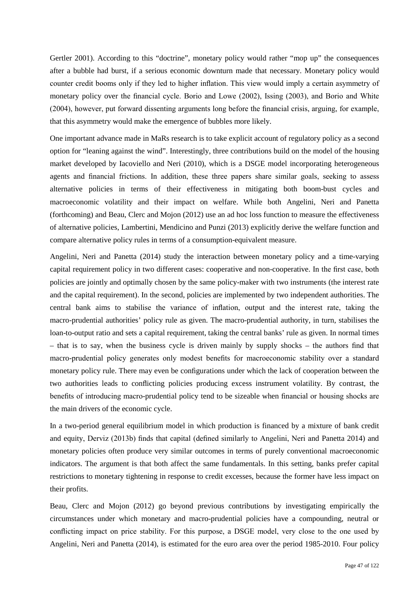Gertler 2001). According to this "doctrine", monetary policy would rather "mop up" the consequences after a bubble had burst, if a serious economic downturn made that necessary. Monetary policy would counter credit booms only if they led to higher inflation. This view would imply a certain asymmetry of monetary policy over the financial cycle. Borio and Lowe (2002), Issing (2003), and Borio and White (2004), however, put forward dissenting arguments long before the financial crisis, arguing, for example, that this asymmetry would make the emergence of bubbles more likely.

One important advance made in MaRs research is to take explicit account of regulatory policy as a second option for "leaning against the wind". Interestingly, three contributions build on the model of the housing market developed by Iacoviello and Neri (2010), which is a DSGE model incorporating heterogeneous agents and financial frictions. In addition, these three papers share similar goals, seeking to assess alternative policies in terms of their effectiveness in mitigating both boom-bust cycles and macroeconomic volatility and their impact on welfare. While both Angelini, Neri and Panetta (forthcoming) and Beau, Clerc and Mojon (2012) use an ad hoc loss function to measure the effectiveness of alternative policies, Lambertini, Mendicino and Punzi (2013) explicitly derive the welfare function and compare alternative policy rules in terms of a consumption-equivalent measure.

Angelini, Neri and Panetta (2014) study the interaction between monetary policy and a time-varying capital requirement policy in two different cases: cooperative and non-cooperative. In the first case, both policies are jointly and optimally chosen by the same policy-maker with two instruments (the interest rate and the capital requirement). In the second, policies are implemented by two independent authorities. The central bank aims to stabilise the variance of inflation, output and the interest rate, taking the macro-prudential authorities' policy rule as given. The macro-prudential authority, in turn, stabilises the loan-to-output ratio and sets a capital requirement, taking the central banks' rule as given. In normal times – that is to say, when the business cycle is driven mainly by supply shocks – the authors find that macro-prudential policy generates only modest benefits for macroeconomic stability over a standard monetary policy rule. There may even be configurations under which the lack of cooperation between the two authorities leads to conflicting policies producing excess instrument volatility. By contrast, the benefits of introducing macro-prudential policy tend to be sizeable when financial or housing shocks are the main drivers of the economic cycle.

In a two-period general equilibrium model in which production is financed by a mixture of bank credit and equity, Derviz (2013b) finds that capital (defined similarly to Angelini, Neri and Panetta 2014) and monetary policies often produce very similar outcomes in terms of purely conventional macroeconomic indicators. The argument is that both affect the same fundamentals. In this setting, banks prefer capital restrictions to monetary tightening in response to credit excesses, because the former have less impact on their profits.

Beau, Clerc and Mojon (2012) go beyond previous contributions by investigating empirically the circumstances under which monetary and macro-prudential policies have a compounding, neutral or conflicting impact on price stability. For this purpose, a DSGE model, very close to the one used by Angelini, Neri and Panetta (2014), is estimated for the euro area over the period 1985-2010. Four policy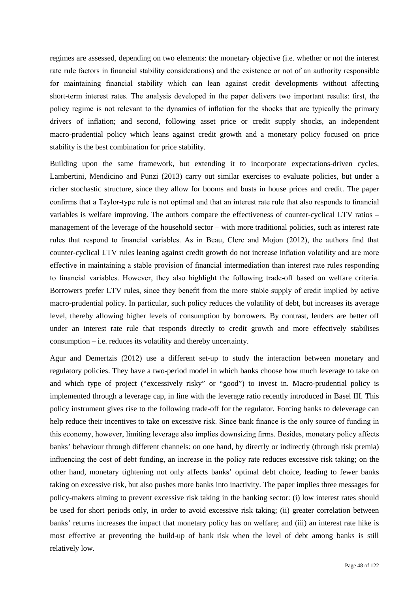regimes are assessed, depending on two elements: the monetary objective (i.e. whether or not the interest rate rule factors in financial stability considerations) and the existence or not of an authority responsible for maintaining financial stability which can lean against credit developments without affecting short-term interest rates. The analysis developed in the paper delivers two important results: first, the policy regime is not relevant to the dynamics of inflation for the shocks that are typically the primary drivers of inflation; and second, following asset price or credit supply shocks, an independent macro-prudential policy which leans against credit growth and a monetary policy focused on price stability is the best combination for price stability.

Building upon the same framework, but extending it to incorporate expectations-driven cycles, Lambertini, Mendicino and Punzi (2013) carry out similar exercises to evaluate policies, but under a richer stochastic structure, since they allow for booms and busts in house prices and credit. The paper confirms that a Taylor-type rule is not optimal and that an interest rate rule that also responds to financial variables is welfare improving. The authors compare the effectiveness of counter-cyclical LTV ratios – management of the leverage of the household sector – with more traditional policies, such as interest rate rules that respond to financial variables. As in Beau, Clerc and Mojon (2012), the authors find that counter-cyclical LTV rules leaning against credit growth do not increase inflation volatility and are more effective in maintaining a stable provision of financial intermediation than interest rate rules responding to financial variables. However, they also highlight the following trade-off based on welfare criteria. Borrowers prefer LTV rules, since they benefit from the more stable supply of credit implied by active macro-prudential policy. In particular, such policy reduces the volatility of debt, but increases its average level, thereby allowing higher levels of consumption by borrowers. By contrast, lenders are better off under an interest rate rule that responds directly to credit growth and more effectively stabilises consumption – i.e. reduces its volatility and thereby uncertainty.

Agur and Demertzis (2012) use a different set-up to study the interaction between monetary and regulatory policies. They have a two-period model in which banks choose how much leverage to take on and which type of project ("excessively risky" or "good") to invest in. Macro-prudential policy is implemented through a leverage cap, in line with the leverage ratio recently introduced in Basel III. This policy instrument gives rise to the following trade-off for the regulator. Forcing banks to deleverage can help reduce their incentives to take on excessive risk. Since bank finance is the only source of funding in this economy, however, limiting leverage also implies downsizing firms. Besides, monetary policy affects banks' behaviour through different channels: on one hand, by directly or indirectly (through risk premia) influencing the cost of debt funding, an increase in the policy rate reduces excessive risk taking; on the other hand, monetary tightening not only affects banks' optimal debt choice, leading to fewer banks taking on excessive risk, but also pushes more banks into inactivity. The paper implies three messages for policy-makers aiming to prevent excessive risk taking in the banking sector: (i) low interest rates should be used for short periods only, in order to avoid excessive risk taking; (ii) greater correlation between banks' returns increases the impact that monetary policy has on welfare; and (iii) an interest rate hike is most effective at preventing the build-up of bank risk when the level of debt among banks is still relatively low.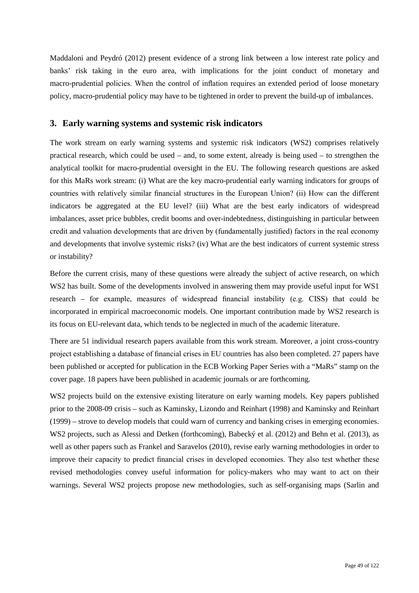Maddaloni and Peydró (2012) present evidence of a strong link between a low interest rate policy and banks' risk taking in the euro area, with implications for the joint conduct of monetary and macro-prudential policies. When the control of inflation requires an extended period of loose monetary policy, macro-prudential policy may have to be tightened in order to prevent the build-up of imbalances.

## **3. Early warning systems and systemic risk indicators**

The work stream on early warning systems and systemic risk indicators (WS2) comprises relatively practical research, which could be used – and, to some extent, already is being used – to strengthen the analytical toolkit for macro-prudential oversight in the EU. The following research questions are asked for this MaRs work stream: (i) What are the key macro-prudential early warning indicators for groups of countries with relatively similar financial structures in the European Union? (ii) How can the different indicators be aggregated at the EU level? (iii) What are the best early indicators of widespread imbalances, asset price bubbles, credit booms and over-indebtedness, distinguishing in particular between credit and valuation developments that are driven by (fundamentally justified) factors in the real economy and developments that involve systemic risks? (iv) What are the best indicators of current systemic stress or instability?

Before the current crisis, many of these questions were already the subject of active research, on which WS2 has built. Some of the developments involved in answering them may provide useful input for WS1 research – for example, measures of widespread financial instability (e.g. CISS) that could be incorporated in empirical macroeconomic models. One important contribution made by WS2 research is its focus on EU-relevant data, which tends to be neglected in much of the academic literature.

There are 51 individual research papers available from this work stream. Moreover, a joint cross-country project establishing a database of financial crises in EU countries has also been completed. 27 papers have been published or accepted for publication in the ECB Working Paper Series with a "MaRs" stamp on the cover page. 18 papers have been published in academic journals or are forthcoming.

<span id="page-48-1"></span><span id="page-48-0"></span>WS2 projects build on the extensive existing literature on early warning models. Key papers published prior to the 2008-09 crisis – such as Kaminsky, Lizondo and Reinhart (1998) and Kaminsky and Reinhart (1999) – strove to develop models that could warn of currency and banking crises in emerging economies. WS2 projects, such as Alessi and Detken (forthcoming), Babecký et al. (2012) and Behn et al. (2013), as well as other papers such as Frankel and Saravelos (2010), revise early warning methodologies in order to improve their capacity to predict financial crises in developed economies. They also test whether these revised methodologies convey useful information for policy-makers who may want to act on their warnings. Several WS2 projects propose new methodologies, such as self-organising maps (Sarlin and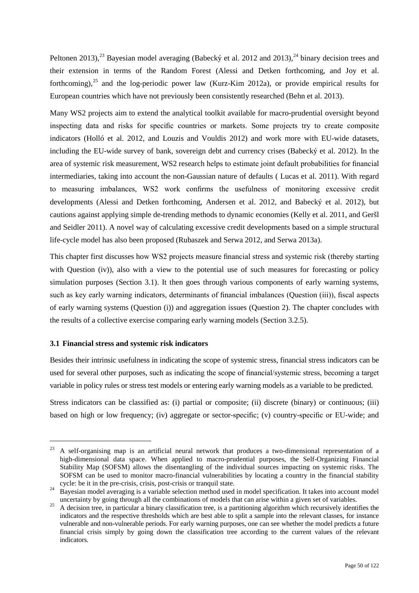Peltonen 2013),<sup>[23](#page-48-0)</sup> Bayesian model averaging (Babecký et al. 2012 and 2013),<sup>[24](#page-48-1)</sup> binary decision trees and their extension in terms of the Random Forest (Alessi and Detken forthcoming, and Joy et al. forthcoming),  $^{25}$  $^{25}$  $^{25}$  and the log-periodic power law (Kurz-Kim 2012a), or provide empirical results for European countries which have not previously been consistently researched (Behn et al. 2013).

Many WS2 projects aim to extend the analytical toolkit available for macro-prudential oversight beyond inspecting data and risks for specific countries or markets. Some projects try to create composite indicators (Holló et al. 2012, and Louzis and Vouldis 2012) and work more with EU-wide datasets, including the EU-wide survey of bank, sovereign debt and currency crises (Babecký et al. 2012). In the area of systemic risk measurement, WS2 research helps to estimate joint default probabilities for financial intermediaries, taking into account the non-Gaussian nature of defaults ( Lucas et al. 2011). With regard to measuring imbalances, WS2 work confirms the usefulness of monitoring excessive credit developments (Alessi and Detken forthcoming, Andersen et al. 2012, and Babecký et al. 2012), but cautions against applying simple de-trending methods to dynamic economies (Kelly et al. 2011, and Geršl and Seidler 2011). A novel way of calculating excessive credit developments based on a simple structural life-cycle model has also been proposed (Rubaszek and Serwa 2012, and Serwa 2013a).

This chapter first discusses how WS2 projects measure financial stress and systemic risk (thereby starting with Question (iv)), also with a view to the potential use of such measures for forecasting or policy simulation purposes (Section 3.1). It then goes through various components of early warning systems, such as key early warning indicators, determinants of financial imbalances (Question (iii)), fiscal aspects of early warning systems (Question (i)) and aggregation issues (Question 2). The chapter concludes with the results of a collective exercise comparing early warning models (Section 3.2.5).

### **3.1 Financial stress and systemic risk indicators**

Besides their intrinsic usefulness in indicating the scope of systemic stress, financial stress indicators can be used for several other purposes, such as indicating the scope of financial/systemic stress, becoming a target variable in policy rules or stress test models or entering early warning models as a variable to be predicted.

Stress indicators can be classified as: (i) partial or composite; (ii) discrete (binary) or continuous; (iii) based on high or low frequency; (iv) aggregate or sector-specific; (v) country-specific or EU-wide; and

<span id="page-49-0"></span><sup>&</sup>lt;sup>23</sup> A self-organising map is an artificial neural network that produces a two-dimensional representation of a high-dimensional data space. When applied to macro-prudential purposes, the Self-Organizing Financial Stability Map (SOFSM) allows the disentangling of the individual sources impacting on systemic risks. The SOFSM can be used to monitor macro-financial vulnerabilities by locating a country in the financial stability cycle: be it in the pre-crisis, crisis, post-crisis or tranquil state.

<sup>&</sup>lt;sup>24</sup> Bayesian model averaging is a variable selection method used in model specification. It takes into account model<br>uncertainty by going through all the combinations of models that can arise within a given set of variabl

<span id="page-49-1"></span><sup>&</sup>lt;sup>25</sup> A decision tree, in particular a binary classification tree, is a partitioning algorithm which recursively identifies the indicators and the respective thresholds which are best able to split a sample into the relevant classes, for instance vulnerable and non-vulnerable periods. For early warning purposes, one can see whether the model predicts a future financial crisis simply by going down the classification tree according to the current values of the relevant indicators.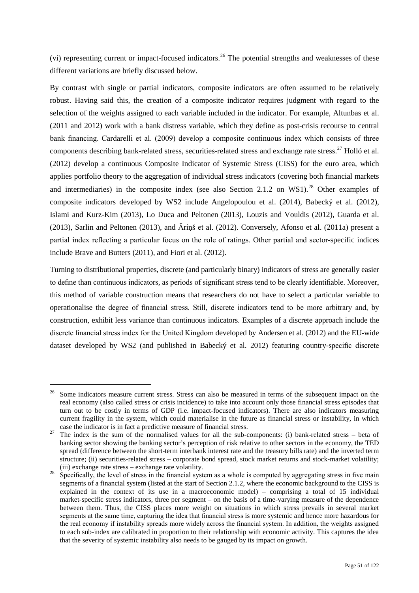(vi) representing current or impact-focused indicators.<sup>[26](#page-49-1)</sup> The potential strengths and weaknesses of these different variations are briefly discussed below.

By contrast with single or partial indicators, composite indicators are often assumed to be relatively robust. Having said this, the creation of a composite indicator requires judgment with regard to the selection of the weights assigned to each variable included in the indicator. For example, Altunbas et al. (2011 and 2012) work with a bank distress variable, which they define as post-crisis recourse to central bank financing. Cardarelli et al. (2009) develop a composite continuous index which consists of three components describing bank-related stress, securities-related stress and exchange rate stress.[27](#page-50-0) Holló et al. (2012) develop a continuous Composite Indicator of Systemic Stress (CISS) for the euro area, which applies portfolio theory to the aggregation of individual stress indicators (covering both financial markets and intermediaries) in the composite index (see also Section 2.1.2 on WS1).<sup>[28](#page-50-1)</sup> Other examples of composite indicators developed by WS2 include Angelopoulou et al. (2014), Babecký et al. (2012), Islami and Kurz-Kim (2013), Lo Duca and Peltonen (2013), Louzis and Vouldis (2012), Guarda et al. (2013), Sarlin and Peltonen (2013), and Āriņš et al. (2012). Conversely, Afonso et al. (2011a) present a partial index reflecting a particular focus on the role of ratings. Other partial and sector-specific indices include Brave and Butters (2011), and Fiori et al. (2012).

Turning to distributional properties, discrete (and particularly binary) indicators of stress are generally easier to define than continuous indicators, as periods of significant stress tend to be clearly identifiable. Moreover, this method of variable construction means that researchers do not have to select a particular variable to operationalise the degree of financial stress. Still, discrete indicators tend to be more arbitrary and, by construction, exhibit less variance than continuous indicators. Examples of a discrete approach include the discrete financial stress index for the United Kingdom developed by Andersen et al. (2012) and the EU-wide dataset developed by WS2 (and published in Babecký et al. 2012) featuring country-specific discrete

<span id="page-50-0"></span><sup>&</sup>lt;sup>26</sup> Some indicators measure current stress. Stress can also be measured in terms of the subsequent impact on the real economy (also called stress or crisis incidence) to take into account only those financial stress episodes that turn out to be costly in terms of GDP (i.e. impact-focused indicators). There are also indicators measuring current fragility in the system, which could materialise in the future as financial stress or instability, in which

<span id="page-50-1"></span>case the indicator is in fact a predictive measure of financial stress.<br><sup>27</sup> The index is the sum of the normalised values for all the sub-components: (i) bank-related stress – beta of banking sector showing the banking sector's perception of risk relative to other sectors in the economy, the TED spread (difference between the short-term interbank interest rate and the treasury bills rate) and the inverted term structure; (ii) securities-related stress – corporate bond spread, stock market returns and stock-market volatility; (iii) exchange rate stress – exchange rate volatility.

<span id="page-50-2"></span>Specifically, the level of stress in the financial system as a whole is computed by aggregating stress in five main segments of a financial system (listed at the start of Section 2.1.2, where the economic background to the CISS is explained in the context of its use in a macroeconomic model) – comprising a total of 15 individual market-specific stress indicators, three per segment – on the basis of a time-varying measure of the dependence between them. Thus, the CISS places more weight on situations in which stress prevails in several market segments at the same time, capturing the idea that financial stress is more systemic and hence more hazardous for the real economy if instability spreads more widely across the financial system. In addition, the weights assigned to each sub-index are calibrated in proportion to their relationship with economic activity. This captures the idea that the severity of systemic instability also needs to be gauged by its impact on growth.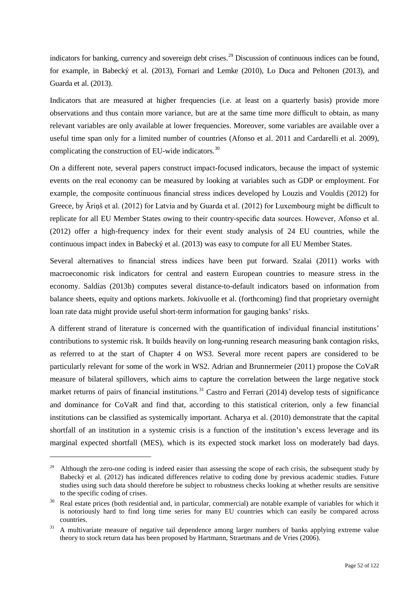indicators for banking, currency and sovereign debt crises.<sup>[29](#page-50-2)</sup> Discussion of continuous indices can be found, for example, in Babecký et al. (2013), Fornari and Lemke (2010), Lo Duca and Peltonen (2013), and Guarda et al. (2013).

Indicators that are measured at higher frequencies (i.e. at least on a quarterly basis) provide more observations and thus contain more variance, but are at the same time more difficult to obtain, as many relevant variables are only available at lower frequencies. Moreover, some variables are available over a useful time span only for a limited number of countries (Afonso et al. 2011 and Cardarelli et al. 2009), complicating the construction of EU-wide indicators.<sup>[30](#page-51-0)</sup>

On a different note, several papers construct impact-focused indicators, because the impact of systemic events on the real economy can be measured by looking at variables such as GDP or employment. For example, the composite continuous financial stress indices developed by Louzis and Vouldis (2012) for Greece, by Āriņš et al. (2012) for Latvia and by Guarda et al. (2012) for Luxembourg might be difficult to replicate for all EU Member States owing to their country-specific data sources. However, Afonso et al. (2012) offer a high-frequency index for their event study analysis of 24 EU countries, while the continuous impact index in Babecký et al. (2013) was easy to compute for all EU Member States.

Several alternatives to financial stress indices have been put forward. Szalai (2011) works with macroeconomic risk indicators for central and eastern European countries to measure stress in the economy. Saldías (2013b) computes several distance-to-default indicators based on information from balance sheets, equity and options markets. Jokivuolle et al. (forthcoming) find that proprietary overnight loan rate data might provide useful short-term information for gauging banks' risks.

A different strand of literature is concerned with the quantification of individual financial institutions' contributions to systemic risk. It builds heavily on long-running research measuring bank contagion risks, as referred to at the start of Chapter 4 on WS3. Several more recent papers are considered to be particularly relevant for some of the work in WS2. Adrian and Brunnermeier (2011) propose the CoVaR measure of bilateral spillovers, which aims to capture the correlation between the large negative stock market returns of pairs of financial institutions.<sup>[31](#page-51-1)</sup> Castro and Ferrari (2014) develop tests of significance and dominance for CoVaR and find that, according to this statistical criterion, only a few financial institutions can be classified as systemically important. Acharya et al. (2010) demonstrate that the capital shortfall of an institution in a systemic crisis is a function of the institution's excess leverage and its marginal expected shortfall (MES), which is its expected stock market loss on moderately bad days.

-

<sup>&</sup>lt;sup>29</sup> Although the zero-one coding is indeed easier than assessing the scope of each crisis, the subsequent study by Babecký et al. (2012) has indicated differences relative to coding done by previous academic studies. Future studies using such data should therefore be subject to robustness checks looking at whether results are sensitive to the specific coding of crises.

<span id="page-51-0"></span><sup>30</sup> Real estate prices (both residential and, in particular, commercial) are notable example of variables for which it is notoriously hard to find long time series for many EU countries which can easily be compared across countries. 31 A multivariate measure of negative tail dependence among larger numbers of banks applying extreme value

<span id="page-51-1"></span>theory to stock return data has been proposed by Hartmann, Straetmans and de Vries (2006).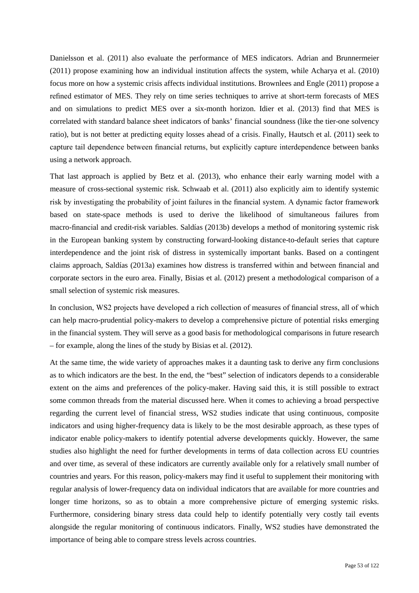Danielsson et al. (2011) also evaluate the performance of MES indicators. Adrian and Brunnermeier (2011) propose examining how an individual institution affects the system, while Acharya et al. (2010) focus more on how a systemic crisis affects individual institutions. Brownlees and Engle (2011) propose a refined estimator of MES. They rely on time series techniques to arrive at short-term forecasts of MES and on simulations to predict MES over a six-month horizon. Idier et al. (2013) find that MES is correlated with standard balance sheet indicators of banks' financial soundness (like the tier-one solvency ratio), but is not better at predicting equity losses ahead of a crisis. Finally, Hautsch et al. (2011) seek to capture tail dependence between financial returns, but explicitly capture interdependence between banks using a network approach.

That last approach is applied by Betz et al. (2013), who enhance their early warning model with a measure of cross-sectional systemic risk. Schwaab et al. (2011) also explicitly aim to identify systemic risk by investigating the probability of joint failures in the financial system. A dynamic factor framework based on state-space methods is used to derive the likelihood of simultaneous failures from macro-financial and credit-risk variables. Saldías (2013b) develops a method of monitoring systemic risk in the European banking system by constructing forward-looking distance-to-default series that capture interdependence and the joint risk of distress in systemically important banks. Based on a contingent claims approach, Saldías (2013a) examines how distress is transferred within and between financial and corporate sectors in the euro area. Finally, Bisias et al. (2012) present a methodological comparison of a small selection of systemic risk measures.

In conclusion, WS2 projects have developed a rich collection of measures of financial stress, all of which can help macro-prudential policy-makers to develop a comprehensive picture of potential risks emerging in the financial system. They will serve as a good basis for methodological comparisons in future research – for example, along the lines of the study by Bisias et al. (2012).

At the same time, the wide variety of approaches makes it a daunting task to derive any firm conclusions as to which indicators are the best. In the end, the "best" selection of indicators depends to a considerable extent on the aims and preferences of the policy-maker. Having said this, it is still possible to extract some common threads from the material discussed here. When it comes to achieving a broad perspective regarding the current level of financial stress, WS2 studies indicate that using continuous, composite indicators and using higher-frequency data is likely to be the most desirable approach, as these types of indicator enable policy-makers to identify potential adverse developments quickly. However, the same studies also highlight the need for further developments in terms of data collection across EU countries and over time, as several of these indicators are currently available only for a relatively small number of countries and years. For this reason, policy-makers may find it useful to supplement their monitoring with regular analysis of lower-frequency data on individual indicators that are available for more countries and longer time horizons, so as to obtain a more comprehensive picture of emerging systemic risks. Furthermore, considering binary stress data could help to identify potentially very costly tail events alongside the regular monitoring of continuous indicators. Finally, WS2 studies have demonstrated the importance of being able to compare stress levels across countries.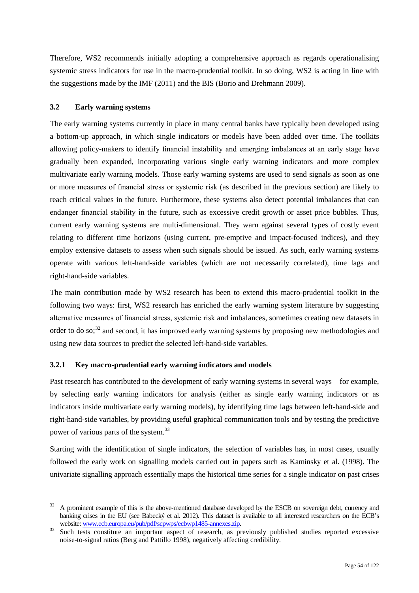Therefore, WS2 recommends initially adopting a comprehensive approach as regards operationalising systemic stress indicators for use in the macro-prudential toolkit. In so doing, WS2 is acting in line with the suggestions made by the IMF (2011) and the BIS (Borio and Drehmann 2009).

## **3.2 Early warning systems**

The early warning systems currently in place in many central banks have typically been developed using a bottom-up approach, in which single indicators or models have been added over time. The toolkits allowing policy-makers to identify financial instability and emerging imbalances at an early stage have gradually been expanded, incorporating various single early warning indicators and more complex multivariate early warning models. Those early warning systems are used to send signals as soon as one or more measures of financial stress or systemic risk (as described in the previous section) are likely to reach critical values in the future. Furthermore, these systems also detect potential imbalances that can endanger financial stability in the future, such as excessive credit growth or asset price bubbles. Thus, current early warning systems are multi-dimensional. They warn against several types of costly event relating to different time horizons (using current, pre-emptive and impact-focused indices), and they employ extensive datasets to assess when such signals should be issued. As such, early warning systems operate with various left-hand-side variables (which are not necessarily correlated), time lags and right-hand-side variables.

The main contribution made by WS2 research has been to extend this macro-prudential toolkit in the following two ways: first, WS2 research has enriched the early warning system literature by suggesting alternative measures of financial stress, systemic risk and imbalances, sometimes creating new datasets in order to do so;<sup>[32](#page-53-0)</sup> and second, it has improved early warning systems by proposing new methodologies and using new data sources to predict the selected left-hand-side variables.

## **3.2.1 Key macro-prudential early warning indicators and models**

Past research has contributed to the development of early warning systems in several ways – for example, by selecting early warning indicators for analysis (either as single early warning indicators or as indicators inside multivariate early warning models), by identifying time lags between left-hand-side and right-hand-side variables, by providing useful graphical communication tools and by testing the predictive power of various parts of the system.<sup>[33](#page-53-1)</sup>

Starting with the identification of single indicators, the selection of variables has, in most cases, usually followed the early work on signalling models carried out in papers such as Kaminsky et al. (1998). The univariate signalling approach essentially maps the historical time series for a single indicator on past crises

<span id="page-53-0"></span> <sup>32</sup> A prominent example of this is the above-mentioned database developed by the ESCB on sovereign debt, currency and banking crises in the EU (see Babecký et al. 2012). This dataset is available to all interested researchers on the ECB's

<span id="page-53-1"></span>website[: www.ecb.europa.eu/pub/pdf/scpwps/ecbwp1485-annexes.zip.](http://www.ecb.europa.eu/pub/pdf/scpwps/ecbwp1485-annexes.zip)<br>Such tests constitute an important aspect of research, as previously published studies reported excessive noise-to-signal ratios (Berg and Pattillo 1998), negatively affecting credibility.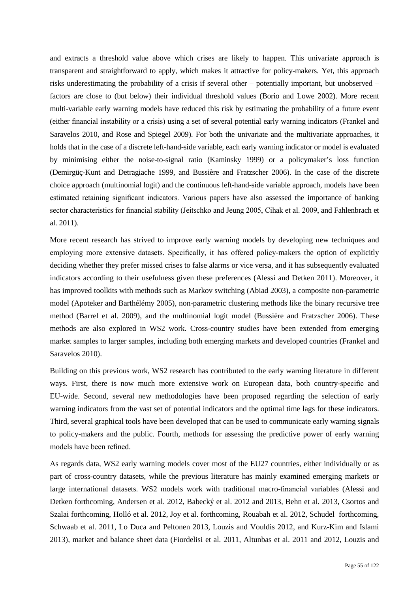and extracts a threshold value above which crises are likely to happen. This univariate approach is transparent and straightforward to apply, which makes it attractive for policy-makers. Yet, this approach risks underestimating the probability of a crisis if several other – potentially important, but unobserved – factors are close to (but below) their individual threshold values (Borio and Lowe 2002). More recent multi-variable early warning models have reduced this risk by estimating the probability of a future event (either financial instability or a crisis) using a set of several potential early warning indicators (Frankel and Saravelos 2010, and Rose and Spiegel 2009). For both the univariate and the multivariate approaches, it holds that in the case of a discrete left-hand-side variable, each early warning indicator or model is evaluated by minimising either the noise-to-signal ratio (Kaminsky 1999) or a policymaker's loss function (Demirgüç-Kunt and Detragiache 1999, and Bussière and Fratzscher 2006). In the case of the discrete choice approach (multinomial logit) and the continuous left-hand-side variable approach, models have been estimated retaining significant indicators. Various papers have also assessed the importance of banking sector characteristics for financial stability (Jeitschko and Jeung 2005, Cihak et al. 2009, and Fahlenbrach et al. 2011).

More recent research has strived to improve early warning models by developing new techniques and employing more extensive datasets. Specifically, it has offered policy-makers the option of explicitly deciding whether they prefer missed crises to false alarms or vice versa, and it has subsequently evaluated indicators according to their usefulness given these preferences (Alessi and Detken 2011). Moreover, it has improved toolkits with methods such as Markov switching (Abiad 2003), a composite non-parametric model (Apoteker and Barthélémy 2005), non-parametric clustering methods like the binary recursive tree method (Barrel et al. 2009), and the multinomial logit model (Bussière and Fratzscher 2006). These methods are also explored in WS2 work. Cross-country studies have been extended from emerging market samples to larger samples, including both emerging markets and developed countries (Frankel and Saravelos 2010).

Building on this previous work, WS2 research has contributed to the early warning literature in different ways. First, there is now much more extensive work on European data, both country-specific and EU-wide. Second, several new methodologies have been proposed regarding the selection of early warning indicators from the vast set of potential indicators and the optimal time lags for these indicators. Third, several graphical tools have been developed that can be used to communicate early warning signals to policy-makers and the public. Fourth, methods for assessing the predictive power of early warning models have been refined.

As regards data, WS2 early warning models cover most of the EU27 countries, either individually or as part of cross-country datasets, while the previous literature has mainly examined emerging markets or large international datasets. WS2 models work with traditional macro-financial variables (Alessi and Detken forthcoming, Andersen et al. 2012, Babecký et al. 2012 and 2013, Behn et al. 2013, Csortos and Szalai forthcoming, Holló et al. 2012, Joy et al. forthcoming, Rouabah et al. 2012, Schudel forthcoming, Schwaab et al. 2011, Lo Duca and Peltonen 2013, Louzis and Vouldis 2012, and Kurz-Kim and Islami 2013), market and balance sheet data (Fiordelisi et al. 2011, Altunbas et al. 2011 and 2012, Louzis and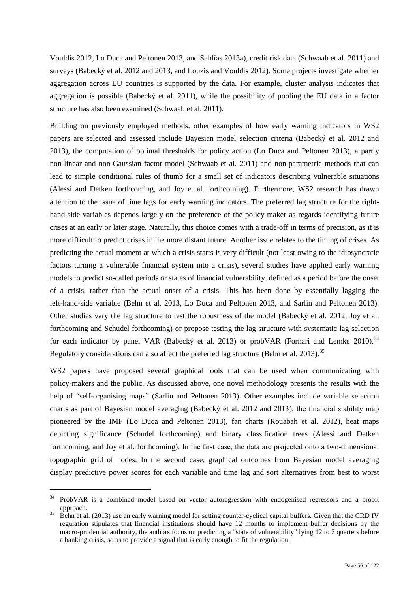Vouldis 2012, Lo Duca and Peltonen 2013, and Saldías 2013a), credit risk data (Schwaab et al. 2011) and surveys (Babecký et al. 2012 and 2013, and Louzis and Vouldis 2012). Some projects investigate whether aggregation across EU countries is supported by the data. For example, cluster analysis indicates that aggregation is possible (Babecký et al. 2011), while the possibility of pooling the EU data in a factor structure has also been examined (Schwaab et al. 2011).

Building on previously employed methods, other examples of how early warning indicators in WS2 papers are selected and assessed include Bayesian model selection criteria (Babecký et al. 2012 and 2013), the computation of optimal thresholds for policy action (Lo Duca and Peltonen 2013), a partly non-linear and non-Gaussian factor model (Schwaab et al. 2011) and non-parametric methods that can lead to simple conditional rules of thumb for a small set of indicators describing vulnerable situations (Alessi and Detken forthcoming, and Joy et al. forthcoming). Furthermore, WS2 research has drawn attention to the issue of time lags for early warning indicators. The preferred lag structure for the righthand-side variables depends largely on the preference of the policy-maker as regards identifying future crises at an early or later stage. Naturally, this choice comes with a trade-off in terms of precision, as it is more difficult to predict crises in the more distant future. Another issue relates to the timing of crises. As predicting the actual moment at which a crisis starts is very difficult (not least owing to the idiosyncratic factors turning a vulnerable financial system into a crisis), several studies have applied early warning models to predict so-called periods or states of financial vulnerability, defined as a period before the onset of a crisis, rather than the actual onset of a crisis. This has been done by essentially lagging the left-hand-side variable (Behn et al. 2013, Lo Duca and Peltonen 2013, and Sarlin and Peltonen 2013). Other studies vary the lag structure to test the robustness of the model (Babecký et al. 2012, Joy et al. forthcoming and Schudel forthcoming) or propose testing the lag structure with systematic lag selection for each indicator by panel VAR (Babecký et al. 2013) or probVAR (Fornari and Lemke 2010).<sup>[34](#page-55-0)</sup> Regulatory considerations can also affect the preferred lag structure (Behn et al. 2013).<sup>[35](#page-55-1)</sup>

WS2 papers have proposed several graphical tools that can be used when communicating with policy-makers and the public. As discussed above, one novel methodology presents the results with the help of "self-organising maps" (Sarlin and Peltonen 2013). Other examples include variable selection charts as part of Bayesian model averaging (Babecký et al. 2012 and 2013), the financial stability map pioneered by the IMF (Lo Duca and Peltonen 2013), fan charts (Rouabah et al. 2012), heat maps depicting significance (Schudel forthcoming) and binary classification trees (Alessi and Detken forthcoming, and Joy et al. forthcoming). In the first case, the data are projected onto a two-dimensional topographic grid of nodes. In the second case, graphical outcomes from Bayesian model averaging display predictive power scores for each variable and time lag and sort alternatives from best to worst

<span id="page-55-0"></span><sup>&</sup>lt;sup>34</sup> ProbVAR is a combined model based on vector autoregression with endogenised regressors and a probit approach.<br><sup>35</sup> Behn et al. (2013) use an early warning model for setting counter-cyclical capital buffers. Given that the CRD IV

<span id="page-55-1"></span>regulation stipulates that financial institutions should have 12 months to implement buffer decisions by the macro-prudential authority, the authors focus on predicting a "state of vulnerability" lying 12 to 7 quarters before a banking crisis, so as to provide a signal that is early enough to fit the regulation.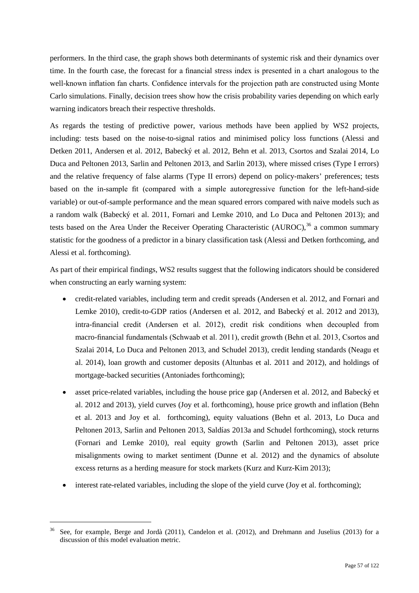performers. In the third case, the graph shows both determinants of systemic risk and their dynamics over time. In the fourth case, the forecast for a financial stress index is presented in a chart analogous to the well-known inflation fan charts. Confidence intervals for the projection path are constructed using Monte Carlo simulations. Finally, decision trees show how the crisis probability varies depending on which early warning indicators breach their respective thresholds.

As regards the testing of predictive power, various methods have been applied by WS2 projects, including: tests based on the noise-to-signal ratios and minimised policy loss functions (Alessi and Detken 2011, Andersen et al. 2012, Babecký et al. 2012, Behn et al. 2013, Csortos and Szalai 2014, Lo Duca and Peltonen 2013, Sarlin and Peltonen 2013, and Sarlin 2013), where missed crises (Type I errors) and the relative frequency of false alarms (Type II errors) depend on policy-makers' preferences; tests based on the in-sample fit (compared with a simple autoregressive function for the left-hand-side variable) or out-of-sample performance and the mean squared errors compared with naive models such as a random walk (Babecký et al. 2011, Fornari and Lemke 2010, and Lo Duca and Peltonen 2013); and tests based on the Area Under the Receiver Operating Characteristic (AUROC),<sup>[36](#page-56-0)</sup> a common summary statistic for the goodness of a predictor in a binary classification task (Alessi and Detken forthcoming, and Alessi et al. forthcoming).

As part of their empirical findings, WS2 results suggest that the following indicators should be considered when constructing an early warning system:

- credit-related variables, including term and credit spreads (Andersen et al. 2012, and Fornari and Lemke 2010), credit-to-GDP ratios (Andersen et al. 2012, and Babecký et al. 2012 and 2013), intra-financial credit (Andersen et al. 2012), credit risk conditions when decoupled from macro-financial fundamentals (Schwaab et al. 2011), credit growth (Behn et al. 2013, Csortos and Szalai 2014, Lo Duca and Peltonen 2013, and Schudel 2013), credit lending standards (Neagu et al. 2014), loan growth and customer deposits (Altunbas et al. 2011 and 2012), and holdings of mortgage-backed securities (Antoniades forthcoming);
- asset price-related variables, including the house price gap (Andersen et al. 2012, and Babecký et al. 2012 and 2013), yield curves (Joy et al. forthcoming), house price growth and inflation (Behn et al. 2013 and Joy et al. forthcoming), equity valuations (Behn et al. 2013, Lo Duca and Peltonen 2013, Sarlin and Peltonen 2013, Saldías 2013a and Schudel forthcoming), stock returns (Fornari and Lemke 2010), real equity growth (Sarlin and Peltonen 2013), asset price misalignments owing to market sentiment (Dunne et al. 2012) and the dynamics of absolute excess returns as a herding measure for stock markets (Kurz and Kurz-Kim 2013);
- interest rate-related variables, including the slope of the yield curve (Joy et al. forthcoming);

<span id="page-56-0"></span>See, for example, Berge and Jordà (2011), Candelon et al. (2012), and Drehmann and Juselius (2013) for a discussion of this model evaluation metric.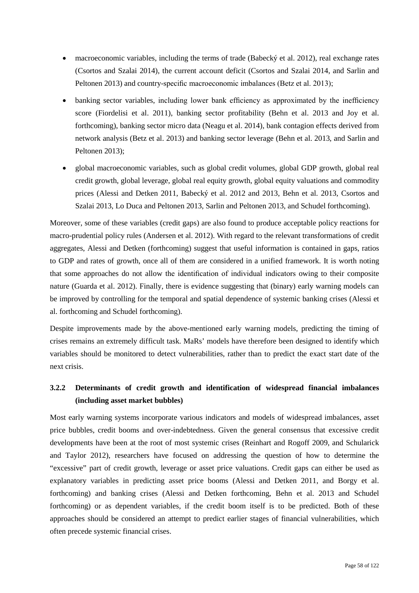- macroeconomic variables, including the terms of trade (Babecký et al. 2012), real exchange rates (Csortos and Szalai 2014), the current account deficit (Csortos and Szalai 2014, and Sarlin and Peltonen 2013) and country-specific macroeconomic imbalances (Betz et al. 2013);
- banking sector variables, including lower bank efficiency as approximated by the inefficiency score (Fiordelisi et al. 2011), banking sector profitability (Behn et al. 2013 and Joy et al. forthcoming), banking sector micro data (Neagu et al. 2014), bank contagion effects derived from network analysis (Betz et al. 2013) and banking sector leverage (Behn et al. 2013, and Sarlin and Peltonen 2013);
- global macroeconomic variables, such as global credit volumes, global GDP growth, global real credit growth, global leverage, global real equity growth, global equity valuations and commodity prices (Alessi and Detken 2011, Babecký et al. 2012 and 2013, Behn et al. 2013, Csortos and Szalai 2013, Lo Duca and Peltonen 2013, Sarlin and Peltonen 2013, and Schudel forthcoming).

Moreover, some of these variables (credit gaps) are also found to produce acceptable policy reactions for macro-prudential policy rules (Andersen et al. 2012). With regard to the relevant transformations of credit aggregates, Alessi and Detken (forthcoming) suggest that useful information is contained in gaps, ratios to GDP and rates of growth, once all of them are considered in a unified framework. It is worth noting that some approaches do not allow the identification of individual indicators owing to their composite nature (Guarda et al. 2012). Finally, there is evidence suggesting that (binary) early warning models can be improved by controlling for the temporal and spatial dependence of systemic banking crises (Alessi et al. forthcoming and Schudel forthcoming).

Despite improvements made by the above-mentioned early warning models, predicting the timing of crises remains an extremely difficult task. MaRs' models have therefore been designed to identify which variables should be monitored to detect vulnerabilities, rather than to predict the exact start date of the next crisis.

# **3.2.2 Determinants of credit growth and identification of widespread financial imbalances (including asset market bubbles)**

<span id="page-57-0"></span>Most early warning systems incorporate various indicators and models of widespread imbalances, asset price bubbles, credit booms and over-indebtedness. Given the general consensus that excessive credit developments have been at the root of most systemic crises (Reinhart and Rogoff 2009, and Schularick and Taylor 2012), researchers have focused on addressing the question of how to determine the "excessive" part of credit growth, leverage or asset price valuations. Credit gaps can either be used as explanatory variables in predicting asset price booms (Alessi and Detken 2011, and Borgy et al. forthcoming) and banking crises (Alessi and Detken forthcoming, Behn et al. 2013 and Schudel forthcoming) or as dependent variables, if the credit boom itself is to be predicted. Both of these approaches should be considered an attempt to predict earlier stages of financial vulnerabilities, which often precede systemic financial crises.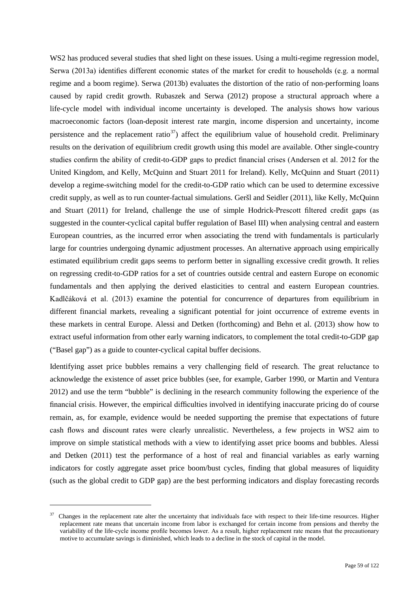WS2 has produced several studies that shed light on these issues. Using a multi-regime regression model, Serwa (2013a) identifies different economic states of the market for credit to households (e.g. a normal regime and a boom regime). Serwa (2013b) evaluates the distortion of the ratio of non-performing loans caused by rapid credit growth. Rubaszek and Serwa (2012) propose a structural approach where a life-cycle model with individual income uncertainty is developed. The analysis shows how various macroeconomic factors (loan-deposit interest rate margin, income dispersion and uncertainty, income persistence and the replacement ratio<sup>[37](#page-57-0)</sup>) affect the equilibrium value of household credit. Preliminary results on the derivation of equilibrium credit growth using this model are available. Other single-country studies confirm the ability of credit-to-GDP gaps to predict financial crises (Andersen et al. 2012 for the United Kingdom, and Kelly, McQuinn and Stuart 2011 for Ireland). Kelly, McQuinn and Stuart (2011) develop a regime-switching model for the credit-to-GDP ratio which can be used to determine excessive credit supply, as well as to run counter-factual simulations. Geršl and Seidler (2011), like Kelly, McQuinn and Stuart (2011) for Ireland, challenge the use of simple Hodrick-Prescott filtered credit gaps (as suggested in the counter-cyclical capital buffer regulation of Basel III) when analysing central and eastern European countries, as the incurred error when associating the trend with fundamentals is particularly large for countries undergoing dynamic adjustment processes. An alternative approach using empirically estimated equilibrium credit gaps seems to perform better in signalling excessive credit growth. It relies on regressing credit-to-GDP ratios for a set of countries outside central and eastern Europe on economic fundamentals and then applying the derived elasticities to central and eastern European countries. Kadlčáková et al. (2013) examine the potential for concurrence of departures from equilibrium in different financial markets, revealing a significant potential for joint occurrence of extreme events in these markets in central Europe. Alessi and Detken (forthcoming) and Behn et al. (2013) show how to extract useful information from other early warning indicators, to complement the total credit-to-GDP gap ("Basel gap") as a guide to counter-cyclical capital buffer decisions.

Identifying asset price bubbles remains a very challenging field of research. The great reluctance to acknowledge the existence of asset price bubbles (see, for example, Garber 1990, or Martin and Ventura 2012) and use the term "bubble" is declining in the research community following the experience of the financial crisis. However, the empirical difficulties involved in identifying inaccurate pricing do of course remain, as, for example, evidence would be needed supporting the premise that expectations of future cash flows and discount rates were clearly unrealistic. Nevertheless, a few projects in WS2 aim to improve on simple statistical methods with a view to identifying asset price booms and bubbles. Alessi and Detken (2011) test the performance of a host of real and financial variables as early warning indicators for costly aggregate asset price boom/bust cycles, finding that global measures of liquidity (such as the global credit to GDP gap) are the best performing indicators and display forecasting records

-

<sup>&</sup>lt;sup>37</sup> Changes in the replacement rate alter the uncertainty that individuals face with respect to their life-time resources. Higher replacement rate means that uncertain income from labor is exchanged for certain income from pensions and thereby the variability of the life-cycle income profile becomes lower. As a result, higher replacement rate means that the precautionary motive to accumulate savings is diminished, which leads to a decline in the stock of capital in the model.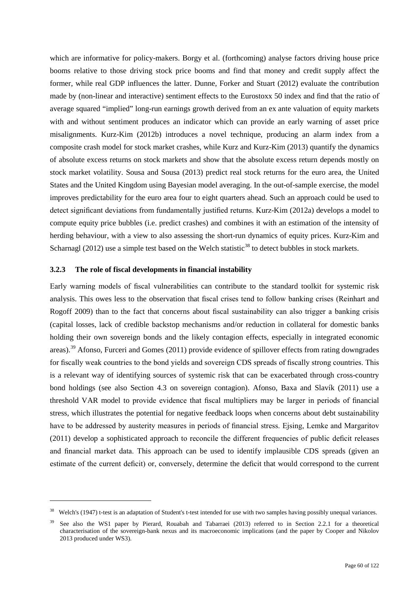which are informative for policy-makers. Borgy et al. (forthcoming) analyse factors driving house price booms relative to those driving stock price booms and find that money and credit supply affect the former, while real GDP influences the latter. Dunne, Forker and Stuart (2012) evaluate the contribution made by (non-linear and interactive) sentiment effects to the Eurostoxx 50 index and find that the ratio of average squared "implied" long-run earnings growth derived from an ex ante valuation of equity markets with and without sentiment produces an indicator which can provide an early warning of asset price misalignments. Kurz-Kim (2012b) introduces a novel technique, producing an alarm index from a composite crash model for stock market crashes, while Kurz and Kurz-Kim (2013) quantify the dynamics of absolute excess returns on stock markets and show that the absolute excess return depends mostly on stock market volatility. Sousa and Sousa (2013) predict real stock returns for the euro area, the United States and the United Kingdom using Bayesian model averaging. In the out-of-sample exercise, the model improves predictability for the euro area four to eight quarters ahead. Such an approach could be used to detect significant deviations from fundamentally justified returns. Kurz-Kim (2012a) develops a model to compute equity price bubbles (i.e. predict crashes) and combines it with an estimation of the intensity of herding behaviour, with a view to also assessing the short-run dynamics of equity prices. Kurz-Kim and Scharnagl (2012) use a simple test based on the Welch statistic<sup>[38](#page-59-0)</sup> to detect bubbles in stock markets.

#### **3.2.3 The role of fiscal developments in financial instability**

-

Early warning models of fiscal vulnerabilities can contribute to the standard toolkit for systemic risk analysis. This owes less to the observation that fiscal crises tend to follow banking crises (Reinhart and Rogoff 2009) than to the fact that concerns about fiscal sustainability can also trigger a banking crisis (capital losses, lack of credible backstop mechanisms and/or reduction in collateral for domestic banks holding their own sovereign bonds and the likely contagion effects, especially in integrated economic areas).[39](#page-59-1) Afonso, Furceri and Gomes (2011) provide evidence of spillover effects from rating downgrades for fiscally weak countries to the bond yields and sovereign CDS spreads of fiscally strong countries. This is a relevant way of identifying sources of systemic risk that can be exacerbated through cross-country bond holdings (see also Section 4.3 on sovereign contagion). Afonso, Baxa and Slavík (2011) use a threshold VAR model to provide evidence that fiscal multipliers may be larger in periods of financial stress, which illustrates the potential for negative feedback loops when concerns about debt sustainability have to be addressed by austerity measures in periods of financial stress. Ejsing, Lemke and Margaritov (2011) develop a sophisticated approach to reconcile the different frequencies of public deficit releases and financial market data. This approach can be used to identify implausible CDS spreads (given an estimate of the current deficit) or, conversely, determine the deficit that would correspond to the current

<span id="page-59-0"></span><sup>&</sup>lt;sup>38</sup> Welch's (1947) t-test is an adaptation of Student's t-test intended for use with two samples having possibly unequal variances.

<span id="page-59-1"></span>See also the WS1 paper by Pierard, Rouabah and Tabarraei (2013) referred to in Section 2.2.1 for a theoretical characterisation of the sovereign-bank nexus and its macroeconomic implications (and the paper by Cooper and Nikolov 2013 produced under WS3).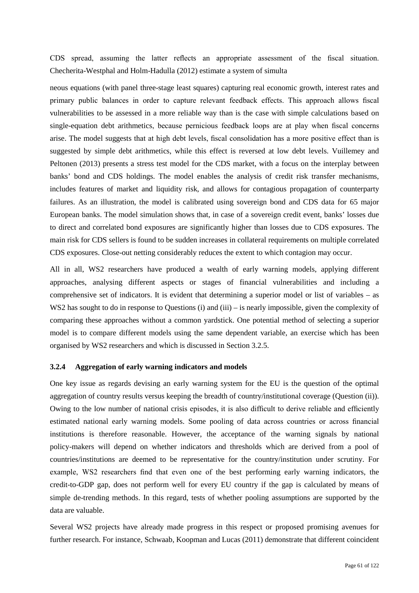CDS spread, assuming the latter reflects an appropriate assessment of the fiscal situation. Checherita-Westphal and Holm-Hadulla (2012) estimate a system of simulta

neous equations (with panel three-stage least squares) capturing real economic growth, interest rates and primary public balances in order to capture relevant feedback effects. This approach allows fiscal vulnerabilities to be assessed in a more reliable way than is the case with simple calculations based on single-equation debt arithmetics, because pernicious feedback loops are at play when fiscal concerns arise. The model suggests that at high debt levels, fiscal consolidation has a more positive effect than is suggested by simple debt arithmetics, while this effect is reversed at low debt levels. Vuillemey and Peltonen (2013) presents a stress test model for the CDS market, with a focus on the interplay between banks' bond and CDS holdings. The model enables the analysis of credit risk transfer mechanisms, includes features of market and liquidity risk, and allows for contagious propagation of counterparty failures. As an illustration, the model is calibrated using sovereign bond and CDS data for 65 major European banks. The model simulation shows that, in case of a sovereign credit event, banks' losses due to direct and correlated bond exposures are significantly higher than losses due to CDS exposures. The main risk for CDS sellers is found to be sudden increases in collateral requirements on multiple correlated CDS exposures. Close-out netting considerably reduces the extent to which contagion may occur.

All in all, WS2 researchers have produced a wealth of early warning models, applying different approaches, analysing different aspects or stages of financial vulnerabilities and including a comprehensive set of indicators. It is evident that determining a superior model or list of variables – as WS2 has sought to do in response to Questions (i) and (iii) – is nearly impossible, given the complexity of comparing these approaches without a common yardstick. One potential method of selecting a superior model is to compare different models using the same dependent variable, an exercise which has been organised by WS2 researchers and which is discussed in Section 3.2.5.

### **3.2.4 Aggregation of early warning indicators and models**

One key issue as regards devising an early warning system for the EU is the question of the optimal aggregation of country results versus keeping the breadth of country/institutional coverage (Question (ii)). Owing to the low number of national crisis episodes, it is also difficult to derive reliable and efficiently estimated national early warning models. Some pooling of data across countries or across financial institutions is therefore reasonable. However, the acceptance of the warning signals by national policy-makers will depend on whether indicators and thresholds which are derived from a pool of countries/institutions are deemed to be representative for the country/institution under scrutiny. For example, WS2 researchers find that even one of the best performing early warning indicators, the credit-to-GDP gap, does not perform well for every EU country if the gap is calculated by means of simple de-trending methods. In this regard, tests of whether pooling assumptions are supported by the data are valuable.

Several WS2 projects have already made progress in this respect or proposed promising avenues for further research. For instance, Schwaab, Koopman and Lucas (2011) demonstrate that different coincident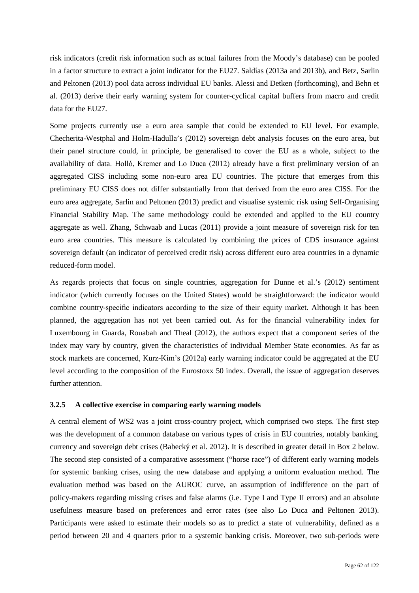risk indicators (credit risk information such as actual failures from the Moody's database) can be pooled in a factor structure to extract a joint indicator for the EU27. Saldías (2013a and 2013b), and Betz, Sarlin and Peltonen (2013) pool data across individual EU banks. Alessi and Detken (forthcoming), and Behn et al. (2013) derive their early warning system for counter-cyclical capital buffers from macro and credit data for the EU27.

Some projects currently use a euro area sample that could be extended to EU level. For example, Checherita-Westphal and Holm-Hadulla's (2012) sovereign debt analysis focuses on the euro area, but their panel structure could, in principle, be generalised to cover the EU as a whole, subject to the availability of data. Holló, Kremer and Lo Duca (2012) already have a first preliminary version of an aggregated CISS including some non-euro area EU countries. The picture that emerges from this preliminary EU CISS does not differ substantially from that derived from the euro area CISS. For the euro area aggregate, Sarlin and Peltonen (2013) predict and visualise systemic risk using Self-Organising Financial Stability Map. The same methodology could be extended and applied to the EU country aggregate as well. Zhang, Schwaab and Lucas (2011) provide a joint measure of sovereign risk for ten euro area countries. This measure is calculated by combining the prices of CDS insurance against sovereign default (an indicator of perceived credit risk) across different euro area countries in a dynamic reduced-form model.

As regards projects that focus on single countries, aggregation for Dunne et al.'s (2012) sentiment indicator (which currently focuses on the United States) would be straightforward: the indicator would combine country-specific indicators according to the size of their equity market. Although it has been planned, the aggregation has not yet been carried out. As for the financial vulnerability index for Luxembourg in Guarda, Rouabah and Theal (2012), the authors expect that a component series of the index may vary by country, given the characteristics of individual Member State economies. As far as stock markets are concerned, Kurz-Kim's (2012a) early warning indicator could be aggregated at the EU level according to the composition of the Eurostoxx 50 index. Overall, the issue of aggregation deserves further attention.

#### **3.2.5 A collective exercise in comparing early warning models**

A central element of WS2 was a joint cross-country project, which comprised two steps. The first step was the development of a common database on various types of crisis in EU countries, notably banking, currency and sovereign debt crises (Babecký et al. 2012). It is described in greater detail in Box 2 below. The second step consisted of a comparative assessment ("horse race") of different early warning models for systemic banking crises, using the new database and applying a uniform evaluation method. The evaluation method was based on the AUROC curve, an assumption of indifference on the part of policy-makers regarding missing crises and false alarms (i.e. Type I and Type II errors) and an absolute usefulness measure based on preferences and error rates (see also Lo Duca and Peltonen 2013). Participants were asked to estimate their models so as to predict a state of vulnerability, defined as a period between 20 and 4 quarters prior to a systemic banking crisis. Moreover, two sub-periods were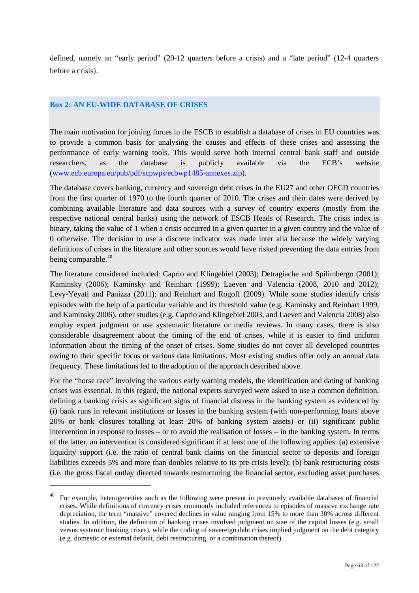defined, namely an "early period" (20-12 quarters before a crisis) and a "late period" (12-4 quarters before a crisis).

## **Box 2: AN EU-WIDE DATABASE OF CRISES**

-

The main motivation for joining forces in the ESCB to establish a database of crises in EU countries was to provide a common basis for analysing the causes and effects of these crises and assessing the performance of early warning tools. This would serve both internal central bank staff and outside researchers, as the database is publicly available via the ECB's website [\(www.ecb.europa.eu/pub/pdf/scpwps/ecbwp1485-annexes.zip\)](http://www.ecb.europa.eu/pub/pdf/scpwps/ecbwp1485-annexes.zip).

The database covers banking, currency and sovereign debt crises in the EU27 and other OECD countries from the first quarter of 1970 to the fourth quarter of 2010. The crises and their dates were derived by combining available literature and data sources with a survey of country experts (mostly from the respective national central banks) using the network of ESCB Heads of Research. The crisis index is binary, taking the value of 1 when a crisis occurred in a given quarter in a given country and the value of 0 otherwise. The decision to use a discrete indicator was made inter alia because the widely varying definitions of crises in the literature and other sources would have risked preventing the data entries from being comparable.<sup>[40](#page-62-0)</sup>

The literature considered included: Caprio and Klingebiel (2003); Detragiache and Spilimbergo (2001); Kaminsky (2006); Kaminsky and Reinhart (1999); Laeven and Valencia (2008, 2010 and 2012); Levy-Yeyati and Panizza (2011); and Reinhart and Rogoff (2009). While some studies identify crisis episodes with the help of a particular variable and its threshold value (e.g. Kaminsky and Reinhart 1999, and Kaminsky 2006), other studies (e.g. Caprio and Klingebiel 2003, and Laeven and Valencia 2008) also employ expert judgment or use systematic literature or media reviews. In many cases, there is also considerable disagreement about the timing of the end of crises, while it is easier to find uniform information about the timing of the onset of crises. Some studies do not cover all developed countries owing to their specific focus or various data limitations. Most existing studies offer only an annual data frequency. These limitations led to the adoption of the approach described above.

For the "horse race" involving the various early warning models, the identification and dating of banking crises was essential. In this regard, the national experts surveyed were asked to use a common definition, defining a banking crisis as significant signs of financial distress in the banking system as evidenced by (i) bank runs in relevant institutions or losses in the banking system (with non-performing loans above 20% or bank closures totalling at least 20% of banking system assets) or (ii) significant public intervention in response to losses – or to avoid the realisation of losses – in the banking system. In terms of the latter, an intervention is considered significant if at least one of the following applies: (a) extensive liquidity support (i.e. the ratio of central bank claims on the financial sector to deposits and foreign liabilities exceeds 5% and more than doubles relative to its pre-crisis level); (b) bank restructuring costs (i.e. the gross fiscal outlay directed towards restructuring the financial sector, excluding asset purchases

<span id="page-62-0"></span><sup>40</sup> For example, heterogeneities such as the following were present in previously available databases of financial crises. While definitions of currency crises commonly included references to episodes of massive exchange rate depreciation, the term "massive" covered declines in value ranging from 15% to more than 30% across different studies. In addition, the definition of banking crises involved judgment on size of the capital losses (e.g. small versus systemic banking crises), while the coding of sovereign debt crises implied judgment on the debt category (e.g. domestic or external default, debt restructuring, or a combination thereof).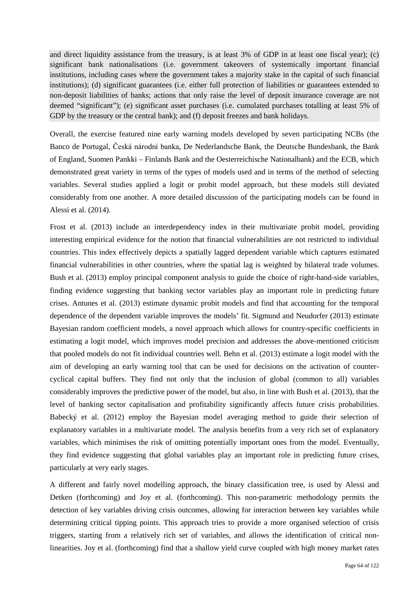and direct liquidity assistance from the treasury, is at least 3% of GDP in at least one fiscal year); (c) significant bank nationalisations (i.e. government takeovers of systemically important financial institutions, including cases where the government takes a majority stake in the capital of such financial institutions); (d) significant guarantees (i.e. either full protection of liabilities or guarantees extended to non-deposit liabilities of banks; actions that only raise the level of deposit insurance coverage are not deemed "significant"); (e) significant asset purchases (i.e. cumulated purchases totalling at least 5% of GDP by the treasury or the central bank); and (f) deposit freezes and bank holidays.

Overall, the exercise featured nine early warning models developed by seven participating NCBs (the Banco de Portugal, Česká národní banka, De Nederlandsche Bank, the Deutsche Bundesbank, the Bank of England, Suomen Pankki – Finlands Bank and the Oesterreichische Nationalbank) and the ECB, which demonstrated great variety in terms of the types of models used and in terms of the method of selecting variables. Several studies applied a logit or probit model approach, but these models still deviated considerably from one another. A more detailed discussion of the participating models can be found in Alessi et al. (2014).

Frost et al. (2013) include an interdependency index in their multivariate probit model, providing interesting empirical evidence for the notion that financial vulnerabilities are not restricted to individual countries. This index effectively depicts a spatially lagged dependent variable which captures estimated financial vulnerabilities in other countries, where the spatial lag is weighted by bilateral trade volumes. Bush et al. (2013) employ principal component analysis to guide the choice of right-hand-side variables, finding evidence suggesting that banking sector variables play an important role in predicting future crises. Antunes et al. (2013) estimate dynamic probit models and find that accounting for the temporal dependence of the dependent variable improves the models' fit. Sigmund and Neudorfer (2013) estimate Bayesian random coefficient models, a novel approach which allows for country-specific coefficients in estimating a logit model, which improves model precision and addresses the above-mentioned criticism that pooled models do not fit individual countries well. Behn et al. (2013) estimate a logit model with the aim of developing an early warning tool that can be used for decisions on the activation of countercyclical capital buffers. They find not only that the inclusion of global (common to all) variables considerably improves the predictive power of the model, but also, in line with Bush et al. (2013), that the level of banking sector capitalisation and profitability significantly affects future crisis probabilities. Babecký et al. (2012) employ the Bayesian model averaging method to guide their selection of explanatory variables in a multivariate model. The analysis benefits from a very rich set of explanatory variables, which minimises the risk of omitting potentially important ones from the model. Eventually, they find evidence suggesting that global variables play an important role in predicting future crises, particularly at very early stages.

A different and fairly novel modelling approach, the binary classification tree, is used by Alessi and Detken (forthcoming) and Joy et al. (forthcoming). This non-parametric methodology permits the detection of key variables driving crisis outcomes, allowing for interaction between key variables while determining critical tipping points. This approach tries to provide a more organised selection of crisis triggers, starting from a relatively rich set of variables, and allows the identification of critical nonlinearities. Joy et al. (forthcoming) find that a shallow yield curve coupled with high money market rates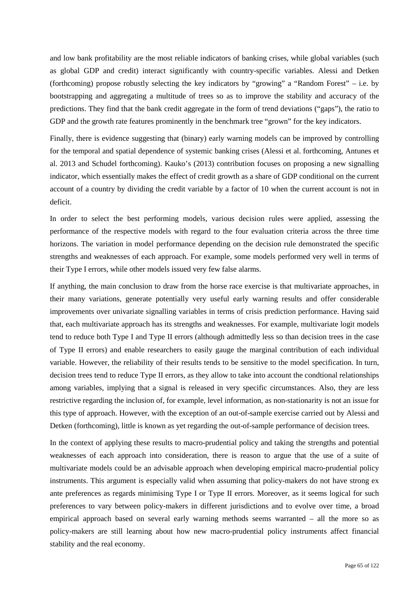and low bank profitability are the most reliable indicators of banking crises, while global variables (such as global GDP and credit) interact significantly with country-specific variables. Alessi and Detken (forthcoming) propose robustly selecting the key indicators by "growing" a "Random Forest" – i.e. by bootstrapping and aggregating a multitude of trees so as to improve the stability and accuracy of the predictions. They find that the bank credit aggregate in the form of trend deviations ("gaps"), the ratio to GDP and the growth rate features prominently in the benchmark tree "grown" for the key indicators.

Finally, there is evidence suggesting that (binary) early warning models can be improved by controlling for the temporal and spatial dependence of systemic banking crises (Alessi et al. forthcoming, Antunes et al. 2013 and Schudel forthcoming). Kauko's (2013) contribution focuses on proposing a new signalling indicator, which essentially makes the effect of credit growth as a share of GDP conditional on the current account of a country by dividing the credit variable by a factor of 10 when the current account is not in deficit.

In order to select the best performing models, various decision rules were applied, assessing the performance of the respective models with regard to the four evaluation criteria across the three time horizons. The variation in model performance depending on the decision rule demonstrated the specific strengths and weaknesses of each approach. For example, some models performed very well in terms of their Type I errors, while other models issued very few false alarms.

If anything, the main conclusion to draw from the horse race exercise is that multivariate approaches, in their many variations, generate potentially very useful early warning results and offer considerable improvements over univariate signalling variables in terms of crisis prediction performance. Having said that, each multivariate approach has its strengths and weaknesses. For example, multivariate logit models tend to reduce both Type I and Type II errors (although admittedly less so than decision trees in the case of Type II errors) and enable researchers to easily gauge the marginal contribution of each individual variable. However, the reliability of their results tends to be sensitive to the model specification. In turn, decision trees tend to reduce Type II errors, as they allow to take into account the condtional relationships among variables, implying that a signal is released in very specific circumstances. Also, they are less restrictive regarding the inclusion of, for example, level information, as non-stationarity is not an issue for this type of approach. However, with the exception of an out-of-sample exercise carried out by Alessi and Detken (forthcoming), little is known as yet regarding the out-of-sample performance of decision trees.

<span id="page-64-2"></span><span id="page-64-1"></span><span id="page-64-0"></span>In the context of applying these results to macro-prudential policy and taking the strengths and potential weaknesses of each approach into consideration, there is reason to argue that the use of a suite of multivariate models could be an advisable approach when developing empirical macro-prudential policy instruments. This argument is especially valid when assuming that policy-makers do not have strong ex ante preferences as regards minimising Type I or Type II errors. Moreover, as it seems logical for such preferences to vary between policy-makers in different jurisdictions and to evolve over time, a broad empirical approach based on several early warning methods seems warranted – all the more so as policy-makers are still learning about how new macro-prudential policy instruments affect financial stability and the real economy.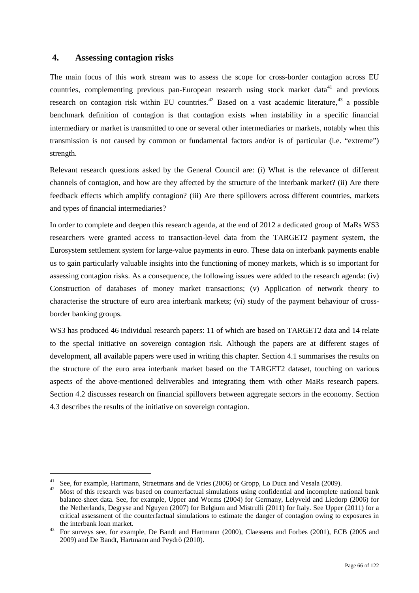## **4. Assessing contagion risks**

The main focus of this work stream was to assess the scope for cross-border contagion across EU countries, complementing previous pan-European research using stock market data<sup>[41](#page-64-0)</sup> and previous research on contagion risk within EU countries.<sup>[42](#page-64-1)</sup> Based on a vast academic literature,<sup>[43](#page-64-2)</sup> a possible benchmark definition of contagion is that contagion exists when instability in a specific financial intermediary or market is transmitted to one or several other intermediaries or markets, notably when this transmission is not caused by common or fundamental factors and/or is of particular (i.e. "extreme") strength.

Relevant research questions asked by the General Council are: (i) What is the relevance of different channels of contagion, and how are they affected by the structure of the interbank market? (ii) Are there feedback effects which amplify contagion? (iii) Are there spillovers across different countries, markets and types of financial intermediaries?

In order to complete and deepen this research agenda, at the end of 2012 a dedicated group of MaRs WS3 researchers were granted access to transaction-level data from the TARGET2 payment system, the Eurosystem settlement system for large-value payments in euro. These data on interbank payments enable us to gain particularly valuable insights into the functioning of money markets, which is so important for assessing contagion risks. As a consequence, the following issues were added to the research agenda: (iv) Construction of databases of money market transactions; (v) Application of network theory to characterise the structure of euro area interbank markets; (vi) study of the payment behaviour of crossborder banking groups.

WS3 has produced 46 individual research papers: 11 of which are based on TARGET2 data and 14 relate to the special initiative on sovereign contagion risk. Although the papers are at different stages of development, all available papers were used in writing this chapter. Section 4.1 summarises the results on the structure of the euro area interbank market based on the TARGET2 dataset, touching on various aspects of the above-mentioned deliverables and integrating them with other MaRs research papers. Section 4.2 discusses research on financial spillovers between aggregate sectors in the economy. Section 4.3 describes the results of the initiative on sovereign contagion.

<sup>&</sup>lt;sup>41</sup> See, for example, Hartmann, Straetmans and de Vries (2006) or Gropp, Lo Duca and Vesala (2009).<br><sup>42</sup> Most of this research was based on counterfactual simulations using confidential and incomplete national bank balance-sheet data. See, for example, Upper and Worms (2004) for Germany, Lelyveld and Liedorp (2006) for the Netherlands, Degryse and Nguyen (2007) for Belgium and Mistrulli (2011) for Italy. See Upper (2011) for a critical assessment of the counterfactual simulations to estimate the danger of contagion owing to exposures in the interbank loan market.<br><sup>43</sup> For surveys see, for example, De Bandt and Hartmann (2000), Claessens and Forbes (2001), ECB (2005 and

<span id="page-65-0"></span><sup>2009)</sup> and De Bandt, Hartmann and Peydrò (2010).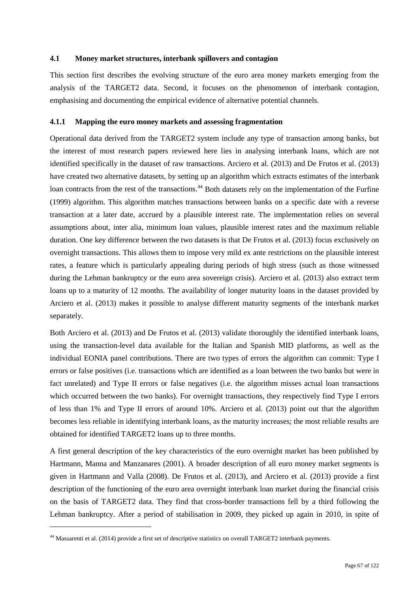### **4.1 Money market structures, interbank spillovers and contagion**

This section first describes the evolving structure of the euro area money markets emerging from the analysis of the TARGET2 data. Second, it focuses on the phenomenon of interbank contagion, emphasising and documenting the empirical evidence of alternative potential channels.

### **4.1.1 Mapping the euro money markets and assessing fragmentation**

Operational data derived from the TARGET2 system include any type of transaction among banks, but the interest of most research papers reviewed here lies in analysing interbank loans, which are not identified specifically in the dataset of raw transactions. Arciero et al. (2013) and De Frutos et al. (2013) have created two alternative datasets, by setting up an algorithm which extracts estimates of the interbank loan contracts from the rest of the transactions.<sup>[44](#page-65-0)</sup> Both datasets rely on the implementation of the Furfine (1999) algorithm. This algorithm matches transactions between banks on a specific date with a reverse transaction at a later date, accrued by a plausible interest rate. The implementation relies on several assumptions about, inter alia, minimum loan values, plausible interest rates and the maximum reliable duration. One key difference between the two datasets is that De Frutos et al. (2013) focus exclusively on overnight transactions. This allows them to impose very mild ex ante restrictions on the plausible interest rates, a feature which is particularly appealing during periods of high stress (such as those witnessed during the Lehman bankruptcy or the euro area sovereign crisis). Arciero et al. (2013) also extract term loans up to a maturity of 12 months. The availability of longer maturity loans in the dataset provided by Arciero et al. (2013) makes it possible to analyse different maturity segments of the interbank market separately.

Both Arciero et al. (2013) and De Frutos et al. (2013) validate thoroughly the identified interbank loans, using the transaction-level data available for the Italian and Spanish MID platforms, as well as the individual EONIA panel contributions. There are two types of errors the algorithm can commit: Type I errors or false positives (i.e. transactions which are identified as a loan between the two banks but were in fact unrelated) and Type II errors or false negatives (i.e. the algorithm misses actual loan transactions which occurred between the two banks). For overnight transactions, they respectively find Type I errors of less than 1% and Type II errors of around 10%. Arciero et al. (2013) point out that the algorithm becomes less reliable in identifying interbank loans, as the maturity increases; the most reliable results are obtained for identified TARGET2 loans up to three months.

A first general description of the key characteristics of the euro overnight market has been published by Hartmann, Manna and Manzanares (2001). A broader description of all euro money market segments is given in Hartmann and Valla (2008). De Frutos et al. (2013), and Arciero et al. (2013) provide a first description of the functioning of the euro area overnight interbank loan market during the financial crisis on the basis of TARGET2 data. They find that cross-border transactions fell by a third following the Lehman bankruptcy. After a period of stabilisation in 2009, they picked up again in 2010, in spite of

<span id="page-66-0"></span>-

<sup>&</sup>lt;sup>44</sup> Massarenti et al. (2014) provide a first set of descriptive statistics on overall TARGET2 interbank payments.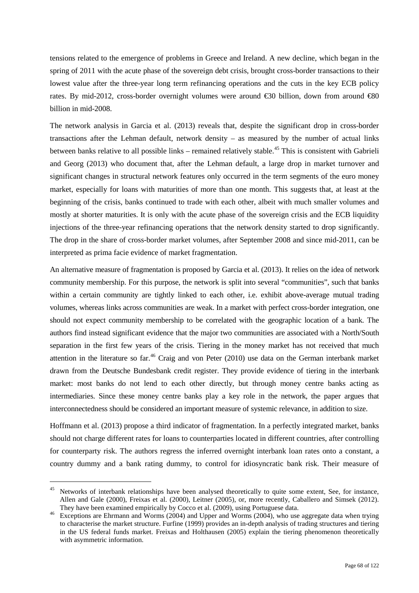tensions related to the emergence of problems in Greece and Ireland. A new decline, which began in the spring of 2011 with the acute phase of the sovereign debt crisis, brought cross-border transactions to their lowest value after the three-year long term refinancing operations and the cuts in the key ECB policy rates. By mid-2012, cross-border overnight volumes were around €30 billion, down from around €80 billion in mid-2008.

The network analysis in Garcia et al. (2013) reveals that, despite the significant drop in cross-border transactions after the Lehman default, network density – as measured by the number of actual links between banks relative to all possible links – remained relatively stable.<sup>[45](#page-66-0)</sup> This is consistent with Gabrieli and Georg (2013) who document that, after the Lehman default, a large drop in market turnover and significant changes in structural network features only occurred in the term segments of the euro money market, especially for loans with maturities of more than one month. This suggests that, at least at the beginning of the crisis, banks continued to trade with each other, albeit with much smaller volumes and mostly at shorter maturities. It is only with the acute phase of the sovereign crisis and the ECB liquidity injections of the three-year refinancing operations that the network density started to drop significantly. The drop in the share of cross-border market volumes, after September 2008 and since mid-2011, can be interpreted as prima facie evidence of market fragmentation.

An alternative measure of fragmentation is proposed by Garcia et al. (2013). It relies on the idea of network community membership. For this purpose, the network is split into several "communities", such that banks within a certain community are tightly linked to each other, i.e. exhibit above-average mutual trading volumes, whereas links across communities are weak. In a market with perfect cross-border integration, one should not expect community membership to be correlated with the geographic location of a bank. The authors find instead significant evidence that the major two communities are associated with a North/South separation in the first few years of the crisis. Tiering in the money market has not received that much attention in the literature so far.<sup>[46](#page-67-0)</sup> Craig and von Peter (2010) use data on the German interbank market drawn from the Deutsche Bundesbank credit register. They provide evidence of tiering in the interbank market: most banks do not lend to each other directly, but through money centre banks acting as intermediaries. Since these money centre banks play a key role in the network, the paper argues that interconnectedness should be considered an important measure of systemic relevance, in addition to size.

Hoffmann et al. (2013) propose a third indicator of fragmentation. In a perfectly integrated market, banks should not charge different rates for loans to counterparties located in different countries, after controlling for counterparty risk. The authors regress the inferred overnight interbank loan rates onto a constant, a country dummy and a bank rating dummy, to control for idiosyncratic bank risk. Their measure of

<sup>&</sup>lt;sup>45</sup> Networks of interbank relationships have been analysed theoretically to quite some extent, See, for instance, Allen and Gale (2000), Freixas et al. (2000), Leitner (2005), or, more recently, Caballero and Simsek (2012). They have been examined empirically by Cocco et al. (2009), using Portuguese data.<br><sup>46</sup> Exceptions are Ehrmann and Worms (2004) and Upper and Worms (2004), who use aggregate data when trying

<span id="page-67-0"></span>to characterise the market structure. Furfine (1999) provides an in-depth analysis of trading structures and tiering in the US federal funds market. Freixas and Holthausen (2005) explain the tiering phenomenon theoretically with asymmetric information.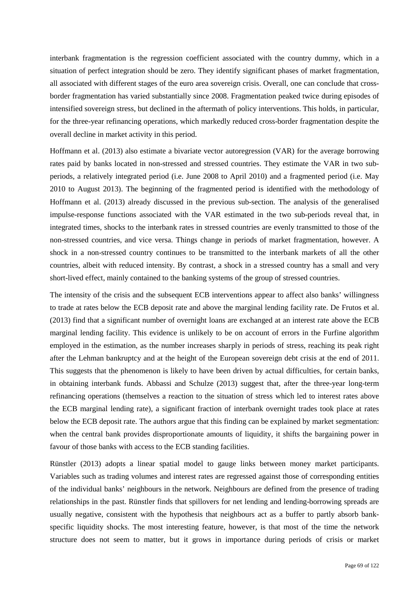interbank fragmentation is the regression coefficient associated with the country dummy, which in a situation of perfect integration should be zero. They identify significant phases of market fragmentation, all associated with different stages of the euro area sovereign crisis. Overall, one can conclude that crossborder fragmentation has varied substantially since 2008. Fragmentation peaked twice during episodes of intensified sovereign stress, but declined in the aftermath of policy interventions. This holds, in particular, for the three-year refinancing operations, which markedly reduced cross-border fragmentation despite the overall decline in market activity in this period.

Hoffmann et al. (2013) also estimate a bivariate vector autoregression (VAR) for the average borrowing rates paid by banks located in non-stressed and stressed countries. They estimate the VAR in two subperiods, a relatively integrated period (i.e. June 2008 to April 2010) and a fragmented period (i.e. May 2010 to August 2013). The beginning of the fragmented period is identified with the methodology of Hoffmann et al. (2013) already discussed in the previous sub-section. The analysis of the generalised impulse-response functions associated with the VAR estimated in the two sub-periods reveal that, in integrated times, shocks to the interbank rates in stressed countries are evenly transmitted to those of the non-stressed countries, and vice versa. Things change in periods of market fragmentation, however. A shock in a non-stressed country continues to be transmitted to the interbank markets of all the other countries, albeit with reduced intensity. By contrast, a shock in a stressed country has a small and very short-lived effect, mainly contained to the banking systems of the group of stressed countries.

The intensity of the crisis and the subsequent ECB interventions appear to affect also banks' willingness to trade at rates below the ECB deposit rate and above the marginal lending facility rate. De Frutos et al. (2013) find that a significant number of overnight loans are exchanged at an interest rate above the ECB marginal lending facility. This evidence is unlikely to be on account of errors in the Furfine algorithm employed in the estimation, as the number increases sharply in periods of stress, reaching its peak right after the Lehman bankruptcy and at the height of the European sovereign debt crisis at the end of 2011. This suggests that the phenomenon is likely to have been driven by actual difficulties, for certain banks, in obtaining interbank funds. Abbassi and Schulze (2013) suggest that, after the three-year long-term refinancing operations (themselves a reaction to the situation of stress which led to interest rates above the ECB marginal lending rate), a significant fraction of interbank overnight trades took place at rates below the ECB deposit rate. The authors argue that this finding can be explained by market segmentation: when the central bank provides disproportionate amounts of liquidity, it shifts the bargaining power in favour of those banks with access to the ECB standing facilities.

Rünstler (2013) adopts a linear spatial model to gauge links between money market participants. Variables such as trading volumes and interest rates are regressed against those of corresponding entities of the individual banks' neighbours in the network. Neighbours are defined from the presence of trading relationships in the past. Rünstler finds that spillovers for net lending and lending-borrowing spreads are usually negative, consistent with the hypothesis that neighbours act as a buffer to partly absorb bankspecific liquidity shocks. The most interesting feature, however, is that most of the time the network structure does not seem to matter, but it grows in importance during periods of crisis or market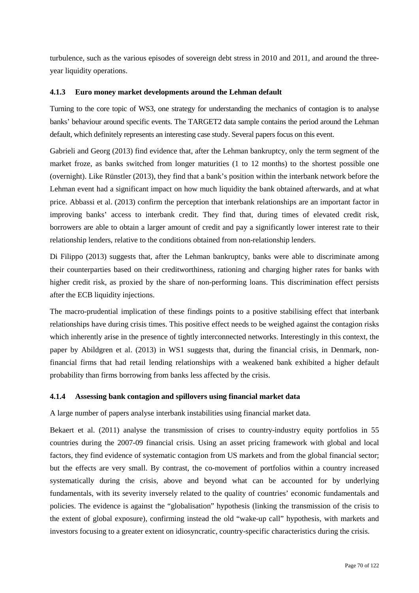turbulence, such as the various episodes of sovereign debt stress in 2010 and 2011, and around the threeyear liquidity operations.

## **4.1.3 Euro money market developments around the Lehman default**

Turning to the core topic of WS3, one strategy for understanding the mechanics of contagion is to analyse banks' behaviour around specific events. The TARGET2 data sample contains the period around the Lehman default, which definitely represents an interesting case study. Several papers focus on this event.

Gabrieli and Georg (2013) find evidence that, after the Lehman bankruptcy, only the term segment of the market froze, as banks switched from longer maturities (1 to 12 months) to the shortest possible one (overnight). Like Rünstler (2013), they find that a bank's position within the interbank network before the Lehman event had a significant impact on how much liquidity the bank obtained afterwards, and at what price. Abbassi et al. (2013) confirm the perception that interbank relationships are an important factor in improving banks' access to interbank credit. They find that, during times of elevated credit risk, borrowers are able to obtain a larger amount of credit and pay a significantly lower interest rate to their relationship lenders, relative to the conditions obtained from non-relationship lenders.

Di Filippo (2013) suggests that, after the Lehman bankruptcy, banks were able to discriminate among their counterparties based on their creditworthiness, rationing and charging higher rates for banks with higher credit risk, as proxied by the share of non-performing loans. This discrimination effect persists after the ECB liquidity injections.

The macro-prudential implication of these findings points to a positive stabilising effect that interbank relationships have during crisis times. This positive effect needs to be weighed against the contagion risks which inherently arise in the presence of tightly interconnected networks. Interestingly in this context, the paper by Abildgren et al. (2013) in WS1 suggests that, during the financial crisis, in Denmark, nonfinancial firms that had retail lending relationships with a weakened bank exhibited a higher default probability than firms borrowing from banks less affected by the crisis.

## **4.1.4 Assessing bank contagion and spillovers using financial market data**

A large number of papers analyse interbank instabilities using financial market data.

Bekaert et al. (2011) analyse the transmission of crises to country-industry equity portfolios in 55 countries during the 2007-09 financial crisis. Using an asset pricing framework with global and local factors, they find evidence of systematic contagion from US markets and from the global financial sector; but the effects are very small. By contrast, the co-movement of portfolios within a country increased systematically during the crisis, above and beyond what can be accounted for by underlying fundamentals, with its severity inversely related to the quality of countries' economic fundamentals and policies. The evidence is against the "globalisation" hypothesis (linking the transmission of the crisis to the extent of global exposure), confirming instead the old "wake-up call" hypothesis, with markets and investors focusing to a greater extent on idiosyncratic, country-specific characteristics during the crisis.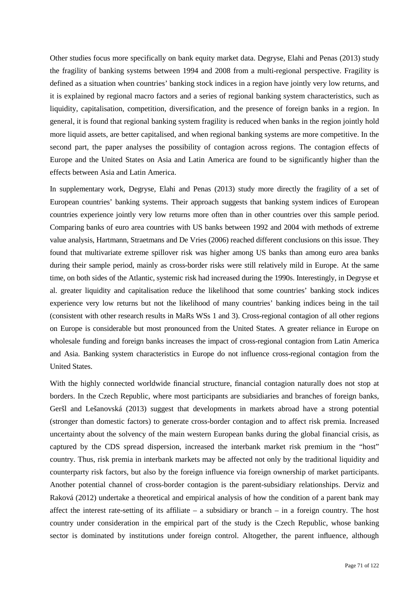Other studies focus more specifically on bank equity market data. Degryse, Elahi and Penas (2013) study the fragility of banking systems between 1994 and 2008 from a multi-regional perspective. Fragility is defined as a situation when countries' banking stock indices in a region have jointly very low returns, and it is explained by regional macro factors and a series of regional banking system characteristics, such as liquidity, capitalisation, competition, diversification, and the presence of foreign banks in a region. In general, it is found that regional banking system fragility is reduced when banks in the region jointly hold more liquid assets, are better capitalised, and when regional banking systems are more competitive. In the second part, the paper analyses the possibility of contagion across regions. The contagion effects of Europe and the United States on Asia and Latin America are found to be significantly higher than the effects between Asia and Latin America.

In supplementary work, Degryse, Elahi and Penas (2013) study more directly the fragility of a set of European countries' banking systems. Their approach suggests that banking system indices of European countries experience jointly very low returns more often than in other countries over this sample period. Comparing banks of euro area countries with US banks between 1992 and 2004 with methods of extreme value analysis, Hartmann, Straetmans and De Vries (2006) reached different conclusions on this issue. They found that multivariate extreme spillover risk was higher among US banks than among euro area banks during their sample period, mainly as cross-border risks were still relatively mild in Europe. At the same time, on both sides of the Atlantic, systemic risk had increased during the 1990s. Interestingly, in Degryse et al. greater liquidity and capitalisation reduce the likelihood that some countries' banking stock indices experience very low returns but not the likelihood of many countries' banking indices being in the tail (consistent with other research results in MaRs WSs 1 and 3). Cross-regional contagion of all other regions on Europe is considerable but most pronounced from the United States. A greater reliance in Europe on wholesale funding and foreign banks increases the impact of cross-regional contagion from Latin America and Asia. Banking system characteristics in Europe do not influence cross-regional contagion from the United States.

With the highly connected worldwide financial structure, financial contagion naturally does not stop at borders. In the Czech Republic, where most participants are subsidiaries and branches of foreign banks, Geršl and Lešanovská (2013) suggest that developments in markets abroad have a strong potential (stronger than domestic factors) to generate cross-border contagion and to affect risk premia. Increased uncertainty about the solvency of the main western European banks during the global financial crisis, as captured by the CDS spread dispersion, increased the interbank market risk premium in the "host" country. Thus, risk premia in interbank markets may be affected not only by the traditional liquidity and counterparty risk factors, but also by the foreign influence via foreign ownership of market participants. Another potential channel of cross-border contagion is the parent-subsidiary relationships. Derviz and Raková (2012) undertake a theoretical and empirical analysis of how the condition of a parent bank may affect the interest rate-setting of its affiliate – a subsidiary or branch – in a foreign country. The host country under consideration in the empirical part of the study is the Czech Republic, whose banking sector is dominated by institutions under foreign control. Altogether, the parent influence, although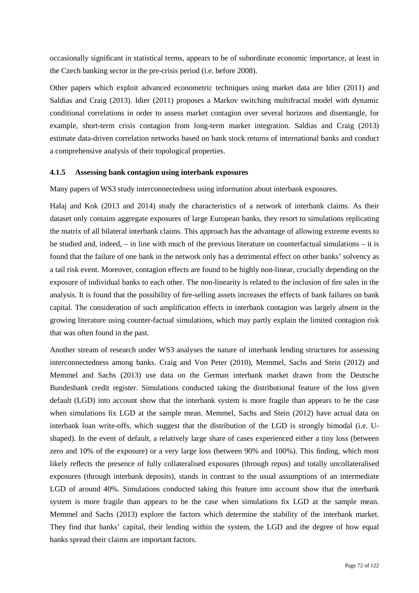occasionally significant in statistical terms, appears to be of subordinate economic importance, at least in the Czech banking sector in the pre-crisis period (i.e. before 2008).

Other papers which exploit advanced econometric techniques using market data are Idier (2011) and Saldias and Craig (2013). Idier (2011) proposes a Markov switching multifractal model with dynamic conditional correlations in order to assess market contagion over several horizons and disentangle, for example, short-term crisis contagion from long-term market integration. Saldias and Craig (2013) estimate data-driven correlation networks based on bank stock returns of international banks and conduct a comprehensive analysis of their topological properties.

#### **4.1.5 Assessing bank contagion using interbank exposures**

Many papers of WS3 study interconnectedness using information about interbank exposures.

Hałaj and Kok (2013 and 2014) study the characteristics of a network of interbank claims. As their dataset only contains aggregate exposures of large European banks, they resort to simulations replicating the matrix of all bilateral interbank claims. This approach has the advantage of allowing extreme events to be studied and, indeed, – in line with much of the previous literature on counterfactual simulations – it is found that the failure of one bank in the network only has a detrimental effect on other banks' solvency as a tail risk event. Moreover, contagion effects are found to be highly non-linear, crucially depending on the exposure of individual banks to each other. The non-linearity is related to the inclusion of fire sales in the analysis. It is found that the possibility of fire-selling assets increases the effects of bank failures on bank capital. The consideration of such amplification effects in interbank contagion was largely absent in the growing literature using counter-factual simulations, which may partly explain the limited contagion risk that was often found in the past.

Another stream of research under WS3 analyses the nature of interbank lending structures for assessing interconnectedness among banks. Craig and Von Peter (2010), Memmel, Sachs and Stein (2012) and Memmel and Sachs (2013) use data on the German interbank market drawn from the Deutsche Bundesbank credit register. Simulations conducted taking the distributional feature of the loss given default (LGD) into account show that the interbank system is more fragile than appears to be the case when simulations fix LGD at the sample mean. Memmel, Sachs and Stein (2012) have actual data on interbank loan write-offs, which suggest that the distribution of the LGD is strongly bimodal (i.e. Ushaped). In the event of default, a relatively large share of cases experienced either a tiny loss (between zero and 10% of the exposure) or a very large loss (between 90% and 100%). This finding, which most likely reflects the presence of fully collateralised exposures (through repos) and totally uncollateralised exposures (through interbank deposits), stands in contrast to the usual assumptions of an intermediate LGD of around 40%. Simulations conducted taking this feature into account show that the interbank system is more fragile than appears to be the case when simulations fix LGD at the sample mean. Memmel and Sachs (2013) explore the factors which determine the stability of the interbank market. They find that banks' capital, their lending within the system, the LGD and the degree of how equal banks spread their claims are important factors.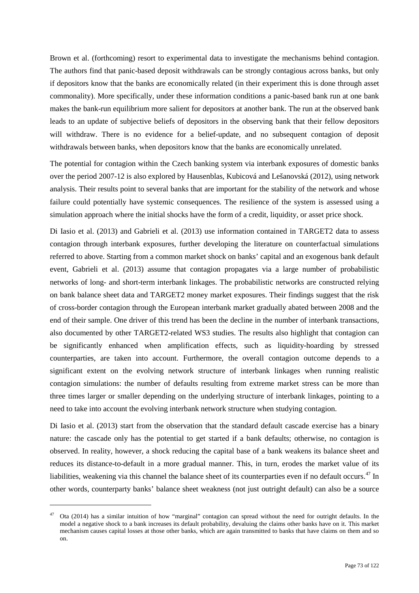Brown et al. (forthcoming) resort to experimental data to investigate the mechanisms behind contagion. The authors find that panic-based deposit withdrawals can be strongly contagious across banks, but only if depositors know that the banks are economically related (in their experiment this is done through asset commonality). More specifically, under these information conditions a panic-based bank run at one bank makes the bank-run equilibrium more salient for depositors at another bank. The run at the observed bank leads to an update of subjective beliefs of depositors in the observing bank that their fellow depositors will withdraw. There is no evidence for a belief-update, and no subsequent contagion of deposit withdrawals between banks, when depositors know that the banks are economically unrelated.

The potential for contagion within the Czech banking system via interbank exposures of domestic banks over the period 2007-12 is also explored by Hausenblas, Kubicová and Lešanovská (2012), using network analysis. Their results point to several banks that are important for the stability of the network and whose failure could potentially have systemic consequences. The resilience of the system is assessed using a simulation approach where the initial shocks have the form of a credit, liquidity, or asset price shock.

Di Iasio et al. (2013) and Gabrieli et al. (2013) use information contained in TARGET2 data to assess contagion through interbank exposures, further developing the literature on counterfactual simulations referred to above. Starting from a common market shock on banks' capital and an exogenous bank default event, Gabrieli et al. (2013) assume that contagion propagates via a large number of probabilistic networks of long- and short-term interbank linkages. The probabilistic networks are constructed relying on bank balance sheet data and TARGET2 money market exposures. Their findings suggest that the risk of cross-border contagion through the European interbank market gradually abated between 2008 and the end of their sample. One driver of this trend has been the decline in the number of interbank transactions, also documented by other TARGET2-related WS3 studies. The results also highlight that contagion can be significantly enhanced when amplification effects, such as liquidity-hoarding by stressed counterparties, are taken into account. Furthermore, the overall contagion outcome depends to a significant extent on the evolving network structure of interbank linkages when running realistic contagion simulations: the number of defaults resulting from extreme market stress can be more than three times larger or smaller depending on the underlying structure of interbank linkages, pointing to a need to take into account the evolving interbank network structure when studying contagion.

Di Iasio et al. (2013) start from the observation that the standard default cascade exercise has a binary nature: the cascade only has the potential to get started if a bank defaults; otherwise, no contagion is observed. In reality, however, a shock reducing the capital base of a bank weakens its balance sheet and reduces its distance-to-default in a more gradual manner. This, in turn, erodes the market value of its liabilities, weakening via this channel the balance sheet of its counterparties even if no default occurs.<sup>[47](#page-72-0)</sup> In other words, counterparty banks' balance sheet weakness (not just outright default) can also be a source

-

<span id="page-72-0"></span><sup>&</sup>lt;sup>47</sup> Ota (2014) has a similar intuition of how "marginal" contagion can spread without the need for outright defaults. In the model a negative shock to a bank increases its default probability, devaluing the claims other banks have on it. This market mechanism causes capital losses at those other banks, which are again transmitted to banks that have claims on them and so on.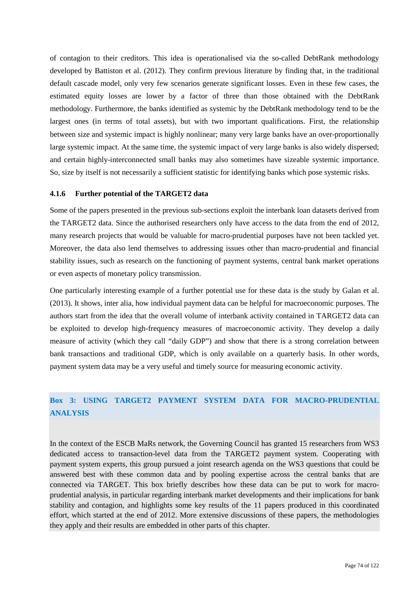of contagion to their creditors. This idea is operationalised via the so-called DebtRank methodology developed by Battiston et al. (2012). They confirm previous literature by finding that, in the traditional default cascade model, only very few scenarios generate significant losses. Even in these few cases, the estimated equity losses are lower by a factor of three than those obtained with the DebtRank methodology. Furthermore, the banks identified as systemic by the DebtRank methodology tend to be the largest ones (in terms of total assets), but with two important qualifications. First, the relationship between size and systemic impact is highly nonlinear; many very large banks have an over-proportionally large systemic impact. At the same time, the systemic impact of very large banks is also widely dispersed; and certain highly-interconnected small banks may also sometimes have sizeable systemic importance. So, size by itself is not necessarily a sufficient statistic for identifying banks which pose systemic risks.

#### **4.1.6 Further potential of the TARGET2 data**

Some of the papers presented in the previous sub-sections exploit the interbank loan datasets derived from the TARGET2 data. Since the authorised researchers only have access to the data from the end of 2012, many research projects that would be valuable for macro-prudential purposes have not been tackled yet. Moreover, the data also lend themselves to addressing issues other than macro-prudential and financial stability issues, such as research on the functioning of payment systems, central bank market operations or even aspects of monetary policy transmission.

One particularly interesting example of a further potential use for these data is the study by Galan et al. (2013). It shows, inter alia, how individual payment data can be helpful for macroeconomic purposes. The authors start from the idea that the overall volume of interbank activity contained in TARGET2 data can be exploited to develop high-frequency measures of macroeconomic activity. They develop a daily measure of activity (which they call "daily GDP") and show that there is a strong correlation between bank transactions and traditional GDP, which is only available on a quarterly basis. In other words, payment system data may be a very useful and timely source for measuring economic activity.

# **Box 3: USING TARGET2 PAYMENT SYSTEM DATA FOR MACRO-PRUDENTIAL ANALYSIS**

In the context of the ESCB MaRs network, the Governing Council has granted 15 researchers from WS3 dedicated access to transaction-level data from the TARGET2 payment system. Cooperating with payment system experts, this group pursued a joint research agenda on the WS3 questions that could be answered best with these common data and by pooling expertise across the central banks that are connected via TARGET. This box briefly describes how these data can be put to work for macroprudential analysis, in particular regarding interbank market developments and their implications for bank stability and contagion, and highlights some key results of the 11 papers produced in this coordinated effort, which started at the end of 2012. More extensive discussions of these papers, the methodologies they apply and their results are embedded in other parts of this chapter.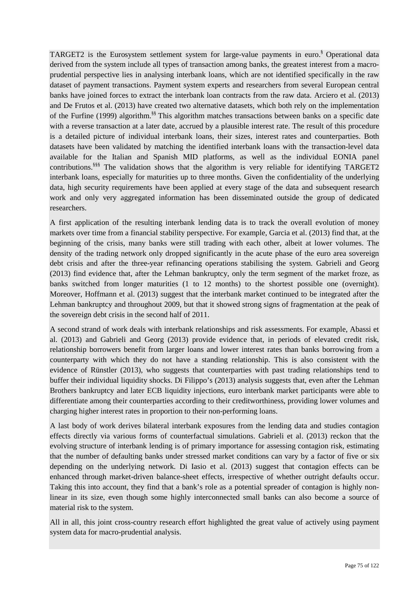TARGET2 is the Eurosystem settlement system for large-value payments in euro.§ Operational data derived from the system include all types of transaction among banks, the greatest interest from a macroprudential perspective lies in analysing interbank loans, which are not identified specifically in the raw dataset of payment transactions. Payment system experts and researchers from several European central banks have joined forces to extract the interbank loan contracts from the raw data. Arciero et al. (2013) and De Frutos et al. (2013) have created two alternative datasets, which both rely on the implementation of the Furfine (1999) algorithm.§§ This algorithm matches transactions between banks on a specific date with a reverse transaction at a later date, accrued by a plausible interest rate. The result of this procedure is a detailed picture of individual interbank loans, their sizes, interest rates and counterparties. Both datasets have been validated by matching the identified interbank loans with the transaction-level data available for the Italian and Spanish MID platforms, as well as the individual EONIA panel contributions.<sup>§§§</sup> The validation shows that the algorithm is very reliable for identifying TARGET2 interbank loans, especially for maturities up to three months. Given the confidentiality of the underlying data, high security requirements have been applied at every stage of the data and subsequent research work and only very aggregated information has been disseminated outside the group of dedicated researchers.

A first application of the resulting interbank lending data is to track the overall evolution of money markets over time from a financial stability perspective. For example, Garcia et al. (2013) find that, at the beginning of the crisis, many banks were still trading with each other, albeit at lower volumes. The density of the trading network only dropped significantly in the acute phase of the euro area sovereign debt crisis and after the three-year refinancing operations stabilising the system. Gabrieli and Georg (2013) find evidence that, after the Lehman bankruptcy, only the term segment of the market froze, as banks switched from longer maturities (1 to 12 months) to the shortest possible one (overnight). Moreover, Hoffmann et al. (2013) suggest that the interbank market continued to be integrated after the Lehman bankruptcy and throughout 2009, but that it showed strong signs of fragmentation at the peak of the sovereign debt crisis in the second half of 2011.

A second strand of work deals with interbank relationships and risk assessments. For example, Abassi et al. (2013) and Gabrieli and Georg (2013) provide evidence that, in periods of elevated credit risk, relationship borrowers benefit from larger loans and lower interest rates than banks borrowing from a counterparty with which they do not have a standing relationship. This is also consistent with the evidence of Rünstler (2013), who suggests that counterparties with past trading relationships tend to buffer their individual liquidity shocks. Di Filippo's (2013) analysis suggests that, even after the Lehman Brothers bankruptcy and later ECB liquidity injections, euro interbank market participants were able to differentiate among their counterparties according to their creditworthiness, providing lower volumes and charging higher interest rates in proportion to their non-performing loans.

A last body of work derives bilateral interbank exposures from the lending data and studies contagion effects directly via various forms of counterfactual simulations. Gabrieli et al. (2013) reckon that the evolving structure of interbank lending is of primary importance for assessing contagion risk, estimating that the number of defaulting banks under stressed market conditions can vary by a factor of five or six depending on the underlying network. Di Iasio et al. (2013) suggest that contagion effects can be enhanced through market-driven balance-sheet effects, irrespective of whether outright defaults occur. Taking this into account, they find that a bank's role as a potential spreader of contagion is highly nonlinear in its size, even though some highly interconnected small banks can also become a source of material risk to the system.

All in all, this joint cross-country research effort highlighted the great value of actively using payment system data for macro-prudential analysis.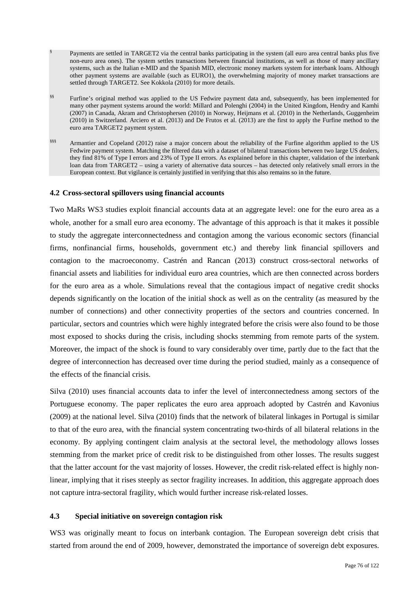- Payments are settled in TARGET2 via the central banks participating in the system (all euro area central banks plus five non-euro area ones). The system settles transactions between financial institutions, as well as those of many ancillary systems, such as the Italian e-MID and the Spanish MID, electronic money markets system for interbank loans. Although other payment systems are available (such as EURO1), the overwhelming majority of money market transactions are settled through TARGET2. See Kokkola (2010) for more details.
- §§ Furfine's original method was applied to the US Fedwire payment data and, subsequently, has been implemented for many other payment systems around the world: Millard and Polenghi (2004) in the United Kingdom, Hendry and Kamhi (2007) in Canada, Akram and Christophersen (2010) in Norway, Heijmans et al. (2010) in the Netherlands, Guggenheim (2010) in Switzerland. Arciero et al. (2013) and De Frutos et al. (2013) are the first to apply the Furfine method to the euro area TARGET2 payment system.
- §§§§ Armantier and Copeland (2012) raise a major concern about the reliability of the Furfine algorithm applied to the US Fedwire payment system. Matching the filtered data with a dataset of bilateral transactions between two large US dealers, they find 81% of Type I errors and 23% of Type II errors. As explained before in this chapter, validation of the interbank loan data from TARGET2 – using a variety of alternative data sources – has detected only relatively small errors in the European context. But vigilance is certainly justified in verifying that this also remains so in the future.

#### **4.2 Cross-sectoral spillovers using financial accounts**

Two MaRs WS3 studies exploit financial accounts data at an aggregate level: one for the euro area as a whole, another for a small euro area economy. The advantage of this approach is that it makes it possible to study the aggregate interconnectedness and contagion among the various economic sectors (financial firms, nonfinancial firms, households, government etc.) and thereby link financial spillovers and contagion to the macroeconomy. Castrén and Rancan (2013) construct cross-sectoral networks of financial assets and liabilities for individual euro area countries, which are then connected across borders for the euro area as a whole. Simulations reveal that the contagious impact of negative credit shocks depends significantly on the location of the initial shock as well as on the centrality (as measured by the number of connections) and other connectivity properties of the sectors and countries concerned. In particular, sectors and countries which were highly integrated before the crisis were also found to be those most exposed to shocks during the crisis, including shocks stemming from remote parts of the system. Moreover, the impact of the shock is found to vary considerably over time, partly due to the fact that the degree of interconnection has decreased over time during the period studied, mainly as a consequence of the effects of the financial crisis.

Silva (2010) uses financial accounts data to infer the level of interconnectedness among sectors of the Portuguese economy. The paper replicates the euro area approach adopted by Castrén and Kavonius (2009) at the national level. Silva (2010) finds that the network of bilateral linkages in Portugal is similar to that of the euro area, with the financial system concentrating two-thirds of all bilateral relations in the economy. By applying contingent claim analysis at the sectoral level, the methodology allows losses stemming from the market price of credit risk to be distinguished from other losses. The results suggest that the latter account for the vast majority of losses. However, the credit risk-related effect is highly nonlinear, implying that it rises steeply as sector fragility increases. In addition, this aggregate approach does not capture intra-sectoral fragility, which would further increase risk-related losses.

#### <span id="page-75-0"></span>**4.3 Special initiative on sovereign contagion risk**

<span id="page-75-1"></span>WS3 was originally meant to focus on interbank contagion. The European sovereign debt crisis that started from around the end of 2009, however, demonstrated the importance of sovereign debt exposures.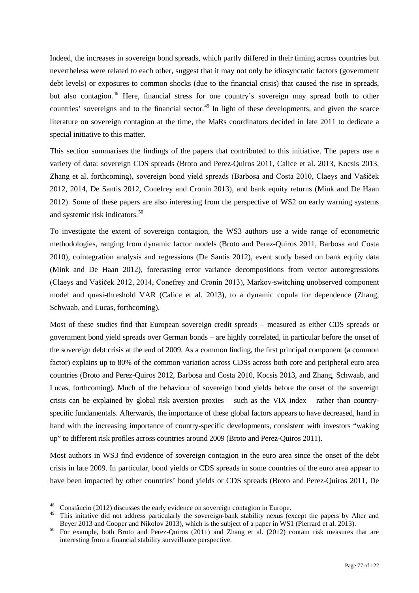Indeed, the increases in sovereign bond spreads, which partly differed in their timing across countries but nevertheless were related to each other, suggest that it may not only be idiosyncratic factors (government debt levels) or exposures to common shocks (due to the financial crisis) that caused the rise in spreads, but also contagion.<sup>[48](#page-75-0)</sup> Here, financial stress for one country's sovereign may spread both to other countries' sovereigns and to the financial sector.<sup>[49](#page-75-1)</sup> In light of these developments, and given the scarce literature on sovereign contagion at the time, the MaRs coordinators decided in late 2011 to dedicate a special initiative to this matter.

This section summarises the findings of the papers that contributed to this initiative. The papers use a variety of data: sovereign CDS spreads (Broto and Perez-Quiros 2011, Calice et al. 2013, Kocsis 2013, Zhang et al. forthcoming), sovereign bond yield spreads (Barbosa and Costa 2010, Claeys and Vašíček 2012, 2014, De Santis 2012, Conefrey and Cronin 2013), and bank equity returns (Mink and De Haan 2012). Some of these papers are also interesting from the perspective of WS2 on early warning systems and systemic risk indicators.<sup>[50](#page-76-0)</sup>

To investigate the extent of sovereign contagion, the WS3 authors use a wide range of econometric methodologies, ranging from dynamic factor models (Broto and Perez-Quiros 2011, Barbosa and Costa 2010), cointegration analysis and regressions (De Santis 2012), event study based on bank equity data (Mink and De Haan 2012), forecasting error variance decompositions from vector autoregressions (Claeys and Vašíček 2012, 2014, Conefrey and Cronin 2013), Markov-switching unobserved component model and quasi-threshold VAR (Calice et al. 2013), to a dynamic copula for dependence (Zhang, Schwaab, and Lucas, forthcoming).

Most of these studies find that European sovereign credit spreads – measured as either CDS spreads or government bond yield spreads over German bonds – are highly correlated, in particular before the onset of the sovereign debt crisis at the end of 2009. As a common finding, the first principal component (a common factor) explains up to 80% of the common variation across CDSs across both core and peripheral euro area countries (Broto and Perez-Quiros 2012, Barbosa and Costa 2010, Kocsis 2013, and Zhang, Schwaab, and Lucas, forthcoming). Much of the behaviour of sovereign bond yields before the onset of the sovereign crisis can be explained by global risk aversion proxies – such as the VIX index – rather than countryspecific fundamentals. Afterwards, the importance of these global factors appears to have decreased, hand in hand with the increasing importance of country-specific developments, consistent with investors "waking up" to different risk profiles across countries around 2009 (Broto and Perez-Quiros 2011).

Most authors in WS3 find evidence of sovereign contagion in the euro area since the onset of the debt crisis in late 2009. In particular, bond yields or CDS spreads in some countries of the euro area appear to have been impacted by other countries' bond yields or CDS spreads (Broto and Perez-Quiros 2011, De

<sup>&</sup>lt;sup>48</sup> Constâncio (2012) discusses the early evidence on sovereign contagion in Europe.

This initative did not address particularly the sovereign-bank stability nexus (except the papers by Alter and Bever 2013 and Cooper and Nikolov 2013), which is the subject of a paper in WS1 (Pierrard et al. 2013).

<span id="page-76-0"></span>For example, both Broto and Perez-Quiros (2011) and Zhang et al. (2012) contain risk measures that are interesting from a financial stability surveillance perspective.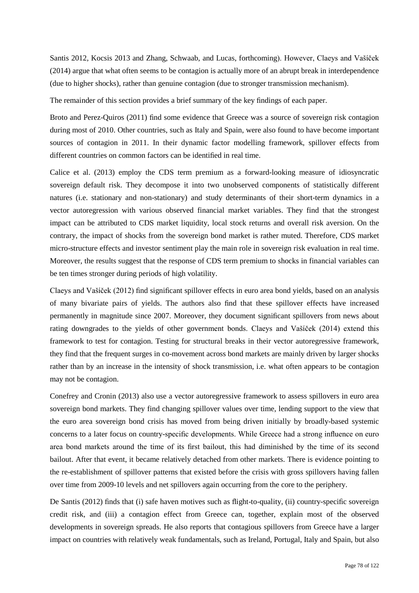Santis 2012, Kocsis 2013 and Zhang, Schwaab, and Lucas, forthcoming). However, Claeys and Vašíček (2014) argue that what often seems to be contagion is actually more of an abrupt break in interdependence (due to higher shocks), rather than genuine contagion (due to stronger transmission mechanism).

The remainder of this section provides a brief summary of the key findings of each paper.

Broto and Perez-Quiros (2011) find some evidence that Greece was a source of sovereign risk contagion during most of 2010. Other countries, such as Italy and Spain, were also found to have become important sources of contagion in 2011. In their dynamic factor modelling framework, spillover effects from different countries on common factors can be identified in real time.

Calice et al. (2013) employ the CDS term premium as a forward-looking measure of idiosyncratic sovereign default risk. They decompose it into two unobserved components of statistically different natures (i.e. stationary and non-stationary) and study determinants of their short-term dynamics in a vector autoregression with various observed financial market variables. They find that the strongest impact can be attributed to CDS market liquidity, local stock returns and overall risk aversion. On the contrary, the impact of shocks from the sovereign bond market is rather muted. Therefore, CDS market micro-structure effects and investor sentiment play the main role in sovereign risk evaluation in real time. Moreover, the results suggest that the response of CDS term premium to shocks in financial variables can be ten times stronger during periods of high volatility.

Claeys and Vašíček (2012) find significant spillover effects in euro area bond yields, based on an analysis of many bivariate pairs of yields. The authors also find that these spillover effects have increased permanently in magnitude since 2007. Moreover, they document significant spillovers from news about rating downgrades to the yields of other government bonds. Claeys and Vašíček (2014) extend this framework to test for contagion. Testing for structural breaks in their vector autoregressive framework, they find that the frequent surges in co-movement across bond markets are mainly driven by larger shocks rather than by an increase in the intensity of shock transmission, i.e. what often appears to be contagion may not be contagion.

Conefrey and Cronin (2013) also use a vector autoregressive framework to assess spillovers in euro area sovereign bond markets. They find changing spillover values over time, lending support to the view that the euro area sovereign bond crisis has moved from being driven initially by broadly-based systemic concerns to a later focus on country-specific developments. While Greece had a strong influence on euro area bond markets around the time of its first bailout, this had diminished by the time of its second bailout. After that event, it became relatively detached from other markets. There is evidence pointing to the re-establishment of spillover patterns that existed before the crisis with gross spillovers having fallen over time from 2009-10 levels and net spillovers again occurring from the core to the periphery.

De Santis (2012) finds that (i) safe haven motives such as flight-to-quality, (ii) country-specific sovereign credit risk, and (iii) a contagion effect from Greece can, together, explain most of the observed developments in sovereign spreads. He also reports that contagious spillovers from Greece have a larger impact on countries with relatively weak fundamentals, such as Ireland, Portugal, Italy and Spain, but also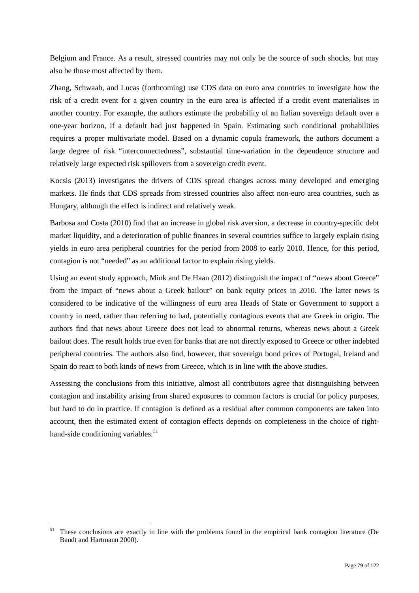Belgium and France. As a result, stressed countries may not only be the source of such shocks, but may also be those most affected by them.

Zhang, Schwaab, and Lucas (forthcoming) use CDS data on euro area countries to investigate how the risk of a credit event for a given country in the euro area is affected if a credit event materialises in another country. For example, the authors estimate the probability of an Italian sovereign default over a one-year horizon, if a default had just happened in Spain. Estimating such conditional probabilities requires a proper multivariate model. Based on a dynamic copula framework, the authors document a large degree of risk "interconnectedness", substantial time-variation in the dependence structure and relatively large expected risk spillovers from a sovereign credit event.

Kocsis (2013) investigates the drivers of CDS spread changes across many developed and emerging markets. He finds that CDS spreads from stressed countries also affect non-euro area countries, such as Hungary, although the effect is indirect and relatively weak.

Barbosa and Costa (2010) find that an increase in global risk aversion, a decrease in country-specific debt market liquidity, and a deterioration of public finances in several countries suffice to largely explain rising yields in euro area peripheral countries for the period from 2008 to early 2010. Hence, for this period, contagion is not "needed" as an additional factor to explain rising yields.

Using an event study approach, Mink and De Haan (2012) distinguish the impact of "news about Greece" from the impact of "news about a Greek bailout" on bank equity prices in 2010. The latter news is considered to be indicative of the willingness of euro area Heads of State or Government to support a country in need, rather than referring to bad, potentially contagious events that are Greek in origin. The authors find that news about Greece does not lead to abnormal returns, whereas news about a Greek bailout does. The result holds true even for banks that are not directly exposed to Greece or other indebted peripheral countries. The authors also find, however, that sovereign bond prices of Portugal, Ireland and Spain do react to both kinds of news from Greece, which is in line with the above studies.

Assessing the conclusions from this initiative, almost all contributors agree that distinguishing between contagion and instability arising from shared exposures to common factors is crucial for policy purposes, but hard to do in practice. If contagion is defined as a residual after common components are taken into account, then the estimated extent of contagion effects depends on completeness in the choice of right-hand-side conditioning variables.<sup>[51](#page-78-0)</sup>

<span id="page-78-0"></span><sup>&</sup>lt;sup>51</sup> These conclusions are exactly in line with the problems found in the empirical bank contagion literature (De Bandt and Hartmann 2000).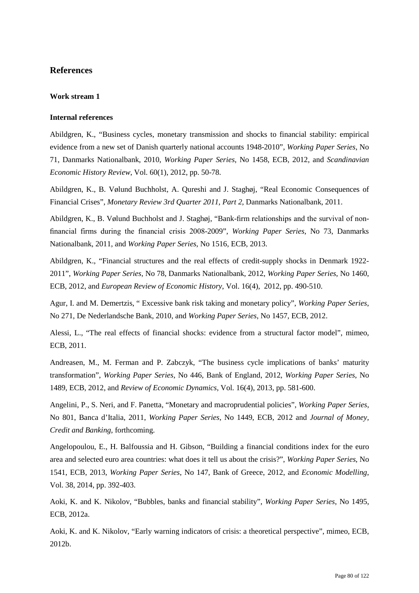# **References**

### **Work stream 1**

### **Internal references**

Abildgren, K., "Business cycles, monetary transmission and shocks to financial stability: empirical evidence from a new set of Danish quarterly national accounts 1948-2010", *Working Paper Series*, No 71, Danmarks Nationalbank, 2010, *Working Paper Series*, No 1458, ECB, 2012, and *Scandinavian Economic History Review*, Vol. 60(1), 2012, pp. 50-78.

Abildgren, K., B. Vølund Buchholst, A. Qureshi and J. Staghøj, "Real Economic Consequences of Financial Crises", *Monetary Review 3rd Quarter 2011, Part 2*, Danmarks Nationalbank, 2011.

Abildgren, K., B. Vølund Buchholst and J. Staghøj, "Bank-firm relationships and the survival of nonfinancial firms during the financial crisis 2008-2009", *Working Paper Series*, No 73, Danmarks Nationalbank, 2011, and *Working Paper Series*, No 1516, ECB, 2013.

Abildgren, K., "Financial structures and the real effects of credit-supply shocks in Denmark 1922- 2011", *Working Paper Series*, No 78, Danmarks Nationalbank, 2012, *Working Paper Series*, No 1460, ECB, 2012, and *European Review of Economic History*, Vol. 16(4), 2012, pp. 490-510.

Agur, I. and M. Demertzis, " Excessive bank risk taking and monetary policy", *Working Paper Series*, No 271, De Nederlandsche Bank, 2010, and *Working Paper Series*, No 1457, ECB, 2012.

Alessi, L., "The real effects of financial shocks: evidence from a structural factor model", mimeo, ECB, 2011.

Andreasen, M., M. Ferman and P. Zabczyk, "The business cycle implications of banks' maturity transformation", *Working Paper Series*, No 446, Bank of England, 2012, *Working Paper Series*, No 1489, ECB, 2012, and *Review of Economic Dynamics*, Vol. 16(4), 2013, pp. 581-600.

Angelini, P., S. Neri, and F. Panetta, "Monetary and macroprudential policies", *Working Paper Series*, No 801, Banca d'Italia, 2011, *Working Paper Series*, No 1449, ECB, 2012 and *Journal of Money, Credit and Banking*, forthcoming.

Angelopoulou, E., H. Balfoussia and H. Gibson, "Building a financial conditions index for the euro area and selected euro area countries: what does it tell us about the crisis?", *Working Paper Series*, No 1541, ECB, 2013, *Working Paper Series*, No 147, Bank of Greece, 2012, and *Economic Modelling*, Vol. 38, 2014, pp. 392-403.

Aoki, K. and K. Nikolov, "Bubbles, banks and financial stability", *Working Paper Series*, No 1495, ECB, 2012a.

Aoki, K. and K. Nikolov, "Early warning indicators of crisis: a theoretical perspective", mimeo, ECB, 2012b.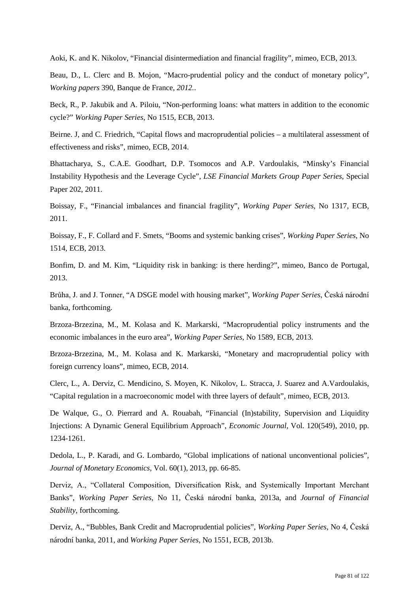Aoki, K. and K. Nikolov, "Financial disintermediation and financial fragility", mimeo, ECB, 2013.

Beau, D., L. Clerc and B. Mojon, "Macro-prudential policy and the conduct of monetary policy", *Working papers* 390*,* Banque de France*, 2012.*.

Beck, R., P. Jakubik and A. Piloiu, "Non-performing loans: what matters in addition to the economic cycle?" *Working Paper Series*, No 1515, ECB, 2013.

Beirne. J, and C. Friedrich, "Capital flows and macroprudential policies – a multilateral assessment of effectiveness and risks", mimeo, ECB, 2014.

Bhattacharya, S., C.A.E. Goodhart, D.P. Tsomocos and A.P. Vardoulakis, "Minsky's Financial Instability Hypothesis and the Leverage Cycle", *LSE Financial Markets Group Paper Series*, Special Paper 202, 2011.

Boissay, F., "Financial imbalances and financial fragility", *Working Paper Series*, No 1317, ECB, 2011.

Boissay, F., F. Collard and F. Smets, "Booms and systemic banking crises", *Working Paper Series*, No 1514, ECB, 2013.

Bonfim, D. and M. Kim, "Liquidity risk in banking: is there herding?", mimeo, Banco de Portugal, 2013.

Brůha, J. and J. Tonner, "A DSGE model with housing market", *Working Paper Series*, Česká národní banka, forthcoming.

Brzoza-Brzezina, M., M. Kolasa and K. Markarski, "Macroprudential policy instruments and the economic imbalances in the euro area", *Working Paper Series*, No 1589, ECB, 2013.

Brzoza-Brzezina, M., M. Kolasa and K. Markarski, "Monetary and macroprudential policy with foreign currency loans", mimeo, ECB, 2014.

Clerc, L., A. Derviz, C. Mendicino, S. Moyen, K. Nikolov, L. Stracca, J. Suarez and A.Vardoulakis, "Capital regulation in a macroeconomic model with three layers of default", mimeo, ECB, 2013.

De Walque, G., O. Pierrard and A. Rouabah, "Financial (In)stability, Supervision and Liquidity Injections: A Dynamic General Equilibrium Approach", *Economic Journal*, Vol. 120(549), 2010, pp. 1234-1261.

Dedola, L., P. Karadi, and G. Lombardo, "Global implications of national unconventional policies", *Journal of Monetary Economics*, Vol. 60(1), 2013, pp. 66-85.

Derviz, A., "Collateral Composition, Diversification Risk, and Systemically Important Merchant Banks", *Working Paper Series*, No 11, Česká národní banka, 2013a, and *Journal of Financial Stability*, forthcoming.

Derviz, A., "Bubbles, Bank Credit and Macroprudential policies", *Working Paper Series*, No 4, Česká národní banka, 2011, and *Working Paper Series*, No 1551, ECB, 2013b.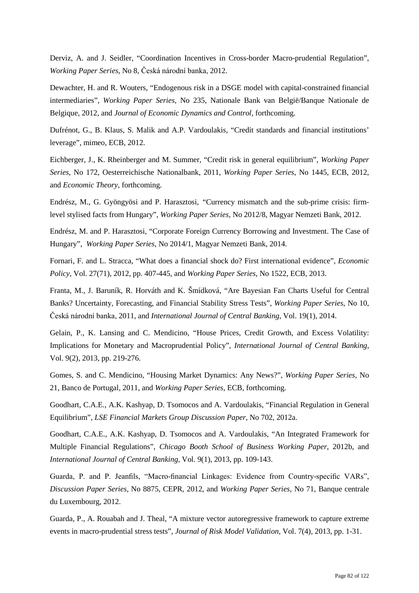Derviz, A. and J. Seidler, "Coordination Incentives in Cross-border Macro-prudential Regulation", *Working Paper Series*, No 8, Česká národní banka, 2012.

Dewachter, H. and R. Wouters, "Endogenous risk in a DSGE model with capital-constrained financial intermediaries", *Working Paper Series*, No 235, Nationale Bank van België/Banque Nationale de Belgique, 2012, and *Journal of Economic Dynamics and Control*, forthcoming.

Dufrénot, G., B. Klaus, S. Malik and A.P. Vardoulakis, "Credit standards and financial institutions' leverage", mimeo, ECB, 2012.

Eichberger, J., K. Rheinberger and M. Summer, "Credit risk in general equilibrium", *Working Paper Series*, No 172, Oesterreichische Nationalbank, 2011, *Working Paper Series*, No 1445, ECB, 2012, and *Economic Theory*, forthcoming.

Endrész, M., G. Gyöngyösi and P. Harasztosi, ["Currency mismatch and the sub-prime crisis: firm](http://ideas.repec.org/p/mnb/wpaper/2012-8.html)[level stylised facts from Hungary"](http://ideas.repec.org/p/mnb/wpaper/2012-8.html), *Working Paper Series*, No 2012/8, Magyar Nemzeti Bank, 2012.

Endrész, M. and P. Harasztosi, ["Corporate Foreign Currency Borrowing and Investment. The Case of](http://ideas.repec.org/p/mnb/wpaper/2014-1.html)  [Hungary"](http://ideas.repec.org/p/mnb/wpaper/2014-1.html), *[Working Paper](http://ideas.repec.org/s/mnb/wpaper.html) Series*, No 2014/1, Magyar Nemzeti Bank, 2014.

Fornari, F. and L. Stracca, "What does a financial shock do? First international evidence", *Economic Policy*, Vol. 27(71), 2012, pp. 407-445, and *Working Paper Series*, No 1522, ECB, 2013.

Franta, M., J. Baruník, R. Horváth and K. Šmídková, "Are Bayesian Fan Charts Useful for Central Banks? Uncertainty, Forecasting, and Financial Stability Stress Tests", *Working Paper Series*, No 10, Česká národní banka, 2011, and *International Journal of Central Banking*, Vol. 19(1), 2014.

Gelain, P., K. Lansing and C. Mendicino, "House Prices, Credit Growth, and Excess Volatility: Implications for Monetary and Macroprudential Policy", *International Journal of Central Banking*, Vol. 9(2), 2013, pp. 219-276.

Gomes, S. and C. Mendicino, "Housing Market Dynamics: Any News?", *Working Paper Series*, No 21, Banco de Portugal, 2011, and *Working Paper Series*, ECB, forthcoming.

Goodhart, C.A.E., A.K. Kashyap, D. Tsomocos and A. Vardoulakis, "Financial Regulation in General Equilibrium", *LSE Financial Markets Group Discussion Paper*, No 702, 2012a.

Goodhart, C.A.E., A.K. Kashyap, D. Tsomocos and A. Vardoulakis, "An Integrated Framework for Multiple Financial Regulations", *Chicago Booth School of Business Working Paper*, 2012b, and *International Journal of Central Banking*, Vol. 9(1), 2013, pp. 109-143.

Guarda, P. and P. Jeanfils, "Macro-financial Linkages: Evidence from Country-specific VARs", *Discussion Paper Series*, No 8875, CEPR, 2012, and *Working Paper Series*, No 71, Banque centrale du Luxembourg, 2012.

Guarda, P., A. Rouabah and J. Theal, "A mixture vector autoregressive framework to capture extreme events in macro-prudential stress tests", *Journal of Risk Model Validation*, Vol. 7(4), 2013, pp. 1-31.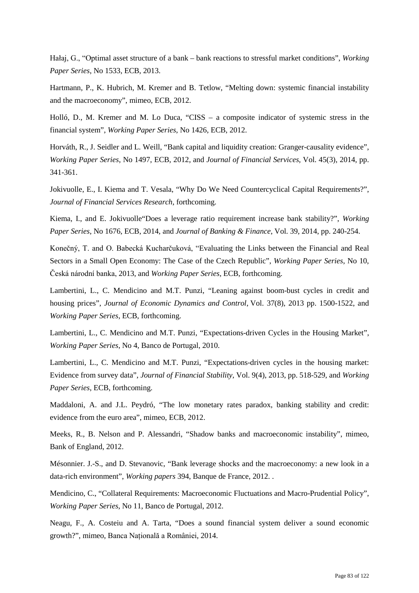Hałaj, G., "Optimal asset structure of a bank – bank reactions to stressful market conditions", *Working Paper Series*, No 1533, ECB, 2013.

Hartmann, P., K. Hubrich, M. Kremer and B. Tetlow, "Melting down: systemic financial instability and the macroeconomy", mimeo, ECB, 2012.

Holló, D., M. Kremer and M. Lo Duca, "CISS – a composite indicator of systemic stress in the financial system", *Working Paper Series*, No 1426, ECB, 2012.

Horváth, R., J. Seidler and L. Weill, "Bank capital and liquidity creation: Granger-causality evidence", *Working Paper Series*, No 1497, ECB, 2012, and *Journal of Financial Services,* Vol. 45(3), 2014, pp. 341-361.

Jokivuolle, E., I. Kiema and T. Vesala, "Why Do We Need Countercyclical Capital Requirements?", *Journal of Financial Services Research*, forthcoming.

Kiema, I., and E. Jokivuolle"Does a leverage ratio requirement increase bank stability?", *Working Paper Series*, No 1676, ECB, 2014, and *Journal of Banking & Finance*, Vol. 39, 2014, pp. 240-254.

Konečný, T. and O. Babecká Kucharčuková, "Evaluating the Links between the Financial and Real Sectors in a Small Open Economy: The Case of the Czech Republic", *Working Paper Series*, No 10, Česká národní banka, 2013, and *Working Paper Series*, ECB, forthcoming.

Lambertini, L., C. Mendicino and M.T. Punzi, "Leaning against boom-bust cycles in credit and housing prices", *Journal of Economic Dynamics and Control*, Vol. 37(8), 2013 pp. 1500-1522, and *Working Paper Series*, ECB, forthcoming.

Lambertini, L., C. Mendicino and M.T. Punzi, "Expectations-driven Cycles in the Housing Market", *Working Paper Series*, No 4, Banco de Portugal, 2010.

Lambertini, L., C. Mendicino and M.T. Punzi, "Expectations-driven cycles in the housing market: Evidence from survey data", *Journal of Financial Stability*, Vol. 9(4), 2013, pp. 518-529, and *Working Paper Series*, ECB, forthcoming.

Maddaloni, A. and J.L. Peydró, "The low monetary rates paradox, banking stability and credit: evidence from the euro area", mimeo, ECB, 2012.

Meeks, R., B. Nelson and P. Alessandri, "Shadow banks and macroeconomic instability", mimeo, Bank of England, 2012.

Mésonnier. J.-S., and D. Stevanovic, "Bank leverage shocks and the macroeconomy: a new look in a data-rich environment", *Working papers* 394, Banque de France, 2012. .

Mendicino, C., "Collateral Requirements: Macroeconomic Fluctuations and Macro-Prudential Policy", *Working Paper Series*, No 11, Banco de Portugal, 2012.

Neagu, F., A. Costeiu and A. Tarta, "Does a sound financial system deliver a sound economic growth?", mimeo, Banca Naţională a României, 2014.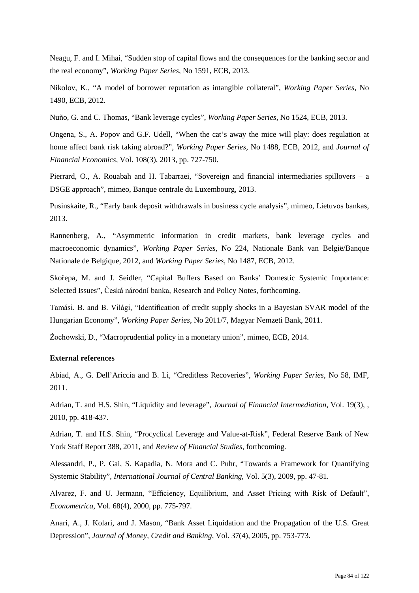Neagu, F. and I. Mihai, "Sudden stop of capital flows and the consequences for the banking sector and the real economy", *Working Paper Series*, No 1591, ECB, 2013.

Nikolov, K., "A model of borrower reputation as intangible collateral", *Working Paper Series*, No 1490, ECB, 2012.

Nuño, G. and C. Thomas, "Bank leverage cycles", *Working Paper Series*, No 1524, ECB, 2013.

Ongena, S., A. Popov and G.F. Udell, "When the cat's away the mice will play: does regulation at home affect bank risk taking abroad?", *Working Paper Series*, No 1488, ECB, 2012, and *Journal of Financial Economics*, Vol. 108(3), 2013, pp. 727-750.

Pierrard, O., A. Rouabah and H. Tabarraei, "Sovereign and financial intermediaries spillovers – a DSGE approach", mimeo, Banque centrale du Luxembourg, 2013.

Pusinskaite, R., "Early bank deposit withdrawals in business cycle analysis", mimeo, Lietuvos bankas, 2013.

Rannenberg, A., "Asymmetric information in credit markets, bank leverage cycles and macroeconomic dynamics", *Working Paper Series*, No 224, Nationale Bank van België/Banque Nationale de Belgique, 2012, and *Working Paper Series*, No 1487, ECB, 2012.

Skořepa, M. and J. Seidler, "Capital Buffers Based on Banks' Domestic Systemic Importance: Selected Issues", Česká národní banka, Research and Policy Notes, forthcoming.

Tamási, B. and B. Világi, "Identification of credit supply shocks in a Bayesian SVAR model of the Hungarian Economy", *Working Paper Series*, No 2011/7, Magyar Nemzeti Bank, 2011.

Żochowski, D., "Macroprudential policy in a monetary union", mimeo, ECB, 2014.

#### **External references**

Abiad, A., G. Dell'Ariccia and B. Li, "Creditless Recoveries", *Working Paper Series*, No 58, IMF, 2011.

Adrian, T. and H.S. Shin, "Liquidity and leverage", *Journal of Financial Intermediation*, Vol. 19(3), , 2010, pp. 418-437.

Adrian, T. and H.S. Shin, "Procyclical Leverage and Value-at-Risk", Federal Reserve Bank of New York Staff Report 388, 2011, and *Review of Financial Studies*, forthcoming.

Alessandri, P., P. Gai, S. Kapadia, N. Mora and C. Puhr, "Towards a Framework for Quantifying Systemic Stability", *International Journal of Central Banking*, Vol. 5(3), 2009, pp. 47-81.

Alvarez, F. and U. Jermann, "Efficiency, Equilibrium, and Asset Pricing with Risk of Default", *Econometrica*, Vol. 68(4), 2000, pp. 775-797.

Anari, A., J. Kolari, and J. Mason, "Bank Asset Liquidation and the Propagation of the U.S. Great Depression", *Journal of Money, Credit and Banking*, Vol. 37(4), 2005, pp. 753-773.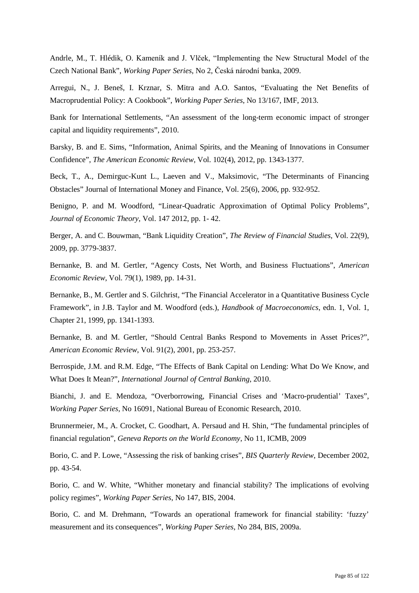Andrle, M., T. Hlédik, O. Kameník and J. Vlček, "Implementing the New Structural Model of the Czech National Bank", *Working Paper Series*, No 2, Česká národní banka, 2009.

Arregui, N., J. Beneš, I. Krznar, S. Mitra and A.O. Santos, "Evaluating the Net Benefits of Macroprudential Policy: A Cookbook", *Working Paper Series*, No 13/167, IMF, 2013.

Bank for International Settlements, "An assessment of the long-term economic impact of stronger capital and liquidity requirements", 2010.

Barsky, B. and E. Sims, "Information, Animal Spirits, and the Meaning of Innovations in Consumer Confidence", *The American Economic Review*, Vol. 102(4), 2012, pp. 1343-1377.

Beck, T., A., Demirguc-Kunt L., Laeven and V., Maksimovic, "The Determinants of Financing Obstacles" Journal of International Money and Finance, Vol. 25(6), 2006, pp. 932-952.

Benigno, P. and M. Woodford, "Linear-Quadratic Approximation of Optimal Policy Problems", *Journal of Economic Theory*, Vol. 147 2012, pp. 1- 42.

Berger, A. and C. Bouwman, "Bank Liquidity Creation", *The Review of Financial Studies*, Vol. 22(9), 2009, pp. 3779-3837.

Bernanke, B. and M. Gertler, "Agency Costs, Net Worth, and Business Fluctuations", *American Economic Review*, Vol. 79(1), 1989, pp. 14-31.

Bernanke, B., M. Gertler and S. Gilchrist, "The Financial Accelerator in a Quantitative Business Cycle Framework", in J.B. Taylor and M. Woodford (eds.), *Handbook of Macroeconomics*, edn. 1, Vol. 1, Chapter 21, 1999, pp. 1341-1393.

Bernanke, B. and M. Gertler, "Should Central Banks Respond to Movements in Asset Prices?", *American Economic Review*, Vol. 91(2), 2001, pp. 253-257.

Berrospide, J.M. and R.M. Edge, "The Effects of Bank Capital on Lending: What Do We Know, and What Does It Mean?", *International Journal of Central Banking*, 2010.

Bianchi, J. and E. Mendoza, "Overborrowing, Financial Crises and 'Macro-prudential' Taxes", *Working Paper Series*, No 16091, National Bureau of Economic Research, 2010.

Brunnermeier, M., A. Crocket, C. Goodhart, A. Persaud and H. Shin, "The fundamental principles of financial regulation", *Geneva Reports on the World Economy*, No 11, ICMB, 2009

Borio, C. and P. Lowe, "Assessing the risk of banking crises", *BIS Quarterly Review*, December 2002, pp. 43-54.

Borio, C. and W. White, "Whither monetary and financial stability? The implications of evolving policy regimes", *Working Paper Series*, No 147, BIS, 2004.

Borio, C. and M. Drehmann, "Towards an operational framework for financial stability: 'fuzzy' measurement and its consequences", *Working Paper Series*, No 284, BIS, 2009a.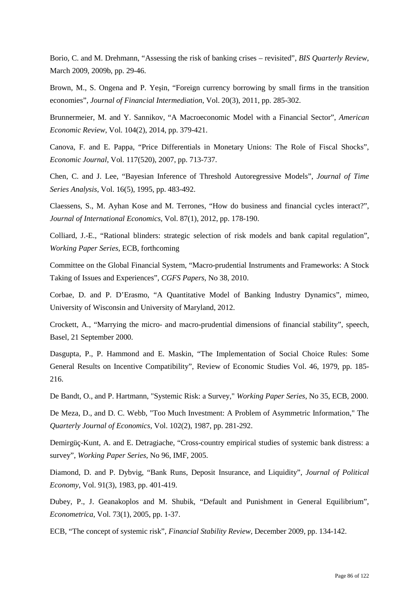Borio, C. and M. Drehmann, "Assessing the risk of banking crises – revisited", *BIS Quarterly Review*, March 2009, 2009b, pp. 29-46.

Brown, M., S. Ongena and P. Yeşin, "Foreign currency borrowing by small firms in the transition economies", *Journal of Financial Intermediation*, Vol. 20(3), 2011, pp. 285-302.

Brunnermeier, M. and Y. Sannikov, "A Macroeconomic Model with a Financial Sector", *American Economic Review*, Vol. 104(2), 2014, pp. 379-421.

Canova, F. and E. Pappa, "Price Differentials in Monetary Unions: The Role of Fiscal Shocks", *Economic Journal*, Vol. 117(520), 2007, pp. 713-737.

Chen, C. and J. Lee, "Bayesian Inference of Threshold Autoregressive Models", *Journal of Time Series Analysis*, Vol. 16(5), 1995, pp. 483-492.

Claessens, S., M. Ayhan Kose and M. Terrones, "How do business and financial cycles interact?", *Journal of International Economics*, Vol. 87(1), 2012, pp. 178-190.

Colliard, J.-E., "Rational blinders: strategic selection of risk models and bank capital regulation", *Working Paper Series*, ECB, forthcoming

Committee on the Global Financial System, "Macro-prudential Instruments and Frameworks: A Stock Taking of Issues and Experiences", *CGFS Papers*, No 38, 2010.

Corbae, D. and P. D'Erasmo, "A Quantitative Model of Banking Industry Dynamics", mimeo, University of Wisconsin and University of Maryland, 2012.

Crockett, A., "Marrying the micro- and macro-prudential dimensions of financial stability", speech, Basel, 21 September 2000.

Dasgupta, P., P. Hammond and E. Maskin, "The Implementation of Social Choice Rules: Some General Results on Incentive Compatibility", Review of Economic Studies Vol. 46, 1979, pp. 185- 216.

De Bandt, O., and P. Hartmann, "Systemic Risk: a Survey," *Working Paper Series*, No 35, ECB, 2000.

De Meza, D., and D. C. Webb, "Too Much Investment: A Problem of Asymmetric Information," The *Quarterly Journal of Economics*, Vol. 102(2), 1987, pp. 281-292.

Demirgüç-Kunt, A. and E. Detragiache, "Cross-country empirical studies of systemic bank distress: a survey", *Working Paper Series*, No 96, IMF, 2005.

Diamond, D. and P. Dybvig, "Bank Runs, Deposit Insurance, and Liquidity", *Journal of Political Economy*, Vol. 91(3), 1983, pp. 401-419.

Dubey, P., J. Geanakoplos and M. Shubik, "Default and Punishment in General Equilibrium", *Econometrica*, Vol. 73(1), 2005, pp. 1-37.

ECB, "The concept of systemic risk", *Financial Stability Review*, December 2009, pp. 134-142.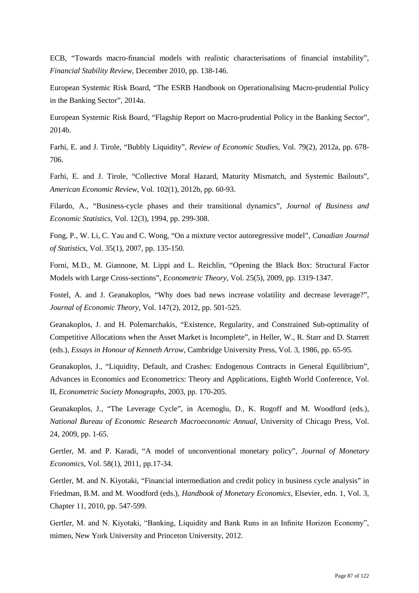ECB, "Towards macro-financial models with realistic characterisations of financial instability", *Financial Stability Review*, December 2010, pp. 138-146.

European Systemic Risk Board, "The ESRB Handbook on Operationalising Macro-prudential Policy in the Banking Sector", 2014a.

European Systemic Risk Board, "Flagship Report on Macro-prudential Policy in the Banking Sector", 2014b.

Farhi, E. and J. Tirole, "Bubbly Liquidity", *Review of Economic Studies*, Vol. 79(2), 2012a, pp. 678- 706.

Farhi, E. and J. Tirole, "Collective Moral Hazard, Maturity Mismatch, and Systemic Bailouts", *American Economic Review*, Vol. 102(1), 2012b, pp. 60-93.

Filardo, A., "Business-cycle phases and their transitional dynamics", *Journal of Business and Economic Statistics*, Vol. 12(3), 1994, pp. 299-308.

Fong, P., W. Li, C. Yau and C. Wong, "On a mixture vector autoregressive model", *Canadian Journal of Statistics*, Vol. 35(1), 2007, pp. 135-150.

Forni, M.D., M. Giannone, M. Lippi and L. Reichlin, "Opening the Black Box: Structural Factor Models with Large Cross-sections", *Econometric Theory*, Vol. 25(5), 2009, pp. 1319-1347.

Fostel, A. and J. Geanakoplos, "Why does bad news increase volatility and decrease leverage?", *Journal of Economic Theory*, Vol. 147(2), 2012, pp. 501-525.

Geanakoplos, J. and H. Polemarchakis, "Existence, Regularity, and Constrained Sub-optimality of Competitive Allocations when the Asset Market is Incomplete", in Heller, W., R. Starr and D. Starrett (eds.), *Essays in Honour of Kenneth Arrow*, Cambridge University Press, Vol. 3, 1986, pp. 65-95.

Geanakoplos, J., "Liquidity, Default, and Crashes: Endogenous Contracts in General Equilibrium", Advances in Economics and Econometrics: Theory and Applications, Eighth World Conference, Vol. II, *Econometric Society Monographs*, 2003, pp. 170-205.

Geanakoplos, J., "The Leverage Cycle", in Acemoglu, D., K. Rogoff and M. Woodford (eds.), *National Bureau of Economic Research Macroeconomic Annual*, University of Chicago Press, Vol. 24, 2009, pp. 1-65.

Gertler, M. and P. Karadi, "A model of unconventional monetary policy", *Journal of Monetary Economics*, Vol. 58(1), 2011, pp.17-34.

Gertler, M. and N. Kiyotaki, "Financial intermediation and credit policy in business cycle analysis" in Friedman, B.M. and M. Woodford (eds.), *Handbook of Monetary Economics*, Elsevier, edn. 1, Vol. 3, Chapter 11, 2010, pp. 547-599.

Gertler, M. and N. Kiyotaki, "Banking, Liquidity and Bank Runs in an Infinite Horizon Economy", mimeo, New York University and Princeton University, 2012.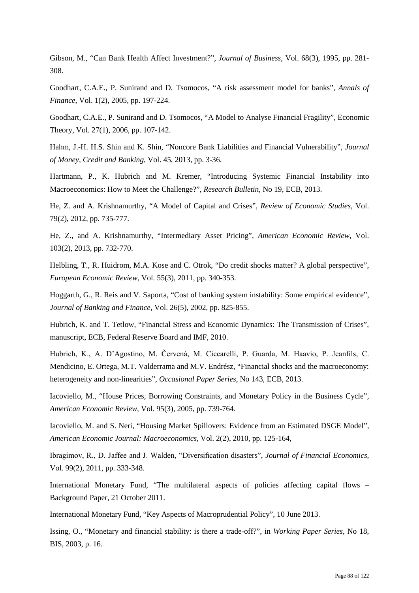Gibson, M., "Can Bank Health Affect Investment?", *Journal of Business*, Vol. 68(3), 1995, pp. 281- 308.

Goodhart, C.A.E., P. Sunirand and D. Tsomocos, "A risk assessment model for banks", *Annals of Finance*, Vol. 1(2), 2005, pp. 197-224.

Goodhart, C.A.E., P. Sunirand and D. Tsomocos, "A Model to Analyse Financial Fragility", Economic Theory, Vol. 27(1), 2006, pp. 107-142.

Hahm, J.-H. H.S. Shin and K. Shin, "Noncore Bank Liabilities and Financial Vulnerability", *Journal of Money, Credit and Banking*, Vol. 45, 2013, pp. 3-36.

Hartmann, P., K. Hubrich and M. Kremer, "Introducing Systemic Financial Instability into Macroeconomics: How to Meet the Challenge?", *Research Bulletin*, No 19, ECB, 2013.

He, Z. and A. Krishnamurthy, "A Model of Capital and Crises", *Review of Economic Studies*, Vol. 79(2), 2012, pp. 735-777.

He, Z., and A. Krishnamurthy, "Intermediary Asset Pricing", *American Economic Review*, Vol. 103(2), 2013, pp. 732-770.

Helbling, T., R. Huidrom, M.A. Kose and C. Otrok, "Do credit shocks matter? A global perspective", *European Economic Review*, Vol. 55(3), 2011, pp. 340-353.

Hoggarth, G., R. Reis and V. Saporta, "Cost of banking system instability: Some empirical evidence", *Journal of Banking and Finance*, Vol. 26(5), 2002, pp. 825-855.

Hubrich, K. and T. Tetlow, "Financial Stress and Economic Dynamics: The Transmission of Crises", manuscript, ECB, Federal Reserve Board and IMF, 2010.

Hubrich, K., A. D'Agostino, M. Červená, M. Ciccarelli, P. Guarda, M. Haavio, P. Jeanfils, C. Mendicino, E. Ortega, M.T. Valderrama and M.V. Endrész, "Financial shocks and the macroeconomy: heterogeneity and non-linearities", *Occasional Paper Series*, No 143, ECB, 2013.

Iacoviello, M., "House Prices, Borrowing Constraints, and Monetary Policy in the Business Cycle", *American Economic Review*, Vol. 95(3), 2005, pp. 739-764.

Iacoviello, M. and S. Neri, "Housing Market Spillovers: Evidence from an Estimated DSGE Model", *American Economic Journal: Macroeconomics*, Vol. 2(2), 2010, pp. 125-164,

Ibragimov, R., D. Jaffee and J. Walden, "Diversification disasters", *Journal of Financial Economics*, Vol. 99(2), 2011, pp. 333-348.

International Monetary Fund, "The multilateral aspects of policies affecting capital flows – Background Paper, 21 October 2011.

International Monetary Fund, "Key Aspects of Macroprudential Policy", 10 June 2013.

Issing, O., "Monetary and financial stability: is there a trade-off?", in *Working Paper Series*, No 18, BIS, 2003, p. 16.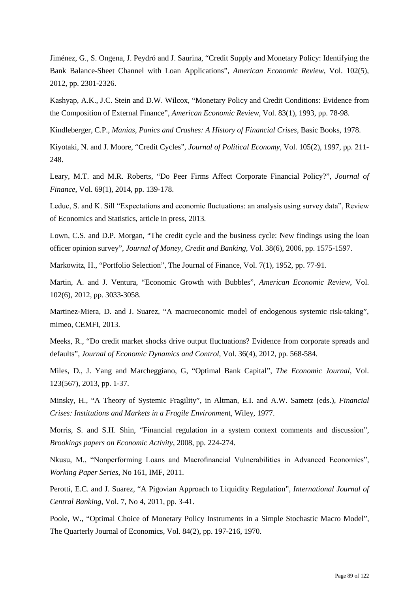Jiménez, G., S. Ongena, J. Peydró and J. Saurina, "Credit Supply and Monetary Policy: Identifying the Bank Balance-Sheet Channel with Loan Applications", *American Economic Review*, Vol. 102(5), 2012, pp. 2301-2326.

Kashyap, A.K., J.C. Stein and D.W. Wilcox, "Monetary Policy and Credit Conditions: Evidence from the Composition of External Finance", *American Economic Review*, Vol. 83(1), 1993, pp. 78-98.

Kindleberger, C.P., *Manias, Panics and Crashes: A History of Financial Crises*, Basic Books, 1978.

Kiyotaki, N. and J. Moore, "Credit Cycles", *Journal of Political Economy*, Vol. 105(2), 1997, pp. 211- 248.

Leary, M.T. and M.R. Roberts, "Do Peer Firms Affect Corporate Financial Policy?", *Journal of Finance*, Vol. 69(1), 2014, pp. 139-178.

Leduc, S. and K. Sill "Expectations and economic fluctuations: an analysis using survey data", Review of Economics and Statistics, article in press, 2013.

Lown, C.S. and D.P. Morgan, "The credit cycle and the business cycle: New findings using the loan officer opinion survey", *Journal of Money, Credit and Banking*, Vol. 38(6), 2006, pp. 1575-1597.

Markowitz, H., "Portfolio Selection", The Journal of Finance, Vol. 7(1), 1952, pp. 77-91.

Martin, A. and J. Ventura, "Economic Growth with Bubbles", *American Economic Review*, Vol. 102(6), 2012, pp. 3033-3058.

Martinez-Miera, D. and J. Suarez, "A macroeconomic model of endogenous systemic risk-taking", mimeo, CEMFI, 2013.

Meeks, R., "Do credit market shocks drive output fluctuations? Evidence from corporate spreads and defaults", *Journal of Economic Dynamics and Control*, Vol. 36(4), 2012, pp. 568-584.

Miles, D., J. Yang and Marcheggiano, G, "Optimal Bank Capital", *The Economic Journal*, Vol. 123(567), 2013, pp. 1-37.

Minsky, H., "A Theory of Systemic Fragility", in Altman, E.I. and A.W. Sametz (eds.), *Financial Crises: Institutions and Markets in a Fragile Environmen*t, Wiley, 1977.

Morris, S. and S.H. Shin, "Financial regulation in a system context comments and discussion", *Brookings papers on Economic Activity*, 2008, pp. 224-274.

Nkusu, M., "Nonperforming Loans and Macrofinancial Vulnerabilities in Advanced Economies", *Working Paper Series*, No 161, IMF, 2011.

Perotti, E.C. and J. Suarez, "A Pigovian Approach to Liquidity Regulation", *International Journal of Central Banking*, Vol. 7, No 4, 2011, pp. 3-41.

Poole, W., "Optimal Choice of Monetary Policy Instruments in a Simple Stochastic Macro Model", The Quarterly Journal of Economics, Vol. 84(2), pp. 197-216, 1970.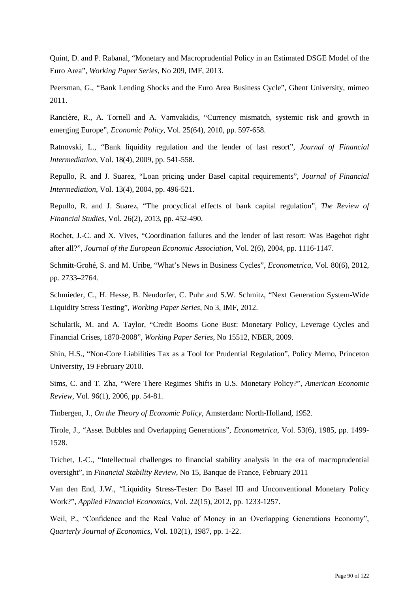Quint, D. and P. Rabanal, "Monetary and Macroprudential Policy in an Estimated DSGE Model of the Euro Area", *Working Paper Series*, No 209, IMF, 2013.

Peersman, G., "Bank Lending Shocks and the Euro Area Business Cycle", Ghent University, mimeo 2011.

Rancière, R., A. Tornell and A. Vamvakidis, "Currency mismatch, systemic risk and growth in emerging Europe", *Economic Policy*, Vol. 25(64), 2010, pp. 597-658.

Ratnovski, L., "Bank liquidity regulation and the lender of last resort", *Journal of Financial Intermediation*, Vol. 18(4), 2009, pp. 541-558.

Repullo, R. and J. Suarez, "Loan pricing under Basel capital requirements", *Journal of Financial Intermediation*, Vol. 13(4), 2004, pp. 496-521.

Repullo, R. and J. Suarez, "The procyclical effects of bank capital regulation", *The Review of Financial Studies*, Vol. 26(2), 2013, pp. 452-490.

Rochet, J.-C. and X. Vives, "Coordination failures and the lender of last resort: Was Bagehot right after all?", *Journal of the European Economic Association*, Vol. 2(6), 2004, pp. 1116-1147.

Schmitt-Grohé, S. and M. Uribe, "What's News in Business Cycles", *Econometrica*, Vol. 80(6), 2012, pp. 2733–2764.

Schmieder, C., H. Hesse, B. Neudorfer, C. Puhr and S.W. Schmitz, "Next Generation System-Wide Liquidity Stress Testing", *Working Paper Series*, No 3, IMF, 2012.

Schularik, M. and A. Taylor, "Credit Booms Gone Bust: Monetary Policy, Leverage Cycles and Financial Crises, 1870-2008", *Working Paper Series*, No 15512, NBER, 2009.

Shin, H.S., "Non-Core Liabilities Tax as a Tool for Prudential Regulation", Policy Memo, Princeton University, 19 February 2010.

Sims, C. and T. Zha, "Were There Regimes Shifts in U.S. Monetary Policy?", *American Economic Review*, Vol. 96(1), 2006, pp. 54-81.

Tinbergen, J., *On the Theory of Economic Policy,* Amsterdam: North-Holland, 1952.

Tirole, J., "Asset Bubbles and Overlapping Generations", *Econometrica*, Vol. 53(6), 1985, pp. 1499- 1528.

Trichet, J.-C., "Intellectual challenges to financial stability analysis in the era of macroprudential oversight", in *Financial Stability Review*, No 15, Banque de France, February 2011

Van den End, J.W., "Liquidity Stress-Tester: Do Basel III and Unconventional Monetary Policy Work?", *Applied Financial Economics*, Vol. 22(15), 2012, pp. 1233-1257.

Weil, P., "Confidence and the Real Value of Money in an Overlapping Generations Economy", *Quarterly Journal of Economics*, Vol. 102(1), 1987, pp. 1-22.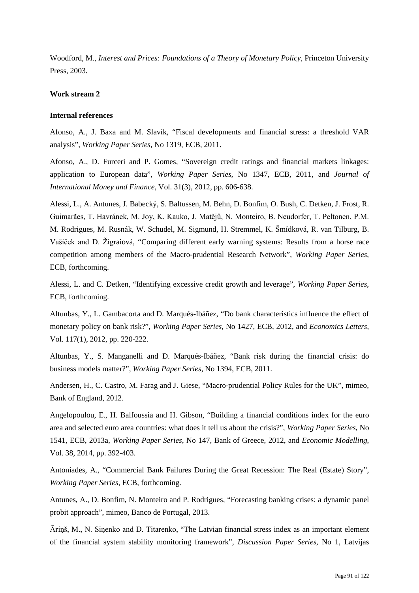Woodford, M., *Interest and Prices: Foundations of a Theory of Monetary Policy*, Princeton University Press, 2003.

### **Work stream 2**

### **Internal references**

Afonso, A., J. Baxa and M. Slavík, "Fiscal developments and financial stress: a threshold VAR analysis", *Working Paper Series*, No 1319, ECB, 2011.

Afonso, A., D. Furceri and P. Gomes, "Sovereign credit ratings and financial markets linkages: application to European data", *Working Paper Series*, No 1347, ECB, 2011, and *Journal of International Money and Finance*, Vol. 31(3), 2012, pp. 606-638.

Alessi, L., A. Antunes, J. Babecký, S. Baltussen, M. Behn, D. Bonfim, O. Bush, C. Detken, J. Frost, R. Guimarães, T. Havránek, M. Joy, K. Kauko, J. Matějů, N. Monteiro, B. Neudorfer, T. Peltonen, P.M. M. Rodrigues, M. Rusnák, W. Schudel, M. Sigmund, H. Stremmel, K. Šmídková, R. van Tilburg, B. Vašíček and D. Žigraiová, "Comparing different early warning systems: Results from a horse race competition among members of the Macro-prudential Research Network", *Working Paper Series*, ECB, forthcoming.

Alessi, L. and C. Detken, "Identifying excessive credit growth and leverage", *Working Paper Series*, ECB, forthcoming.

Altunbas, Y., L. Gambacorta and D. Marqués-Ibáñez, "Do bank characteristics influence the effect of monetary policy on bank risk?", *Working Paper Series*, No 1427, ECB, 2012, and *Economics Letters*, Vol. 117(1), 2012, pp. 220-222.

Altunbas, Y., S. Manganelli and D. Marqués-Ibáñez, "Bank risk during the financial crisis: do business models matter?", *Working Paper Series*, No 1394, ECB, 2011.

Andersen, H., C. Castro, M. Farag and J. Giese, "Macro-prudential Policy Rules for the UK", mimeo, Bank of England, 2012.

Angelopoulou, E., H. Balfoussia and H. Gibson, "Building a financial conditions index for the euro area and selected euro area countries: what does it tell us about the crisis?", *Working Paper Series*, No 1541, ECB, 2013a, *Working Paper Series*, No 147, Bank of Greece, 2012, and *Economic Modelling*, Vol. 38, 2014, pp. 392-403.

Antoniades, A., "Commercial Bank Failures During the Great Recession: The Real (Estate) Story", *Working Paper Series*, ECB, forthcoming.

Antunes, A., D. Bonfim, N. Monteiro and P. Rodrigues, "Forecasting banking crises: a dynamic panel probit approach", mimeo, Banco de Portugal, 2013.

Āriņš, M., N. Siņenko and D. Titarenko, "The Latvian financial stress index as an important element of the financial system stability monitoring framework", *Discussion Paper Series*, No 1, Latvijas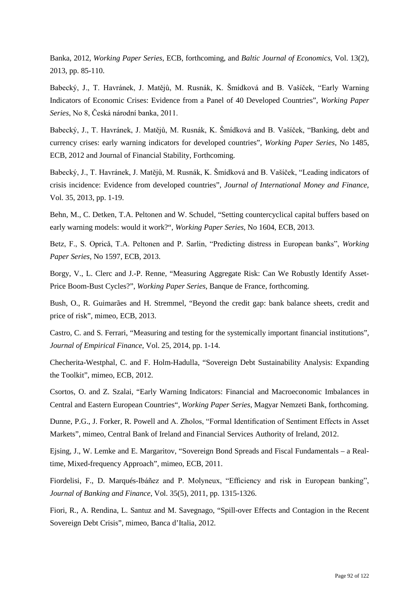Banka, 2012, *Working Paper Series*, ECB, forthcoming, and *Baltic Journal of Economics*, Vol. 13(2), 2013, pp. 85-110.

Babecký, J., T. Havránek, J. Matějů, M. Rusnák, K. Šmídková and B. Vašíček, "Early Warning Indicators of Economic Crises: Evidence from a Panel of 40 Developed Countries", *Working Paper Series*, No 8, Česká národní banka, 2011.

Babecký, J., T. Havránek, J. Matějů, M. Rusnák, K. Šmídková and B. Vašíček, "Banking, debt and currency crises: early warning indicators for developed countries", *Working Paper Series*, No 1485, ECB, 2012 and Journal of Financial Stability, Forthcoming.

Babecký, J., T. Havránek, J. Matějů, M. Rusnák, K. Šmídková and B. Vašíček, "Leading indicators of crisis incidence: Evidence from developed countries", *Journal of International Money and Finance*, Vol. 35, 2013, pp. 1-19.

Behn, M., C. Detken, T.A. Peltonen and W. Schudel, "Setting countercyclical capital buffers based on early warning models: would it work?", *Working Paper Series*, No 1604, ECB, 2013.

Betz, F., S. Opricǎ, T.A. Peltonen and P. Sarlin, "Predicting distress in European banks", *Working Paper Series*, No 1597, ECB, 2013.

Borgy, V., L. Clerc and J.-P. Renne, "Measuring Aggregate Risk: Can We Robustly Identify Asset-Price Boom-Bust Cycles?", *Working Paper Series*, Banque de France, forthcoming.

Bush, O., R. Guimarães and H. Stremmel, "Beyond the credit gap: bank balance sheets, credit and price of risk", mimeo, ECB, 2013.

Castro, C. and S. Ferrari, "Measuring and testing for the systemically important financial institutions", *Journal of Empirical Finance*, Vol. 25, 2014, pp. 1-14.

Checherita-Westphal, C. and F. Holm-Hadulla, "Sovereign Debt Sustainability Analysis: Expanding the Toolkit", mimeo, ECB, 2012.

Csortos, O. and Z. Szalai, "Early Warning Indicators: Financial and Macroeconomic Imbalances in Central and Eastern European Countries", *Working Paper Series*, Magyar Nemzeti Bank, forthcoming.

Dunne, P.G., J. Forker, R. Powell and A. Zholos, "Formal Identification of Sentiment Effects in Asset Markets", mimeo, Central Bank of Ireland and Financial Services Authority of Ireland, 2012.

Ejsing, J., W. Lemke and E. Margaritov, "Sovereign Bond Spreads and Fiscal Fundamentals – a Realtime, Mixed-frequency Approach", mimeo, ECB, 2011.

Fiordelisi, F., D. Marqués-Ibáñez and P. Molyneux, "Efficiency and risk in European banking", *Journal of Banking and Finance*, Vol. 35(5), 2011, pp. 1315-1326.

Fiori, R., A. Rendina, L. Santuz and M. Savegnago, "Spill-over Effects and Contagion in the Recent Sovereign Debt Crisis", mimeo, Banca d'Italia, 2012.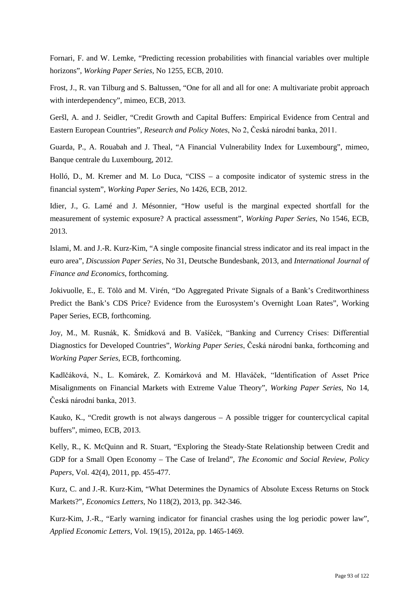Fornari, F. and W. Lemke, "Predicting recession probabilities with financial variables over multiple horizons", *Working Paper Series*, No 1255, ECB, 2010.

Frost, J., R. van Tilburg and S. Baltussen, "One for all and all for one: A multivariate probit approach with interdependency", mimeo, ECB, 2013.

Geršl, A. and J. Seidler, "Credit Growth and Capital Buffers: Empirical Evidence from Central and Eastern European Countries", *Research and Policy Notes*, No 2, Česká národní banka, 2011.

Guarda, P., A. Rouabah and J. Theal, "A Financial Vulnerability Index for Luxembourg", mimeo, Banque centrale du Luxembourg, 2012.

Holló, D., M. Kremer and M. Lo Duca, "CISS – a composite indicator of systemic stress in the financial system", *Working Paper Series*, No 1426, ECB, 2012.

Idier, J., G. Lamé and J. Mésonnier, "How useful is the marginal expected shortfall for the measurement of systemic exposure? A practical assessment", *Working Paper Series*, No 1546, ECB, 2013.

Islami, M. and J.-R. Kurz-Kim, "A single composite financial stress indicator and its real impact in the euro area", *Discussion Paper Series*, No 31, Deutsche Bundesbank, 2013, and *International Journal of Finance and Economics*, forthcoming.

Jokivuolle, E., E. Tölö and M. Virén, "Do Aggregated Private Signals of a Bank's Creditworthiness Predict the Bank's CDS Price? Evidence from the Eurosystem's Overnight Loan Rates", Working Paper Series, ECB, forthcoming.

Joy, M., M. Rusnák, K. Šmídková and B. Vašíček, "Banking and Currency Crises: Differential Diagnostics for Developed Countries", *Working Paper Series*, Česká národní banka, forthcoming and *Working Paper Series*, ECB, forthcoming.

Kadlčáková, N., L. Komárek, Z. Komárková and M. Hlaváček, "Identification of Asset Price Misalignments on Financial Markets with Extreme Value Theory", *Working Paper Series*, No 14, Česká národní banka, 2013.

Kauko, K., "Credit growth is not always dangerous – A possible trigger for countercyclical capital buffers", mimeo, ECB, 2013.

Kelly, R., K. McQuinn and R. Stuart, "Exploring the Steady-State Relationship between Credit and GDP for a Small Open Economy – The Case of Ireland", *The Economic and Social Review, Policy Papers*, Vol. 42(4), 2011, pp. 455-477.

Kurz, C. and J.-R. Kurz-Kim, "What Determines the Dynamics of Absolute Excess Returns on Stock Markets?", *Economics Letters*, No 118(2), 2013, pp. 342-346.

Kurz-Kim, J.-R., "Early warning indicator for financial crashes using the log periodic power law", *Applied Economic Letters*, Vol. 19(15), 2012a, pp. 1465-1469.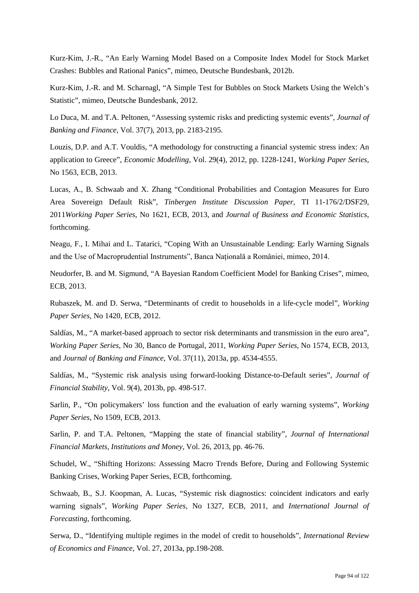Kurz-Kim, J.-R., "An Early Warning Model Based on a Composite Index Model for Stock Market Crashes: Bubbles and Rational Panics", mimeo, Deutsche Bundesbank, 2012b.

Kurz-Kim, J.-R. and M. Scharnagl, "A Simple Test for Bubbles on Stock Markets Using the Welch's Statistic", mimeo, Deutsche Bundesbank, 2012.

Lo Duca, M. and T.A. Peltonen, "Assessing systemic risks and predicting systemic events", *Journal of Banking and Finance*, Vol. 37(7), 2013, pp. 2183-2195.

Louzis, D.P. and A.T. Vouldis, "A methodology for constructing a financial systemic stress index: An application to Greece", *Economic Modelling*, Vol. 29(4), 2012, pp. 1228-1241, *Working Paper Series*, No 1563, ECB, 2013.

Lucas, A., B. Schwaab and X. Zhang "Conditional Probabilities and Contagion Measures for Euro Area Sovereign Default Risk", *Tinbergen Institute Discussion Paper*, TI 11-176/2/DSF29, 2011*Working Paper Series*, No 1621, ECB, 2013, and *Journal of Business and Economic Statistics*, forthcoming.

Neagu, F., I. Mihai and L. Tatarici, "Coping With an Unsustainable Lending: Early Warning Signals and the Use of Macroprudential Instruments", Banca Naţională a României, mimeo, 2014.

Neudorfer, B. and M. Sigmund, "A Bayesian Random Coefficient Model for Banking Crises", mimeo, ECB, 2013.

Rubaszek, M. and D. Serwa, "Determinants of credit to households in a life-cycle model", *Working Paper Series*, No 1420, ECB, 2012.

Saldías, M., "A market-based approach to sector risk determinants and transmission in the euro area", *Working Paper Series*, No 30, Banco de Portugal, 2011, *Working Paper Series*, No 1574, ECB, 2013, and *Journal of Banking and Finance*, Vol. 37(11), 2013a, pp. 4534-4555.

Saldías, M., "Systemic risk analysis using forward-looking Distance-to-Default series", *Journal of Financial Stability*, Vol. 9(4), 2013b, pp. 498-517.

Sarlin, P., "On policymakers' loss function and the evaluation of early warning systems", *Working Paper Series*, No 1509, ECB, 2013.

Sarlin, P. and T.A. Peltonen, "Mapping the state of financial stability", *Journal of International Financial Markets, Institutions and Money*, Vol. 26, 2013, pp. 46-76.

Schudel, W., "Shifting Horizons: Assessing Macro Trends Before, During and Following Systemic Banking Crises, Working Paper Series, ECB, forthcoming.

Schwaab, B., S.J. Koopman, A. Lucas, "Systemic risk diagnostics: coincident indicators and early warning signals", *Working Paper Series*, No 1327, ECB, 2011, and *International Journal of Forecasting*, forthcoming.

Serwa, D., "Identifying multiple regimes in the model of credit to households", *International Review of Economics and Finance*, Vol. 27, 2013a, pp.198-208.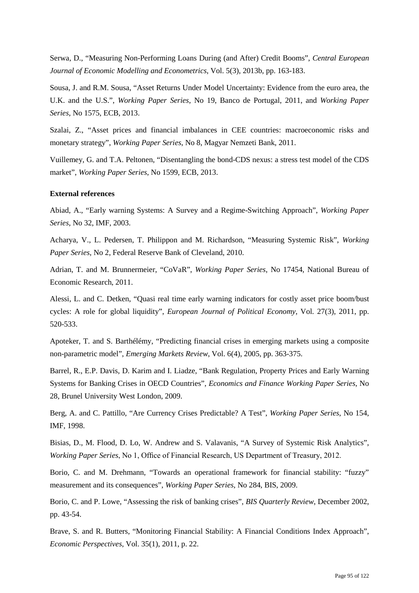Serwa, D., "Measuring Non-Performing Loans During (and After) Credit Booms", *Central European Journal of Economic Modelling and Econometrics*, Vol. 5(3), 2013b, pp. 163-183.

Sousa, J. and R.M. Sousa, "Asset Returns Under Model Uncertainty: Evidence from the euro area, the U.K. and the U.S.", *Working Paper Series*, No 19, Banco de Portugal, 2011, and *Working Paper Series*, No 1575, ECB, 2013.

Szalai, Z., "Asset prices and financial imbalances in CEE countries: macroeconomic risks and monetary strategy", *Working Paper Series*, No 8, Magyar Nemzeti Bank, 2011.

Vuillemey, G. and T.A. Peltonen, "Disentangling the bond-CDS nexus: a stress test model of the CDS market", *Working Paper Series*, No 1599, ECB, 2013.

## **External references**

Abiad, A., "Early warning Systems: A Survey and a Regime-Switching Approach", *Working Paper Series*, No 32, IMF, 2003.

Acharya, V., L. Pedersen, T. Philippon and M. Richardson, "Measuring Systemic Risk", *Working Paper Series*, No 2, Federal Reserve Bank of Cleveland, 2010.

Adrian, T. and M. Brunnermeier, "CoVaR", *Working Paper Series*, No 17454, National Bureau of Economic Research, 2011.

Alessi, L. and C. Detken, "Quasi real time early warning indicators for costly asset price boom/bust cycles: A role for global liquidity", *European Journal of Political Economy*, Vol. 27(3), 2011, pp. 520-533.

Apoteker, T. and S. Barthélémy, "Predicting financial crises in emerging markets using a composite non-parametric model", *Emerging Markets Review*, Vol. 6(4), 2005, pp. 363-375.

Barrel, R., E.P. Davis, D. Karim and I. Liadze, "Bank Regulation, Property Prices and Early Warning Systems for Banking Crises in OECD Countries", *Economics and Finance Working Paper Series*, No 28, Brunel University West London, 2009.

Berg, A. and C. Pattillo, "Are Currency Crises Predictable? A Test", *Working Paper Series*, No 154, IMF, 1998.

Bisias, D., M. Flood, D. Lo, W. Andrew and S. Valavanis, "A Survey of Systemic Risk Analytics", *Working Paper Series*, No 1, Office of Financial Research, US Department of Treasury, 2012.

Borio, C. and M. Drehmann, "Towards an operational framework for financial stability: "fuzzy" measurement and its consequences", *Working Paper Series*, No 284, BIS, 2009.

Borio, C. and P. Lowe, "Assessing the risk of banking crises", *BIS Quarterly Review*, December 2002, pp. 43-54.

Brave, S. and R. Butters, "Monitoring Financial Stability: A Financial Conditions Index Approach", *Economic Perspectives*, Vol. 35(1), 2011, p. 22.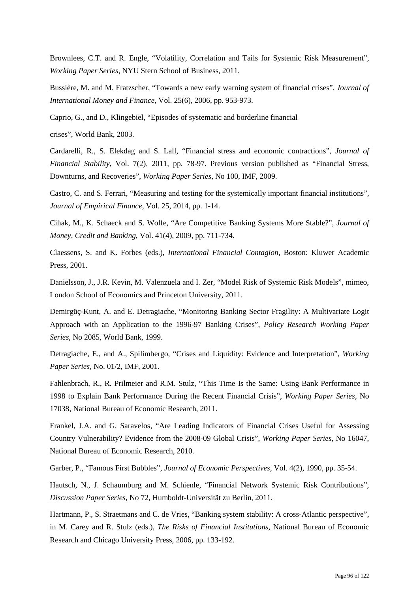Brownlees, C.T. and R. Engle, "Volatility, Correlation and Tails for Systemic Risk Measurement", *Working Paper Series*, NYU Stern School of Business, 2011.

Bussière, M. and M. Fratzscher, "Towards a new early warning system of financial crises", *Journal of International Money and Finance*, Vol. 25(6), 2006, pp. 953-973.

Caprio, G., and D., Klingebiel, "Episodes of systematic and borderline financial

crises", World Bank, 2003.

Cardarelli, R., S. Elekdag and S. Lall, "Financial stress and economic contractions", *Journal of Financial Stability*, Vol. 7(2), 2011, pp. 78-97. Previous version published as "Financial Stress, Downturns, and Recoveries", *Working Paper Series*, No 100, IMF, 2009.

Castro, C. and S. Ferrari, "Measuring and testing for the systemically important financial institutions", *Journal of Empirical Finance*, Vol. 25, 2014, pp. 1-14.

Cihak, M., K. Schaeck and S. Wolfe, "Are Competitive Banking Systems More Stable?", *Journal of Money, Credit and Banking*, Vol. 41(4), 2009, pp. 711-734.

Claessens, S. and K. Forbes (eds.), *International Financial Contagion*, Boston: Kluwer Academic Press, 2001.

Danielsson, J., J.R. Kevin, M. Valenzuela and I. Zer, "Model Risk of Systemic Risk Models", mimeo, London School of Economics and Princeton University, 2011.

Demirgüç-Kunt, A. and E. Detragiache, "Monitoring Banking Sector Fragility: A Multivariate Logit Approach with an Application to the 1996-97 Banking Crises", *Policy Research Working Paper Series*, No 2085, World Bank, 1999.

Detragiache, E., and A., Spilimbergo, "Crises and Liquidity: Evidence and Interpretation", *Working Paper Series,* No. 01/2, IMF, 2001.

Fahlenbrach, R., R. Prilmeier and R.M. Stulz, "This Time Is the Same: Using Bank Performance in 1998 to Explain Bank Performance During the Recent Financial Crisis", *Working Paper Series*, No 17038, National Bureau of Economic Research, 2011.

Frankel, J.A. and G. Saravelos, "Are Leading Indicators of Financial Crises Useful for Assessing Country Vulnerability? Evidence from the 2008-09 Global Crisis", *Working Paper Series*, No 16047, National Bureau of Economic Research, 2010.

Garber, P., "Famous First Bubbles", *Journal of Economic Perspectives*, Vol. 4(2), 1990, pp. 35-54.

Hautsch, N., J. Schaumburg and M. Schienle, "Financial Network Systemic Risk Contributions", *Discussion Paper Series*, No 72, Humboldt-Universität zu Berlin, 2011.

Hartmann, P., S. Straetmans and C. de Vries, "Banking system stability: A cross-Atlantic perspective", in M. Carey and R. Stulz (eds.), *The Risks of Financial Institutions*, National Bureau of Economic Research and Chicago University Press, 2006, pp. 133-192.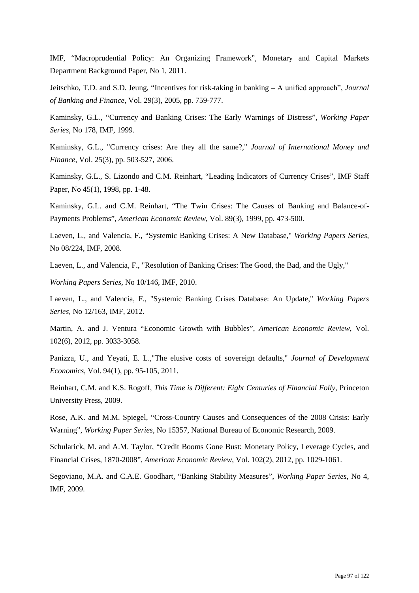IMF, "Macroprudential Policy: An Organizing Framework", Monetary and Capital Markets Department Background Paper, No 1, 2011.

Jeitschko, T.D. and S.D. Jeung, "Incentives for risk-taking in banking – A unified approach", *Journal of Banking and Finance*, Vol. 29(3), 2005, pp. 759-777.

Kaminsky, G.L., "Currency and Banking Crises: The Early Warnings of Distress", *Working Paper Series*, No 178, IMF, 1999.

Kaminsky, G.L., "Currency crises: Are they all the same?," *Journal of International Money and Finance*, Vol. 25(3), pp. 503-527, 2006.

Kaminsky, G.L., S. Lizondo and C.M. Reinhart, "Leading Indicators of Currency Crises", IMF Staff Paper, No 45(1), 1998, pp. 1-48.

Kaminsky, G.L. and C.M. Reinhart, "The Twin Crises: The Causes of Banking and Balance-of-Payments Problems", *American Economic Review*, Vol. 89(3), 1999, pp. 473-500.

Laeven, L., and Valencia, F., "Systemic Banking Crises: A New Database," *Working Papers Series,* No 08/224, IMF, 2008.

Laeven, L., and Valencia, F., "Resolution of Banking Crises: The Good, the Bad, and the Ugly,"

*Working Papers Series,* No 10/146, IMF, 2010.

Laeven, L., and Valencia, F., "Systemic Banking Crises Database: An Update," *Working Papers Series,* No 12/163, IMF, 2012.

Martin, A. and J. Ventura "Economic Growth with Bubbles", *American Economic Review*, Vol. 102(6), 2012, pp. 3033-3058.

Panizza, U., and Yeyati, E. L.,"The elusive costs of sovereign defaults," *Journal of Development Economics*, Vol. 94(1), pp. 95-105, 2011.

Reinhart, C.M. and K.S. Rogoff, *This Time is Different: Eight Centuries of Financial Folly*, Princeton University Press, 2009.

Rose, A.K. and M.M. Spiegel, "Cross-Country Causes and Consequences of the 2008 Crisis: Early Warning", *Working Paper Series*, No 15357, National Bureau of Economic Research, 2009.

Schularick, M. and A.M. Taylor, "Credit Booms Gone Bust: Monetary Policy, Leverage Cycles, and Financial Crises, 1870-2008", *American Economic Review*, Vol. 102(2), 2012, pp. 1029-1061.

Segoviano, M.A. and C.A.E. Goodhart, "Banking Stability Measures", *Working Paper Series*, No 4, IMF, 2009.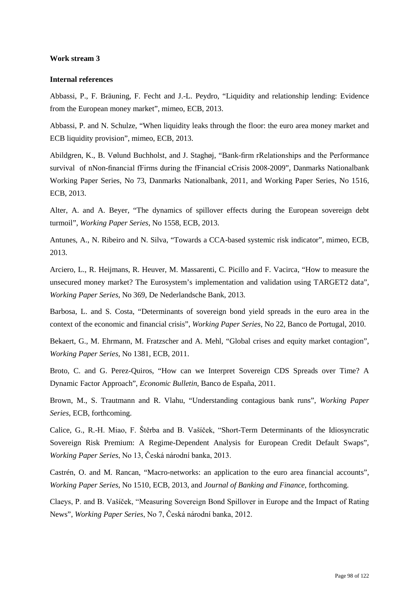### **Work stream 3**

#### **Internal references**

Abbassi, P., F. Bräuning, F. Fecht and J.-L. Peydro, "Liquidity and relationship lending: Evidence from the European money market", mimeo, ECB, 2013.

Abbassi, P. and N. Schulze, "When liquidity leaks through the floor: the euro area money market and ECB liquidity provision", mimeo, ECB, 2013.

Abildgren, K., B. Vølund Buchholst, and J. Staghøj, "Bank-firm rRelationships and the Performance survival of nNon-financial fFirms during the fFinancial cCrisis 2008-2009", Danmarks Nationalbank Working Paper Series, No 73, Danmarks Nationalbank, 2011, and Working Paper Series, No 1516, ECB, 2013.

Alter, A. and A. Beyer, "The dynamics of spillover effects during the European sovereign debt turmoil", *Working Paper Series*, No 1558, ECB, 2013.

Antunes, A., N. Ribeiro and N. Silva, "Towards a CCA-based systemic risk indicator", mimeo, ECB, 2013.

Arciero, L., R. Heijmans, R. Heuver, M. Massarenti, C. Picillo and F. Vacirca, "How to measure the unsecured money market? The Eurosystem's implementation and validation using TARGET2 data", *Working Paper Series*, No 369, De Nederlandsche Bank, 2013.

Barbosa, L. and S. Costa, "Determinants of sovereign bond yield spreads in the euro area in the context of the economic and financial crisis", *Working Paper Series*, No 22, Banco de Portugal, 2010.

Bekaert, G., M. Ehrmann, M. Fratzscher and A. Mehl, "Global crises and equity market contagion", *Working Paper Series*, No 1381, ECB, 2011.

Broto, C. and G. Perez-Quiros, "How can we Interpret Sovereign CDS Spreads over Time? A Dynamic Factor Approach", *Economic Bulletin*, Banco de España, 2011.

Brown, M., S. Trautmann and R. Vlahu, "Understanding contagious bank runs", *Working Paper Series*, ECB, forthcoming.

Calice, G., R.-H. Miao, F. Štěrba and B. Vašíček, "Short-Term Determinants of the Idiosyncratic Sovereign Risk Premium: A Regime-Dependent Analysis for European Credit Default Swaps", *Working Paper Series*, No 13, Česká národní banka, 2013.

Castrén, O. and M. Rancan, "Macro-networks: an application to the euro area financial accounts", *Working Paper Series*, No 1510, ECB, 2013, and *Journal of Banking and Finance*, forthcoming.

Claeys, P. and B. Vašíček, "Measuring Sovereign Bond Spillover in Europe and the Impact of Rating News", *Working Paper Series*, No 7, Česká národní banka, 2012.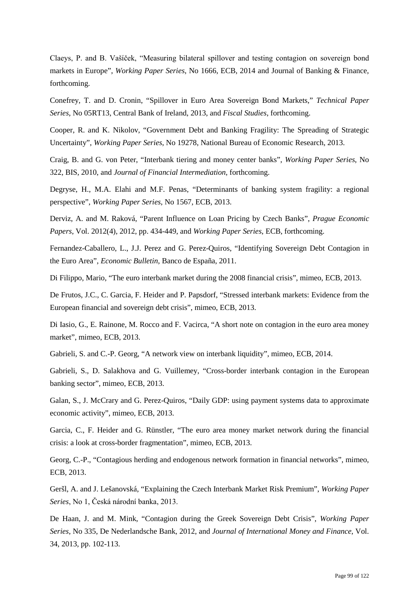Claeys, P. and B. Vašíček, "Measuring bilateral spillover and testing contagion on sovereign bond markets in Europe", *Working Paper Series*, No 1666, ECB, 2014 and Journal of Banking & Finance, forthcoming.

Conefrey, T. and D. Cronin, "Spillover in Euro Area Sovereign Bond Markets," *Technical Paper Series*, No 05RT13, Central Bank of Ireland, 2013, and *Fiscal Studies*, forthcoming.

Cooper, R. and K. Nikolov, "Government Debt and Banking Fragility: The Spreading of Strategic Uncertainty", *Working Paper Series*, No 19278, National Bureau of Economic Research, 2013.

Craig, B. and G. von Peter, "Interbank tiering and money center banks", *Working Paper Series*, No 322, BIS, 2010, and *Journal of Financial Intermediation*, forthcoming.

Degryse, H., M.A. Elahi and M.F. Penas, "Determinants of banking system fragility: a regional perspective", *Working Paper Series*, No 1567, ECB, 2013.

Derviz, A. and M. Raková, "Parent Influence on Loan Pricing by Czech Banks", *Prague Economic Papers*, Vol. 2012(4), 2012, pp. 434-449, and *Working Paper Series*, ECB, forthcoming.

Fernandez-Caballero, L., J.J. Perez and G. Perez-Quiros, "Identifying Sovereign Debt Contagion in the Euro Area", *Economic Bulletin*, Banco de España, 2011.

Di Filippo, Mario, "The euro interbank market during the 2008 financial crisis", mimeo, ECB, 2013.

De Frutos, J.C., C. Garcia, F. Heider and P. Papsdorf, "Stressed interbank markets: Evidence from the European financial and sovereign debt crisis", mimeo, ECB, 2013.

Di Iasio, G., E. Rainone, M. Rocco and F. Vacirca, "A short note on contagion in the euro area money market", mimeo, ECB, 2013.

Gabrieli, S. and C.-P. Georg, "A network view on interbank liquidity", mimeo, ECB, 2014.

Gabrieli, S., D. Salakhova and G. Vuillemey, "Cross-border interbank contagion in the European banking sector", mimeo, ECB, 2013.

Galan, S., J. McCrary and G. Perez-Quiros, "Daily GDP: using payment systems data to approximate economic activity", mimeo, ECB, 2013.

Garcia, C., F. Heider and G. Rünstler, "The euro area money market network during the financial crisis: a look at cross-border fragmentation", mimeo, ECB, 2013.

Georg, C.-P., "Contagious herding and endogenous network formation in financial networks", mimeo, ECB, 2013.

Geršl, A. and J. Lešanovská, "Explaining the Czech Interbank Market Risk Premium", *Working Paper Series*, No 1, Česká národní banka, 2013.

De Haan, J. and M. Mink, "Contagion during the Greek Sovereign Debt Crisis", *Working Paper Series*, No 335, De Nederlandsche Bank, 2012, and *Journal of International Money and Finance*, Vol. 34, 2013, pp. 102-113.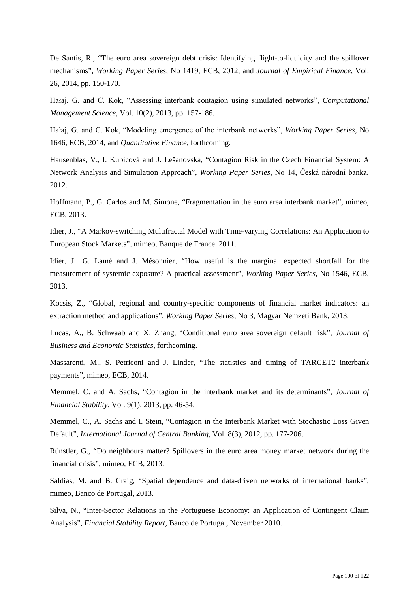De Santis, R., "The euro area sovereign debt crisis: Identifying flight-to-liquidity and the spillover mechanisms", *Working Paper Series*, No 1419, ECB, 2012, and *Journal of Empirical Finance*, Vol. 26, 2014, pp. 150-170.

Hałaj, G. and C. Kok, "Assessing interbank contagion using simulated networks", *Computational Management Science*, Vol. 10(2), 2013, pp. 157-186.

Hałaj, G. and C. Kok, "Modeling emergence of the interbank networks", *Working Paper Series*, No 1646, ECB, 2014, and *Quantitative Finance*, forthcoming.

Hausenblas, V., I. Kubicová and J. Lešanovská, "Contagion Risk in the Czech Financial System: A Network Analysis and Simulation Approach", *Working Paper Series*, No 14, Česká národní banka, 2012.

Hoffmann, P., G. Carlos and M. Simone, "Fragmentation in the euro area interbank market", mimeo, ECB, 2013.

Idier, J., "A Markov-switching Multifractal Model with Time-varying Correlations: An Application to European Stock Markets", mimeo, Banque de France, 2011.

Idier, J., G. Lamé and J. Mésonnier, "How useful is the marginal expected shortfall for the measurement of systemic exposure? A practical assessment", *Working Paper Series*, No 1546, ECB, 2013.

Kocsis, Z., "Global, regional and country-specific components of financial market indicators: an extraction method and applications", *Working Paper Series*, No 3, Magyar Nemzeti Bank, 2013.

Lucas, A., B. Schwaab and X. Zhang, "Conditional euro area sovereign default risk", *Journal of Business and Economic Statistics*, forthcoming.

Massarenti, M., S. Petriconi and J. Linder, "The statistics and timing of TARGET2 interbank payments", mimeo, ECB, 2014.

Memmel, C. and A. Sachs, "Contagion in the interbank market and its determinants", *Journal of Financial Stability*, Vol. 9(1), 2013, pp. 46-54.

Memmel, C., A. Sachs and I. Stein, "Contagion in the Interbank Market with Stochastic Loss Given Default", *International Journal of Central Banking*, Vol. 8(3), 2012, pp. 177-206.

Rünstler, G., "Do neighbours matter? Spillovers in the euro area money market network during the financial crisis", mimeo, ECB, 2013.

Saldias, M. and B. Craig, "Spatial dependence and data-driven networks of international banks", mimeo, Banco de Portugal, 2013.

Silva, N., "Inter-Sector Relations in the Portuguese Economy: an Application of Contingent Claim Analysis", *Financial Stability Report*, Banco de Portugal, November 2010.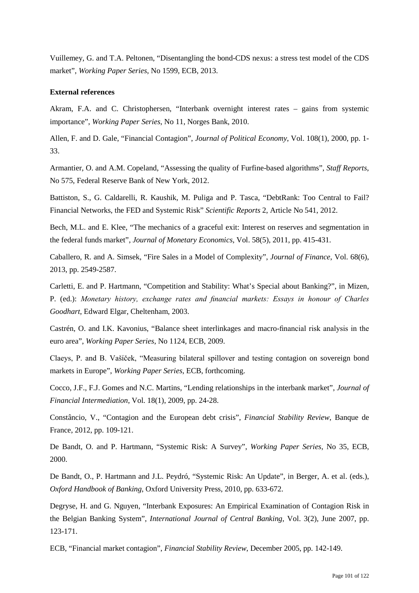Vuillemey, G. and T.A. Peltonen, "Disentangling the bond-CDS nexus: a stress test model of the CDS market", *Working Paper Series*, No 1599, ECB, 2013.

### **External references**

Akram, F.A. and C. Christophersen, "Interbank overnight interest rates – gains from systemic importance", *Working Paper Series*, No 11, Norges Bank, 2010.

Allen, F. and D. Gale, "Financial Contagion", *Journal of Political Economy*, Vol. 108(1), 2000, pp. 1- 33.

Armantier, O. and A.M. Copeland, "Assessing the quality of Furfine-based algorithms", *Staff Reports*, No 575, Federal Reserve Bank of New York, 2012.

Battiston, S., G. Caldarelli, R. Kaushik, M. Puliga and P. Tasca, "DebtRank: Too Central to Fail? Financial Networks, the FED and Systemic Risk" *Scientific Reports* 2, Article No 541, 2012.

Bech, M.L. and E. Klee, "The mechanics of a graceful exit: Interest on reserves and segmentation in the federal funds market", *Journal of Monetary Economics*, Vol. 58(5), 2011, pp. 415-431.

Caballero, R. and A. Simsek, "Fire Sales in a Model of Complexity", *Journal of Finance*, Vol. 68(6), 2013, pp. 2549-2587.

Carletti, E. and P. Hartmann, "Competition and Stability: What's Special about Banking?", in Mizen, P. (ed.): *Monetary history, exchange rates and financial markets: Essays in honour of Charles Goodhart*, Edward Elgar, Cheltenham, 2003.

Castrén, O. and I.K. Kavonius, "Balance sheet interlinkages and macro-financial risk analysis in the euro area", *Working Paper Series*, No 1124, ECB, 2009.

Claeys, P. and B. Vašíček, "Measuring bilateral spillover and testing contagion on sovereign bond markets in Europe", *Working Paper Series*, ECB, forthcoming.

Cocco, J.F., F.J. Gomes and N.C. Martins, "Lending relationships in the interbank market", *Journal of Financial Intermediation*, Vol. 18(1), 2009, pp. 24-28.

Constâncio, V., "Contagion and the European debt crisis", *Financial Stability Review*, Banque de France, 2012, pp. 109-121.

De Bandt, O. and P. Hartmann, "Systemic Risk: A Survey", *Working Paper Series*, No 35, ECB, 2000.

De Bandt, O., P. Hartmann and J.L. Peydró, "Systemic Risk: An Update", in Berger, A. et al. (eds.), *Oxford Handbook of Banking*, Oxford University Press, 2010, pp. 633-672.

Degryse, H. and G. Nguyen, "Interbank Exposures: An Empirical Examination of Contagion Risk in the Belgian Banking System", *International Journal of Central Banking*, Vol. 3(2), June 2007, pp. 123-171.

ECB, "Financial market contagion", *Financial Stability Review*, December 2005, pp. 142-149.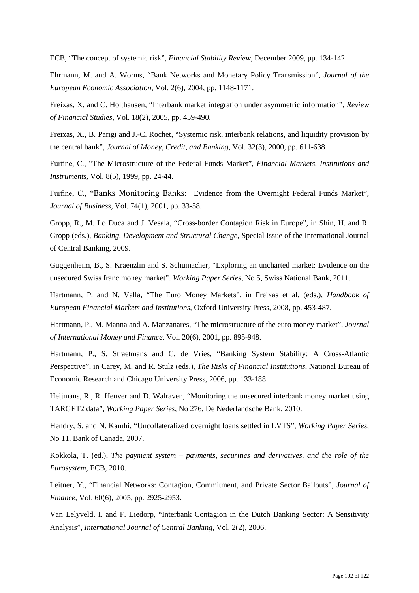ECB, "The concept of systemic risk", *Financial Stability Review*, December 2009, pp. 134-142.

Ehrmann, M. and A. Worms, "Bank Networks and Monetary Policy Transmission", *Journal of the European Economic Association*, Vol. 2(6), 2004, pp. 1148-1171.

Freixas, X. and C. Holthausen, "Interbank market integration under asymmetric information", *Review of Financial Studies*, Vol. 18(2), 2005, pp. 459-490.

Freixas, X., B. Parigi and J.-C. Rochet, "Systemic risk, interbank relations, and liquidity provision by the central bank", *Journal of Money, Credit, and Banking*, Vol. 32(3), 2000, pp. 611-638.

Furfine, C., "The Microstructure of the Federal Funds Market", *Financial Markets, Institutions and Instruments*, Vol. 8(5), 1999, pp. 24-44.

Furfine, C., "Banks Monitoring Banks: Evidence from the Overnight Federal Funds Market", *Journal of Business*, Vol. 74(1), 2001, pp. 33-58.

Gropp, R., M. Lo Duca and J. Vesala, "Cross-border Contagion Risk in Europe", in Shin, H. and R. Gropp (eds.), *Banking, Development and Structural Change*, Special Issue of the International Journal of Central Banking, 2009.

Guggenheim, B., S. Kraenzlin and S. Schumacher, "Exploring an uncharted market: Evidence on the unsecured Swiss franc money market". *Working Paper Series*, No 5, Swiss National Bank, 2011.

Hartmann, P. and N. Valla, "The Euro Money Markets", in Freixas et al. (eds.), *Handbook of European Financial Markets and Institutions*, Oxford University Press, 2008, pp. 453-487.

Hartmann, P., M. Manna and A. Manzanares, "The microstructure of the euro money market", *Journal of International Money and Finance*, Vol. 20(6), 2001, pp. 895-948.

Hartmann, P., S. Straetmans and C. de Vries, "Banking System Stability: A Cross-Atlantic Perspective", in Carey, M. and R. Stulz (eds.), *The Risks of Financial Institutions*, National Bureau of Economic Research and Chicago University Press, 2006, pp. 133-188.

Heijmans, R., R. Heuver and D. Walraven, "Monitoring the unsecured interbank money market using TARGET2 data", *Working Paper Series*, No 276, De Nederlandsche Bank, 2010.

Hendry, S. and N. Kamhi, "Uncollateralized overnight loans settled in LVTS", *Working Paper Series*, No 11, Bank of Canada, 2007.

Kokkola, T. (ed.), *The payment system – payments, securities and derivatives, and the role of the Eurosystem*, ECB, 2010.

Leitner, Y., "Financial Networks: Contagion, Commitment, and Private Sector Bailouts", *Journal of Finance*, Vol. 60(6), 2005, pp. 2925-2953.

Van Lelyveld, I. and F. Liedorp, "Interbank Contagion in the Dutch Banking Sector: A Sensitivity Analysis", *International Journal of Central Banking*, Vol. 2(2), 2006.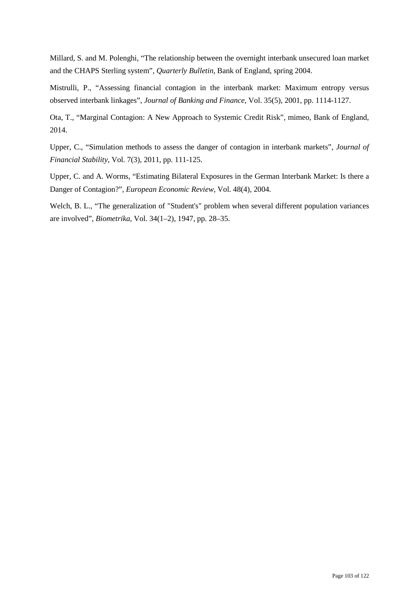Millard, S. and M. Polenghi, "The relationship between the overnight interbank unsecured loan market and the CHAPS Sterling system", *Quarterly Bulletin*, Bank of England, spring 2004.

Mistrulli, P., "Assessing financial contagion in the interbank market: Maximum entropy versus observed interbank linkages", *Journal of Banking and Finance*, Vol. 35(5), 2001, pp. 1114-1127.

Ota, T., "Marginal Contagion: A New Approach to Systemic Credit Risk", mimeo, Bank of England, 2014.

Upper, C., "Simulation methods to assess the danger of contagion in interbank markets", *Journal of Financial Stability*, Vol. 7(3), 2011, pp. 111-125.

Upper, C. and A. Worms, "Estimating Bilateral Exposures in the German Interbank Market: Is there a Danger of Contagion?", *European Economic Review*, Vol. 48(4), 2004.

Welch, B. L., "The generalization of "Student's" problem when several different population variances are involved", *Biometrika*, Vol. 34(1–2), 1947, pp. 28–35.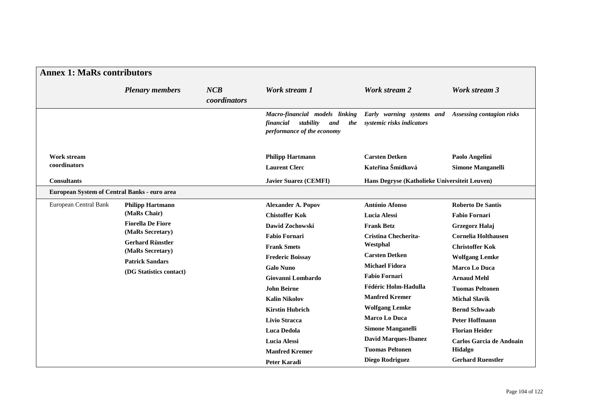| <b>Annex 1: MaRs contributors</b> |                                                                                         |                     |                                                                                                      |                                                                                  |                                            |  |
|-----------------------------------|-----------------------------------------------------------------------------------------|---------------------|------------------------------------------------------------------------------------------------------|----------------------------------------------------------------------------------|--------------------------------------------|--|
|                                   | <b>Plenary members</b>                                                                  | NCB<br>coordinators | Work stream 1                                                                                        | Work stream 2                                                                    | Work stream 3                              |  |
|                                   |                                                                                         |                     | Macro-financial models linking<br>stability<br>financial<br>and<br>the<br>performance of the economy | Early warning systems and Assessing contagion risks<br>systemic risks indicators |                                            |  |
| Work stream<br>coordinators       |                                                                                         |                     | <b>Philipp Hartmann</b><br><b>Laurent Clerc</b>                                                      | <b>Carsten Detken</b><br>Kateřina Šmídková                                       | Paolo Angelini<br><b>Simone Manganelli</b> |  |
| <b>Consultants</b>                |                                                                                         |                     | <b>Javier Suarez (CEMFI)</b>                                                                         | Hans Degryse (Katholieke Universiteit Leuven)                                    |                                            |  |
|                                   | European System of Central Banks - euro area                                            |                     |                                                                                                      |                                                                                  |                                            |  |
| European Central Bank             | <b>Philipp Hartmann</b><br>(MaRs Chair)<br><b>Fiorella De Fiore</b><br>(MaRs Secretary) |                     | <b>Alexander A. Popov</b>                                                                            | <b>António Afonso</b>                                                            | <b>Roberto De Santis</b>                   |  |
|                                   |                                                                                         |                     | <b>Chistoffer Kok</b>                                                                                | <b>Lucia Alessi</b>                                                              | <b>Fabio Fornari</b>                       |  |
|                                   |                                                                                         |                     | Dawid Zochowski                                                                                      | <b>Frank Betz</b>                                                                | Grzegorz Hałaj                             |  |
|                                   |                                                                                         |                     | <b>Fabio Fornari</b>                                                                                 | <b>Cristina Checherita-</b>                                                      | <b>Cornelia Holthausen</b>                 |  |
|                                   | <b>Gerhard Rünstler</b><br>(MaRs Secretary)                                             |                     | <b>Frank Smets</b>                                                                                   | Westphal                                                                         | <b>Christoffer Kok</b>                     |  |
|                                   | <b>Patrick Sandars</b>                                                                  |                     | <b>Frederic Boissay</b>                                                                              | <b>Carsten Detken</b>                                                            | <b>Wolfgang Lemke</b>                      |  |
|                                   | (DG Statistics contact)                                                                 |                     | <b>Galo Nuno</b>                                                                                     | <b>Michael Fidora</b>                                                            | <b>Marco Lo Duca</b>                       |  |
|                                   |                                                                                         |                     | Giovanni Lombardo                                                                                    | <b>Fabio Fornari</b>                                                             | <b>Arnaud Mehl</b>                         |  |
|                                   |                                                                                         |                     | <b>John Beirne</b>                                                                                   | <b>Fédéric Holm-Hadulla</b>                                                      | <b>Tuomas Peltonen</b>                     |  |
|                                   |                                                                                         |                     | <b>Kalin Nikolov</b>                                                                                 | <b>Manfred Kremer</b>                                                            | <b>Michal Slavik</b>                       |  |
|                                   |                                                                                         |                     | <b>Kirstin Hubrich</b>                                                                               | <b>Wolfgang Lemke</b>                                                            | <b>Bernd Schwaab</b>                       |  |
|                                   |                                                                                         |                     | <b>Livio Stracca</b>                                                                                 | <b>Marco Lo Duca</b>                                                             | <b>Peter Hoffmann</b>                      |  |
|                                   |                                                                                         |                     | <b>Luca Dedola</b>                                                                                   | <b>Simone Manganelli</b>                                                         | <b>Florian Heider</b>                      |  |
|                                   |                                                                                         |                     | <b>Lucia Alessi</b>                                                                                  | <b>David Marques-Ibanez</b>                                                      | Carlos Garcia de Andoain                   |  |
|                                   |                                                                                         |                     | <b>Manfred Kremer</b>                                                                                | <b>Tuomas Peltonen</b>                                                           | Hidalgo                                    |  |
|                                   |                                                                                         |                     | <b>Peter Karadi</b>                                                                                  | Diego Rodriguez                                                                  | <b>Gerhard Ruenstler</b>                   |  |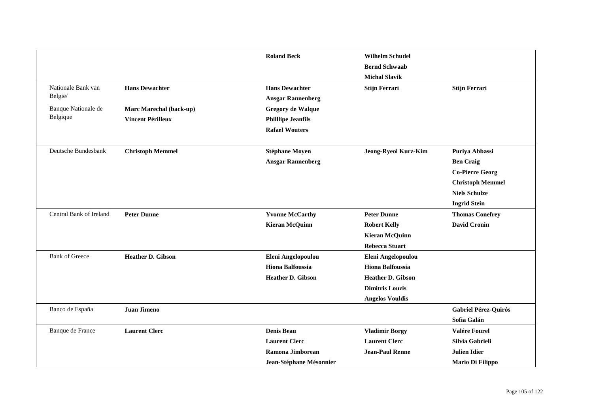|                         |                          | <b>Roland Beck</b>       | <b>Wilhelm Schudel</b>      |                         |
|-------------------------|--------------------------|--------------------------|-----------------------------|-------------------------|
|                         |                          |                          | <b>Bernd Schwaab</b>        |                         |
|                         |                          |                          | <b>Michal Slavik</b>        |                         |
| Nationale Bank van      | <b>Hans Dewachter</b>    | <b>Hans Dewachter</b>    | Stijn Ferrari               | <b>Stijn Ferrari</b>    |
| België/                 |                          | <b>Ansgar Rannenberg</b> |                             |                         |
| Banque Nationale de     | Marc Marechal (back-up)  | <b>Gregory de Walque</b> |                             |                         |
| Belgique                | <b>Vincent Périlleux</b> | <b>Phillipe Jeanfils</b> |                             |                         |
|                         |                          | <b>Rafael Wouters</b>    |                             |                         |
| Deutsche Bundesbank     | <b>Christoph Memmel</b>  | <b>Stéphane Moyen</b>    | <b>Jeong-Ryeol Kurz-Kim</b> | Puriya Abbassi          |
|                         |                          | <b>Ansgar Rannenberg</b> |                             | <b>Ben Craig</b>        |
|                         |                          |                          |                             | <b>Co-Pierre Georg</b>  |
|                         |                          |                          |                             | <b>Christoph Memmel</b> |
|                         |                          |                          |                             | <b>Niels Schulze</b>    |
|                         |                          |                          |                             | <b>Ingrid Stein</b>     |
| Central Bank of Ireland | <b>Peter Dunne</b>       | <b>Yvonne McCarthy</b>   | <b>Peter Dunne</b>          | <b>Thomas Conefrey</b>  |
|                         |                          | <b>Kieran McQuinn</b>    | <b>Robert Kelly</b>         | <b>David Cronin</b>     |
|                         |                          |                          | <b>Kieran McQuinn</b>       |                         |
|                         |                          |                          | <b>Rebecca Stuart</b>       |                         |
| <b>Bank of Greece</b>   | <b>Heather D. Gibson</b> | Eleni Angelopoulou       | Eleni Angelopoulou          |                         |
|                         |                          | <b>Hiona Balfoussia</b>  | <b>Hiona Balfoussia</b>     |                         |
|                         |                          | <b>Heather D. Gibson</b> | <b>Heather D. Gibson</b>    |                         |
|                         |                          |                          | <b>Dimitris Louzis</b>      |                         |
|                         |                          |                          | <b>Angelos Vouldis</b>      |                         |
| Banco de España         | <b>Juan Jimeno</b>       |                          |                             | Gabriel Pérez-Quirós    |
|                         |                          |                          |                             | Sofia Galán             |
| Banque de France        | <b>Laurent Clerc</b>     | <b>Denis Beau</b>        | <b>Vladimir Borgy</b>       | Valére Fourel           |
|                         |                          | <b>Laurent Clerc</b>     | <b>Laurent Clerc</b>        | Silvia Gabrieli         |
|                         |                          | Ramona Jimborean         | <b>Jean-Paul Renne</b>      | <b>Julien Idier</b>     |
|                         |                          | Jean-Stéphane Mésonnier  |                             | Mario Di Filippo        |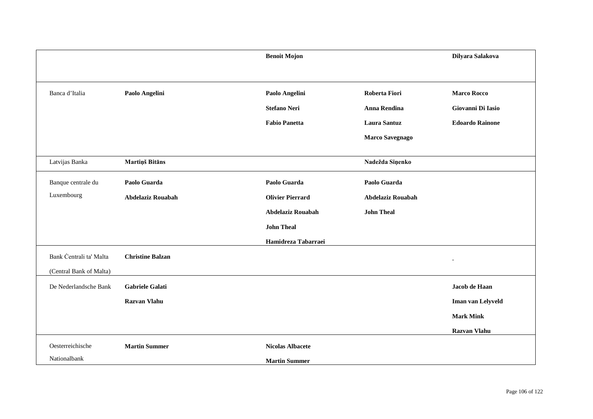|                         |                         | <b>Benoit Mojon</b>      |                          | Dilyara Salakova       |
|-------------------------|-------------------------|--------------------------|--------------------------|------------------------|
|                         |                         |                          |                          |                        |
| Banca d'Italia          | Paolo Angelini          | Paolo Angelini           | Roberta Fiori            | <b>Marco Rocco</b>     |
|                         |                         | <b>Stefano Neri</b>      | Anna Rendina             | Giovanni Di Iasio      |
|                         |                         | <b>Fabio Panetta</b>     | <b>Laura Santuz</b>      | <b>Edoardo Rainone</b> |
|                         |                         |                          | <b>Marco Savegnago</b>   |                        |
|                         |                         |                          |                          |                        |
| Latvijas Banka          | Martiņš Bitāns          |                          | Nadežda Siņenko          |                        |
| Banque centrale du      | Paolo Guarda            | Paolo Guarda             | Paolo Guarda             |                        |
| Luxembourg              | Abdelaziz Rouabah       | <b>Olivier Pierrard</b>  | <b>Abdelaziz Rouabah</b> |                        |
|                         |                         | <b>Abdelaziz Rouabah</b> | <b>John Theal</b>        |                        |
|                         |                         | <b>John Theal</b>        |                          |                        |
|                         |                         | Hamidreza Tabarraei      |                          |                        |
| Bank Centrali ta' Malta | <b>Christine Balzan</b> |                          |                          |                        |
| (Central Bank of Malta) |                         |                          |                          |                        |
| De Nederlandsche Bank   | <b>Gabriele Galati</b>  |                          |                          | Jacob de Haan          |
|                         | <b>Razvan Vlahu</b>     |                          |                          | Iman van Lelyveld      |
|                         |                         |                          |                          | <b>Mark Mink</b>       |
|                         |                         |                          |                          | Razvan Vlahu           |
| Oesterreichische        | <b>Martin Summer</b>    | <b>Nicolas Albacete</b>  |                          |                        |
| Nationalbank            |                         | <b>Martin Summer</b>     |                          |                        |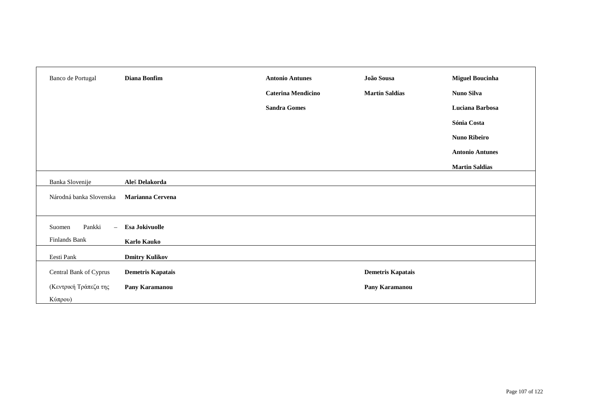| Banco de Portugal            | Diana Bonfim             | <b>Antonio Antunes</b>    | João Sousa               | <b>Miguel Boucinha</b> |
|------------------------------|--------------------------|---------------------------|--------------------------|------------------------|
|                              |                          | <b>Caterina Mendicino</b> | <b>Martín Saldías</b>    | Nuno Silva             |
|                              |                          | <b>Sandra Gomes</b>       |                          | Luciana Barbosa        |
|                              |                          |                           |                          | Sónia Costa            |
|                              |                          |                           |                          | <b>Nuno Ribeiro</b>    |
|                              |                          |                           |                          | <b>Antonio Antunes</b> |
|                              |                          |                           |                          | <b>Martin Saldias</b>  |
| Banka Slovenije              | Aleš Delakorda           |                           |                          |                        |
| Národná banka Slovenska      | <b>Marianna Cervena</b>  |                           |                          |                        |
|                              |                          |                           |                          |                        |
| Pankki<br>Suomen<br>$\equiv$ | Esa Jokivuolle           |                           |                          |                        |
| Finlands Bank                | <b>Karlo Kauko</b>       |                           |                          |                        |
| Eesti Pank                   | <b>Dmitry Kulikov</b>    |                           |                          |                        |
| Central Bank of Cyprus       | <b>Demetris Kapatais</b> |                           | <b>Demetris Kapatais</b> |                        |
| (Κεντρική Τράπεζα της        | Pany Karamanou           |                           | Pany Karamanou           |                        |
| Κύπρου)                      |                          |                           |                          |                        |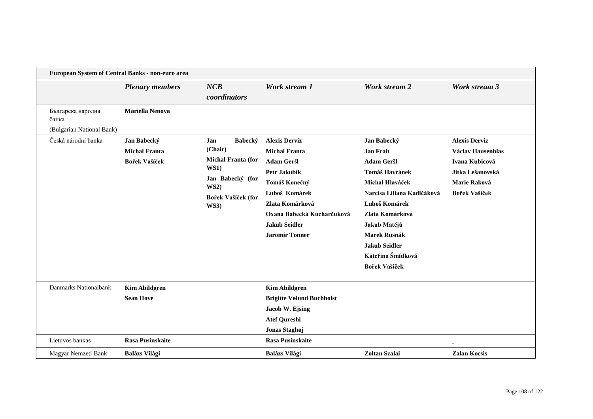| European System of Central Banks - non-euro area        |                                                      |                                                                                                                                        |                                                                                                                                                                                                                       |                                                                                                                                                                                                                                                                         |                                                                                                                  |
|---------------------------------------------------------|------------------------------------------------------|----------------------------------------------------------------------------------------------------------------------------------------|-----------------------------------------------------------------------------------------------------------------------------------------------------------------------------------------------------------------------|-------------------------------------------------------------------------------------------------------------------------------------------------------------------------------------------------------------------------------------------------------------------------|------------------------------------------------------------------------------------------------------------------|
|                                                         | <b>Plenary members</b>                               | NCB<br>coordinators                                                                                                                    | Work stream 1                                                                                                                                                                                                         | <b>Work stream 2</b>                                                                                                                                                                                                                                                    | <b>Work stream 3</b>                                                                                             |
| Българска народна<br>банка<br>(Bulgarian National Bank) | <b>Mariella Nenova</b>                               |                                                                                                                                        |                                                                                                                                                                                                                       |                                                                                                                                                                                                                                                                         |                                                                                                                  |
| Česká národní banka                                     | Jan Babecký<br><b>Michal Franta</b><br>Bořek Vašíček | Jan<br>Babecký<br>(Chair)<br><b>Michal Franta (for</b><br><b>WS1)</b><br>Jan Babecký (for<br>WS2)<br>Bořek Vašíček (for<br><b>WS3)</b> | <b>Alexis Derviz</b><br><b>Michal Franta</b><br><b>Adam Geršl</b><br>Petr Jakubík<br>Tomáš Konečný<br>Luboš Komárek<br>Zlata Komárková<br>Oxana Babecká Kucharčuková<br><b>Jakub Seidler</b><br><b>Jaromír Tonner</b> | Jan Babecký<br><b>Jan Frait</b><br><b>Adam Geršl</b><br><b>Tomáš Havránek</b><br>Michal Hlaváček<br>Narcisa Liliana Kadlčáková<br>Luboš Komárek<br>Zlata Komárková<br>Jakub Matějů<br><b>Marek Rusnák</b><br><b>Jakub Seidler</b><br>Kateřina Šmídková<br>Bořek Vašíček | <b>Alexis Derviz</b><br>Václav Hausenblas<br>Ivana Kubicová<br>Jitka Lešanovská<br>Marie Raková<br>Bořek Vašíček |
| Danmarks Nationalbank                                   | <b>Kim Abildgren</b><br><b>Sean Hove</b>             |                                                                                                                                        | <b>Kim Abildgren</b><br><b>Brigitte Vølund Buchholst</b><br>Jacob W. Ejsing<br><b>Atef Qureshi</b><br>Jonas Staghøj                                                                                                   |                                                                                                                                                                                                                                                                         |                                                                                                                  |
| Lietuvos bankas<br>Magyar Nemzeti Bank                  | <b>Rasa Pusinskaite</b><br><b>Balázs Világi</b>      |                                                                                                                                        | <b>Rasa Pusinskaite</b><br><b>Balázs Világi</b>                                                                                                                                                                       | Zoltan Szalai                                                                                                                                                                                                                                                           | <b>Zalan Kocsis</b>                                                                                              |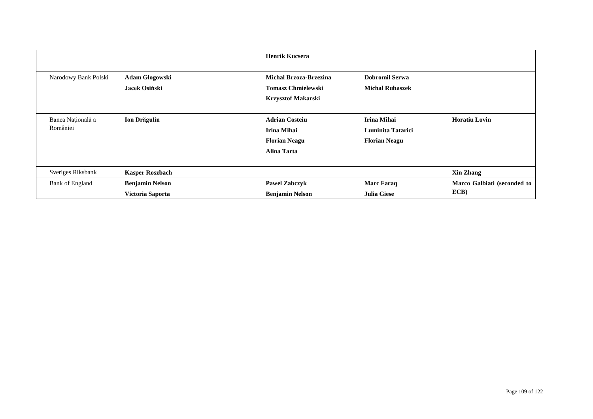|                      |                        | <b>Henrik Kucsera</b>         |                        |                                     |
|----------------------|------------------------|-------------------------------|------------------------|-------------------------------------|
| Narodowy Bank Polski | <b>Adam Glogowski</b>  | <b>Michal Brzoza-Brzezina</b> | <b>Dobromil Serwa</b>  |                                     |
|                      | Jacek Osiński          | <b>Tomasz Chmielewski</b>     | <b>Michal Rubaszek</b> |                                     |
|                      |                        | <b>Krzysztof Makarski</b>     |                        |                                     |
| Banca Națională a    | Ion Drăgulin           | <b>Adrian Costeiu</b>         | <b>Irina Mihai</b>     | <b>Horatiu Lovin</b>                |
| României             |                        | <b>Irina Mihai</b>            | Luminita Tatarici      |                                     |
|                      |                        | <b>Florian Neagu</b>          | <b>Florian Neagu</b>   |                                     |
|                      |                        | <b>Alina Tarta</b>            |                        |                                     |
|                      |                        |                               |                        |                                     |
| Sveriges Riksbank    | <b>Kasper Roszbach</b> |                               |                        | <b>Xin Zhang</b>                    |
| Bank of England      | <b>Benjamin Nelson</b> | <b>Pawel Zabczyk</b>          | <b>Marc Faraq</b>      | Marco Galbiati (seconded to<br>ECB) |
|                      | Victoria Saporta       | <b>Benjamin Nelson</b>        | <b>Julia Giese</b>     |                                     |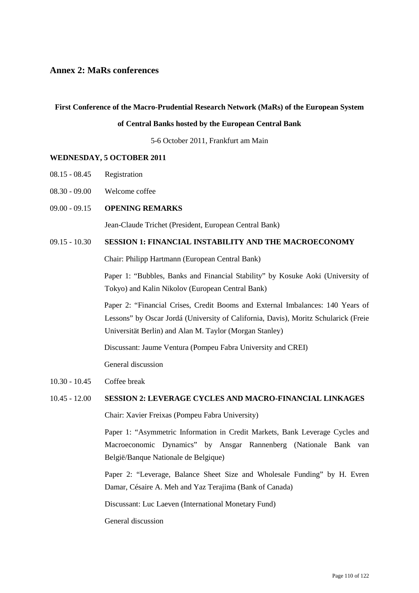# **Annex 2: MaRs conferences**

#### **First Conference of the Macro-Prudential Research Network (MaRs) of the European System**

# **of Central Banks hosted by the European Central Bank**

5-6 October 2011, Frankfurt am Main

#### **WEDNESDAY, 5 OCTOBER 2011**

- 08.15 08.45 Registration
- 08.30 09.00 Welcome coffee
- 09.00 09.15 **OPENING REMARKS**

Jean-Claude Trichet (President, European Central Bank)

# 09.15 - 10.30 **SESSION 1: FINANCIAL INSTABILITY AND THE MACROECONOMY**

Chair: Philipp Hartmann (European Central Bank)

Paper 1: "Bubbles, Banks and Financial Stability" by Kosuke Aoki (University of Tokyo) and Kalin Nikolov (European Central Bank)

Paper 2: "Financial Crises, Credit Booms and External Imbalances: 140 Years of Lessons" by Oscar Jordá (University of California, Davis), Moritz Schularick (Freie Universität Berlin) and Alan M. Taylor (Morgan Stanley)

Discussant: Jaume Ventura (Pompeu Fabra University and CREI)

General discussion

## 10.30 - 10.45 Coffee break

# 10.45 - 12.00 **SESSION 2: LEVERAGE CYCLES AND MACRO-FINANCIAL LINKAGES**

Chair: Xavier Freixas (Pompeu Fabra University)

Paper 1: "Asymmetric Information in Credit Markets, Bank Leverage Cycles and Macroeconomic Dynamics" by Ansgar Rannenberg (Nationale Bank van België/Banque Nationale de Belgique)

Paper 2: "Leverage, Balance Sheet Size and Wholesale Funding" by H. Evren Damar, Césaire A. Meh and Yaz Terajima (Bank of Canada)

Discussant: Luc Laeven (International Monetary Fund)

General discussion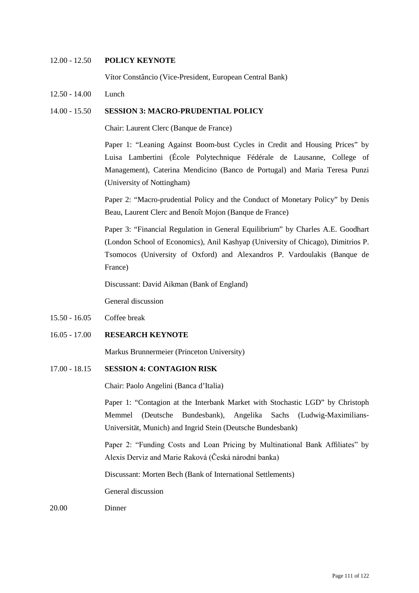# 12.00 - 12.50 **POLICY KEYNOTE**

Vítor Constâncio (Vice-President, European Central Bank)

12.50 - 14.00 Lunch

## 14.00 - 15.50 **SESSION 3: MACRO-PRUDENTIAL POLICY**

Chair: Laurent Clerc (Banque de France)

Paper 1: "Leaning Against Boom-bust Cycles in Credit and Housing Prices" by Luisa Lambertini (École Polytechnique Fédérale de Lausanne, College of Management), Caterina Mendicino (Banco de Portugal) and Maria Teresa Punzi (University of Nottingham)

Paper 2: "Macro-prudential Policy and the Conduct of Monetary Policy" by Denis Beau, Laurent Clerc and Benoît Mojon (Banque de France)

Paper 3: "Financial Regulation in General Equilibrium" by Charles A.E. Goodhart (London School of Economics), Anil Kashyap (University of Chicago), Dimitrios P. Tsomocos (University of Oxford) and Alexandros P. Vardoulakis (Banque de France)

Discussant: David Aikman (Bank of England)

General discussion

15.50 - 16.05 Coffee break

# 16.05 - 17.00 **RESEARCH KEYNOTE**

Markus Brunnermeier (Princeton University)

# 17.00 - 18.15 **SESSION 4: CONTAGION RISK**

Chair: Paolo Angelini (Banca d'Italia)

Paper 1: "Contagion at the Interbank Market with Stochastic LGD" by Christoph Memmel (Deutsche Bundesbank), Angelika Sachs (Ludwig-Maximilians-Universität, Munich) and Ingrid Stein (Deutsche Bundesbank)

Paper 2: "Funding Costs and Loan Pricing by Multinational Bank Affiliates" by Alexis Derviz and Marie Raková (Česká národní banka)

Discussant: Morten Bech (Bank of International Settlements)

General discussion

20.00 Dinner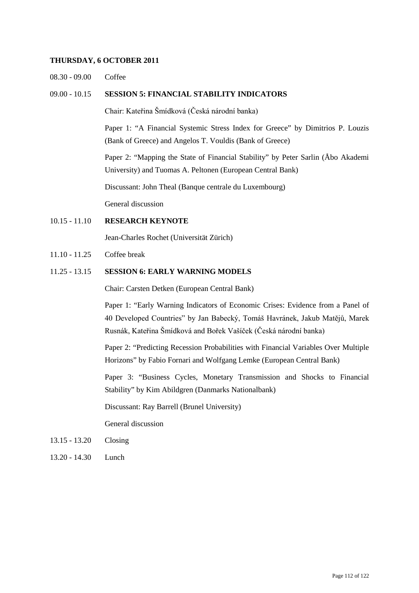#### **THURSDAY, 6 OCTOBER 2011**

08.30 - 09.00 Coffee

#### 09.00 - 10.15 **SESSION 5: FINANCIAL STABILITY INDICATORS**

Chair: Kateřina Šmídková (Česká národní banka)

Paper 1: "A Financial Systemic Stress Index for Greece" by Dimitrios P. Louzis (Bank of Greece) and Angelos T. Vouldis (Bank of Greece)

Paper 2: "Mapping the State of Financial Stability" by Peter Sarlin (Åbo Akademi University) and Tuomas A. Peltonen (European Central Bank)

Discussant: John Theal (Banque centrale du Luxembourg)

General discussion

# 10.15 - 11.10 **RESEARCH KEYNOTE**

Jean-Charles Rochet (Universität Zürich)

11.10 - 11.25 Coffee break

# 11.25 - 13.15 **SESSION 6: EARLY WARNING MODELS**

Chair: Carsten Detken (European Central Bank)

Paper 1: "Early Warning Indicators of Economic Crises: Evidence from a Panel of 40 Developed Countries" by Jan Babecký, Tomáš Havránek, Jakub Matějů, Marek Rusnák, Kateřina Šmídková and Bořek Vašíček (Česká národní banka)

Paper 2: "Predicting Recession Probabilities with Financial Variables Over Multiple Horizons" by Fabio Fornari and Wolfgang Lemke (European Central Bank)

Paper 3: "Business Cycles, Monetary Transmission and Shocks to Financial Stability" by Kim Abildgren (Danmarks Nationalbank)

Discussant: Ray Barrell (Brunel University)

General discussion

- 13.15 13.20 Closing
- 13.20 14.30 Lunch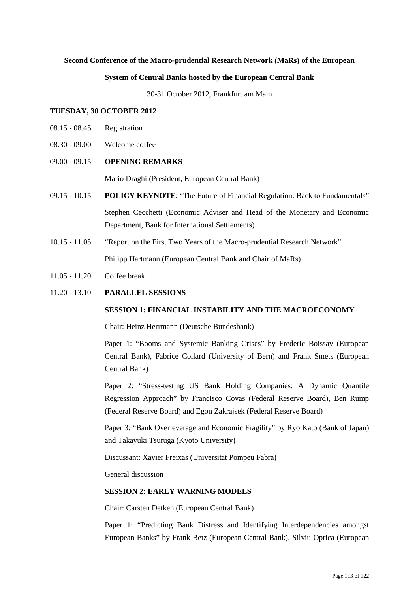# **Second Conference of the Macro-prudential Research Network (MaRs) of the European**

#### **System of Central Banks hosted by the European Central Bank**

30-31 October 2012, Frankfurt am Main

#### **TUESDAY, 30 OCTOBER 2012**

- 08.15 08.45 Registration
- 08.30 09.00 Welcome coffee

## 09.00 - 09.15 **OPENING REMARKS**

Mario Draghi (President, European Central Bank)

- 09.15 10.15 **POLICY KEYNOTE**: "The Future of Financial Regulation: Back to Fundamentals" Stephen Cecchetti (Economic Adviser and Head of the Monetary and Economic Department, Bank for International Settlements)
- 10.15 11.05 "Report on the First Two Years of the Macro-prudential Research Network" Philipp Hartmann (European Central Bank and Chair of MaRs)
- 11.05 11.20 Coffee break
- 11.20 13.10 **PARALLEL SESSIONS**

#### **SESSION 1: FINANCIAL INSTABILITY AND THE MACROECONOMY**

Chair: Heinz Herrmann (Deutsche Bundesbank)

Paper 1: "Booms and Systemic Banking Crises" by Frederic Boissay (European Central Bank), Fabrice Collard (University of Bern) and Frank Smets (European Central Bank)

Paper 2: "Stress-testing US Bank Holding Companies: A Dynamic Quantile Regression Approach" by Francisco Covas (Federal Reserve Board), Ben Rump (Federal Reserve Board) and Egon Zakrajsek (Federal Reserve Board)

Paper 3: "Bank Overleverage and Economic Fragility" by Ryo Kato (Bank of Japan) and Takayuki Tsuruga (Kyoto University)

Discussant: Xavier Freixas (Universitat Pompeu Fabra)

General discussion

# **SESSION 2: EARLY WARNING MODELS**

Chair: Carsten Detken (European Central Bank)

Paper 1: "Predicting Bank Distress and Identifying Interdependencies amongst European Banks" by Frank Betz (European Central Bank), Silviu Oprica (European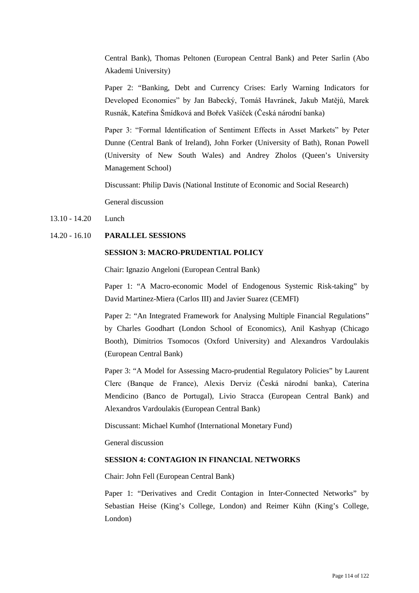Central Bank), Thomas Peltonen (European Central Bank) and Peter Sarlin (Abo Akademi University)

Paper 2: "Banking, Debt and Currency Crises: Early Warning Indicators for Developed Economies" by Jan Babecký, Tomáš Havránek, Jakub Matějů, Marek Rusnák, Kateřina Šmídková and Bořek Vašíček (Česká národní banka)

Paper 3: "Formal Identification of Sentiment Effects in Asset Markets" by Peter Dunne (Central Bank of Ireland), John Forker (University of Bath), Ronan Powell (University of New South Wales) and Andrey Zholos (Queen's University Management School)

Discussant: Philip Davis (National Institute of Economic and Social Research)

General discussion

- 13.10 14.20 Lunch
- 14.20 16.10 **PARALLEL SESSIONS**

# **SESSION 3: MACRO-PRUDENTIAL POLICY**

Chair: Ignazio Angeloni (European Central Bank)

Paper 1: "A Macro-economic Model of Endogenous Systemic Risk-taking" by David Martinez-Miera (Carlos III) and Javier Suarez (CEMFI)

Paper 2: "An Integrated Framework for Analysing Multiple Financial Regulations" by Charles Goodhart (London School of Economics), Anil Kashyap (Chicago Booth), Dimitrios Tsomocos (Oxford University) and Alexandros Vardoulakis (European Central Bank)

Paper 3: "A Model for Assessing Macro-prudential Regulatory Policies" by Laurent Clerc (Banque de France), Alexis Derviz (Česká národní banka), Caterina Mendicino (Banco de Portugal), Livio Stracca (European Central Bank) and Alexandros Vardoulakis (European Central Bank)

Discussant: Michael Kumhof (International Monetary Fund)

General discussion

# **SESSION 4: CONTAGION IN FINANCIAL NETWORKS**

Chair: John Fell (European Central Bank)

Paper 1: "Derivatives and Credit Contagion in Inter-Connected Networks" by Sebastian Heise (King's College, London) and Reimer Kühn (King's College, London)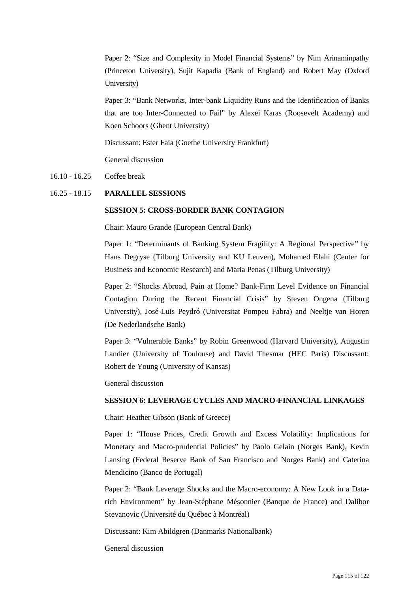Paper 2: "Size and Complexity in Model Financial Systems" by Nim Arinaminpathy (Princeton University), Sujit Kapadia (Bank of England) and Robert May (Oxford University)

Paper 3: "Bank Networks, Inter-bank Liquidity Runs and the Identification of Banks that are too Inter-Connected to Fail" by Alexei Karas (Roosevelt Academy) and Koen Schoors (Ghent University)

Discussant: Ester Faia (Goethe University Frankfurt)

General discussion

# 16.10 - 16.25 Coffee break

## 16.25 - 18.15 **PARALLEL SESSIONS**

## **SESSION 5: CROSS-BORDER BANK CONTAGION**

Chair: Mauro Grande (European Central Bank)

Paper 1: "Determinants of Banking System Fragility: A Regional Perspective" by Hans Degryse (Tilburg University and KU Leuven), Mohamed Elahi (Center for Business and Economic Research) and Maria Penas (Tilburg University)

Paper 2: "Shocks Abroad, Pain at Home? Bank-Firm Level Evidence on Financial Contagion During the Recent Financial Crisis" by Steven Ongena (Tilburg University), José-Luis Peydró (Universitat Pompeu Fabra) and Neeltje van Horen (De Nederlandsche Bank)

Paper 3: "Vulnerable Banks" by Robin Greenwood (Harvard University), Augustin Landier (University of Toulouse) and David Thesmar (HEC Paris) Discussant: Robert de Young (University of Kansas)

General discussion

# **SESSION 6: LEVERAGE CYCLES AND MACRO-FINANCIAL LINKAGES**

Chair: Heather Gibson (Bank of Greece)

Paper 1: "House Prices, Credit Growth and Excess Volatility: Implications for Monetary and Macro-prudential Policies" by Paolo Gelain (Norges Bank), Kevin Lansing (Federal Reserve Bank of San Francisco and Norges Bank) and Caterina Mendicino (Banco de Portugal)

Paper 2: "Bank Leverage Shocks and the Macro-economy: A New Look in a Datarich Environment" by Jean-Stéphane Mésonnier (Banque de France) and Dalibor Stevanovic (Université du Québec à Montréal)

Discussant: Kim Abildgren (Danmarks Nationalbank)

General discussion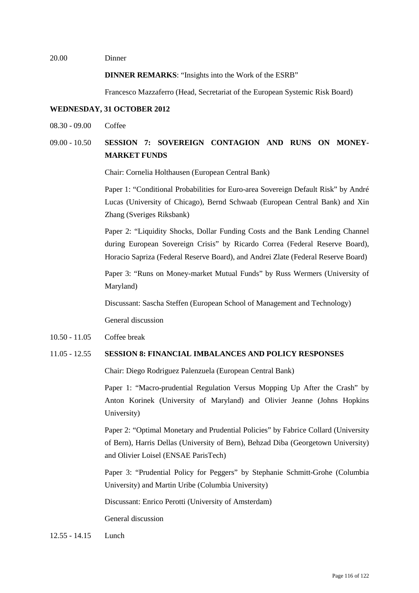#### 20.00 Dinner

**DINNER REMARKS**: "Insights into the Work of the ESRB"

Francesco Mazzaferro (Head, Secretariat of the European Systemic Risk Board)

# **WEDNESDAY, 31 OCTOBER 2012**

08.30 - 09.00 Coffee

# 09.00 - 10.50 **SESSION 7: SOVEREIGN CONTAGION AND RUNS ON MONEY-MARKET FUNDS**

Chair: Cornelia Holthausen (European Central Bank)

Paper 1: "Conditional Probabilities for Euro-area Sovereign Default Risk" by André Lucas (University of Chicago), Bernd Schwaab (European Central Bank) and Xin Zhang (Sveriges Riksbank)

Paper 2: "Liquidity Shocks, Dollar Funding Costs and the Bank Lending Channel during European Sovereign Crisis" by Ricardo Correa (Federal Reserve Board), Horacio Sapriza (Federal Reserve Board), and Andrei Zlate (Federal Reserve Board)

Paper 3: "Runs on Money-market Mutual Funds" by Russ Wermers (University of Maryland)

Discussant: Sascha Steffen (European School of Management and Technology)

General discussion

10.50 - 11.05 Coffee break

# 11.05 - 12.55 **SESSION 8: FINANCIAL IMBALANCES AND POLICY RESPONSES**

Chair: Diego Rodriguez Palenzuela (European Central Bank)

Paper 1: "Macro-prudential Regulation Versus Mopping Up After the Crash" by Anton Korinek (University of Maryland) and Olivier Jeanne (Johns Hopkins University)

Paper 2: "Optimal Monetary and Prudential Policies" by Fabrice Collard (University of Bern), Harris Dellas (University of Bern), Behzad Diba (Georgetown University) and Olivier Loisel (ENSAE ParisTech)

Paper 3: "Prudential Policy for Peggers" by Stephanie Schmitt-Grohe (Columbia University) and Martin Uribe (Columbia University)

Discussant: Enrico Perotti (University of Amsterdam)

General discussion

12.55 - 14.15 Lunch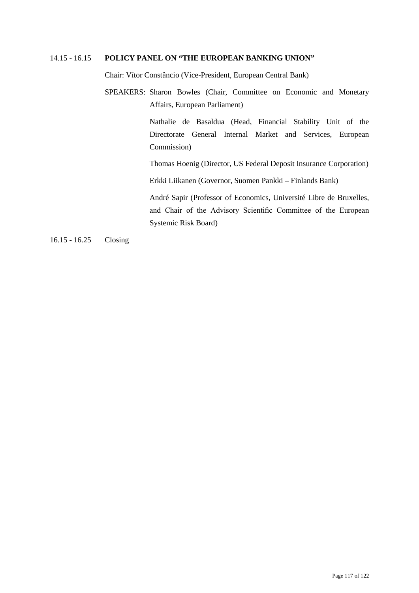# 14.15 - 16.15 **POLICY PANEL ON "THE EUROPEAN BANKING UNION"**

Chair: Vítor Constâncio (Vice-President, European Central Bank)

SPEAKERS: Sharon Bowles (Chair, Committee on Economic and Monetary Affairs, European Parliament)

> Nathalie de Basaldua (Head, Financial Stability Unit of the Directorate General Internal Market and Services, European Commission)

> Thomas Hoenig (Director, US Federal Deposit Insurance Corporation)

Erkki Liikanen (Governor, Suomen Pankki – Finlands Bank)

André Sapir (Professor of Economics, Université Libre de Bruxelles, and Chair of the Advisory Scientific Committee of the European Systemic Risk Board)

16.15 - 16.25 Closing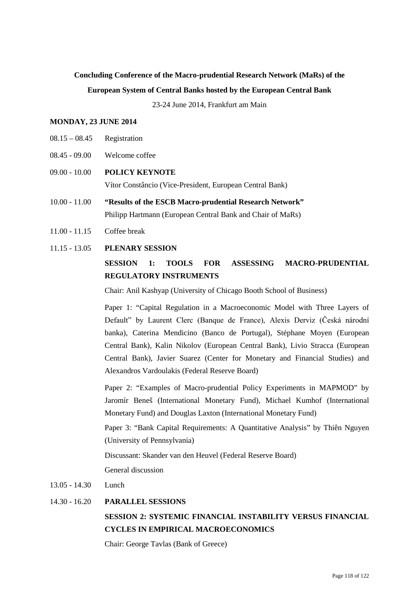# **Concluding Conference of the Macro-prudential Research Network (MaRs) of the**

# **European System of Central Banks hosted by the European Central Bank**

23-24 June 2014, Frankfurt am Main

# **MONDAY, 23 JUNE 2014**

- $08.15 08.45$  Registration
- 08.45 09.00 Welcome coffee
- 09.00 10.00 **POLICY KEYNOTE** Vítor Constâncio (Vice-President, European Central Bank)
- 10.00 11.00 **"Results of the ESCB Macro-prudential Research Network"** Philipp Hartmann (European Central Bank and Chair of MaRs)
- 11.00 11.15 Coffee break

# 11.15 - 13.05 **PLENARY SESSION**

# **SESSION 1: TOOLS FOR ASSESSING MACRO-PRUDENTIAL REGULATORY INSTRUMENTS**

Chair: Anil Kashyap (University of Chicago Booth School of Business)

Paper 1: "Capital Regulation in a Macroeconomic Model with Three Layers of Default" by Laurent Clerc (Banque de France), Alexis Derviz (Česká národní banka), Caterina Mendicino (Banco de Portugal), Stéphane Moyen (European Central Bank), Kalin Nikolov (European Central Bank), Livio Stracca (European Central Bank), Javier Suarez (Center for Monetary and Financial Studies) and Alexandros Vardoulakis (Federal Reserve Board)

Paper 2: "Examples of Macro-prudential Policy Experiments in MAPMOD" by Jaromír Beneš (International Monetary Fund), Michael Kumhof (International Monetary Fund) and Douglas Laxton (International Monetary Fund)

Paper 3: "Bank Capital Requirements: A Quantitative Analysis" by Thiên Nguyen (University of Pennsylvania)

Discussant: Skander van den Heuvel (Federal Reserve Board)

General discussion

13.05 - 14.30 Lunch

# 14.30 - 16.20 **PARALLEL SESSIONS**

# **SESSION 2: SYSTEMIC FINANCIAL INSTABILITY VERSUS FINANCIAL CYCLES IN EMPIRICAL MACROECONOMICS**

Chair: George Tavlas (Bank of Greece)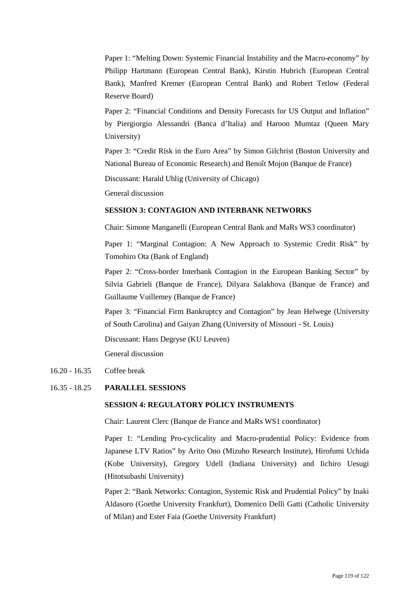Paper 1: "Melting Down: Systemic Financial Instability and the Macro-economy" by Philipp Hartmann (European Central Bank), Kirstin Hubrich (European Central Bank), Manfred Kremer (European Central Bank) and Robert Tetlow (Federal Reserve Board)

Paper 2: "Financial Conditions and Density Forecasts for US Output and Inflation" by Piergiorgio Alessandri (Banca d'Italia) and Haroon Mumtaz (Queen Mary University)

Paper 3: "Credit Risk in the Euro Area" by Simon Gilchrist (Boston University and National Bureau of Economic Research) and Benoît Mojon (Banque de France)

Discussant: Harald Uhlig (University of Chicago)

General discussion

# **SESSION 3: CONTAGION AND INTERBANK NETWORKS**

Chair: Simone Manganelli (European Central Bank and MaRs WS3 coordinator)

Paper 1: "Marginal Contagion: A New Approach to Systemic Credit Risk" by Tomohiro Ota (Bank of England)

Paper 2: "Cross-border Interbank Contagion in the European Banking Sector" by Silvia Gabrieli (Banque de France), Dilyara Salakhova (Banque de France) and Guillaume Vuillemey (Banque de France)

Paper 3: "Financial Firm Bankruptcy and Contagion" by Jean Helwege (University of South Carolina) and Gaiyan Zhang (University of Missouri - St. Louis)

Discussant: Hans Degryse (KU Leuven)

General discussion

# 16.20 - 16.35 Coffee break

16.35 - 18.25 **PARALLEL SESSIONS**

# **SESSION 4: REGULATORY POLICY INSTRUMENTS**

Chair: Laurent Clerc (Banque de France and MaRs WS1 coordinator)

Paper 1: "Lending Pro-cyclicality and Macro-prudential Policy: Evidence from Japanese LTV Ratios" by Arito Ono (Mizuho Research Institute), Hirofumi Uchida (Kobe University), Gregory Udell (Indiana University) and Iichiro Uesugi (Hitotsubashi University)

Paper 2: "Bank Networks: Contagion, Systemic Risk and Prudential Policy" by Inaki Aldasoro (Goethe University Frankfurt), Domenico Delli Gatti (Catholic University of Milan) and Ester Faia (Goethe University Frankfurt)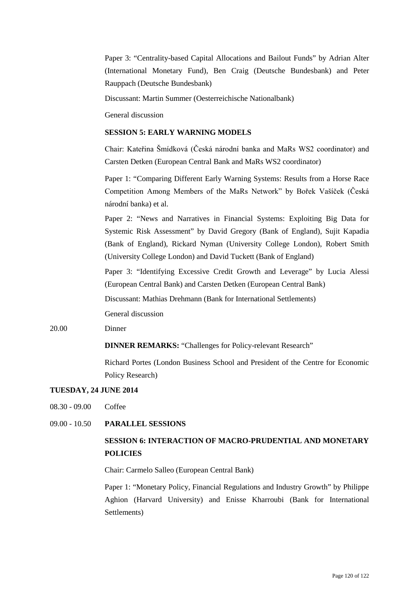Paper 3: "Centrality-based Capital Allocations and Bailout Funds" by Adrian Alter (International Monetary Fund), Ben Craig (Deutsche Bundesbank) and Peter Rauppach (Deutsche Bundesbank)

Discussant: Martin Summer (Oesterreichische Nationalbank)

General discussion

# **SESSION 5: EARLY WARNING MODELS**

Chair: Kateřina Šmídková (Česká národní banka and MaRs WS2 coordinator) and Carsten Detken (European Central Bank and MaRs WS2 coordinator)

Paper 1: "Comparing Different Early Warning Systems: Results from a Horse Race Competition Among Members of the MaRs Network" by Bořek Vašíček (Česká národní banka) et al.

Paper 2: "News and Narratives in Financial Systems: Exploiting Big Data for Systemic Risk Assessment" by David Gregory (Bank of England), Sujit Kapadia (Bank of England), Rickard Nyman (University College London), Robert Smith (University College London) and David Tuckett (Bank of England)

Paper 3: "Identifying Excessive Credit Growth and Leverage" by Lucia Alessi (European Central Bank) and Carsten Detken (European Central Bank)

Discussant: Mathias Drehmann (Bank for International Settlements)

General discussion

20.00 Dinner

#### **DINNER REMARKS:** "Challenges for Policy-relevant Research"

Richard Portes (London Business School and President of the Centre for Economic Policy Research)

# **TUESDAY, 24 JUNE 2014**

08.30 - 09.00 Coffee

# 09.00 - 10.50 **PARALLEL SESSIONS**

# **SESSION 6: INTERACTION OF MACRO-PRUDENTIAL AND MONETARY POLICIES**

Chair: Carmelo Salleo (European Central Bank)

Paper 1: "Monetary Policy, Financial Regulations and Industry Growth" by Philippe Aghion (Harvard University) and Enisse Kharroubi (Bank for International Settlements)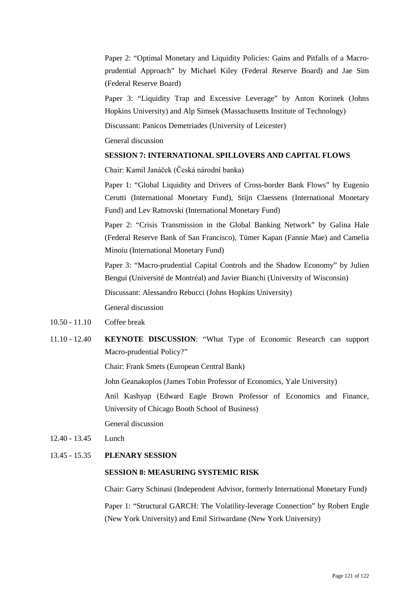Paper 2: "Optimal Monetary and Liquidity Policies: Gains and Pitfalls of a Macroprudential Approach" by Michael Kiley (Federal Reserve Board) and Jae Sim (Federal Reserve Board)

Paper 3: "Liquidity Trap and Excessive Leverage" by Anton Korinek (Johns Hopkins University) and Alp Simsek (Massachusetts Institute of Technology)

Discussant: Panicos Demetriades (University of Leicester)

General discussion

## **SESSION 7: INTERNATIONAL SPILLOVERS AND CAPITAL FLOWS**

Chair: Kamil Janáček (Česká národní banka)

Paper 1: "Global Liquidity and Drivers of Cross-border Bank Flows" by Eugenio Cerutti (International Monetary Fund), Stijn Claessens (International Monetary Fund) and Lev Ratnovski (International Monetary Fund)

Paper 2: "Crisis Transmission in the Global Banking Network" by Galina Hale (Federal Reserve Bank of San Francisco), Tümer Kapan (Fannie Mae) and Camelia Minoiu (International Monetary Fund)

Paper 3: "Macro-prudential Capital Controls and the Shadow Economy" by Julien Bengui (Université de Montréal) and Javier Bianchi (University of Wisconsin)

Discussant: Alessandro Rebucci (Johns Hopkins University)

General discussion

- 10.50 11.10 Coffee break
- 11.10 12.40 **KEYNOTE DISCUSSION**: "What Type of Economic Research can support Macro-prudential Policy?"

Chair: Frank Smets (European Central Bank)

John Geanakoplos (James Tobin Professor of Economics, Yale University)

Anil Kashyap (Edward Eagle Brown Professor of Economics and Finance, University of Chicago Booth School of Business)

General discussion

12.40 - 13.45 Lunch

# 13.45 - 15.35 **PLENARY SESSION**

# **SESSION 8: MEASURING SYSTEMIC RISK**

Chair: Garry Schinasi (Independent Advisor, formerly International Monetary Fund)

Paper 1: "Structural GARCH: The Volatility-leverage Connection" by Robert Engle (New York University) and Emil Siriwardane (New York University)